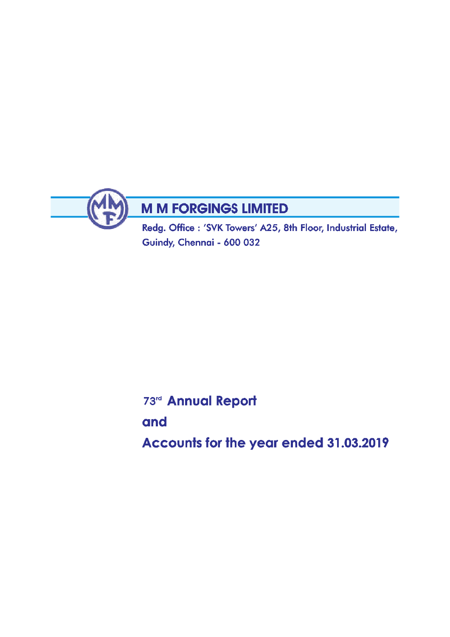

Redg. Office: 'SVK Towers' A25, 8th Floor, Industrial Estate, Guindy, Chennai - 600 032

73rd Annual Report

and

Accounts for the year ended 31.03.2019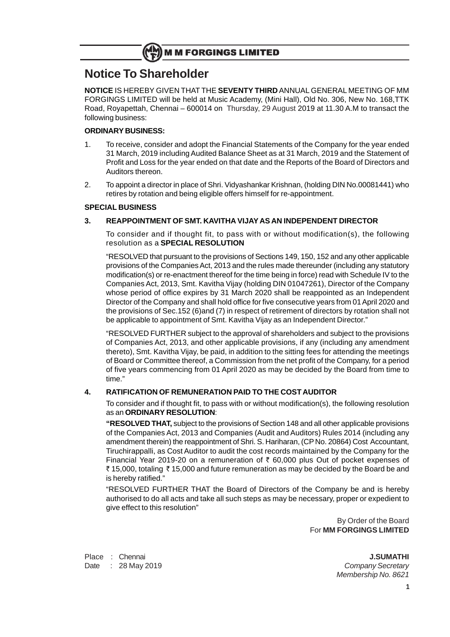# **Notice To Shareholder**

**NOTICE** IS HEREBY GIVEN THAT THE **SEVENTY THIRD** ANNUAL GENERAL MEETING OF MM FORGINGS LIMITED will be held at Music Academy, (Mini Hall), Old No. 306, New No. 168,TTK Road, Royapettah, Chennai – 600014 on Thursday, 29 August 2019 at 11.30 A.M to transact the following business:

### **ORDINARY BUSINESS:**

- 1. To receive, consider and adopt the Financial Statements of the Company for the year ended 31 March, 2019 including Audited Balance Sheet as at 31 March, 2019 and the Statement of Profit and Loss for the year ended on that date and the Reports of the Board of Directors and Auditors thereon.
- 2. To appoint a director in place of Shri. Vidyashankar Krishnan, (holding DIN No.00081441) who retires by rotation and being eligible offers himself for re-appointment.

### **SPECIAL BUSINESS**

### **3. REAPPOINTMENT OF SMT. KAVITHA VIJAY AS AN INDEPENDENT DIRECTOR**

To consider and if thought fit, to pass with or without modification(s), the following resolution as a **SPECIAL RESOLUTION**

"RESOLVED that pursuant to the provisions of Sections 149, 150, 152 and any other applicable provisions of the Companies Act, 2013 and the rules made thereunder (including any statutory modification(s) or re-enactment thereof for the time being in force) read with Schedule IV to the Companies Act, 2013, Smt. Kavitha Vijay (holding DIN 01047261), Director of the Company whose period of office expires by 31 March 2020 shall be reappointed as an Independent Director of the Company and shall hold office for five consecutive years from 01 April 2020 and the provisions of Sec.152 (6)and (7) in respect of retirement of directors by rotation shall not be applicable to appointment of Smt. Kavitha Vijay as an Independent Director."

"RESOLVED FURTHER subject to the approval of shareholders and subject to the provisions of Companies Act, 2013, and other applicable provisions, if any (including any amendment thereto), Smt. Kavitha Vijay, be paid, in addition to the sitting fees for attending the meetings of Board or Committee thereof, a Commission from the net profit of the Company, for a period of five years commencing from 01 April 2020 as may be decided by the Board from time to time."

### **4. RATIFICATION OF REMUNERATION PAID TO THE COST AUDITOR**

To consider and if thought fit, to pass with or without modification(s), the following resolution as an **ORDINARY RESOLUTION**:

**"RESOLVED THAT,** subject to the provisions of Section 148 and all other applicable provisions of the Companies Act, 2013 and Companies (Audit and Auditors) Rules 2014 (including any amendment therein) the reappointment of Shri. S. Hariharan, (CP No. 20864) Cost Accountant, Tiruchirappalli, as Cost Auditor to audit the cost records maintained by the Company for the Financial Year 2019-20 on a remuneration of  $\bar{\tau}$  60,000 plus Out of pocket expenses of ₹ 15,000, totaling ₹ 15,000 and future remuneration as may be decided by the Board be and is hereby ratified."

"RESOLVED FURTHER THAT the Board of Directors of the Company be and is hereby authorised to do all acts and take all such steps as may be necessary, proper or expedient to give effect to this resolution"

> By Order of the Board For **MM FORGINGS LIMITED**

Place : Chennai **J.SUMATHI** Date : 28 May 2019 **Company Secretary** 

Membership No. 8621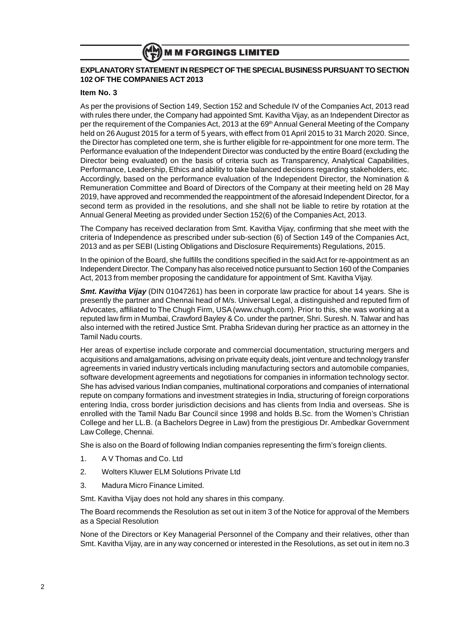#### **EXPLANATORY STATEMENT IN RESPECT OF THE SPECIAL BUSINESS PURSUANT TO SECTION 102 OF THE COMPANIES ACT 2013**

#### **Item No. 3**

As per the provisions of Section 149, Section 152 and Schedule IV of the Companies Act, 2013 read with rules there under, the Company had appointed Smt. Kavitha Vijay, as an Independent Director as per the requirement of the Companies Act, 2013 at the 69th Annual General Meeting of the Company held on 26 August 2015 for a term of 5 years, with effect from 01 April 2015 to 31 March 2020. Since, the Director has completed one term, she is further eligible for re-appointment for one more term. The Performance evaluation of the Independent Director was conducted by the entire Board (excluding the Director being evaluated) on the basis of criteria such as Transparency, Analytical Capabilities, Performance, Leadership, Ethics and ability to take balanced decisions regarding stakeholders, etc. Accordingly, based on the performance evaluation of the Independent Director, the Nomination & Remuneration Committee and Board of Directors of the Company at their meeting held on 28 May 2019, have approved and recommended the reappointment of the aforesaid Independent Director, for a second term as provided in the resolutions, and she shall not be liable to retire by rotation at the Annual General Meeting as provided under Section 152(6) of the Companies Act, 2013.

The Company has received declaration from Smt. Kavitha Vijay, confirming that she meet with the criteria of Independence as prescribed under sub-section (6) of Section 149 of the Companies Act, 2013 and as per SEBI (Listing Obligations and Disclosure Requirements) Regulations, 2015.

In the opinion of the Board, she fulfills the conditions specified in the said Act for re-appointment as an Independent Director. The Company has also received notice pursuant to Section 160 of the Companies Act, 2013 from member proposing the candidature for appointment of Smt. Kavitha Vijay.

**Smt. Kavitha Vijay** (DIN 01047261) has been in corporate law practice for about 14 years. She is presently the partner and Chennai head of M/s. Universal Legal, a distinguished and reputed firm of Advocates, affiliated to The Chugh Firm, USA (www.chugh.com). Prior to this, she was working at a reputed law firm in Mumbai, Crawford Bayley & Co. under the partner, Shri. Suresh. N. Talwar and has also interned with the retired Justice Smt. Prabha Sridevan during her practice as an attorney in the Tamil Nadu courts.

Her areas of expertise include corporate and commercial documentation, structuring mergers and acquisitions and amalgamations, advising on private equity deals, joint venture and technology transfer agreements in varied industry verticals including manufacturing sectors and automobile companies, software development agreements and negotiations for companies in information technology sector. She has advised various Indian companies, multinational corporations and companies of international repute on company formations and investment strategies in India, structuring of foreign corporations entering India, cross border jurisdiction decisions and has clients from India and overseas. She is enrolled with the Tamil Nadu Bar Council since 1998 and holds B.Sc. from the Women's Christian College and her LL.B. (a Bachelors Degree in Law) from the prestigious Dr. Ambedkar Government Law College, Chennai.

She is also on the Board of following Indian companies representing the firm's foreign clients.

- 1. A V Thomas and Co. Ltd
- 2. Wolters Kluwer ELM Solutions Private Ltd
- 3. Madura Micro Finance Limited.

Smt. Kavitha Vijay does not hold any shares in this company.

The Board recommends the Resolution as set out in item 3 of the Notice for approval of the Members as a Special Resolution

None of the Directors or Key Managerial Personnel of the Company and their relatives, other than Smt. Kavitha Vijay, are in any way concerned or interested in the Resolutions, as set out in item no.3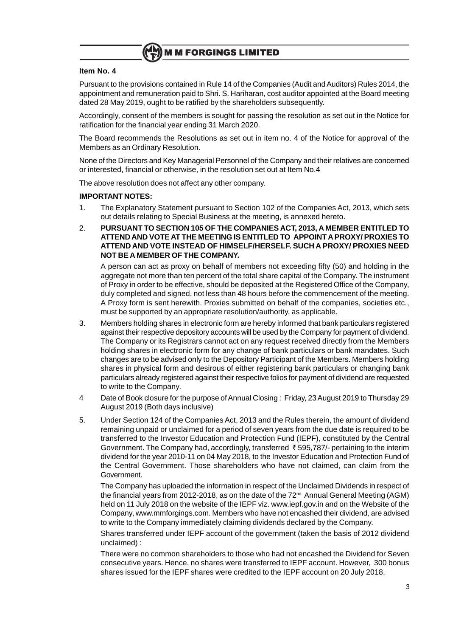

#### **Item No. 4**

Pursuant to the provisions contained in Rule 14 of the Companies (Audit and Auditors) Rules 2014, the appointment and remuneration paid to Shri. S. Hariharan, cost auditor appointed at the Board meeting dated 28 May 2019, ought to be ratified by the shareholders subsequently.

Accordingly, consent of the members is sought for passing the resolution as set out in the Notice for ratification for the financial year ending 31 March 2020.

The Board recommends the Resolutions as set out in item no. 4 of the Notice for approval of the Members as an Ordinary Resolution.

None of the Directors and Key Managerial Personnel of the Company and their relatives are concerned or interested, financial or otherwise, in the resolution set out at Item No.4

The above resolution does not affect any other company.

#### **IMPORTANT NOTES:**

- 1. The Explanatory Statement pursuant to Section 102 of the Companies Act, 2013, which sets out details relating to Special Business at the meeting, is annexed hereto.
- 2. **PURSUANT TO SECTION 105 OF THE COMPANIES ACT, 2013, A MEMBER ENTITLED TO ATTEND AND VOTE AT THE MEETING IS ENTITLED TO APPOINT A PROXY/ PROXIES TO ATTEND AND VOTE INSTEAD OF HIMSELF/HERSELF. SUCH A PROXY/ PROXIES NEED NOT BE A MEMBER OF THE COMPANY.**

A person can act as proxy on behalf of members not exceeding fifty (50) and holding in the aggregate not more than ten percent of the total share capital of the Company. The instrument of Proxy in order to be effective, should be deposited at the Registered Office of the Company, duly completed and signed, not less than 48 hours before the commencement of the meeting. A Proxy form is sent herewith. Proxies submitted on behalf of the companies, societies etc., must be supported by an appropriate resolution/authority, as applicable.

- 3. Members holding shares in electronic form are hereby informed that bank particulars registered against their respective depository accounts will be used by the Company for payment of dividend. The Company or its Registrars cannot act on any request received directly from the Members holding shares in electronic form for any change of bank particulars or bank mandates. Such changes are to be advised only to the Depository Participant of the Members. Members holding shares in physical form and desirous of either registering bank particulars or changing bank particulars already registered against their respective folios for payment of dividend are requested to write to the Company.
- 4 Date of Book closure for the purpose of Annual Closing : Friday, 23 August 2019 to Thursday 29 August 2019 (Both days inclusive)
- 5. Under Section 124 of the Companies Act, 2013 and the Rules therein, the amount of dividend remaining unpaid or unclaimed for a period of seven years from the due date is required to be transferred to the Investor Education and Protection Fund (IEPF), constituted by the Central Government. The Company had, accordingly, transferred  $\bar{\tau}$  595,787/- pertaining to the interim dividend for the year 2010-11 on 04 May 2018, to the Investor Education and Protection Fund of the Central Government. Those shareholders who have not claimed, can claim from the Government.

The Company has uploaded the information in respect of the Unclaimed Dividends in respect of the financial years from 2012-2018, as on the date of the 72<sup>nd</sup> Annual General Meeting (AGM) held on 11 July 2018 on the website of the IEPF viz. www.iepf.gov.in and on the Website of the Company, www.mmforgings.com. Members who have not encashed their dividend, are advised to write to the Company immediately claiming dividends declared by the Company.

Shares transferred under IEPF account of the government (taken the basis of 2012 dividend unclaimed) :

There were no common shareholders to those who had not encashed the Dividend for Seven consecutive years. Hence, no shares were transferred to IEPF account. However, 300 bonus shares issued for the IEPF shares were credited to the IEPF account on 20 July 2018.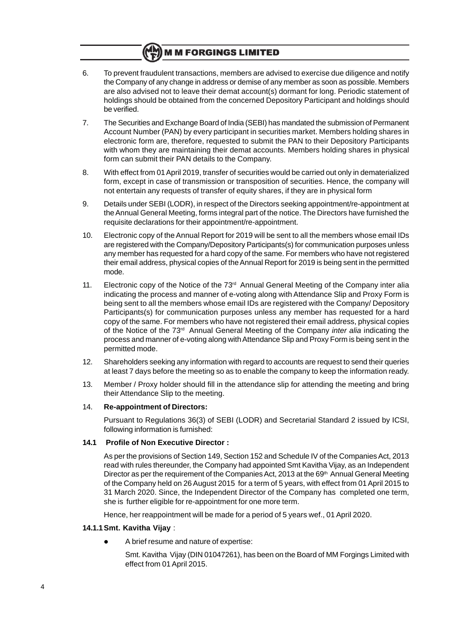- 6. To prevent fraudulent transactions, members are advised to exercise due diligence and notify the Company of any change in address or demise of any member as soon as possible. Members are also advised not to leave their demat account(s) dormant for long. Periodic statement of holdings should be obtained from the concerned Depository Participant and holdings should be verified.
- 7. The Securities and Exchange Board of India (SEBI) has mandated the submission of Permanent Account Number (PAN) by every participant in securities market. Members holding shares in electronic form are, therefore, requested to submit the PAN to their Depository Participants with whom they are maintaining their demat accounts. Members holding shares in physical form can submit their PAN details to the Company.
- 8. With effect from 01 April 2019, transfer of securities would be carried out only in dematerialized form, except in case of transmission or transposition of securities. Hence, the company will not entertain any requests of transfer of equity shares, if they are in physical form
- 9. Details under SEBI (LODR), in respect of the Directors seeking appointment/re-appointment at the Annual General Meeting, forms integral part of the notice. The Directors have furnished the requisite declarations for their appointment/re-appointment.
- 10. Electronic copy of the Annual Report for 2019 will be sent to all the members whose email IDs are registered with the Company/Depository Participants(s) for communication purposes unless any member has requested for a hard copy of the same. For members who have not registered their email address, physical copies of the Annual Report for 2019 is being sent in the permitted mode.
- 11. Electronic copy of the Notice of the  $73<sup>rd</sup>$  Annual General Meeting of the Company inter alia indicating the process and manner of e-voting along with Attendance Slip and Proxy Form is being sent to all the members whose email IDs are registered with the Company/ Depository Participants(s) for communication purposes unless any member has requested for a hard copy of the same. For members who have not registered their email address, physical copies of the Notice of the 73<sup>rd</sup> Annual General Meeting of the Company *inter alia* indicating the process and manner of e-voting along with Attendance Slip and Proxy Form is being sent in the permitted mode.
- 12. Shareholders seeking any information with regard to accounts are request to send their queries at least 7 days before the meeting so as to enable the company to keep the information ready.
- 13. Member / Proxy holder should fill in the attendance slip for attending the meeting and bring their Attendance Slip to the meeting.

#### 14. **Re-appointment of Directors:**

Pursuant to Regulations 36(3) of SEBI (LODR) and Secretarial Standard 2 issued by ICSI, following information is furnished:

#### **14.1 Profile of Non Executive Director :**

As per the provisions of Section 149, Section 152 and Schedule IV of the Companies Act, 2013 read with rules thereunder, the Company had appointed Smt Kavitha Vijay, as an Independent Director as per the requirement of the Companies Act, 2013 at the 69<sup>th</sup> Annual General Meeting of the Company held on 26 August 2015 for a term of 5 years, with effect from 01 April 2015 to 31 March 2020. Since, the Independent Director of the Company has completed one term, she is further eligible for re-appointment for one more term.

Hence, her reappointment will be made for a period of 5 years wef., 01 April 2020.

#### **14.1.1Smt. Kavitha Vijay** :

- A brief resume and nature of expertise:
	- Smt. Kavitha Vijay (DIN 01047261), has been on the Board of MM Forgings Limited with effect from 01 April 2015.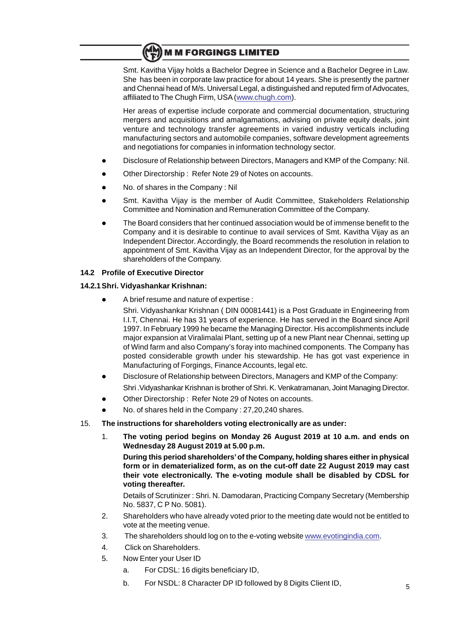Smt. Kavitha Vijay holds a Bachelor Degree in Science and a Bachelor Degree in Law. She has been in corporate law practice for about 14 years. She is presently the partner and Chennai head of M/s. Universal Legal, a distinguished and reputed firm of Advocates, affiliated to The Chugh Firm, USA (www.chugh.com).

Her areas of expertise include corporate and commercial documentation, structuring mergers and acquisitions and amalgamations, advising on private equity deals, joint venture and technology transfer agreements in varied industry verticals including manufacturing sectors and automobile companies, software development agreements and negotiations for companies in information technology sector.

- Disclosure of Relationship between Directors, Managers and KMP of the Company: Nil.
- Other Directorship : Refer Note 29 of Notes on accounts.
- No. of shares in the Company : Nil
- Smt. Kavitha Vijay is the member of Audit Committee, Stakeholders Relationship Committee and Nomination and Remuneration Committee of the Company.
- l The Board considers that her continued association would be of immense benefit to the Company and it is desirable to continue to avail services of Smt. Kavitha Vijay as an Independent Director. Accordingly, the Board recommends the resolution in relation to appointment of Smt. Kavitha Vijay as an Independent Director, for the approval by the shareholders of the Company.

### **14.2 Profile of Executive Director**

### **14.2.1Shri. Vidyashankar Krishnan:**

A brief resume and nature of expertise :

Shri. Vidyashankar Krishnan ( DIN 00081441) is a Post Graduate in Engineering from I.I.T, Chennai. He has 31 years of experience. He has served in the Board since April 1997. In February 1999 he became the Managing Director. His accomplishments include major expansion at Viralimalai Plant, setting up of a new Plant near Chennai, setting up of Wind farm and also Company's foray into machined components. The Company has posted considerable growth under his stewardship. He has got vast experience in Manufacturing of Forgings, Finance Accounts, legal etc.

- Disclosure of Relationship between Directors, Managers and KMP of the Company: Shri .Vidyashankar Krishnan is brother of Shri. K. Venkatramanan, Joint Managing Director.
- Other Directorship : Refer Note 29 of Notes on accounts.
- No. of shares held in the Company : 27,20,240 shares.
- 15. **The instructions for shareholders voting electronically are as under:**
	- 1. **The voting period begins on Monday 26 August 2019 at 10 a.m. and ends on Wednesday 28 August 2019 at 5.00 p.m.**

**During this period shareholders' of the Company, holding shares either in physical form or in dematerialized form, as on the cut-off date 22 August 2019 may cast their vote electronically. The e-voting module shall be disabled by CDSL for voting thereafter.**

Details of Scrutinizer : Shri. N. Damodaran, Practicing Company Secretary (Membership No. 5837, C P No. 5081).

- 2. Shareholders who have already voted prior to the meeting date would not be entitled to vote at the meeting venue.
- 3. The shareholders should log on to the e-voting website www.evotingindia.com.
- 4. Click on Shareholders.
- 5. Now Enter your User ID
	- a. For CDSL: 16 digits beneficiary ID,
	- b. For NSDL: 8 Character DP ID followed by 8 Digits Client ID,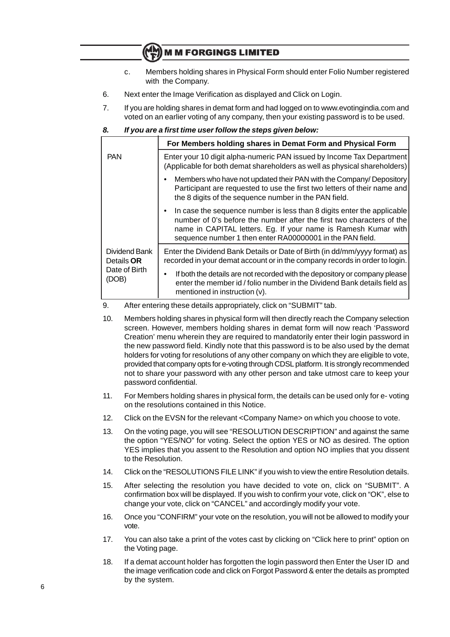- c. Members holding shares in Physical Form should enter Folio Number registered with the Company.
- 6. Next enter the Image Verification as displayed and Click on Login.
- 7. If you are holding shares in demat form and had logged on to www.evotingindia.com and voted on an earlier voting of any company, then your existing password is to be used.

#### **8. If you are a first time user follow the steps given below:**

|                                    | For Members holding shares in Demat Form and Physical Form                                                                                                                                                                                                                                  |  |  |  |  |
|------------------------------------|---------------------------------------------------------------------------------------------------------------------------------------------------------------------------------------------------------------------------------------------------------------------------------------------|--|--|--|--|
| <b>PAN</b>                         | Enter your 10 digit alpha-numeric PAN issued by Income Tax Department<br>(Applicable for both demat shareholders as well as physical shareholders)                                                                                                                                          |  |  |  |  |
|                                    | Members who have not updated their PAN with the Company/ Depository<br>Participant are requested to use the first two letters of their name and<br>the 8 digits of the sequence number in the PAN field.                                                                                    |  |  |  |  |
|                                    | In case the sequence number is less than 8 digits enter the applicable<br>$\bullet$<br>number of 0's before the number after the first two characters of the<br>name in CAPITAL letters. Eg. If your name is Ramesh Kumar with<br>sequence number 1 then enter RA00000001 in the PAN field. |  |  |  |  |
| Dividend Bank<br>Details <b>OR</b> | Enter the Dividend Bank Details or Date of Birth (in dd/mm/yyyy format) as<br>recorded in your demat account or in the company records in order to login.                                                                                                                                   |  |  |  |  |
| Date of Birth<br>(DOB)             | If both the details are not recorded with the depository or company please<br>٠<br>enter the member id / folio number in the Dividend Bank details field as<br>mentioned in instruction (v).                                                                                                |  |  |  |  |

#### 9. After entering these details appropriately, click on "SUBMIT" tab.

- 10. Members holding shares in physical form will then directly reach the Company selection screen. However, members holding shares in demat form will now reach 'Password Creation' menu wherein they are required to mandatorily enter their login password in the new password field. Kindly note that this password is to be also used by the demat holders for voting for resolutions of any other company on which they are eligible to vote, provided that company opts for e-voting through CDSL platform. It is strongly recommended not to share your password with any other person and take utmost care to keep your password confidential.
- 11. For Members holding shares in physical form, the details can be used only for e- voting on the resolutions contained in this Notice.
- 12. Click on the EVSN for the relevant <Company Name> on which you choose to vote.
- 13. On the voting page, you will see "RESOLUTION DESCRIPTION" and against the same the option "YES/NO" for voting. Select the option YES or NO as desired. The option YES implies that you assent to the Resolution and option NO implies that you dissent to the Resolution.
- 14. Click on the "RESOLUTIONS FILE LINK" if you wish to view the entire Resolution details.
- 15. After selecting the resolution you have decided to vote on, click on "SUBMIT". A confirmation box will be displayed. If you wish to confirm your vote, click on "OK", else to change your vote, click on "CANCEL" and accordingly modify your vote.
- 16. Once you "CONFIRM" your vote on the resolution, you will not be allowed to modify your vote.
- 17. You can also take a print of the votes cast by clicking on "Click here to print" option on the Voting page.
- 18. If a demat account holder has forgotten the login password then Enter the User ID and the image verification code and click on Forgot Password & enter the details as prompted by the system.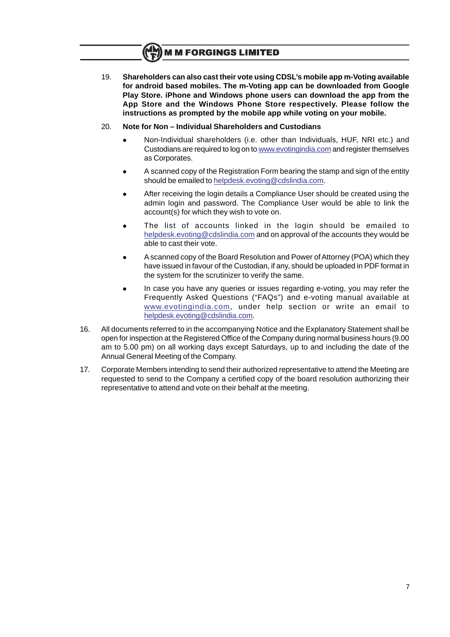19. **Shareholders can also cast their vote using CDSL's mobile app m-Voting available for android based mobiles. The m-Voting app can be downloaded from Google Play Store. iPhone and Windows phone users can download the app from the App Store and the Windows Phone Store respectively. Please follow the instructions as prompted by the mobile app while voting on your mobile.**

#### 20. **Note for Non – Individual Shareholders and Custodians**

- l Non-Individual shareholders (i.e. other than Individuals, HUF, NRI etc.) and Custodians are required to log on to www.evotingindia.com and register themselves as Corporates.
- l A scanned copy of the Registration Form bearing the stamp and sign of the entity should be emailed to helpdesk.evoting@cdslindia.com.
- After receiving the login details a Compliance User should be created using the admin login and password. The Compliance User would be able to link the account(s) for which they wish to vote on.
- The list of accounts linked in the login should be emailed to helpdesk.evoting@cdslindia.com and on approval of the accounts they would be able to cast their vote.
- <sup>l</sup> A scanned copy of the Board Resolution and Power of Attorney (POA) which they have issued in favour of the Custodian, if any, should be uploaded in PDF format in the system for the scrutinizer to verify the same.
- In case you have any queries or issues regarding e-voting, you may refer the Frequently Asked Questions ("FAQs") and e-voting manual available at www.evotingindia.com, under help section or write an email to helpdesk.evoting@cdslindia.com.
- 16. All documents referred to in the accompanying Notice and the Explanatory Statement shall be open for inspection at the Registered Office of the Company during normal business hours (9.00 am to 5.00 pm) on all working days except Saturdays, up to and including the date of the Annual General Meeting of the Company.
- 17. Corporate Members intending to send their authorized representative to attend the Meeting are requested to send to the Company a certified copy of the board resolution authorizing their representative to attend and vote on their behalf at the meeting.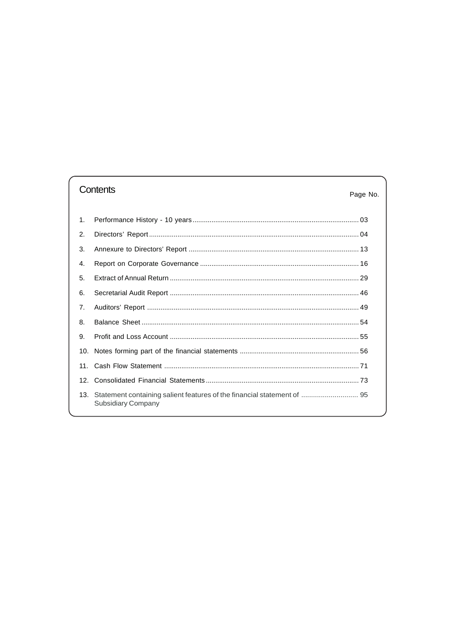# Contents

### Page No.

| $\mathbf{1}$ . |                                                                                                   |  |
|----------------|---------------------------------------------------------------------------------------------------|--|
| 2.             |                                                                                                   |  |
| 3.             |                                                                                                   |  |
| 4.             |                                                                                                   |  |
| 5.             |                                                                                                   |  |
| 6.             |                                                                                                   |  |
| 7.             |                                                                                                   |  |
| 8.             |                                                                                                   |  |
| 9.             |                                                                                                   |  |
|                |                                                                                                   |  |
|                |                                                                                                   |  |
|                |                                                                                                   |  |
|                | 13. Statement containing salient features of the financial statement of  95<br>Subsidiary Company |  |
|                |                                                                                                   |  |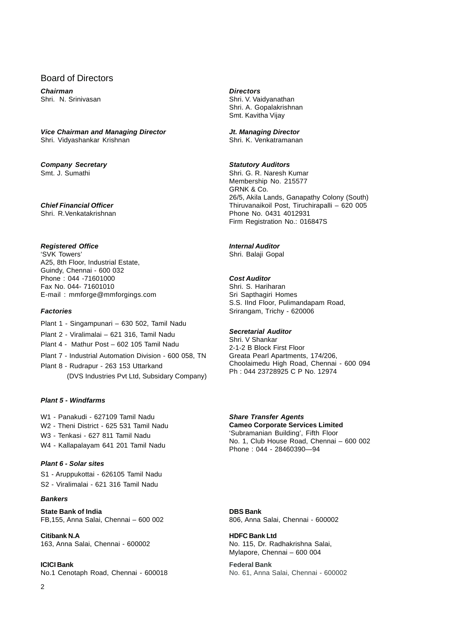### Board of Directors

**Chairman Directors**

#### **Vice Chairman and Managing Director Jt. Managing Director**

Shri. Vidyashankar Krishnan Shri. K. Venkatramanan

# **Company Secretary and Statutory Auditors**<br>
Statutory Auditors<br>
Shri, G. R. Naresh K

### **Registered Office Internal Auditor**

'SVK Towers' Shri. Balaji Gopal A25, 8th Floor, Industrial Estate, Guindy, Chennai - 600 032 Phone : 044 -71601000 **Cost Auditor** Fax No. 044- 71601010 Shri. S. Hariharan E-mail : mmforge@mmforgings.com Sri Sapthagiri Homes

- Plant 1 Singampunari 630 502, Tamil Nadu
- Plant 2 Viralimalai 621 316, Tamil Nadu **Secretarial Auditor**
- 
- Plant 7 Industrial Automation Division 600 058, TN
- Plant 8 Rudrapur 263 153 Uttarkand (DVS Industries Pvt Ltd, Subsidary Company)

#### **Plant 5 - Windfarms**

W1 - Panakudi - 627109 Tamil Nadu **Share Transfer Agents** W2 - Theni District - 625 531 Tamil Nadu **Cameo Corporate Services Limited** W3 - Tenkasi - 627 811 Tamil Nadu

#### **Plant 6 - Solar sites**

S1 - Aruppukottai - 626105 Tamil Nadu S2 - Viralimalai - 621 316 Tamil Nadu

#### **Bankers**

**State Bank of India DBS Bank** FB,155, Anna Salai, Chennai – 600 002 806, Anna Salai, Chennai - 600002

**Citibank N.A HDFC Bank Ltd** 163, Anna Salai, Chennai - 600002 No. 115, Dr. Radhakrishna Salai,

**ICICI Bank Federal Bank**

Shri. N. Srinivasan Shri. V. Vaidyanathan Shri. A. Gopalakrishnan Smt. Kavitha Vijay

Shri. G. R. Naresh Kumar Membership No. 215577 GRNK & Co. 26/5, Akila Lands, Ganapathy Colony (South) **Chief Financial Officer** Thiruvanaikoil Post, Tiruchirapalli – 620 005 Shri. R.Venkatakrishnan **Phone No. 0431 4012931** Firm Registration No.: 016847S

S.S. IInd Floor, Pulimandapam Road, **Factories State Exercise State Exercise State State State State State State State State State State State State State State State State State State State State State State State State State State State State State State** 

Shri. V Shankar Plant 4 - Mathur Post – 602 105 Tamil Nadu<br>
2-1-2 B Block First Floor<br>
Plant 7 - Industrial Automation Division - 600 058, TN Greata Pearl Apartments, 174/206, Choolaimedu High Road, Chennai - 600 094 Ph : 044 23728925 C P No. 12974

No. 1, Club House Road, Chennai – 600 002 W4 - Kallapalayam 641 201 Tamil Nadu Phone : 044 - 28460390—94

Mylapore, Chennai – 600 004

# No.1 Cenotaph Road, Chennai - 600018 No. 61, Anna Salai, Chennai - 600002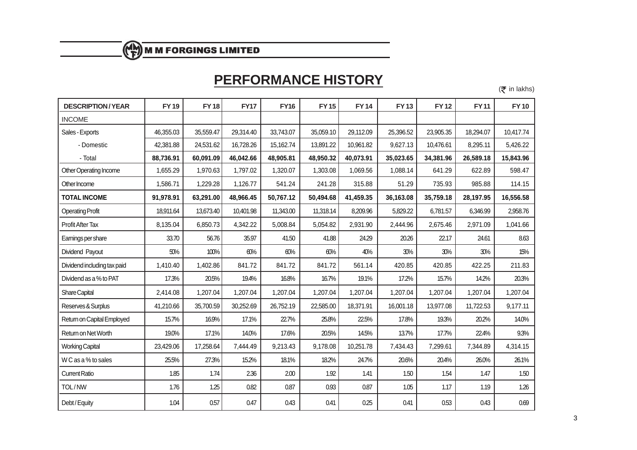# **PERFORMANCE HISTORY**

 $(\bar{\bar{\mathbf{\tau}}}$  in lakhs)

| <b>DESCRIPTION/YEAR</b>     | <b>FY19</b> | <b>FY18</b> | <b>FY17</b> | <b>FY16</b> | <b>FY15</b> | <b>FY14</b> | <b>FY13</b> | <b>FY12</b> | <b>FY11</b> | <b>FY10</b> |
|-----------------------------|-------------|-------------|-------------|-------------|-------------|-------------|-------------|-------------|-------------|-------------|
| <b>INCOME</b>               |             |             |             |             |             |             |             |             |             |             |
| Sales - Exports             | 46,355.03   | 35,559.47   | 29,314.40   | 33,743.07   | 35,059.10   | 29,112.09   | 25,396.52   | 23,905.35   | 18,294.07   | 10,417.74   |
| - Domestic                  | 42,381.88   | 24,531.62   | 16,728.26   | 15,162.74   | 13,891.22   | 10,961.82   | 9,627.13    | 10,476.61   | 8,295.11    | 5,426.22    |
| - Total                     | 88,736.91   | 60,091.09   | 46,042.66   | 48,905.81   | 48,950.32   | 40,073.91   | 35,023.65   | 34,381.96   | 26,589.18   | 15,843.96   |
| Other Operating Income      | 1,655.29    | 1,970.63    | 1,797.02    | 1,320.07    | 1,303.08    | 1,069.56    | 1,088.14    | 641.29      | 622.89      | 598.47      |
| Other Income                | 1,586.71    | 1,229.28    | 1,126.77    | 541.24      | 241.28      | 315.88      | 51.29       | 735.93      | 985.88      | 114.15      |
| <b>TOTAL INCOME</b>         | 91,978.91   | 63,291.00   | 48,966.45   | 50,767.12   | 50,494.68   | 41,459.35   | 36,163.08   | 35,759.18   | 28,197.95   | 16,556.58   |
| <b>Operating Profit</b>     | 18,911.64   | 13,673.40   | 10,401.98   | 11,343.00   | 11,318.14   | 8,209.96    | 5,829.22    | 6,781.57    | 6,346.99    | 2,958.76    |
| <b>Profit After Tax</b>     | 8,135.04    | 6,850.73    | 4,342.22    | 5,008.84    | 5,054.82    | 2,931.90    | 2,444.96    | 2,675.46    | 2,971.09    | 1,041.66    |
| Earnings per share          | 33.70       | 56.76       | 35.97       | 41.50       | 41.88       | 24.29       | 20.26       | 22.17       | 24.61       | 8.63        |
| Dividend Payout             | 50%         | 100%        | 60%         | 60%         | 60%         | 40%         | 30%         | 30%         | 30%         | 15%         |
| Dividend including tax paid | 1,410.40    | 1,402.86    | 841.72      | 841.72      | 841.72      | 561.14      | 420.85      | 420.85      | 422.25      | 211.83      |
| Dividend as a % to PAT      | 17.3%       | 20.5%       | 19.4%       | 16.8%       | 16.7%       | 19.1%       | 17.2%       | 15.7%       | 14.2%       | 20.3%       |
| Share Capital               | 2,414.08    | 1,207.04    | 1,207.04    | 1,207.04    | 1,207.04    | 1,207.04    | 1,207.04    | 1,207.04    | 1,207.04    | 1,207.04    |
| Reserves & Surplus          | 41,210.66   | 35,700.59   | 30,252.69   | 26,752.19   | 22,585.00   | 18,371.91   | 16,001.18   | 13,977.08   | 11,722.53   | 9,177.11    |
| Return on Capital Employed  | 15.7%       | 16.9%       | 17.1%       | 22.7%       | 25.8%       | 22.5%       | 17.8%       | 19.3%       | 20.2%       | 14.0%       |
| Return on Net Worth         | 19.0%       | 17.1%       | 14.0%       | 17.6%       | 20.5%       | 14.5%       | 13.7%       | 17.7%       | 22.4%       | 9.3%        |
| <b>Working Capital</b>      | 23,429.06   | 17,258.64   | 7,444.49    | 9,213.43    | 9,178.08    | 10,251.78   | 7,434.43    | 7,299.61    | 7,344.89    | 4,314.15    |
| W C as a % to sales         | 25.5%       | 27.3%       | 15.2%       | 18.1%       | 18.2%       | 24.7%       | 20.6%       | 20.4%       | 26.0%       | 26.1%       |
| <b>Current Ratio</b>        | 1.85        | 1.74        | 2.36        | 2.00        | 1.92        | 1.41        | 1.50        | 1.54        | 1.47        | 1.50        |
| TOL/NW                      | 1.76        | 1.25        | 0.82        | 0.87        | 0.93        | 0.87        | 1.05        | 1.17        | 1.19        | 1.26        |
| Debt / Equity               | 1.04        | 0.57        | 0.47        | 0.43        | 0.41        | 0.25        | 0.41        | 0.53        | 0.43        | 0.69        |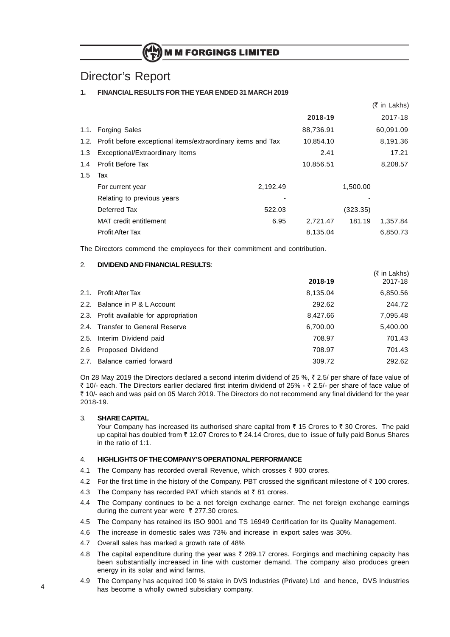# Director's Report

#### **1. FINANCIAL RESULTS FOR THE YEAR ENDED 31 MARCH 2019**

|     |                                                                  |          |           |          | $(5 \in \mathsf{Lakhs})$ |
|-----|------------------------------------------------------------------|----------|-----------|----------|--------------------------|
|     |                                                                  |          | 2018-19   |          | 2017-18                  |
|     | 1.1. Forging Sales                                               |          | 88,736.91 |          | 60,091.09                |
|     | 1.2. Profit before exceptional items/extraordinary items and Tax |          | 10,854.10 |          | 8,191.36                 |
| 1.3 | Exceptional/Extraordinary Items                                  |          | 2.41      |          | 17.21                    |
| 1.4 | <b>Profit Before Tax</b>                                         |          | 10,856.51 |          | 8,208.57                 |
| 1.5 | Tax                                                              |          |           |          |                          |
|     | For current year                                                 | 2,192.49 |           | 1,500.00 |                          |
|     | Relating to previous years                                       |          |           |          |                          |
|     | Deferred Tax                                                     | 522.03   |           | (323.35) |                          |
|     | MAT credit entitlement                                           | 6.95     | 2,721.47  | 181.19   | 1,357.84                 |
|     | <b>Profit After Tax</b>                                          |          | 8,135.04  |          | 6,850.73                 |

The Directors commend the employees for their commitment and contribution.

#### 2. **DIVIDEND AND FINANCIAL RESULTS**:

|                                         |          | R in Lakns) |
|-----------------------------------------|----------|-------------|
|                                         | 2018-19  | 2017-18     |
| 2.1. Profit After Tax                   | 8,135.04 | 6,850.56    |
| 2.2. Balance in P & L Account           | 292.62   | 244.72      |
| 2.3. Profit available for appropriation | 8,427.66 | 7,095.48    |
| 2.4. Transfer to General Reserve        | 6,700.00 | 5,400.00    |
| 2.5. Interim Dividend paid              | 708.97   | 701.43      |
| 2.6 Proposed Dividend                   | 708.97   | 701.43      |
| 2.7. Balance carried forward            | 309.72   | 292.62      |
|                                         |          |             |

 $\lambda = 1$  in Lakhsberg (

On 28 May 2019 the Directors declared a second interim dividend of 25 %,  $\bar{\tau}$  2.5/ per share of face value of ₹ 10/- each. The Directors earlier declared first interim dividend of 25% - ₹ 2.5/- per share of face value of ` 10/- each and was paid on 05 March 2019. The Directors do not recommend any final dividend for the year 2018-19.

#### 3. **SHARE CAPITAL**

Your Company has increased its authorised share capital from  $\bar{\tau}$  15 Crores to  $\bar{\tau}$  30 Crores. The paid up capital has doubled from ₹12.07 Crores to ₹24.14 Crores, due to issue of fully paid Bonus Shares in the ratio of 1:1.

#### 4. **HIGHLIGHTS OF THE COMPANY'S OPERATIONAL PERFORMANCE**

- 4.1 The Company has recorded overall Revenue, which crosses  $\bar{\tau}$  900 crores.
- 4.2 For the first time in the history of the Company. PBT crossed the significant milestone of  $\bar{\tau}$  100 crores.
- 4.3 The Company has recorded PAT which stands at  $\bar{z}$  81 crores.
- 4.4 The Company continues to be a net foreign exchange earner. The net foreign exchange earnings during the current year were  $\bar{\tau}$  277.30 crores.
- 4.5 The Company has retained its ISO 9001 and TS 16949 Certification for its Quality Management.
- 4.6 The increase in domestic sales was 73% and increase in export sales was 30%.
- 4.7 Overall sales has marked a growth rate of 48%
- 4.8 The capital expenditure during the year was  $\bar{\tau}$  289.17 crores. Forgings and machining capacity has been substantially increased in line with customer demand. The company also produces green energy in its solar and wind farms.
- 4.9 The Company has acquired 100 % stake in DVS Industries (Private) Ltd and hence, DVS Industries has become a wholly owned subsidiary company.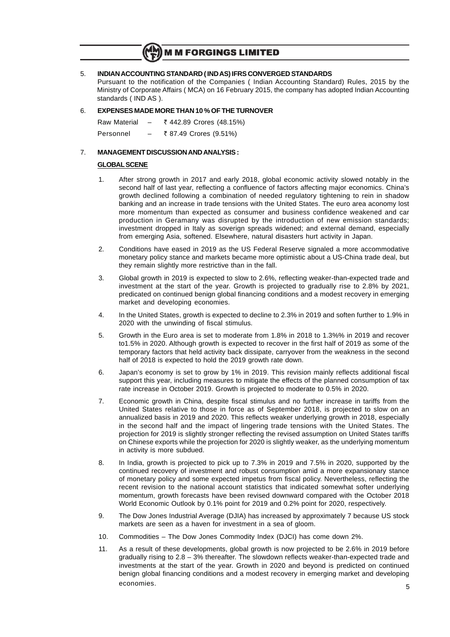#### 5. **INDIAN ACCOUNTING STANDARD ( IND AS) IFRS CONVERGED STANDARDS**

Pursuant to the notification of the Companies ( Indian Accounting Standard) Rules, 2015 by the Ministry of Corporate Affairs ( MCA) on 16 February 2015, the company has adopted Indian Accounting standards ( IND AS ).

#### 6. **EXPENSES MADE MORE THAN 10 % OF THE TURNOVER**

| Raw Material |   | ₹ 442.89 Crores (48.15%) |
|--------------|---|--------------------------|
| Personnel    | - | ₹ 87.49 Crores (9.51%)   |

#### 7. **MANAGEMENT DISCUSSION AND ANALYSIS :**

#### **GLOBAL SCENE**

- 1. After strong growth in 2017 and early 2018, global economic activity slowed notably in the second half of last year, reflecting a confluence of factors affecting major economics. China's growth declined following a combination of needed regulatory tightening to rein in shadow banking and an increase in trade tensions with the United States. The euro area aconomy lost more momentum than expected as consumer and business confidence weakened and car production in Geramany was disrupted by the introduction of new emission standards; investment dropped in Italy as soverign spreads widened; and external demand, especially from emerging Asia, softened. Elsewhere, natural disasters hurt activity in Japan.
- 2. Conditions have eased in 2019 as the US Federal Reserve signaled a more accommodative monetary policy stance and markets became more optimistic about a US-China trade deal, but they remain slightly more restrictive than in the fall.
- 3. Global growth in 2019 is expected to slow to 2.6%, reflecting weaker-than-expected trade and investment at the start of the year. Growth is projected to gradually rise to 2.8% by 2021, predicated on continued benign global financing conditions and a modest recovery in emerging market and developing economies.
- 4. In the United States, growth is expected to decline to 2.3% in 2019 and soften further to 1.9% in 2020 with the unwinding of fiscal stimulus.
- 5. Growth in the Euro area is set to moderate from 1.8% in 2018 to 1.3%% in 2019 and recover to1.5% in 2020. Although growth is expected to recover in the first half of 2019 as some of the temporary factors that held activity back dissipate, carryover from the weakness in the second half of 2018 is expected to hold the 2019 growth rate down.
- 6. Japan's economy is set to grow by 1% in 2019. This revision mainly reflects additional fiscal support this year, including measures to mitigate the effects of the planned consumption of tax rate increase in October 2019. Growth is projected to moderate to 0.5% in 2020.
- 7. Economic growth in China, despite fiscal stimulus and no further increase in tariffs from the United States relative to those in force as of September 2018, is projected to slow on an annualized basis in 2019 and 2020. This reflects weaker underlying growth in 2018, especially in the second half and the impact of lingering trade tensions with the United States. The projection for 2019 is slightly stronger reflecting the revised assumption on United States tariffs on Chinese exports while the projection for 2020 is slightly weaker, as the underlying momentum in activity is more subdued.
- 8. In India, growth is projected to pick up to 7.3% in 2019 and 7.5% in 2020, supported by the continued recovery of investment and robust consumption amid a more expansionary stance of monetary policy and some expected impetus from fiscal policy. Nevertheless, reflecting the recent revision to the national account statistics that indicated somewhat softer underlying momentum, growth forecasts have been revised downward compared with the October 2018 World Economic Outlook by 0.1% point for 2019 and 0.2% point for 2020, respectively.
- 9. The Dow Jones Industrial Average (DJIA) has increased by approximately 7 because US stock markets are seen as a haven for investment in a sea of gloom.
- 10. Commodities The Dow Jones Commodity Index (DJCI) has come down 2%.
- 11. As a result of these developments, global growth is now projected to be 2.6% in 2019 before gradually rising to 2.8 – 3% thereafter. The slowdown reflects weaker-than-expected trade and investments at the start of the year. Growth in 2020 and beyond is predicted on continued benign global financing conditions and a modest recovery in emerging market and developing economies.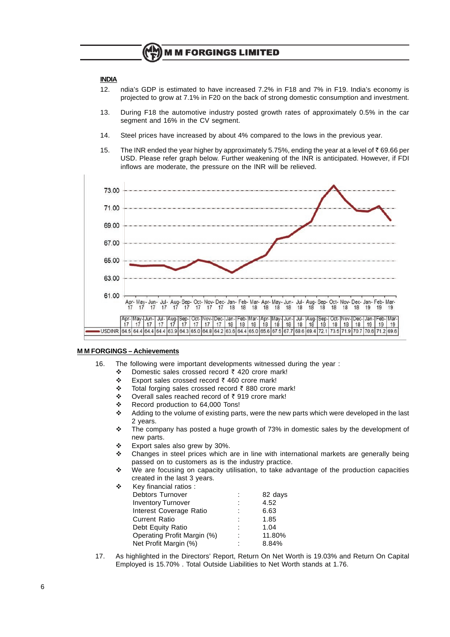#### **INDIA**

- 12. ndia's GDP is estimated to have increased 7.2% in F18 and 7% in F19. India's economy is projected to grow at 7.1% in F20 on the back of strong domestic consumption and investment.
- 13. During F18 the automotive industry posted growth rates of approximately 0.5% in the car segment and 16% in the CV segment.
- 14. Steel prices have increased by about 4% compared to the lows in the previous year.
- 15. The INR ended the year higher by approximately 5.75%, ending the year at a level of  $\bar{\tau}$  69.66 per USD. Please refer graph below. Further weakening of the INR is anticipated. However, if FDI inflows are moderate, the pressure on the INR will be relieved.



#### **M M FORGINGS – Achievements**

- 16. The following were important developments witnessed during the year :
	- $\div$  Domestic sales crossed record  $\bar{\tau}$  420 crore mark!
	- $\div$  Export sales crossed record  $\overline{\zeta}$  460 crore mark!
	- $\div$  Total forging sales crossed record  $\bar{\tau}$  880 crore mark!
	- ◆ Overall sales reached record of  $\bar{z}$  919 crore mark!
	- ❖ Record production to 64,000 Tons!<br>❖ Adding to the volume of existing par
	- Adding to the volume of existing parts, were the new parts which were developed in the last 2 years.
	- $\div$  The company has posted a huge growth of 73% in domestic sales by the development of new parts.
	- $\div$  Export sales also grew by 30%.
	- $\div$  Changes in steel prices which are in line with international markets are generally being passed on to customers as is the industry practice.
	- \* We are focusing on capacity utilisation, to take advantage of the production capacities created in the last 3 years.

| ٠ | Key financial ratios:       |         |
|---|-----------------------------|---------|
|   | <b>Debtors Turnover</b>     | 82 days |
|   | <b>Inventory Turnover</b>   | 4.52    |
|   | Interest Coverage Ratio     | 6.63    |
|   | <b>Current Ratio</b>        | 1.85    |
|   | Debt Equity Ratio           | 1.04    |
|   | Operating Profit Margin (%) | 11.80%  |
|   | Net Profit Margin (%)       | 8.84%   |

17. As highlighted in the Directors' Report, Return On Net Worth is 19.03% and Return On Capital Employed is 15.70% . Total Outside Liabilities to Net Worth stands at 1.76.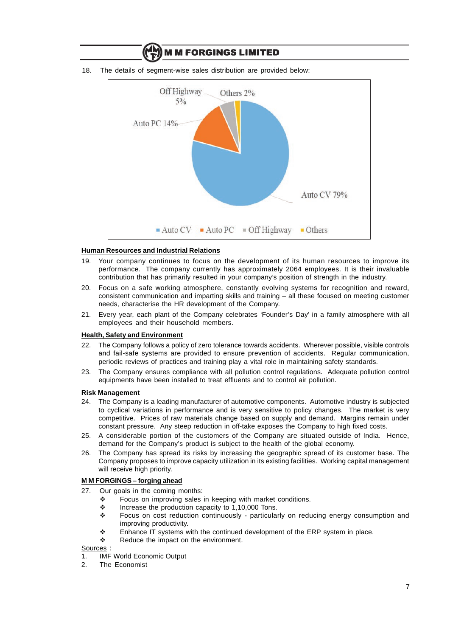

18. The details of segment-wise sales distribution are provided below:

**M M FORGINGS LIMITED** 

#### **Human Resources and Industrial Relations**

- 19. Your company continues to focus on the development of its human resources to improve its performance. The company currently has approximately 2064 employees. It is their invaluable contribution that has primarily resulted in your company's position of strength in the industry.
- 20. Focus on a safe working atmosphere, constantly evolving systems for recognition and reward, consistent communication and imparting skills and training – all these focused on meeting customer needs, characterise the HR development of the Company.
- 21. Every year, each plant of the Company celebrates 'Founder's Day' in a family atmosphere with all employees and their household members.

#### **Health, Safety and Environment**

- 22. The Company follows a policy of zero tolerance towards accidents. Wherever possible, visible controls and fail-safe systems are provided to ensure prevention of accidents. Regular communication, periodic reviews of practices and training play a vital role in maintaining safety standards.
- 23. The Company ensures compliance with all pollution control regulations. Adequate pollution control equipments have been installed to treat effluents and to control air pollution.

#### **Risk Management**

- 24. The Company is a leading manufacturer of automotive components. Automotive industry is subjected to cyclical variations in performance and is very sensitive to policy changes. The market is very competitive. Prices of raw materials change based on supply and demand. Margins remain under constant pressure. Any steep reduction in off-take exposes the Company to high fixed costs.
- 25. A considerable portion of the customers of the Company are situated outside of India. Hence, demand for the Company's product is subject to the health of the global economy.
- 26. The Company has spread its risks by increasing the geographic spread of its customer base. The Company proposes to improve capacity utilization in its existing facilities. Working capital management will receive high priority.

#### **M M FORGINGS – forging ahead**

- 27. Our goals in the coming months:
	- $\div$  Focus on improving sales in keeping with market conditions.
	- $\div$  Increase the production capacity to 1,10,000 Tons.
	- v Focus on cost reduction continuously particularly on reducing energy consumption and improving productivity.
	- $\div$  Enhance IT systems with the continued development of the ERP system in place.
	- $\div$  Reduce the impact on the environment.

Sources :

- 1. IMF World Economic Output
- 2. The Economist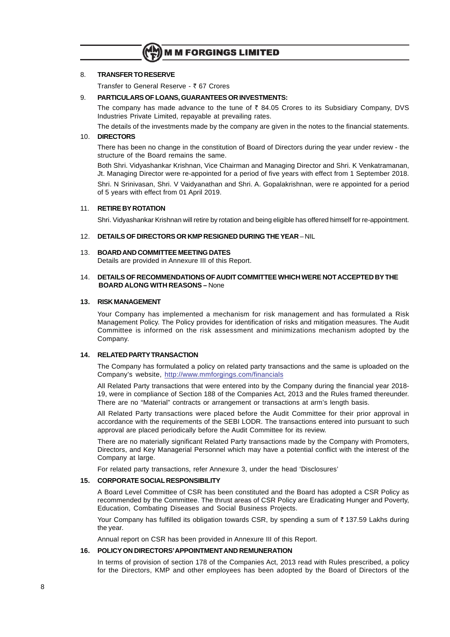

#### 8. **TRANSFER TO RESERVE**

Transfer to General Reserve - ₹67 Crores

#### 9. **PARTICULARS OF LOANS, GUARANTEES OR INVESTMENTS:**

The company has made advance to the tune of  $\bar{\tau}$  84.05 Crores to its Subsidiary Company, DVS Industries Private Limited, repayable at prevailing rates.

The details of the investments made by the company are given in the notes to the financial statements.

#### 10. **DIRECTORS**

There has been no change in the constitution of Board of Directors during the year under review - the structure of the Board remains the same.

Both Shri. Vidyashankar Krishnan, Vice Chairman and Managing Director and Shri. K Venkatramanan, Jt. Managing Director were re-appointed for a period of five years with effect from 1 September 2018. Shri. N Srinivasan, Shri. V Vaidyanathan and Shri. A. Gopalakrishnan, were re appointed for a period of 5 years with effect from 01 April 2019.

#### 11. **RETIRE BY ROTATION**

Shri. Vidyashankar Krishnan will retire by rotation and being eligible has offered himself for re-appointment.

#### 12. **DETAILS OF DIRECTORS OR KMP RESIGNED DURING THE YEAR** – NIL

#### 13. **BOARD AND COMMITTEE MEETING DATES**

Details are provided in Annexure III of this Report.

#### 14. **DETAILS OF RECOMMENDATIONS OF AUDIT COMMITTEE WHICH WERE NOT ACCEPTED BY THE BOARD ALONG WITH REASONS –** None

#### **13. RISK MANAGEMENT**

Your Company has implemented a mechanism for risk management and has formulated a Risk Management Policy. The Policy provides for identification of risks and mitigation measures. The Audit Committee is informed on the risk assessment and minimizations mechanism adopted by the Company.

#### **14. RELATED PARTY TRANSACTION**

The Company has formulated a policy on related party transactions and the same is uploaded on the Company's website, http://www.mmforgings.com/financials

All Related Party transactions that were entered into by the Company during the financial year 2018- 19, were in compliance of Section 188 of the Companies Act, 2013 and the Rules framed thereunder. There are no "Material" contracts or arrangement or transactions at arm's length basis.

All Related Party transactions were placed before the Audit Committee for their prior approval in accordance with the requirements of the SEBI LODR. The transactions entered into pursuant to such approval are placed periodically before the Audit Committee for its review.

There are no materially significant Related Party transactions made by the Company with Promoters, Directors, and Key Managerial Personnel which may have a potential conflict with the interest of the Company at large.

For related party transactions, refer Annexure 3, under the head 'Disclosures'

#### **15. CORPORATE SOCIAL RESPONSIBILITY**

A Board Level Committee of CSR has been constituted and the Board has adopted a CSR Policy as recommended by the Committee. The thrust areas of CSR Policy are Eradicating Hunger and Poverty, Education, Combating Diseases and Social Business Projects.

Your Company has fulfilled its obligation towards CSR, by spending a sum of  $\bar{z}$  137.59 Lakhs during the year.

Annual report on CSR has been provided in Annexure III of this Report.

#### **16. POLICY ON DIRECTORS'APPOINTMENT AND REMUNERATION**

In terms of provision of section 178 of the Companies Act, 2013 read with Rules prescribed, a policy for the Directors, KMP and other employees has been adopted by the Board of Directors of the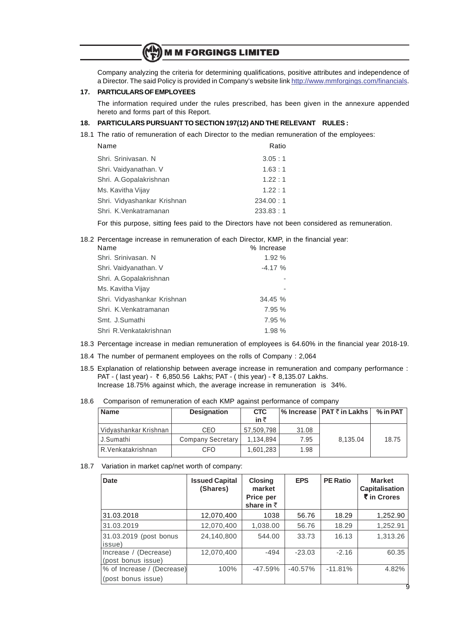Company analyzing the criteria for determining qualifications, positive attributes and independence of a Director. The said Policy is provided in Company's website link http://www.mmforgings.com/financials.

#### **17. PARTICULARS OF EMPLOYEES**

The information required under the rules prescribed, has been given in the annexure appended hereto and forms part of this Report.

#### **18. PARTICULARS PURSUANT TO SECTION 197(12) AND THE RELEVANT RULES :**

18.1 The ratio of remuneration of each Director to the median remuneration of the employees:

| Name                        | Ratio      |
|-----------------------------|------------|
| Shri, Sriniyasan, N         | 3.05:1     |
| Shri. Vaidyanathan. V       | 1.63:1     |
| Shri. A.Gopalakrishnan      | 1.22:1     |
| Ms. Kavitha Vijay           | 1.22:1     |
| Shri. Vidyashankar Krishnan | 234.00 : 1 |
| Shri. K. Venkatramanan      | 233.83:1   |

For this purpose, sitting fees paid to the Directors have not been considered as remuneration.

#### 18.2 Percentage increase in remuneration of each Director, KMP, in the financial year:

| Name                        | % Increase |
|-----------------------------|------------|
| Shri. Srinivasan. N         | 1.92%      |
| Shri. Vaidyanathan. V       | $-4.17%$   |
| Shri. A.Gopalakrishnan      |            |
| Ms. Kavitha Vijay           |            |
| Shri. Vidyashankar Krishnan | 34.45 %    |
| Shri. K.Venkatramanan       | 7.95 %     |
| Smt. J.Sumathi              | 7.95 %     |
| Shri R.Venkatakrishnan      | 1.98 %     |

18.3 Percentage increase in median remuneration of employees is 64.60% in the financial year 2018-19.

- 18.4 The number of permanent employees on the rolls of Company : 2,064
- 18.5 Explanation of relationship between average increase in remuneration and company performance : PAT - (last year) - ₹ 6,850.56 Lakhs; PAT - (this year) - ₹ 8,135.07 Lakhs. Increase 18.75% against which, the average increase in remuneration is 34%.
- 18.6 Comparison of remuneration of each KMP against performance of company

| <b>Name</b>           | <b>Designation</b> | <b>CTC</b><br>in ₹ |       | % Increase   PAT ₹ in Lakhs | $%$ in PAT $ $ |
|-----------------------|--------------------|--------------------|-------|-----------------------------|----------------|
| Vidyashankar Krishnan | CEO                | 57.509.798         | 31.08 |                             |                |
| J.Sumathi             | Company Secretary  | 1.134.894          | 7.95  | 8.135.04                    | 18.75          |
| R. Venkatakrishnan    | CFO                | 1.601.283          | 1.98  |                             |                |

#### 18.7 Variation in market cap/net worth of company:

| Date                                             | <b>Issued Capital</b><br>(Shares) | <b>Closing</b><br>market<br>Price per<br>share in $\bar{z}$ | <b>EPS</b> | <b>PE Ratio</b> | <b>Market</b><br><b>Capitalisation</b><br>₹ in Crores |
|--------------------------------------------------|-----------------------------------|-------------------------------------------------------------|------------|-----------------|-------------------------------------------------------|
| 31.03.2018                                       | 12,070,400                        | 1038                                                        | 56.76      | 18.29           | 1,252.90                                              |
| 31.03.2019                                       | 12,070,400                        | 1,038.00                                                    | 56.76      | 18.29           | 1,252.91                                              |
| 31.03.2019 (post bonus<br>issue)                 | 24.140.800                        | 544.00                                                      | 33.73      | 16.13           | 1,313.26                                              |
| Increase / (Decrease)<br>(post bonus issue)      | 12,070,400                        | $-494$                                                      | $-23.03$   | $-2.16$         | 60.35                                                 |
| % of Increase / (Decrease)<br>(post bonus issue) | $100\%$                           | $-47.59%$                                                   | $-40.57%$  | $-11.81%$       | 4.82%                                                 |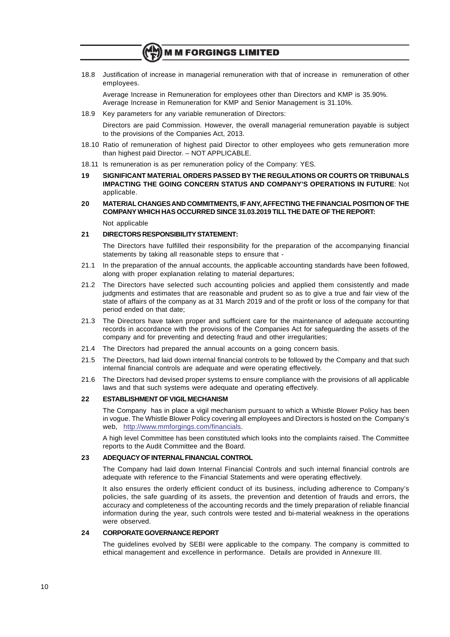18.8 Justification of increase in managerial remuneration with that of increase in remuneration of other employees.

Average Increase in Remuneration for employees other than Directors and KMP is 35.90%. Average Increase in Remuneration for KMP and Senior Management is 31.10%.

18.9 Key parameters for any variable remuneration of Directors:

Directors are paid Commission. However, the overall managerial remuneration payable is subject to the provisions of the Companies Act, 2013.

- 18.10 Ratio of remuneration of highest paid Director to other employees who gets remuneration more than highest paid Director. – NOT APPLICABLE.
- 18.11 Is remuneration is as per remuneration policy of the Company: YES.
- **19 SIGNIFICANT MATERIAL ORDERS PASSED BY THE REGULATIONS OR COURTS OR TRIBUNALS IMPACTING THE GOING CONCERN STATUS AND COMPANY'S OPERATIONS IN FUTURE**: Not applicable.
- **20 MATERIAL CHANGES AND COMMITMENTS, IF ANY, AFFECTING THE FINANCIAL POSITION OF THE COMPANY WHICH HAS OCCURRED SINCE 31.03.2019 TILL THE DATE OF THE REPORT:**

Not applicable

#### **21 DIRECTORS RESPONSIBILITY STATEMENT:**

The Directors have fulfilled their responsibility for the preparation of the accompanying financial statements by taking all reasonable steps to ensure that -

- 21.1 In the preparation of the annual accounts, the applicable accounting standards have been followed, along with proper explanation relating to material departures;
- 21.2 The Directors have selected such accounting policies and applied them consistently and made judgments and estimates that are reasonable and prudent so as to give a true and fair view of the state of affairs of the company as at 31 March 2019 and of the profit or loss of the company for that period ended on that date;
- 21.3 The Directors have taken proper and sufficient care for the maintenance of adequate accounting records in accordance with the provisions of the Companies Act for safeguarding the assets of the company and for preventing and detecting fraud and other irregularities;
- 21.4 The Directors had prepared the annual accounts on a going concern basis.
- 21.5 The Directors, had laid down internal financial controls to be followed by the Company and that such internal financial controls are adequate and were operating effectively.
- 21.6 The Directors had devised proper systems to ensure compliance with the provisions of all applicable laws and that such systems were adequate and operating effectively.

#### **22 ESTABLISHMENT OF VIGIL MECHANISM**

The Company has in place a vigil mechanism pursuant to which a Whistle Blower Policy has been in vogue. The Whistle Blower Policy covering all employees and Directors is hosted on the Company's web, http://www.mmforgings.com/financials.

A high level Committee has been constituted which looks into the complaints raised. The Committee reports to the Audit Committee and the Board.

#### **23 ADEQUACY OF INTERNAL FINANCIAL CONTROL**

The Company had laid down Internal Financial Controls and such internal financial controls are adequate with reference to the Financial Statements and were operating effectively.

It also ensures the orderly efficient conduct of its business, including adherence to Company's policies, the safe guarding of its assets, the prevention and detention of frauds and errors, the accuracy and completeness of the accounting records and the timely preparation of reliable financial information during the year, such controls were tested and bi-material weakness in the operations were observed.

#### **24 CORPORATE GOVERNANCE REPORT**

The guidelines evolved by SEBI were applicable to the company. The company is committed to ethical management and excellence in performance. Details are provided in Annexure III.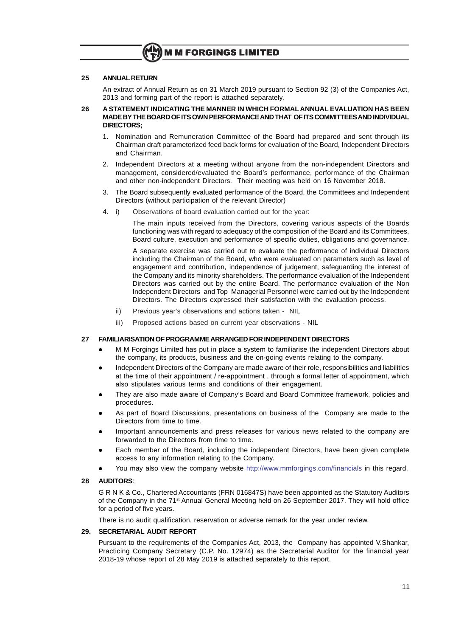#### **25 ANNUAL RETURN**

An extract of Annual Return as on 31 March 2019 pursuant to Section 92 (3) of the Companies Act, 2013 and forming part of the report is attached separately.

#### **26 A STATEMENT INDICATING THE MANNER IN WHICH FORMAL ANNUAL EVALUATION HAS BEEN MADE BY THE BOARD OF ITS OWN PERFORMANCE AND THAT OF ITS COMMITTEES AND INDIVIDUAL DIRECTORS;**

- 1. Nomination and Remuneration Committee of the Board had prepared and sent through its Chairman draft parameterized feed back forms for evaluation of the Board, Independent Directors and Chairman.
- 2. Independent Directors at a meeting without anyone from the non-independent Directors and management, considered/evaluated the Board's performance, performance of the Chairman and other non-independent Directors. Their meeting was held on 16 November 2018.
- 3. The Board subsequently evaluated performance of the Board, the Committees and Independent Directors (without participation of the relevant Director)
- 4. i) Observations of board evaluation carried out for the year:

The main inputs received from the Directors, covering various aspects of the Boards functioning was with regard to adequacy of the composition of the Board and its Committees, Board culture, execution and performance of specific duties, obligations and governance.

A separate exercise was carried out to evaluate the performance of individual Directors including the Chairman of the Board, who were evaluated on parameters such as level of engagement and contribution, independence of judgement, safeguarding the interest of the Company and its minority shareholders. The performance evaluation of the Independent Directors was carried out by the entire Board. The performance evaluation of the Non Independent Directors and Top Managerial Personnel were carried out by the Independent Directors. The Directors expressed their satisfaction with the evaluation process.

- ii) Previous year's observations and actions taken NIL
- iii) Proposed actions based on current year observations NIL

#### **27 FAMILIARISATION OF PROGRAMME ARRANGED FOR INDEPENDENT DIRECTORS**

- l M M Forgings Limited has put in place a system to familiarise the independent Directors about the company, its products, business and the on-going events relating to the company.
- l Independent Directors of the Company are made aware of their role, responsibilities and liabilities at the time of their appointment / re-appointment , through a formal letter of appointment, which also stipulates various terms and conditions of their engagement.
- l They are also made aware of Company's Board and Board Committee framework, policies and procedures.
- As part of Board Discussions, presentations on business of the Company are made to the Directors from time to time.
- Important announcements and press releases for various news related to the company are forwarded to the Directors from time to time.
- Each member of the Board, including the independent Directors, have been given complete access to any information relating to the Company.
- You may also view the company website http://www.mmforgings.com/financials in this regard.

#### **28 AUDITORS**:

G R N K & Co., Chartered Accountants (FRN 016847S) have been appointed as the Statutory Auditors of the Company in the 71<sup>st</sup> Annual General Meeting held on 26 September 2017. They will hold office for a period of five years.

There is no audit qualification, reservation or adverse remark for the year under review.

#### **29. SECRETARIAL AUDIT REPORT**

Pursuant to the requirements of the Companies Act, 2013, the Company has appointed V.Shankar, Practicing Company Secretary (C.P. No. 12974) as the Secretarial Auditor for the financial year 2018-19 whose report of 28 May 2019 is attached separately to this report.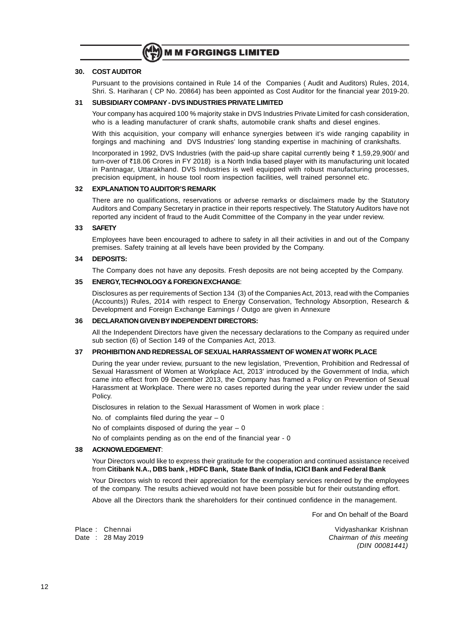

#### **30. COST AUDITOR**

Pursuant to the provisions contained in Rule 14 of the Companies ( Audit and Auditors) Rules, 2014, Shri. S. Hariharan ( CP No. 20864) has been appointed as Cost Auditor for the financial year 2019-20.

#### **31 SUBSIDIARY COMPANY - DVS INDUSTRIES PRIVATE LIMITED**

Your company has acquired 100 % majority stake in DVS Industries Private Limited for cash consideration, who is a leading manufacturer of crank shafts, automobile crank shafts and diesel engines.

With this acquisition, your company will enhance synergies between it's wide ranging capability in forgings and machining and DVS Industries' long standing expertise in machining of crankshafts.

Incorporated in 1992, DVS Industries (with the paid-up share capital currently being ₹ 1,59,29,900/ and turn-over of `18.06 Crores in FY 2018) is a North India based player with its manufacturing unit located in Pantnagar, Uttarakhand. DVS Industries is well equipped with robust manufacturing processes, precision equipment, in house tool room inspection facilities, well trained personnel etc.

#### **32 EXPLANATION TO AUDITOR'S REMARK**

There are no qualifications, reservations or adverse remarks or disclaimers made by the Statutory Auditors and Company Secretary in practice in their reports respectively. The Statutory Auditors have not reported any incident of fraud to the Audit Committee of the Company in the year under review.

#### **33 SAFETY**

Employees have been encouraged to adhere to safety in all their activities in and out of the Company premises. Safety training at all levels have been provided by the Company.

#### **34 DEPOSITS:**

The Company does not have any deposits. Fresh deposits are not being accepted by the Company.

#### **35 ENERGY, TECHNOLOGY & FOREIGN EXCHANGE**:

Disclosures as per requirements of Section 134 (3) of the Companies Act, 2013, read with the Companies (Accounts)) Rules, 2014 with respect to Energy Conservation, Technology Absorption, Research & Development and Foreign Exchange Earnings / Outgo are given in Annexure

#### **36 DECLARATION GIVEN BY INDEPENDENT DIRECTORS:**

All the Independent Directors have given the necessary declarations to the Company as required under sub section (6) of Section 149 of the Companies Act, 2013.

#### **37 PROHIBITION AND REDRESSAL OF SEXUAL HARRASSMENT OF WOMEN AT WORK PLACE**

During the year under review, pursuant to the new legislation, 'Prevention, Prohibition and Redressal of Sexual Harassment of Women at Workplace Act, 2013' introduced by the Government of India, which came into effect from 09 December 2013, the Company has framed a Policy on Prevention of Sexual Harassment at Workplace. There were no cases reported during the year under review under the said Policy.

Disclosures in relation to the Sexual Harassment of Women in work place :

No. of complaints filed during the year  $-0$ 

No of complaints disposed of during the year  $-0$ 

No of complaints pending as on the end of the financial year - 0

#### **38 ACKNOWLEDGEMENT**:

Your Directors would like to express their gratitude for the cooperation and continued assistance received from **Citibank N.A., DBS bank , HDFC Bank, State Bank of India, ICICI Bank and Federal Bank**

Your Directors wish to record their appreciation for the exemplary services rendered by the employees of the company. The results achieved would not have been possible but for their outstanding effort.

Above all the Directors thank the shareholders for their continued confidence in the management.

For and On behalf of the Board

Place : Chennai Vidyashankar Krishnan Date : 28 May 2019 Chairman of this meeting (DIN 00081441)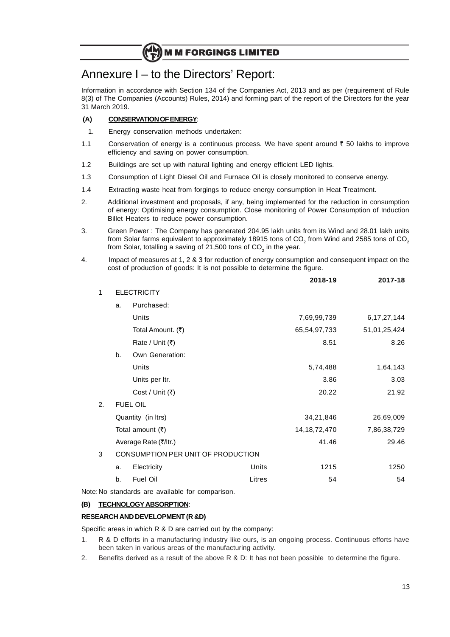# Annexure I – to the Directors' Report:

Information in accordance with Section 134 of the Companies Act, 2013 and as per (requirement of Rule 8(3) of The Companies (Accounts) Rules, 2014) and forming part of the report of the Directors for the year 31 March 2019.

#### **(A) CONSERVATION OF ENERGY**:

- 1. Energy conservation methods undertaken:
- 1.1 Conservation of energy is a continuous process. We have spent around  $\bar{\tau}$  50 lakhs to improve efficiency and saving on power consumption.
- 1.2 Buildings are set up with natural lighting and energy efficient LED lights.
- 1.3 Consumption of Light Diesel Oil and Furnace Oil is closely monitored to conserve energy.
- 1.4 Extracting waste heat from forgings to reduce energy consumption in Heat Treatment.
- 2. Additional investment and proposals, if any, being implemented for the reduction in consumption of energy: Optimising energy consumption. Close monitoring of Power Consumption of Induction Billet Heaters to reduce power consumption.
- 3. Green Power : The Company has generated 204.95 lakh units from its Wind and 28.01 lakh units from Solar farms equivalent to approximately 18915 tons of CO<sub>2</sub> from Wind and 2585 tons of CO<sub>2</sub> from Solar, totalling a saving of 21,500 tons of CO $_2$  in the year.
- 4. Impact of measures at 1, 2 & 3 for reduction of energy consumption and consequent impact on the cost of production of goods: It is not possible to determine the figure.

|              |    |                                    |        | 2018-19         | 2017-18        |
|--------------|----|------------------------------------|--------|-----------------|----------------|
| $\mathbf{1}$ |    | <b>ELECTRICITY</b>                 |        |                 |                |
|              | a. | Purchased:                         |        |                 |                |
|              |    | Units                              |        | 7,69,99,739     | 6, 17, 27, 144 |
|              |    | Total Amount. (₹)                  |        | 65,54,97,733    | 51,01,25,424   |
|              |    | Rate / Unit $(₹)$                  |        | 8.51            | 8.26           |
|              | b. | Own Generation:                    |        |                 |                |
|              |    | Units                              |        | 5,74,488        | 1,64,143       |
|              |    | Units per Itr.                     |        | 3.86            | 3.03           |
|              |    | Cost / Unit (₹)                    |        | 20.22           | 21.92          |
| 2.           |    | <b>FUEL OIL</b>                    |        |                 |                |
|              |    | Quantity (in Itrs)                 |        | 34,21,846       | 26,69,009      |
|              |    | Total amount $(3)$                 |        | 14, 18, 72, 470 | 7,86,38,729    |
|              |    | Average Rate (₹/ltr.)              |        | 41.46           | 29.46          |
| 3            |    | CONSUMPTION PER UNIT OF PRODUCTION |        |                 |                |
|              | a. | Electricity                        | Units  | 1215            | 1250           |
|              | b. | Fuel Oil                           | Litres | 54              | 54             |
|              |    |                                    |        |                 |                |

Note:No standards are available for comparison.

#### **(B) TECHNOLOGY ABSORPTION**:

#### **RESEARCH AND DEVELOPMENT (R &D)**

Specific areas in which R & D are carried out by the company:

- 1. R & D efforts in a manufacturing industry like ours, is an ongoing process. Continuous efforts have been taken in various areas of the manufacturing activity.
- 2. Benefits derived as a result of the above R & D: It has not been possible to determine the figure.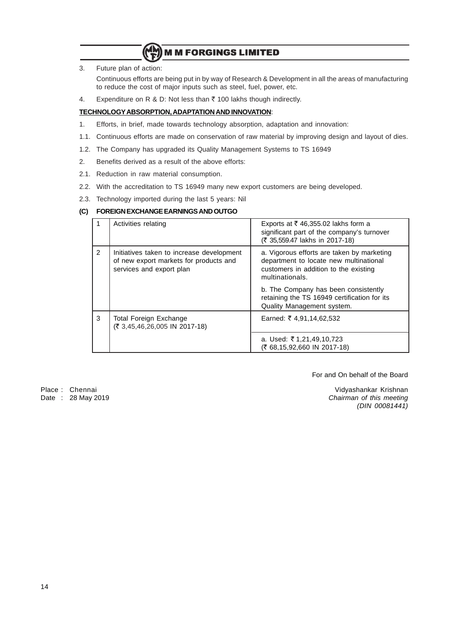

3. Future plan of action:

Continuous efforts are being put in by way of Research & Development in all the areas of manufacturing to reduce the cost of major inputs such as steel, fuel, power, etc.

4. Expenditure on R & D: Not less than  $\bar{z}$  100 lakhs though indirectly.

#### **TECHNOLOGYABSORPTION, ADAPTATION AND INNOVATION**:

- 1. Efforts, in brief, made towards technology absorption, adaptation and innovation:
- 1.1. Continuous efforts are made on conservation of raw material by improving design and layout of dies.
- 1.2. The Company has upgraded its Quality Management Systems to TS 16949
- 2. Benefits derived as a result of the above efforts:
- 2.1. Reduction in raw material consumption.
- 2.2. With the accreditation to TS 16949 many new export customers are being developed.
- 2.3. Technology imported during the last 5 years: Nil

#### **(C) FOREIGN EXCHANGE EARNINGS AND OUTGO**

|   | Activities relating                                                                                             | Exports at $\overline{\xi}$ 46,355.02 lakhs form a<br>significant part of the company's turnover<br>(₹ 35,559.47 lakhs in 2017-18)               |
|---|-----------------------------------------------------------------------------------------------------------------|--------------------------------------------------------------------------------------------------------------------------------------------------|
| 2 | Initiatives taken to increase development<br>of new export markets for products and<br>services and export plan | a. Vigorous efforts are taken by marketing<br>department to locate new multinational<br>customers in addition to the existing<br>multinationals. |
|   |                                                                                                                 | b. The Company has been consistently<br>retaining the TS 16949 certification for its<br><b>Quality Management system.</b>                        |
| 3 | Total Foreign Exchange<br>(₹ 3,45,46,26,005 IN 2017-18)                                                         | Earned: ₹ 4,91,14,62,532                                                                                                                         |
|   |                                                                                                                 | a. Used: ₹1,21,49,10,723<br>(₹ 68,15,92,660 IN 2017-18)                                                                                          |

For and On behalf of the Board

Place : Chennai Vidyashankar Krishnan Date : 28 May 2019 Chairman of this meeting (DIN 00081441)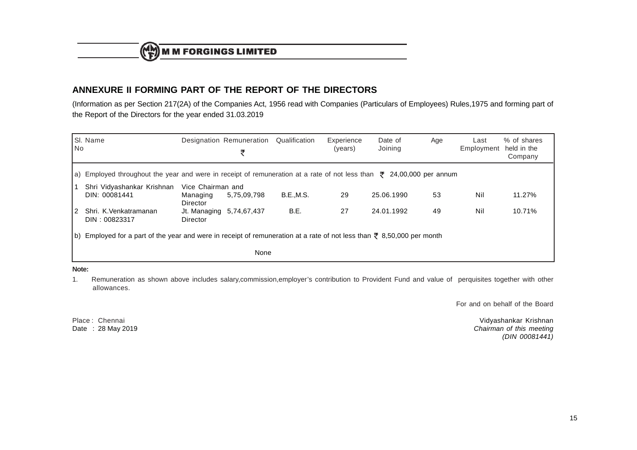## **ANNEXURE II FORMING PART OF THE REPORT OF THE DIRECTORS**

(Information as per Section 217(2A) of the Companies Act, 1956 read with Companies (Particulars of Employees) Rules,1975 and forming part ofthe Report of the Directors for the year ended 31.03.2019

| l No | SI. Name                                                                                                                        |                                           | Designation Remuneration<br>₹ | Qualification    | Experience<br>(years) | Date of<br>Joining | Age | Last<br>Employment | % of shares<br>held in the<br>Company |
|------|---------------------------------------------------------------------------------------------------------------------------------|-------------------------------------------|-------------------------------|------------------|-----------------------|--------------------|-----|--------------------|---------------------------------------|
|      | a) Employed throughout the year and were in receipt of remuneration at a rate of not less than $\bar{\tau}$ 24,00,000 per annum |                                           |                               |                  |                       |                    |     |                    |                                       |
|      | Shri Vidyashankar Krishnan<br>DIN: 00081441                                                                                     | Vice Chairman and<br>Managing<br>Director | 5,75,09,798                   | <b>B.E.,M.S.</b> | 29                    | 25.06.1990         | 53  | Nil                | 11.27%                                |
| 12.  | Shri. K.Venkatramanan<br>DIN: 00823317                                                                                          | Jt. Managing 5,74,67,437<br>Director      |                               | B.E.             | 27                    | 24.01.1992         | 49  | Nil                | 10.71%                                |
|      | b) Employed for a part of the year and were in receipt of remuneration at a rate of not less than ₹ 8,50,000 per month          |                                           |                               |                  |                       |                    |     |                    |                                       |
|      |                                                                                                                                 |                                           | None                          |                  |                       |                    |     |                    |                                       |

**Note:**

1. Remuneration as shown above includes salary,commission,employer's contribution to Provident Fund and value of perquisites together with otherallowances.

For and on behalf of the Board

Place: Chennai Date: 28 May 2019

Vidyashankar Krishnan Chairman of this meeting (DIN 00081441)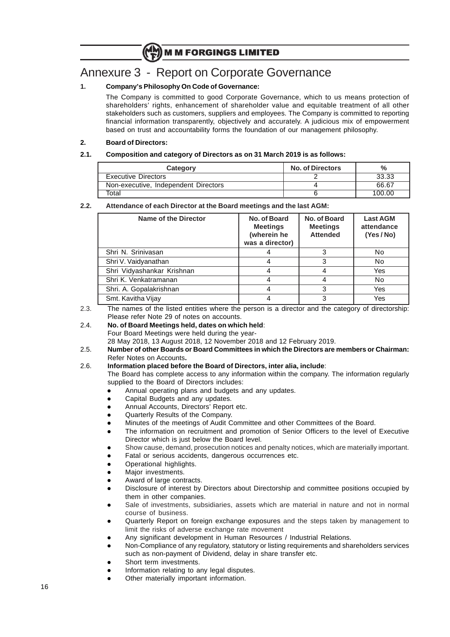# Annexure 3 - Report on Corporate Governance

#### **1. Company's Philosophy On Code of Governance:**

The Company is committed to good Corporate Governance, which to us means protection of shareholders' rights, enhancement of shareholder value and equitable treatment of all other stakeholders such as customers, suppliers and employees. The Company is committed to reporting financial information transparently, objectively and accurately. A judicious mix of empowerment based on trust and accountability forms the foundation of our management philosophy.

#### **2. Board of Directors:**

#### **2.1. Composition and category of Directors as on 31 March 2019 is as follows:**

| Category                             | <b>No. of Directors</b> | $\%$   |
|--------------------------------------|-------------------------|--------|
| <b>Executive Directors</b>           |                         | 33.33  |
| Non-executive, Independent Directors |                         | 66.67  |
| Total                                |                         | 100.00 |

#### **2.2. Attendance of each Director at the Board meetings and the last AGM:**

| <b>Name of the Director</b> | No. of Board<br><b>Meetings</b><br>(wherein he<br>was a director) | No. of Board<br><b>Meetings</b><br><b>Attended</b> | <b>Last AGM</b><br>attendance<br>(Yes/No) |
|-----------------------------|-------------------------------------------------------------------|----------------------------------------------------|-------------------------------------------|
| Shri N. Sriniyasan          |                                                                   | 3                                                  | No.                                       |
| Shri V. Vaidyanathan        |                                                                   | 3                                                  | No.                                       |
| Shri Vidyashankar Krishnan  |                                                                   | 4                                                  | Yes                                       |
| Shri K. Venkatramanan       |                                                                   |                                                    | No.                                       |
| Shri. A. Gopalakrishnan     |                                                                   | 3                                                  | Yes                                       |
| Smt. Kavitha Vijay          |                                                                   | 3                                                  | Yes                                       |

2.3. The names of the listed entities where the person is a director and the category of directorship: Please refer Note 29 of notes on accounts.

2.4. **No. of Board Meetings held, dates on which held**: Four Board Meetings were held during the year-

28 May 2018, 13 August 2018, 12 November 2018 and 12 February 2019.

2.5. **Number of other Boards or Board Committees in which the Directors are members or Chairman:** Refer Notes on Accounts**.**

#### 2.6. **Information placed before the Board of Directors, inter alia, include**:

The Board has complete access to any information within the company. The information regularly supplied to the Board of Directors includes:

- Annual operating plans and budgets and any updates.
- Capital Budgets and any updates.
- Annual Accounts, Directors' Report etc.
- Quarterly Results of the Company.
- Minutes of the meetings of Audit Committee and other Committees of the Board.
- The information on recruitment and promotion of Senior Officers to the level of Executive Director which is just below the Board level.
- Show cause, demand, prosecution notices and penalty notices, which are materially important.
- Fatal or serious accidents, dangerous occurrences etc.
- Operational highlights.
- Major investments.
- Award of large contracts.
- Disclosure of interest by Directors about Directorship and committee positions occupied by them in other companies.
- Sale of investments, subsidiaries, assets which are material in nature and not in normal course of business.
- Quarterly Report on foreign exchange exposures and the steps taken by management to limit the risks of adverse exchange rate movement
- Any significant development in Human Resources / Industrial Relations.
- l Non-Compliance of any regulatory, statutory or listing requirements and shareholders services such as non-payment of Dividend, delay in share transfer etc.
- Short term investments.
- Information relating to any legal disputes.
- Other materially important information.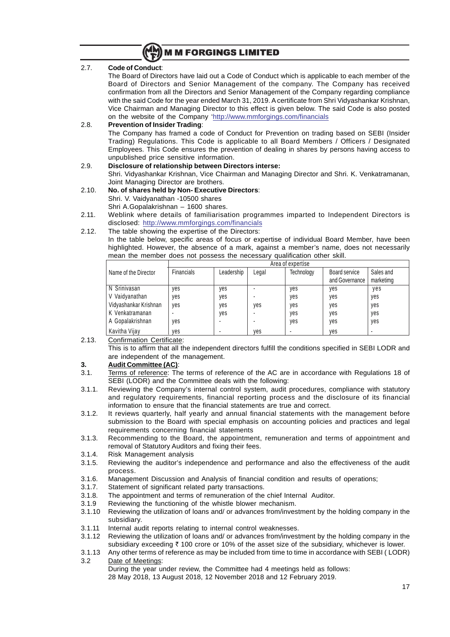

#### 2.7. **Code of Conduct**:

The Board of Directors have laid out a Code of Conduct which is applicable to each member of the Board of Directors and Senior Management of the company. The Company has received confirmation from all the Directors and Senior Management of the Company regarding compliance with the said Code for the year ended March 31, 2019. A certificate from Shri Vidyashankar Krishnan, Vice Chairman and Managing Director to this effect is given below. The said Code is also posted on the website of the Company 'http://www.mmforgings.com/financials

#### 2.8. **Prevention of Insider Trading**:

The Company has framed a code of Conduct for Prevention on trading based on SEBI (Insider Trading) Regulations. This Code is applicable to all Board Members / Officers / Designated Employees. This Code ensures the prevention of dealing in shares by persons having access to unpublished price sensitive information.

### 2.9. **Disclosure of relationship between Directors interse:**

Shri. Vidyashankar Krishnan, Vice Chairman and Managing Director and Shri. K. Venkatramanan, Joint Managing Director are brothers.

#### 2.10. **No. of shares held by Non- Executive Directors**: Shri. V. Vaidyanathan -10500 shares

Shri A.Gopalakrishnan – 1600 shares.

2.11. Weblink where details of familiarisation programmes imparted to Independent Directors is disclosed: http://www.mmforgings.com/financials

#### 2.12. The table showing the expertise of the Directors:

In the table below, specific areas of focus or expertise of individual Board Member, have been highlighted. However, the absence of a mark, against a member's name, does not necessarily mean the member does not possess the necessary qualification other skill.

|                       | Area of expertise |            |       |            |                                 |                        |  |
|-----------------------|-------------------|------------|-------|------------|---------------------------------|------------------------|--|
| Name of the Director  | <b>Financials</b> | Leadership | ∟egal | Technology | Board service<br>and Governance | Sales and<br>marketimg |  |
| N Srinivasan          | ves               | yes        |       | yes        | yes                             | yes                    |  |
| V Vaidyanathan        | ves               | yes        |       | yes        | yes                             | yes                    |  |
| Vidyashankar Krishnan | ves               | yes        | yes   | yes        | yes                             | yes                    |  |
| K Venkatramanan       |                   | yes        |       | yes        | yes                             | yes                    |  |
| A Gopalakrishnan      | ves               |            |       | yes        | yes                             | yes                    |  |
| Kavitha Vijay         | ves               |            | ves   |            | yes                             |                        |  |

2.13. Confirmation Certificate:

This is to affirm that all the independent directors fulfill the conditions specified in SEBI LODR and are independent of the management.

#### **3. Audit Committee (AC)**:

- 3.1. Terms of reference: The terms of reference of the AC are in accordance with Regulations 18 of SEBI (LODR) and the Committee deals with the following:
- 3.1.1. Reviewing the Company's internal control system, audit procedures, compliance with statutory and regulatory requirements, financial reporting process and the disclosure of its financial information to ensure that the financial statements are true and correct.
- 3.1.2. It reviews quarterly, half yearly and annual financial statements with the management before submission to the Board with special emphasis on accounting policies and practices and legal requirements concerning financial statements
- 3.1.3. Recommending to the Board, the appointment, remuneration and terms of appointment and removal of Statutory Auditors and fixing their fees.
- 3.1.4. Risk Management analysis
- 3.1.5. Reviewing the auditor's independence and performance and also the effectiveness of the audit process.
- 3.1.6. Management Discussion and Analysis of financial condition and results of operations;
- 3.1.7. Statement of significant related party transactions.
- 3.1.8. The appointment and terms of remuneration of the chief Internal Auditor.
- 3.1.9 Reviewing the functioning of the whistle blower mechanism.
- 3.1.10 Reviewing the utilization of loans and/ or advances from/investment by the holding company in the subsidiary.
- 3.1.11 Internal audit reports relating to internal control weaknesses.
- 3.1.12 Reviewing the utilization of loans and/ or advances from/investment by the holding company in the subsidiary exceeding  $\bar{\tau}$  100 crore or 10% of the asset size of the subsidiary, whichever is lower.
- 3.1.13 Any other terms of reference as may be included from time to time in accordance with SEBI ( LODR) 3.2 Date of Meetings:
- During the year under review, the Committee had 4 meetings held as follows: 28 May 2018, 13 August 2018, 12 November 2018 and 12 February 2019.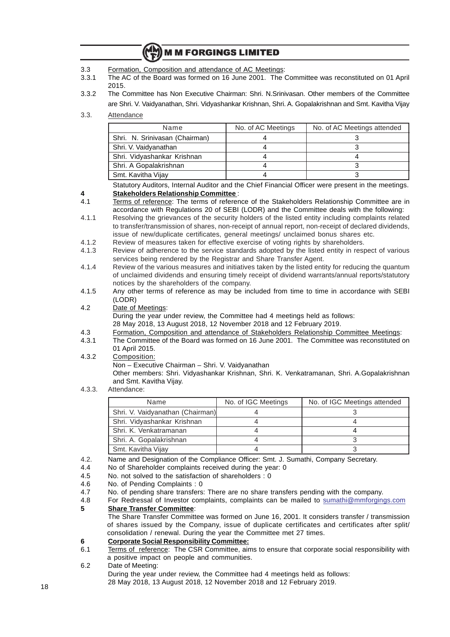- 3.3 Formation, Composition and attendance of AC Meetings:
- 3.3.1 The AC of the Board was formed on 16 June 2001. The Committee was reconstituted on 01 April 2015.
- 3.3.2 The Committee has Non Executive Chairman: Shri. N.Srinivasan. Other members of the Committee are Shri. V. Vaidyanathan, Shri. Vidyashankar Krishnan, Shri. A. Gopalakrishnan and Smt. Kavitha Vijay
- 3.3. Attendance

| Name                           | No. of AC Meetings | No. of AC Meetings attended |
|--------------------------------|--------------------|-----------------------------|
| Shri. N. Srinivasan (Chairman) |                    |                             |
| Shri. V. Vaidyanathan          |                    |                             |
| Shri. Vidyashankar Krishnan    |                    |                             |
| Shri. A Gopalakrishnan         |                    |                             |
| Smt. Kavitha Vijay             |                    |                             |

Statutory Auditors, Internal Auditor and the Chief Financial Officer were present in the meetings. **4 Stakeholders Relationship Committee** :

- 4.1 Terms of reference: The terms of reference of the Stakeholders Relationship Committee are in accordance with Regulations 20 of SEBI (LODR) and the Committee deals with the following:
- 4.1.1 Resolving the grievances of the security holders of the listed entity including complaints related to transfer/transmission of shares, non-receipt of annual report, non-receipt of declared dividends, issue of new/duplicate certificates, general meetings/ unclaimed bonus shares etc.
- 4.1.2 Review of measures taken for effective exercise of voting rights by shareholders.
- 4.1.3 Review of adherence to the service standards adopted by the listed entity in respect of various services being rendered by the Registrar and Share Transfer Agent.
- 4.1.4 Review of the various measures and initiatives taken by the listed entity for reducing the quantum of unclaimed dividends and ensuring timely receipt of dividend warrants/annual reports/statutory notices by the shareholders of the company.
- 4.1.5 Any other terms of reference as may be included from time to time in accordance with SEBI (LODR)
- 4.2 Date of Meetings:

During the year under review, the Committee had 4 meetings held as follows:

- 28 May 2018, 13 August 2018, 12 November 2018 and 12 February 2019.
- 4.3 Formation, Composition and attendance of Stakeholders Relationship Committee Meetings:
- 4.3.1 The Committee of the Board was formed on 16 June 2001. The Committee was reconstituted on 01 April 2015.
- 4.3.2 Composition:

Non – Executive Chairman – Shri. V. Vaidyanathan

Other members: Shri. Vidyashankar Krishnan, Shri. K. Venkatramanan, Shri. A.Gopalakrishnan and Smt. Kavitha Vijay.

4.3.3. Attendance:

| Name                             | No. of IGC Meetings | No. of IGC Meetings attended |
|----------------------------------|---------------------|------------------------------|
| Shri. V. Vaidyanathan (Chairman) |                     |                              |
| Shri. Vidyashankar Krishnan      |                     |                              |
| Shri, K. Venkatramanan           |                     |                              |
| Shri. A. Gopalakrishnan          |                     |                              |
| Smt. Kavitha Vijay               |                     |                              |

- 4.2. Name and Designation of the Compliance Officer: Smt. J. Sumathi, Company Secretary.
- 4.4 No of Shareholder complaints received during the year: 0<br>4.5 No. not solved to the satisfaction of shareholders : 0
- No. not solved to the satisfaction of shareholders : 0
- 4.6 No. of Pending Complaints : 0
- 4.7 No. of pending share transfers: There are no share transfers pending with the company.

4.8 For Redressal of Investor complaints, complaints can be mailed to sumathi@mmforgings.com **5 Share Transfer Committee**:

The Share Transfer Committee was formed on June 16, 2001. It considers transfer / transmission of shares issued by the Company, issue of duplicate certificates and certificates after split/ consolidation / renewal. During the year the Committee met 27 times.

- **6 Corporate Social Responsibility Committee:**
- 6.1 Terms of reference: The CSR Committee, aims to ensure that corporate social responsibility with a positive impact on people and communities.
- 6.2 Date of Meeting:

During the year under review, the Committee had 4 meetings held as follows: 28 May 2018, 13 August 2018, 12 November 2018 and 12 February 2019.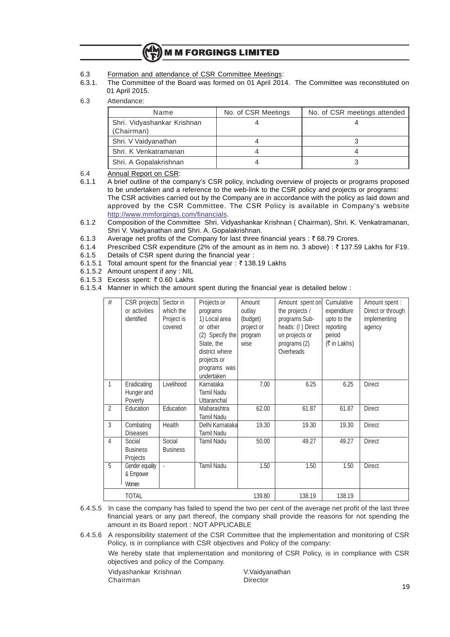- 6.3 Formation and attendance of CSR Committee Meetings:
- 6.3.1. The Committee of the Board was formed on 01 April 2014. The Committee was reconstituted on 01 April 2015.
- 6.3 Attendance:

| Name                                      | No. of CSR Meetings | No. of CSR meetings attended |
|-------------------------------------------|---------------------|------------------------------|
| Shri. Vidyashankar Krishnan<br>(Chairman) |                     |                              |
| Shri. V Vaidyanathan                      |                     |                              |
| Shri. K Venkatramanan                     |                     |                              |
| Shri. A Gopalakrishnan                    |                     |                              |

6.4 Annual Report on CSR:<br>6.1.1 A brief outline of the course

6.1.1 A brief outline of the company's CSR policy, including overview of projects or programs proposed to be undertaken and a reference to the web-link to the CSR policy and projects or programs: The CSR activities carried out by the Company are in accordance with the policy as laid down and approved by the CSR Committee. The CSR Policy is available in Company's website http://www.mmforgings.com/financials.

- 6.1.2 Composition of the Committee Shri. Vidyashankar Krishnan ( Chairman), Shri. K. Venkatramanan, Shri V. Vaidyanathan and Shri. A. Gopalakrishnan.
- 6.1.3 Average net profits of the Company for last three financial years :  $\bar{\tau}$  68.79 Crores.
- 6.1.4 Prescribed CSR expenditure (2% of the amount as in item no. 3 above) :  $\bar{\tau}$  137.59 Lakhs for F19.
- 6.1.5 Details of CSR spent during the financial year :
- 6.1.5.1 Total amount spent for the financial year:  $\bar{\tau}$  138.19 Lakhs
- 6.1.5.2 Amount unspent if any : NIL
- 6.1.5.3 Excess spent:  $\overline{z}$  0.60 Lakhs
- 6.1.5.4 Manner in which the amount spent during the financial year is detailed below :

| #              | CSR projects<br>or activities<br>identified | Sector in<br>which the<br>Project is<br>covered | Projects or<br>programs<br>1) Local area<br>or other<br>(2) Specify the<br>State, the<br>district where<br>projects or<br>programs was<br>undertaken | Amount<br>outlay<br>(budget)<br>project or<br>program<br>wise | Amount spent on<br>the projects /<br>programs Sub-<br>heads: (I) Direct<br>on projects or<br>programs (2)<br>Overheads | Cumulative<br>expenditure<br>upto to the<br>reporting<br>period<br>(₹ in Lakhs) | Amount spent :<br>Direct or through<br>implementing<br>agency |
|----------------|---------------------------------------------|-------------------------------------------------|------------------------------------------------------------------------------------------------------------------------------------------------------|---------------------------------------------------------------|------------------------------------------------------------------------------------------------------------------------|---------------------------------------------------------------------------------|---------------------------------------------------------------|
| $\mathbf{1}$   | Eradicating<br>Hunger and<br>Poverty        | Livelihood                                      | Karnataka<br>Tamil Nadu<br>Uttaranchal                                                                                                               | 7.00                                                          | 6.25                                                                                                                   | 6.25                                                                            | <b>Direct</b>                                                 |
| $\overline{2}$ | Education                                   | Education                                       | Maharashtra<br><b>Tamil Nadu</b>                                                                                                                     | 62.00                                                         | 61.87                                                                                                                  | 61.87                                                                           | <b>Direct</b>                                                 |
| 3              | Combating<br><b>Diseases</b>                | Health                                          | Delhi Karnataka<br><b>Tamil Nadu</b>                                                                                                                 | 19.30                                                         | 19.30                                                                                                                  | 19.30                                                                           | <b>Direct</b>                                                 |
| $\overline{4}$ | Social<br><b>Business</b><br>Projects       | Social<br><b>Business</b>                       | Tamil Nadu                                                                                                                                           | 50.00                                                         | 49.27                                                                                                                  | 49.27                                                                           | Direct                                                        |
| 5              | Gender equality<br>& Empower<br>Women       |                                                 | <b>Tamil Nadu</b>                                                                                                                                    | 1.50                                                          | 1.50                                                                                                                   | 1.50                                                                            | <b>Direct</b>                                                 |
|                | <b>TOTAL</b>                                |                                                 |                                                                                                                                                      | 139.80                                                        | 138.19                                                                                                                 | 138.19                                                                          |                                                               |

6.4.5.5 In case the company has failed to spend the two per cent of the average net profit of the last three financial years or any part thereof, the company shall provide the reasons for not spending the amount in its Board report : NOT APPLICABLE

6.4.5.6 A responsibility statement of the CSR Committee that the implementation and monitoring of CSR Policy, is in compliance with CSR objectives and Policy of the company:

We hereby state that implementation and monitoring of CSR Policy, is in compliance with CSR objectives and policy of the Company.

Vidyashankar Krishnan V.Vaidyanathan Chairman Director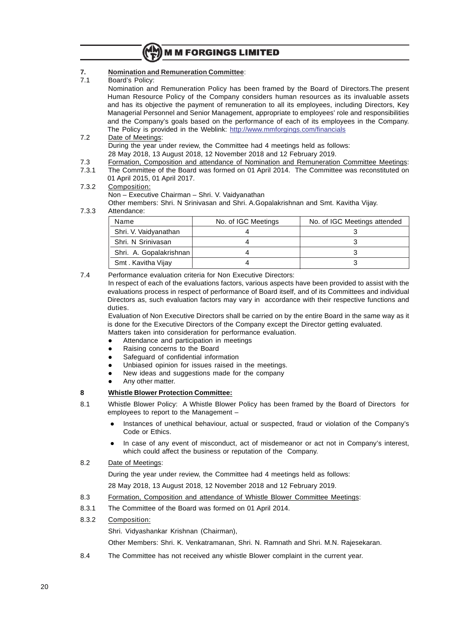

#### **7. Nomination and Remuneration Committee**:

7.1 Board's Policy:

Nomination and Remuneration Policy has been framed by the Board of Directors.The present Human Resource Policy of the Company considers human resources as its invaluable assets and has its objective the payment of remuneration to all its employees, including Directors, Key Managerial Personnel and Senior Management, appropriate to employees' role and responsibilities and the Company's goals based on the performance of each of its employees in the Company. The Policy is provided in the Weblink: http://www.mmforgings.com/financials

- 7.2 Date of Meetings: During the year under review, the Committee had 4 meetings held as follows: 28 May 2018, 13 August 2018, 12 November 2018 and 12 February 2019.
- 
- 7.3 Formation, Composition and attendance of Nomination and Remuneration Committee Meetings:<br>7.3.1 The Committee of the Board was formed on 01 April 2014. The Committee was reconstituted on The Committee of the Board was formed on 01 April 2014. The Committee was reconstituted on
- 01 April 2015, 01 April 2017. 7.3.2 Composition: Non – Executive Chairman – Shri. V. Vaidyanathan Other members: Shri. N Srinivasan and Shri. A.Gopalakrishnan and Smt. Kavitha Vijay.
- 7.3.3 Attendance:

| Name                    | No. of IGC Meetings | No. of IGC Meetings attended |  |
|-------------------------|---------------------|------------------------------|--|
| Shri. V. Vaidyanathan   |                     |                              |  |
| Shri. N Srinivasan      |                     |                              |  |
| Shri. A. Gopalakrishnan |                     |                              |  |
| Smt. Kavitha Vijay      |                     |                              |  |

7.4 Performance evaluation criteria for Non Executive Directors:

In respect of each of the evaluations factors, various aspects have been provided to assist with the evaluations process in respect of performance of Board itself, and of its Committees and individual Directors as, such evaluation factors may vary in accordance with their respective functions and duties.

Evaluation of Non Executive Directors shall be carried on by the entire Board in the same way as it is done for the Executive Directors of the Company except the Director getting evaluated. Matters taken into consideration for performance evaluation.

- Attendance and participation in meetings
- Raising concerns to the Board
- Safeguard of confidential information
- Unbiased opinion for issues raised in the meetings.
- New ideas and suggestions made for the company
- Any other matter.

#### **8 Whistle Blower Protection Committee:**

- 8.1 Whistle Blower Policy: A Whistle Blower Policy has been framed by the Board of Directors for employees to report to the Management –
	- Instances of unethical behaviour, actual or suspected, fraud or violation of the Company's Code or Ethics.
	- In case of any event of misconduct, act of misdemeanor or act not in Company's interest, which could affect the business or reputation of the Company.
- 8.2 Date of Meetings:

During the year under review, the Committee had 4 meetings held as follows:

28 May 2018, 13 August 2018, 12 November 2018 and 12 February 2019.

- 8.3 Formation, Composition and attendance of Whistle Blower Committee Meetings:
- 8.3.1 The Committee of the Board was formed on 01 April 2014.
- 8.3.2 Composition:

Shri. Vidyashankar Krishnan (Chairman),

Other Members: Shri. K. Venkatramanan, Shri. N. Ramnath and Shri. M.N. Rajesekaran.

8.4 The Committee has not received any whistle Blower complaint in the current year.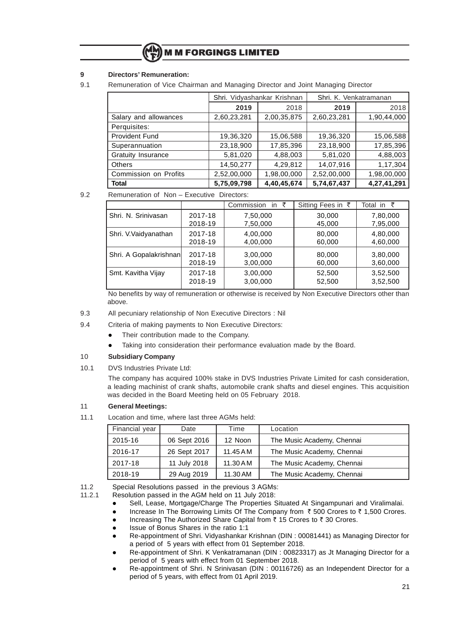#### **9 Directors' Remuneration:**

9.1 Remuneration of Vice Chairman and Managing Director and Joint Managing Director

|                           |              | Shri. Vidyashankar Krishnan | Shri, K. Venkatramanan |             |  |
|---------------------------|--------------|-----------------------------|------------------------|-------------|--|
|                           | 2019<br>2018 |                             | 2019                   | 2018        |  |
| Salary and allowances     | 2,60,23,281  | 2,00,35,875                 | 2,60,23,281            | 1,90,44,000 |  |
| Perquisites:              |              |                             |                        |             |  |
| <b>Provident Fund</b>     | 19,36,320    | 15,06,588                   | 19,36,320              | 15,06,588   |  |
| Superannuation            | 23,18,900    | 17,85,396                   | 23,18,900              | 17,85,396   |  |
| <b>Gratuity Insurance</b> | 5,81,020     | 4,88,003                    | 5,81,020               | 4,88,003    |  |
| <b>Others</b>             | 14,50,277    | 4,29,812                    | 14,07,916              | 1,17,304    |  |
| Commission on Profits     | 2,52,00,000  | 1,98,00,000                 | 2,52,00,000            | 1,98,00,000 |  |
| <b>Total</b>              | 5,75,09,798  | 4,40,45,674                 | 5,74,67,437            | 4,27,41,291 |  |

9.2 Remuneration of Non – Executive Directors:

|                        |         | Commission<br>in $\bar{z}$ | Sitting Fees in ₹ | Total in ₹ |
|------------------------|---------|----------------------------|-------------------|------------|
| Shri, N. Srinivasan    | 2017-18 | 7,50,000                   | 30,000            | 7,80,000   |
|                        | 2018-19 | 7,50,000                   | 45,000            | 7,95,000   |
| Shri. V. Vaidyanathan  | 2017-18 | 4,00,000                   | 80,000            | 4,80,000   |
|                        | 2018-19 | 4,00,000                   | 60,000            | 4,60,000   |
| Shri. A Gopalakrishnan | 2017-18 | 3,00,000                   | 80,000            | 3,80,000   |
|                        | 2018-19 | 3,00,000                   | 60,000            | 3,60,000   |
| Smt. Kavitha Vijay     | 2017-18 | 3,00,000                   | 52,500            | 3,52,500   |
|                        | 2018-19 | 3,00,000                   | 52,500            | 3,52,500   |

No benefits by way of remuneration or otherwise is received by Non Executive Directors other than above.

- 9.3 All pecuniary relationship of Non Executive Directors : Nil
- 9.4 Criteria of making payments to Non Executive Directors:
	- Their contribution made to the Company.
	- Taking into consideration their performance evaluation made by the Board.

#### 10 **Subsidiary Company**

10.1 DVS Industries Private Ltd:

The company has acquired 100% stake in DVS Industries Private Limited for cash consideration, a leading machinist of crank shafts, automobile crank shafts and diesel engines. This acquisition was decided in the Board Meeting held on 05 February 2018.

#### 11 **General Meetings:**

11.1 Location and time, where last three AGMs held:

| Financial year | Date         | Time      | Location                   |
|----------------|--------------|-----------|----------------------------|
| 2015-16        | 06 Sept 2016 | 12 Noon   | The Music Academy, Chennai |
| 2016-17        | 26 Sept 2017 | 11.45 A M | The Music Academy, Chennai |
| 2017-18        | 11 July 2018 | 11.30 A M | The Music Academy, Chennai |
| 2018-19        | 29 Aug 2019  | 11.30 AM  | The Music Academy, Chennai |

11.2 Special Resolutions passed in the previous 3 AGMs:<br>11.2.1 Resolution passed in the AGM held on 11 July 2018:

- Resolution passed in the AGM held on 11 July 2018: Sell, Lease, Mortgage/Charge The Properties Situated At Singampunari and Viralimalai.
- Increase In The Borrowing Limits Of The Company from  $\bar{\tau}$  500 Crores to  $\bar{\tau}$  1,500 Crores.
- Increasing The Authorized Share Capital from ₹ 15 Crores to ₹ 30 Crores.
- l Issue of Bonus Shares in the ratio 1:1
- Re-appointment of Shri. Vidyashankar Krishnan (DIN: 00081441) as Managing Director for a period of 5 years with effect from 01 September 2018.
- l Re-appointment of Shri. K Venkatramanan (DIN : 00823317) as Jt Managing Director for a period of 5 years with effect from 01 September 2018.
- Re-appointment of Shri. N Srinivasan (DIN : 00116726) as an Independent Director for a period of 5 years, with effect from 01 April 2019.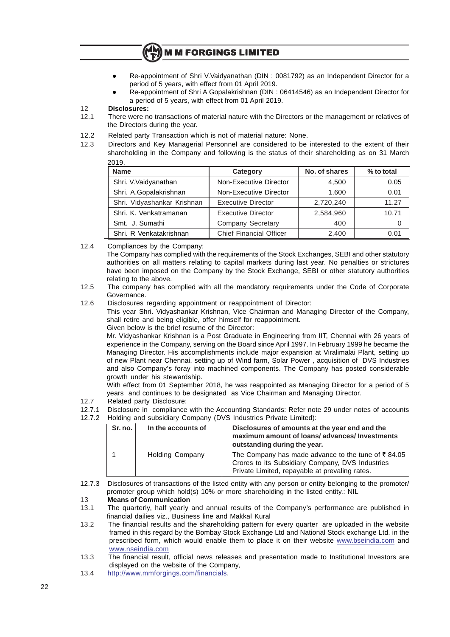- **M M FORGINGS LIMITED**
- Re-appointment of Shri V.Vaidyanathan (DIN : 0081792) as an Independent Director for a period of 5 years, with effect from 01 April 2019.
- l Re-appointment of Shri A Gopalakrishnan (DIN : 06414546) as an Independent Director for a period of 5 years, with effect from 01 April 2019.

#### 12 **Disclosures:**

- 12.1 There were no transactions of material nature with the Directors or the management or relatives of the Directors during the year.
- 12.2 Related party Transaction which is not of material nature: None.
- 12.3 Directors and Key Managerial Personnel are considered to be interested to the extent of their shareholding in the Company and following is the status of their shareholding as on 31 March  $2010$

| 2013.                       |                                |               |            |  |
|-----------------------------|--------------------------------|---------------|------------|--|
| <b>Name</b>                 | Category                       | No. of shares | % to total |  |
| Shri. V. Vaidyanathan       | Non-Executive Director         | 4.500         | 0.05       |  |
| Shri. A.Gopalakrishnan      | Non-Executive Director         | 1,600         | 0.01       |  |
| Shri. Vidyashankar Krishnan | <b>Executive Director</b>      | 2,720,240     | 11.27      |  |
| Shri, K. Venkatramanan      | <b>Executive Director</b>      | 2,584,960     | 10.71      |  |
| Smt. J. Sumathi             | Company Secretary              | 400           | 0          |  |
| Shri, R Venkatakrishnan     | <b>Chief Financial Officer</b> | 2,400         | 0.01       |  |

12.4 Compliances by the Company:

The Company has complied with the requirements of the Stock Exchanges, SEBI and other statutory authorities on all matters relating to capital markets during last year. No penalties or strictures have been imposed on the Company by the Stock Exchange, SEBI or other statutory authorities relating to the above.

- 12.5 The company has complied with all the mandatory requirements under the Code of Corporate Governance.
- 12.6 Disclosures regarding appointment or reappointment of Director:

This year Shri. Vidyashankar Krishnan, Vice Chairman and Managing Director of the Company, shall retire and being eligible, offer himself for reappointment.

Given below is the brief resume of the Director:

Mr. Vidyashankar Krishnan is a Post Graduate in Engineering from IIT, Chennai with 26 years of experience in the Company, serving on the Board since April 1997. In February 1999 he became the Managing Director. His accomplishments include major expansion at Viralimalai Plant, setting up of new Plant near Chennai, setting up of Wind farm, Solar Power , acquisition of DVS Industries and also Company's foray into machined components. The Company has posted considerable growth under his stewardship.

With effect from 01 September 2018, he was reappointed as Managing Director for a period of 5 years and continues to be designated as Vice Chairman and Managing Director.

- 12.7 Related party Disclosure:
- 12.7.1 Disclosure in compliance with the Accounting Standards: Refer note 29 under notes of accounts
- 12.7.2 Holding and subsidiary Company (DVS Industries Private Limited):

| Sr. no. | In the accounts of     | Disclosures of amounts at the year end and the<br>maximum amount of loans/advances/Investments<br>outstanding during the year.                                       |
|---------|------------------------|----------------------------------------------------------------------------------------------------------------------------------------------------------------------|
|         | <b>Holding Company</b> | The Company has made advance to the tune of $\bar{\tau}$ 84.05<br>Crores to its Subsidiary Company, DVS Industries<br>Private Limited, repayable at prevaling rates. |

12.7.3 Disclosures of transactions of the listed entity with any person or entity belonging to the promoter/ promoter group which hold(s) 10% or more shareholding in the listed entity.: NIL

#### 13 **Means of Communication**

- 13.1 The quarterly, half yearly and annual results of the Company's performance are published in financial dailies viz., Business line and Makkal Kural
- 13.2 The financial results and the shareholding pattern for every quarter are uploaded in the website framed in this regard by the Bombay Stock Exchange Ltd and National Stock exchange Ltd. in the prescribed form, which would enable them to place it on their website www.bseindia.com and www.nseindia.com
- 13.3 The financial result, official news releases and presentation made to Institutional Investors are displayed on the website of the Company,
- 13.4 http://www.mmforgings.com/financials.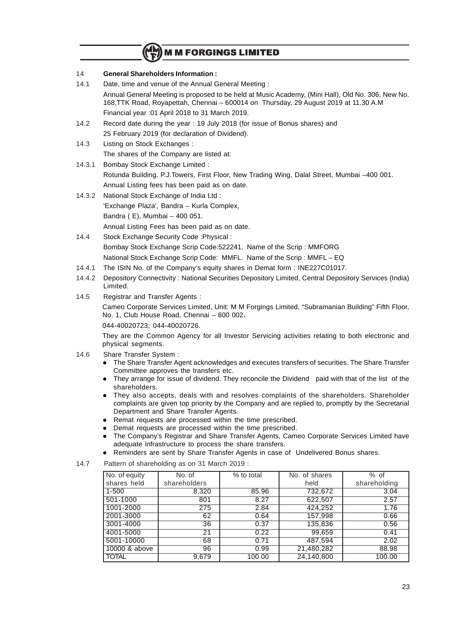#### 14 **General Shareholders Information :**

14.1 Date, time and venue of the Annual General Meeting :

Annual General Meeting is proposed to be held at Music Academy, (Mini Hall), Old No. 306, New No. 168,TTK Road, Royapettah, Chennai – 600014 on Thursday, 29 August 2019 at 11.30 A.M Financial year :01 April 2018 to 31 March 2019.

- 14.2 Record date during the year : 19 July 2018 (for issue of Bonus shares) and 25 February 2019 (for declaration of Dividend).
- 14.3 Listing on Stock Exchanges : The shares of the Company are listed at:
- 14.3.1 Bombay Stock Exchange Limited : Rotunda Building, P.J.Towers, First Floor, New Trading Wing, Dalal Street, Mumbai –400 001. Annual Listing fees has been paid as on date.
- 14.3.2 National Stock Exchange of India Ltd : 'Exchange Plaza', Bandra – Kurla Complex, Bandra ( E), Mumbai – 400 051. Annual Listing Fees has been paid as on date.
- 14.4 Stock Exchange Security Code :Physical : Bombay Stock Exchange Scrip Code:522241. Name of the Scrip : MMFORG National Stock Exchange Scrip Code: MMFL. Name of the Scrip : MMFL – EQ
- 14.4.1 The ISIN No. of the Company's equity shares in Demat form : INE227C01017.
- 14.4.2 Depository Connectivity : National Securities Depository Limited, Central Depository Services (India) Limited.
- 14.5 Registrar and Transfer Agents :

Cameo Corporate Services Limited, Unit: M M Forgings Limited, "Subramanian Building" Fifth Floor, No. 1, Club House Road, Chennai – 600 002**.**

044-40020723; 044-40020726.

They are the Common Agency for all Investor Servicing activities relating to both electronic and physical segments.

- 14.6 Share Transfer System :
	- l The Share Transfer Agent acknowledges and executes transfers of securities. The Share Transfer Committee approves the transfers etc.
	- They arrange for issue of dividend. They reconcile the Dividend paid with that of the list of the shareholders.
	- They also accepts, deals with and resolves complaints of the shareholders. Shareholder complaints are given top priority by the Company and are replied to, promptly by the Secretarial Department and Share Transfer Agents.
	- Remat requests are processed within the time prescribed.
	- Demat requests are processed within the time prescribed.
	- The Company's Registrar and Share Transfer Agents, Cameo Corporate Services Limited have adequate infrastructure to process the share transfers.
	- Reminders are sent by Share Transfer Agents in case of Undelivered Bonus shares.
- 14.7 Pattern of shareholding as on 31 March 2019 :

| No. of equity | No. of       | % to total | No. of shares | $%$ of       |
|---------------|--------------|------------|---------------|--------------|
| shares held   | shareholders |            | held          | shareholding |
| $1 - 500$     | 8,320        | 85.96      | 732,672       | 3.04         |
| 501-1000      | 801          | 8.27       | 622,507       | 2.57         |
| 1001-2000     | 275          | 2.84       | 424,252       | 1.76         |
| 2001-3000     | 62           | 0.64       | 157,998       | 0.66         |
| 3001-4000     | 36           | 0.37       | 135,836       | 0.56         |
| 4001-5000     | 21           | 0.22       | 99,659        | 0.41         |
| 5001-10000    | 68           | 0.71       | 487,594       | 2.02         |
| 10000 & above | 96           | 0.99       | 21,480,282    | 88.98        |
| <b>TOTAL</b>  | 9,679        | 100.00     | 24,140,800    | 100.00       |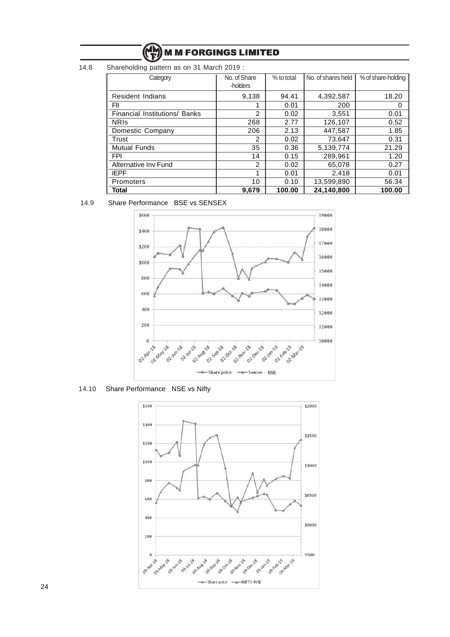14.8 Shareholding pattern as on 31 March 2019 :

| Category                      | No. of Share<br>-holders | % to total | No. of shares held | % of share-holding |
|-------------------------------|--------------------------|------------|--------------------|--------------------|
| <b>Resident Indians</b>       | 9,138                    | 94.41      | 4,392,587          | 18.20              |
| FII                           |                          | 0.01       | 200                | 0                  |
| Financial Institutions/ Banks | $\overline{2}$           | 0.02       | 3,551              | 0.01               |
| <b>NRIS</b>                   | 268                      | 2.77       | 126,107            | 0.52               |
| Domestic Company              | 206                      | 2.13       | 447,587            | 1.85               |
| Trust                         | $\overline{2}$           | 0.02       | 73,647             | 0.31               |
| <b>Mutual Funds</b>           | 35                       | 0.36       | 5,139,774          | 21.29              |
| <b>FPI</b>                    | 14                       | 0.15       | 289,961            | 1.20               |
| Alternative Inv Fund          | $\overline{2}$           | 0.02       | 65,078             | 0.27               |
| <b>IEPF</b>                   |                          | 0.01       | 2.418              | 0.01               |
| Promoters                     | 10                       | 0.10       | 13,599,890         | 56.34              |
| Total                         | 9,679                    | 100.00     | 24,140,800         | 100.00             |

#### 14.9 Share Performance BSE vs SENSEX



14.10 Share Performance NSE vs Nifty

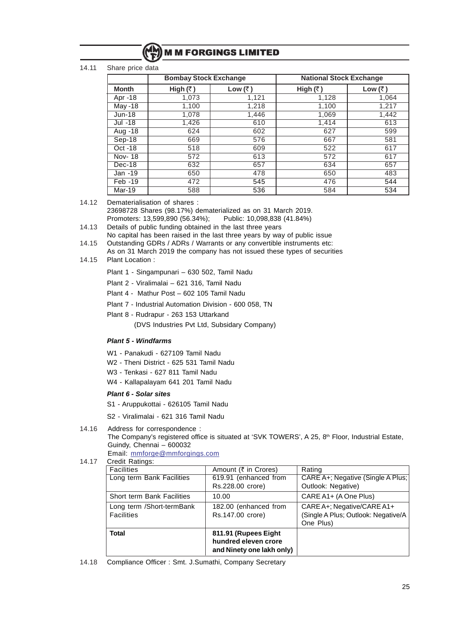

#### 14.11 Share price data

|                | <b>Bombay Stock Exchange</b> |         | <b>National Stock Exchange</b> |                 |
|----------------|------------------------------|---------|--------------------------------|-----------------|
| <b>Month</b>   | High $(\bar{z})$             | Low (₹) | High $(3)$                     | Low $(\bar{z})$ |
| Apr -18        | 1,073                        | 1,121   | 1,128                          | 1,064           |
| <b>May -18</b> | 1,100                        | 1,218   | 1,100                          | 1,217           |
| $Jun-18$       | 1,078                        | 1,446   | 1,069                          | 1,442           |
| Jul -18        | 1,426                        | 610     | 1,414                          | 613             |
| Aug -18        | 624                          | 602     | 627                            | 599             |
| Sep-18         | 669                          | 576     | 667                            | 581             |
| Oct -18        | 518                          | 609     | 522                            | 617             |
| Nov-18         | 572                          | 613     | 572                            | 617             |
| Dec-18         | 632                          | 657     | 634                            | 657             |
| Jan -19        | 650                          | 478     | 650                            | 483             |
| Feb -19        | 472                          | 545     | 476                            | 544             |
| Mar-19         | 588                          | 536     | 584                            | 534             |

14.12 Dematerialisation of shares :

23698728 Shares (98.17%) dematerialized as on 31 March 2019. Promoters: 13,599,890 (56.34%); Public: 10,098,838 (41.84%)

- 14.13 Details of public funding obtained in the last three years No capital has been raised in the last three years by way of public issue
- 14.15 Outstanding GDRs / ADRs / Warrants or any convertible instruments etc:
- As on 31 March 2019 the company has not issued these types of securities
- 14.15 Plant Location :

Plant 1 - Singampunari – 630 502, Tamil Nadu

- Plant 2 Viralimalai 621 316, Tamil Nadu
- Plant 4 Mathur Post 602 105 Tamil Nadu
- Plant 7 Industrial Automation Division 600 058, TN
- Plant 8 Rudrapur 263 153 Uttarkand

(DVS Industries Pvt Ltd, Subsidary Company)

#### **Plant 5 - Windfarms**

- W1 Panakudi 627109 Tamil Nadu
- W2 Theni District 625 531 Tamil Nadu
- W3 Tenkasi 627 811 Tamil Nadu
- W4 Kallapalayam 641 201 Tamil Nadu

#### **Plant 6 - Solar sites**

- S1 Aruppukottai 626105 Tamil Nadu
- S2 Viralimalai 621 316 Tamil Nadu

#### 14.16 Address for correspondence :

The Company's registered office is situated at 'SVK TOWERS', A 25, 8<sup>th</sup> Floor, Industrial Estate, Guindy, Chennai – 600032

Email: mmforge@mmforgings.com

### 14.17 Credit Ratings:

| <b>Facilities</b>           | Amount (₹ in Crores)      | Rating                              |
|-----------------------------|---------------------------|-------------------------------------|
| Long term Bank Facilities   | 619.91 (enhanced from     | CARE A+; Negative (Single A Plus;   |
|                             | Rs.228.00 crore)          | Outlook: Negative)                  |
| Short term Bank Facilities  | 10.00                     | CARE A1+ (A One Plus)               |
| Long term / Short-term Bank | 182.00 (enhanced from     | CARE A+; Negative/CARE A1+          |
| <b>Facilities</b>           | Rs.147.00 crore)          | (Single A Plus; Outlook: Negative/A |
|                             |                           | One Plus)                           |
| Total                       | 811.91 (Rupees Eight      |                                     |
|                             | hundred eleven crore      |                                     |
|                             | and Ninety one lakh only) |                                     |

14.18 Compliance Officer : Smt. J.Sumathi, Company Secretary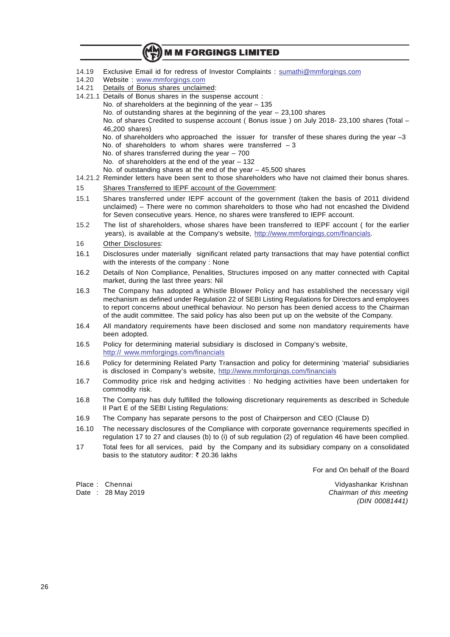- 14.19 Exclusive Email id for redress of Investor Complaints : sumathi@mmforgings.com
- 14.20 Website : www.mmforgings.com<br>14.21 Details of Bonus shares unclaim
- Details of Bonus shares unclaimed:
- 14.21.1 Details of Bonus shares in the suspense account : No. of shareholders at the beginning of the year – 135 No. of outstanding shares at the beginning of the year – 23,100 shares No. of shares Credited to suspense account ( Bonus issue ) on July 2018- 23,100 shares (Total – 46,200 shares) No. of shareholders who approached the issuer for transfer of these shares during the year -3 No. of shareholders to whom shares were transferred  $-3$ No. of shares transferred during the year  $-700$ No. of shareholders at the end of the year – 132 No. of outstanding shares at the end of the year – 45,500 shares 14.21.2 Reminder letters have been sent to those shareholders who have not claimed their bonus shares. 15 Shares Transferred to IEPF account of the Government:
- 15.1 Shares transferred under IEPF account of the government (taken the basis of 2011 dividend unclaimed) – There were no common shareholders to those who had not encashed the Dividend for Seven consecutive years. Hence, no shares were transfered to IEPF account.
- 15.2 The list of shareholders, whose shares have been transferred to IEPF account ( for the earlier years), is available at the Company's website, http://www.mmforgings.com/financials.
- 16 Other Disclosures:
- 16.1 Disclosures under materially significant related party transactions that may have potential conflict with the interests of the company : None
- 16.2 Details of Non Compliance, Penalities, Structures imposed on any matter connected with Capital market, during the last three years: Nil
- 16.3 The Company has adopted a Whistle Blower Policy and has established the necessary vigil mechanism as defined under Regulation 22 of SEBI Listing Regulations for Directors and employees to report concerns about unethical behaviour. No person has been denied access to the Chairman of the audit committee. The said policy has also been put up on the website of the Company.
- 16.4 All mandatory requirements have been disclosed and some non mandatory requirements have been adopted.
- 16.5 Policy for determining material subsidiary is disclosed in Company's website, http:// www.mmforgings.com/financials
- 16.6 Policy for determining Related Party Transaction and policy for determining 'material' subsidiaries is disclosed in Company's website, http://www.mmforgings.com/financials
- 16.7 Commodity price risk and hedging activities : No hedging activities have been undertaken for commodity risk.
- 16.8 The Company has duly fulfilled the following discretionary requirements as described in Schedule II Part E of the SEBI Listing Regulations:
- 16.9 The Company has separate persons to the post of Chairperson and CEO (Clause D)
- 16.10 The necessary disclosures of the Compliance with corporate governance requirements specified in regulation 17 to 27 and clauses (b) to (i) of sub regulation (2) of regulation 46 have been complied.
- 17 Total fees for all services, paid by the Company and its subsidiary company on a consolidated basis to the statutory auditor:  $\bar{\tau}$  20.36 lakhs

For and On behalf of the Board

Place : Chennai Vidyashankar Krishnan Date : 28 May 2019 **Chairman of this meeting** (DIN 00081441)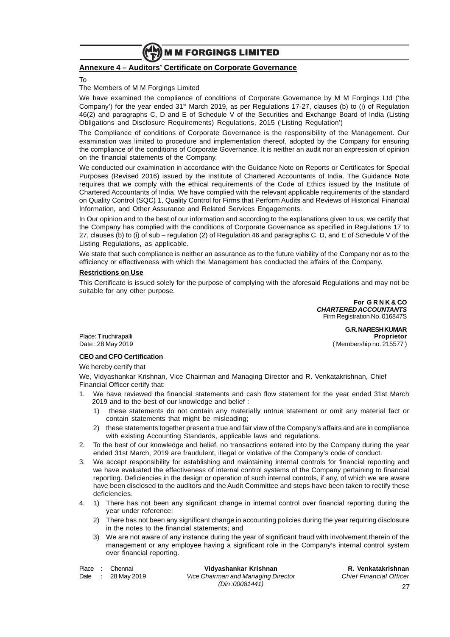

#### **Annexure 4 – Auditors' Certificate on Corporate Governance**

To

#### The Members of M M Forgings Limited

We have examined the compliance of conditions of Corporate Governance by M M Forgings Ltd ('the Company') for the year ended 31st March 2019, as per Regulations 17-27, clauses (b) to (i) of Regulation 46(2) and paragraphs C, D and E of Schedule V of the Securities and Exchange Board of India (Listing Obligations and Disclosure Requirements) Regulations, 2015 ('Listing Regulation')

The Compliance of conditions of Corporate Governance is the responsibility of the Management. Our examination was limited to procedure and implementation thereof, adopted by the Company for ensuring the compliance of the conditions of Corporate Governance. It is neither an audit nor an expression of opinion on the financial statements of the Company.

We conducted our examination in accordance with the Guidance Note on Reports or Certificates for Special Purposes (Revised 2016) issued by the Institute of Chartered Accountants of India. The Guidance Note requires that we comply with the ethical requirements of the Code of Ethics issued by the Institute of Chartered Accountants of India. We have complied with the relevant applicable requirements of the standard on Quality Control (SQC) 1, Quality Control for Firms that Perform Audits and Reviews of Historical Financial Information, and Other Assurance and Related Services Engagements.

In Our opinion and to the best of our information and according to the explanations given to us, we certify that the Company has complied with the conditions of Corporate Governance as specified in Regulations 17 to 27, clauses (b) to (i) of sub – regulation (2) of Regulation 46 and paragraphs C, D, and E of Schedule V of the Listing Regulations, as applicable.

We state that such compliance is neither an assurance as to the future viability of the Company nor as to the efficiency or effectiveness with which the Management has conducted the affairs of the Company.

#### **Restrictions on Use**

This Certificate is issued solely for the purpose of complying with the aforesaid Regulations and may not be suitable for any other purpose.

> **For G R N K & CO CHARTERED ACCOUNTANTS** Firm Registration No. 016847S

> > **G.R. NARESH KUMAR**

Place: Tiruchirapalli **Proprietor** Date : 28 May 2019 ( Membership no. 215577 )

#### **CEO and CFO Certification**

We hereby certify that

We, Vidyashankar Krishnan, Vice Chairman and Managing Director and R. Venkatakrishnan, Chief Financial Officer certify that:

- 1. We have reviewed the financial statements and cash flow statement for the year ended 31st March 2019 and to the best of our knowledge and belief :
	- 1) these statements do not contain any materially untrue statement or omit any material fact or contain statements that might be misleading;
	- 2) these statements together present a true and fair view of the Company's affairs and are in compliance with existing Accounting Standards, applicable laws and regulations.
- 2. To the best of our knowledge and belief, no transactions entered into by the Company during the year ended 31st March, 2019 are fraudulent, illegal or violative of the Company's code of conduct.
- 3. We accept responsibility for establishing and maintaining internal controls for financial reporting and we have evaluated the effectiveness of internal control systems of the Company pertaining to financial reporting. Deficiencies in the design or operation of such internal controls, if any, of which we are aware have been disclosed to the auditors and the Audit Committee and steps have been taken to rectify these deficiencies.
- 4. 1) There has not been any significant change in internal control over financial reporting during the year under reference;
	- 2) There has not been any significant change in accounting policies during the year requiring disclosure in the notes to the financial statements; and
	- 3) We are not aware of any instance during the year of significant fraud with involvement therein of the management or any employee having a significant role in the Company's internal control system over financial reporting.

Place : Chennai **Vidyashankar Krishnan R. Venkatakrishnan** Date : 28 May 2019 Vice Chairman and Managing Director Chief Financial Officer (Din :00081441)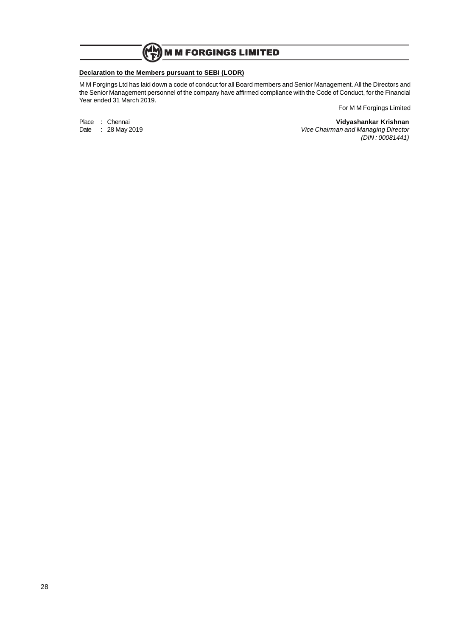$\mathbb{C}^{\mathbb{N}}$ **M M FORGINGS LIMITED** 

#### **Declaration to the Members pursuant to SEBI (LODR)**

M M Forgings Ltd has laid down a code of condcut for all Board members and Senior Management. All the Directors and the Senior Management personnel of the company have affirmed compliance with the Code of Conduct, for the Financial Year ended 31 March 2019.

Place : Chennai **Vidyashankar Krishnan** Date : 28 May 2019 **Vice Chairman and Managing Director** (DIN : 00081441)

For M M Forgings Limited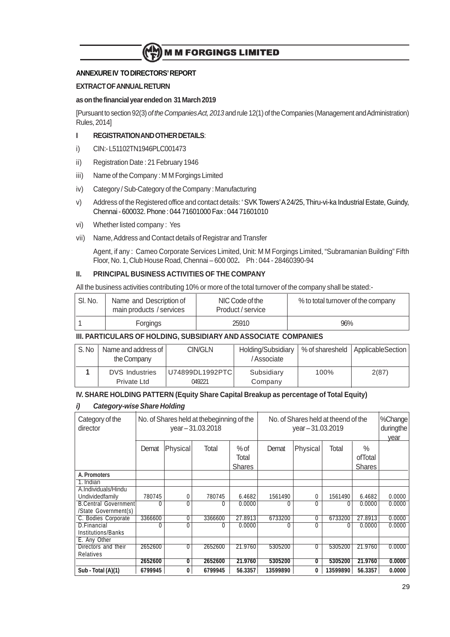# **ANNEXURE IV TO DIRECTORS' REPORT**

# **EXTRACT OF ANNUAL RETURN**

## **as on the financial year ended on 31 March 2019**

[Pursuant to section 92(3) of the Companies Act, 2013 and rule 12(1) of the Companies (Management and Administration) Rules, 2014]

# **I REGISTRATION AND OTHER DETAILS**:

- i) CIN:- L51102TN1946PLC001473
- ii) Registration Date : 21 February 1946
- iii) Name of the Company : M M Forgings Limited
- iv) Category / Sub-Category of the Company : Manufacturing
- v) Address of the Registered office and contact details: ' SVK Towers'A 24/25, Thiru-vi-ka Industrial Estate, Guindy, Chennai - 600032. Phone : 044 71601000 Fax : 044 71601010
- vi) Whether listed company : Yes
- vii) Name, Address and Contact details of Registrar and Transfer

Agent, if any : Cameo Corporate Services Limited, Unit: M M Forgings Limited, "Subramanian Building" Fifth Floor, No. 1, Club House Road, Chennai – 600 002**.** Ph : 044 - 28460390-94

# **II. PRINCIPAL BUSINESS ACTIVITIES OF THE COMPANY**

All the business activities contributing 10% or more of the total turnover of the company shall be stated:-

| SI. No. |          | Name and Description of<br>main products / services | NIC Code of the<br>Product / service | % to total turnover of the company |
|---------|----------|-----------------------------------------------------|--------------------------------------|------------------------------------|
|         | Forgings |                                                     | 25910                                | 96%                                |

# **III. PARTICULARS OF HOLDING, SUBSIDIARY AND ASSOCIATE COMPANIES**

|                       | S.No | Name and address of<br>the Company | CIN/GLN         | Holding/Subsidiary<br>/Associate | % of sharesheld $\vert$ | ApplicableSection |
|-----------------------|------|------------------------------------|-----------------|----------------------------------|-------------------------|-------------------|
| <b>DVS</b> Industries |      |                                    | U74899DL1992PTC | Subsidiary                       | 100%                    | 2(87)             |
|                       |      | Private Ltd                        | 049221          | Company                          |                         |                   |

## **IV. SHARE HOLDING PATTERN (Equity Share Capital Breakup as percentage of Total Equity)**

### **i) Category-wise Share Holding**

| Category of the<br>director | No. of Shares held at the beginning of the<br>No. of Shares held at theend of the<br>year-31.03.2018<br>$year - 31.03.2019$ |              |         |               | %Change<br>duringthe<br>year |          |          |               |        |
|-----------------------------|-----------------------------------------------------------------------------------------------------------------------------|--------------|---------|---------------|------------------------------|----------|----------|---------------|--------|
|                             | Demat                                                                                                                       | Physical     | Total   | $%$ of        | Demat                        | Physical | Total    | $\%$          |        |
|                             |                                                                                                                             |              |         | Total         |                              |          |          | ofTotal       |        |
|                             |                                                                                                                             |              |         | <b>Shares</b> |                              |          |          | <b>Shares</b> |        |
| A. Promoters                |                                                                                                                             |              |         |               |                              |          |          |               |        |
| 1. Indian                   |                                                                                                                             |              |         |               |                              |          |          |               |        |
| A.Individuals/Hindu         |                                                                                                                             |              |         |               |                              |          |          |               |        |
| Undividedfamily             | 780745                                                                                                                      | $\mathbf{0}$ | 780745  | 6.4682        | 1561490                      | 0        | 1561490  | 6.4682        | 0.0000 |
| <b>B.Central Government</b> |                                                                                                                             | 0            | 0       | 0.0000        | 0                            | 0        | 0        | 0.0000        | 0.0000 |
| /State Government(s)        |                                                                                                                             |              |         |               |                              |          |          |               |        |
| C. Bodies Corporate         | 3366600                                                                                                                     | 0            | 3366600 | 27.8913       | 6733200                      | 0        | 6733200  | 27.8913       | 0.0000 |
| D.Financial                 |                                                                                                                             | C            | 0       | 0.0000        |                              | 0        | 0        | 0.0000        | 0.0000 |
| Institutions/Banks          |                                                                                                                             |              |         |               |                              |          |          |               |        |
| E. Any Other                |                                                                                                                             |              |         |               |                              |          |          |               |        |
| Directors and their         | 2652600                                                                                                                     | $\mathbf{0}$ | 2652600 | 21.9760       | 5305200                      | 0        | 5305200  | 21.9760       | 0.0000 |
| <b>Relatives</b>            |                                                                                                                             |              |         |               |                              |          |          |               |        |
|                             | 2652600                                                                                                                     | 0            | 2652600 | 21.9760       | 5305200                      | 0        | 5305200  | 21.9760       | 0.0000 |
| Sub - Total (A)(1)          | 6799945                                                                                                                     | 0            | 6799945 | 56.3357       | 13599890                     | 0        | 13599890 | 56,3357       | 0.0000 |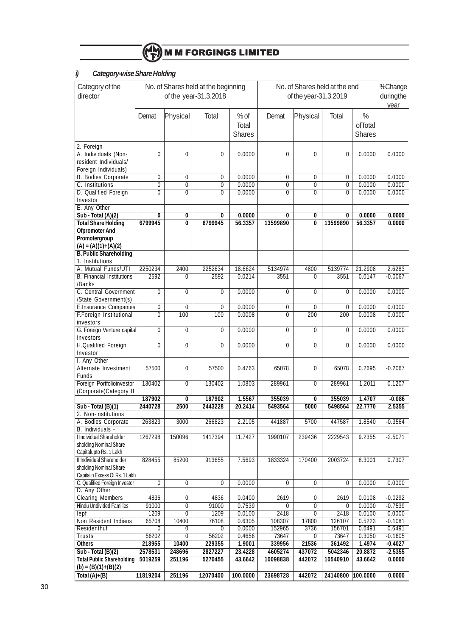

# **i) Category-wise Share Holding**

| director<br>of the year-31.3.2018<br>duringthe<br>of the year-31.3.2019<br>year<br>Physical<br>Physical<br>$\frac{0}{0}$<br>Total<br>$%$ of<br>Total<br>Demat<br>Demat<br>ofTotal<br>Total<br><b>Shares</b><br><b>Shares</b><br>2. Foreign<br>A. Individuals (Non-<br>$\overline{0}$<br>0.0000<br>0.0000<br>$\overline{0}$<br>$\overline{0}$<br>$\overline{0}$<br>$\overline{0}$<br>$\overline{0}$<br>0.0000<br>resident Individuals/<br>Foreign Individuals)<br><b>B. Bodies Corporate</b><br>0.0000<br>0.0000<br>0<br>0<br>0<br>0<br>$\overline{0}$<br>0.0000<br>0<br>C. Institutions<br>$\overline{0}$<br>0.0000<br>0.0000<br>$\overline{0}$<br>$\overline{0}$<br>0.0000<br>0<br>0<br>$\overline{0}$<br>$\overline{0}$<br>$\overline{0}$<br>D. Qualified Foreign<br>$\overline{0}$<br>$\overline{0}$<br>0.0000<br>$\overline{0}$<br>$\overline{0}$<br>0.0000<br>0.0000<br>Investor<br>E. Any Other<br>Sub - Total (A)(2)<br>0.0000<br>0.0000<br>0.0000<br>0<br>0<br>0<br>0<br>0<br>0<br><b>Total Share Holding</b><br>6799945<br>$\overline{\mathfrak{o}}$<br>0.0000<br>6799945<br>56.3357<br>13599890<br>$\overline{\mathbf{0}}$<br>13599890<br>56.3357<br><b>Ofpromoter And</b><br>Promotergroup<br>$(A) = (A)(1)+(A)(2)$<br><b>B. Public Shareholding</b><br>1. Institutions<br>A. Mutual Funds/UTI<br>2250234<br>2400<br>2252634<br>18.6624<br>5134974<br>4800<br>5139774<br>21.2908<br>2.6283<br><b>B.</b> Financial Institutions<br>2592<br>3551<br>3551<br>$-0.0067$<br>2592<br>0.0214<br>0.0147<br>0<br>0<br>/Banks<br>C. Central Government<br>$\overline{0}$<br>$\overline{0}$<br>0.0000<br>0.0000<br>0.0000<br>$\overline{0}$<br>$\overline{0}$<br>$\overline{0}$<br>$\overline{0}$<br>/State Government(s)<br>E.Insurance Companies<br>$\overline{0}$<br>0.0000<br>$\overline{0}$<br>0.0000<br>0.0000<br>0<br>0<br>0<br>$\overline{0}$<br>F.Foreign Institutional<br>100<br>100<br>0.0008<br>$\overline{0}$<br>$\overline{200}$<br>200<br>0.0000<br>0<br>0.0008<br>investors<br>G. Foreign Venture capital<br>$\overline{0}$<br>0.0000<br>0.0000<br>0.0000<br>0<br>0<br>0<br>0<br>0<br>Investors<br><b>H.Qualified Foreign</b><br>$\overline{0}$<br>$\overline{0}$<br>0.0000<br>$\overline{0}$<br>$\overline{0}$<br>$\overline{0}$<br>0.0000<br>0<br>0.0000<br>Investor<br>I. Any Other<br>57500<br>$-0.2067$<br>$\overline{0}$<br>57500<br>0.4763<br>65078<br>$\overline{0}$<br>65078<br>0.2695<br>Alternate Investment<br>Funds<br>Foreign Portfolioinvestor<br>130402<br>130402<br>1.0803<br>1.2011<br>0<br>289961<br>0<br>289961<br>0.1207<br>(Corporate)Category II<br>187902<br>1.5567<br>355039<br>355039<br>1.4707<br>187902<br>0<br>0<br>$-0.086$<br>Sub - Total (B)(1)<br>2440728<br>2500<br>2443228<br>20.2414<br>5493564<br>5000<br>5498564<br>22.7770<br>2.5355<br>2. Non-institutions<br>A. Bodies Corporate<br>263823<br>3000<br>266823<br>2.2105<br>441887<br>5700<br>447587<br>1.8540<br>$-0.3564$<br>B. Individuals -<br><b>I</b> Individual Shareholder<br>1990107<br>9.2355<br>1267298<br>150096<br>1417394<br>11.7427<br>239436<br>2229543<br>$-2.5071$<br>sholding Nominal Share<br>Capitalupto Rs. 1 Lakh<br>Il Individual Shareholder<br>170400<br>828455<br>85200<br>913655<br>7.5693<br>1833324<br>2003724<br>8.3001<br>0.7307<br>sholding Nominal Share<br>Capitalin Excess Of Rs. 1 Lakh<br>0.0000<br>0.0000<br>0.0000<br>C. Qualified Foreign Investor<br>0<br>0<br>0<br>0<br>0<br>0<br>D. Any Other<br><b>Clearing Members</b><br>4836<br>0<br>4836<br>0.0400<br>2619<br>2619<br>0.0108<br>$-0.0292$<br>0<br><b>Hindu Undivided Families</b><br>$\overline{0}$<br>0.7539<br>91000<br>91000<br>0<br>0<br>0.0000<br>$-0.7539$<br>0<br>1209<br>$\overline{0}$<br>1209<br>0.0100<br>2418<br>$\overline{0}$<br>0.0100<br>0.0000<br>lepf<br>2418<br>65708<br>Non Resident Indians<br>10400<br>76108<br>0.6305<br>108307<br>17800<br>126107<br>0.5223<br>$-0.1081$<br>0.0000<br>152965<br>3736<br>Residenthuf<br>0<br>0<br>156701<br>0.6491<br>0.6491<br>0<br>0.4656<br>73647<br>73647<br>0.3050<br>$-0.1605$<br><b>Trusts</b><br>56202<br>0<br>56202<br>0<br>361492<br>1.4974<br><b>Others</b><br>218955<br>10400<br>229355<br>1.9001<br>339956<br>21536<br>$-0.4027$<br>2578531<br>248696<br>4605274<br>5042346<br>20.8872<br>Sub - Total (B)(2)<br>2827227<br>23.4228<br>437072<br>$-2.5355$<br><b>Total Public Shareholding</b><br>251196<br>5270455<br>442072<br>10540910<br>5019259<br>43.6642<br>10098838<br>43.6642<br>0.0000<br>$(b) = (B)(1)+(B)(2)$ | Category of the | No. of Shares held at the beginning<br>No. of Shares held at the end |  | %Change |  |  |  |
|------------------------------------------------------------------------------------------------------------------------------------------------------------------------------------------------------------------------------------------------------------------------------------------------------------------------------------------------------------------------------------------------------------------------------------------------------------------------------------------------------------------------------------------------------------------------------------------------------------------------------------------------------------------------------------------------------------------------------------------------------------------------------------------------------------------------------------------------------------------------------------------------------------------------------------------------------------------------------------------------------------------------------------------------------------------------------------------------------------------------------------------------------------------------------------------------------------------------------------------------------------------------------------------------------------------------------------------------------------------------------------------------------------------------------------------------------------------------------------------------------------------------------------------------------------------------------------------------------------------------------------------------------------------------------------------------------------------------------------------------------------------------------------------------------------------------------------------------------------------------------------------------------------------------------------------------------------------------------------------------------------------------------------------------------------------------------------------------------------------------------------------------------------------------------------------------------------------------------------------------------------------------------------------------------------------------------------------------------------------------------------------------------------------------------------------------------------------------------------------------------------------------------------------------------------------------------------------------------------------------------------------------------------------------------------------------------------------------------------------------------------------------------------------------------------------------------------------------------------------------------------------------------------------------------------------------------------------------------------------------------------------------------------------------------------------------------------------------------------------------------------------------------------------------------------------------------------------------------------------------------------------------------------------------------------------------------------------------------------------------------------------------------------------------------------------------------------------------------------------------------------------------------------------------------------------------------------------------------------------------------------------------------------------------------------------------------------------------------------------------------------------------------------------------------------------------------------------------------------------------------------------------------------------------------------------------------------------------------------------------------------------------------------------------------------------------------------------------------------------------------------------------------------------------------------------------------------------------------------------------------------------------------------------------------------------------------------------------------------------------------------------------------------------------------------------------------------------------------------------------------|-----------------|----------------------------------------------------------------------|--|---------|--|--|--|
|                                                                                                                                                                                                                                                                                                                                                                                                                                                                                                                                                                                                                                                                                                                                                                                                                                                                                                                                                                                                                                                                                                                                                                                                                                                                                                                                                                                                                                                                                                                                                                                                                                                                                                                                                                                                                                                                                                                                                                                                                                                                                                                                                                                                                                                                                                                                                                                                                                                                                                                                                                                                                                                                                                                                                                                                                                                                                                                                                                                                                                                                                                                                                                                                                                                                                                                                                                                                                                                                                                                                                                                                                                                                                                                                                                                                                                                                                                                                                                                                                                                                                                                                                                                                                                                                                                                                                                                                                                                                                                      |                 |                                                                      |  |         |  |  |  |
|                                                                                                                                                                                                                                                                                                                                                                                                                                                                                                                                                                                                                                                                                                                                                                                                                                                                                                                                                                                                                                                                                                                                                                                                                                                                                                                                                                                                                                                                                                                                                                                                                                                                                                                                                                                                                                                                                                                                                                                                                                                                                                                                                                                                                                                                                                                                                                                                                                                                                                                                                                                                                                                                                                                                                                                                                                                                                                                                                                                                                                                                                                                                                                                                                                                                                                                                                                                                                                                                                                                                                                                                                                                                                                                                                                                                                                                                                                                                                                                                                                                                                                                                                                                                                                                                                                                                                                                                                                                                                                      |                 |                                                                      |  |         |  |  |  |
|                                                                                                                                                                                                                                                                                                                                                                                                                                                                                                                                                                                                                                                                                                                                                                                                                                                                                                                                                                                                                                                                                                                                                                                                                                                                                                                                                                                                                                                                                                                                                                                                                                                                                                                                                                                                                                                                                                                                                                                                                                                                                                                                                                                                                                                                                                                                                                                                                                                                                                                                                                                                                                                                                                                                                                                                                                                                                                                                                                                                                                                                                                                                                                                                                                                                                                                                                                                                                                                                                                                                                                                                                                                                                                                                                                                                                                                                                                                                                                                                                                                                                                                                                                                                                                                                                                                                                                                                                                                                                                      |                 |                                                                      |  |         |  |  |  |
|                                                                                                                                                                                                                                                                                                                                                                                                                                                                                                                                                                                                                                                                                                                                                                                                                                                                                                                                                                                                                                                                                                                                                                                                                                                                                                                                                                                                                                                                                                                                                                                                                                                                                                                                                                                                                                                                                                                                                                                                                                                                                                                                                                                                                                                                                                                                                                                                                                                                                                                                                                                                                                                                                                                                                                                                                                                                                                                                                                                                                                                                                                                                                                                                                                                                                                                                                                                                                                                                                                                                                                                                                                                                                                                                                                                                                                                                                                                                                                                                                                                                                                                                                                                                                                                                                                                                                                                                                                                                                                      |                 |                                                                      |  |         |  |  |  |
|                                                                                                                                                                                                                                                                                                                                                                                                                                                                                                                                                                                                                                                                                                                                                                                                                                                                                                                                                                                                                                                                                                                                                                                                                                                                                                                                                                                                                                                                                                                                                                                                                                                                                                                                                                                                                                                                                                                                                                                                                                                                                                                                                                                                                                                                                                                                                                                                                                                                                                                                                                                                                                                                                                                                                                                                                                                                                                                                                                                                                                                                                                                                                                                                                                                                                                                                                                                                                                                                                                                                                                                                                                                                                                                                                                                                                                                                                                                                                                                                                                                                                                                                                                                                                                                                                                                                                                                                                                                                                                      |                 |                                                                      |  |         |  |  |  |
|                                                                                                                                                                                                                                                                                                                                                                                                                                                                                                                                                                                                                                                                                                                                                                                                                                                                                                                                                                                                                                                                                                                                                                                                                                                                                                                                                                                                                                                                                                                                                                                                                                                                                                                                                                                                                                                                                                                                                                                                                                                                                                                                                                                                                                                                                                                                                                                                                                                                                                                                                                                                                                                                                                                                                                                                                                                                                                                                                                                                                                                                                                                                                                                                                                                                                                                                                                                                                                                                                                                                                                                                                                                                                                                                                                                                                                                                                                                                                                                                                                                                                                                                                                                                                                                                                                                                                                                                                                                                                                      |                 |                                                                      |  |         |  |  |  |
|                                                                                                                                                                                                                                                                                                                                                                                                                                                                                                                                                                                                                                                                                                                                                                                                                                                                                                                                                                                                                                                                                                                                                                                                                                                                                                                                                                                                                                                                                                                                                                                                                                                                                                                                                                                                                                                                                                                                                                                                                                                                                                                                                                                                                                                                                                                                                                                                                                                                                                                                                                                                                                                                                                                                                                                                                                                                                                                                                                                                                                                                                                                                                                                                                                                                                                                                                                                                                                                                                                                                                                                                                                                                                                                                                                                                                                                                                                                                                                                                                                                                                                                                                                                                                                                                                                                                                                                                                                                                                                      |                 |                                                                      |  |         |  |  |  |
|                                                                                                                                                                                                                                                                                                                                                                                                                                                                                                                                                                                                                                                                                                                                                                                                                                                                                                                                                                                                                                                                                                                                                                                                                                                                                                                                                                                                                                                                                                                                                                                                                                                                                                                                                                                                                                                                                                                                                                                                                                                                                                                                                                                                                                                                                                                                                                                                                                                                                                                                                                                                                                                                                                                                                                                                                                                                                                                                                                                                                                                                                                                                                                                                                                                                                                                                                                                                                                                                                                                                                                                                                                                                                                                                                                                                                                                                                                                                                                                                                                                                                                                                                                                                                                                                                                                                                                                                                                                                                                      |                 |                                                                      |  |         |  |  |  |
|                                                                                                                                                                                                                                                                                                                                                                                                                                                                                                                                                                                                                                                                                                                                                                                                                                                                                                                                                                                                                                                                                                                                                                                                                                                                                                                                                                                                                                                                                                                                                                                                                                                                                                                                                                                                                                                                                                                                                                                                                                                                                                                                                                                                                                                                                                                                                                                                                                                                                                                                                                                                                                                                                                                                                                                                                                                                                                                                                                                                                                                                                                                                                                                                                                                                                                                                                                                                                                                                                                                                                                                                                                                                                                                                                                                                                                                                                                                                                                                                                                                                                                                                                                                                                                                                                                                                                                                                                                                                                                      |                 |                                                                      |  |         |  |  |  |
|                                                                                                                                                                                                                                                                                                                                                                                                                                                                                                                                                                                                                                                                                                                                                                                                                                                                                                                                                                                                                                                                                                                                                                                                                                                                                                                                                                                                                                                                                                                                                                                                                                                                                                                                                                                                                                                                                                                                                                                                                                                                                                                                                                                                                                                                                                                                                                                                                                                                                                                                                                                                                                                                                                                                                                                                                                                                                                                                                                                                                                                                                                                                                                                                                                                                                                                                                                                                                                                                                                                                                                                                                                                                                                                                                                                                                                                                                                                                                                                                                                                                                                                                                                                                                                                                                                                                                                                                                                                                                                      |                 |                                                                      |  |         |  |  |  |
|                                                                                                                                                                                                                                                                                                                                                                                                                                                                                                                                                                                                                                                                                                                                                                                                                                                                                                                                                                                                                                                                                                                                                                                                                                                                                                                                                                                                                                                                                                                                                                                                                                                                                                                                                                                                                                                                                                                                                                                                                                                                                                                                                                                                                                                                                                                                                                                                                                                                                                                                                                                                                                                                                                                                                                                                                                                                                                                                                                                                                                                                                                                                                                                                                                                                                                                                                                                                                                                                                                                                                                                                                                                                                                                                                                                                                                                                                                                                                                                                                                                                                                                                                                                                                                                                                                                                                                                                                                                                                                      |                 |                                                                      |  |         |  |  |  |
|                                                                                                                                                                                                                                                                                                                                                                                                                                                                                                                                                                                                                                                                                                                                                                                                                                                                                                                                                                                                                                                                                                                                                                                                                                                                                                                                                                                                                                                                                                                                                                                                                                                                                                                                                                                                                                                                                                                                                                                                                                                                                                                                                                                                                                                                                                                                                                                                                                                                                                                                                                                                                                                                                                                                                                                                                                                                                                                                                                                                                                                                                                                                                                                                                                                                                                                                                                                                                                                                                                                                                                                                                                                                                                                                                                                                                                                                                                                                                                                                                                                                                                                                                                                                                                                                                                                                                                                                                                                                                                      |                 |                                                                      |  |         |  |  |  |
|                                                                                                                                                                                                                                                                                                                                                                                                                                                                                                                                                                                                                                                                                                                                                                                                                                                                                                                                                                                                                                                                                                                                                                                                                                                                                                                                                                                                                                                                                                                                                                                                                                                                                                                                                                                                                                                                                                                                                                                                                                                                                                                                                                                                                                                                                                                                                                                                                                                                                                                                                                                                                                                                                                                                                                                                                                                                                                                                                                                                                                                                                                                                                                                                                                                                                                                                                                                                                                                                                                                                                                                                                                                                                                                                                                                                                                                                                                                                                                                                                                                                                                                                                                                                                                                                                                                                                                                                                                                                                                      |                 |                                                                      |  |         |  |  |  |
|                                                                                                                                                                                                                                                                                                                                                                                                                                                                                                                                                                                                                                                                                                                                                                                                                                                                                                                                                                                                                                                                                                                                                                                                                                                                                                                                                                                                                                                                                                                                                                                                                                                                                                                                                                                                                                                                                                                                                                                                                                                                                                                                                                                                                                                                                                                                                                                                                                                                                                                                                                                                                                                                                                                                                                                                                                                                                                                                                                                                                                                                                                                                                                                                                                                                                                                                                                                                                                                                                                                                                                                                                                                                                                                                                                                                                                                                                                                                                                                                                                                                                                                                                                                                                                                                                                                                                                                                                                                                                                      |                 |                                                                      |  |         |  |  |  |
|                                                                                                                                                                                                                                                                                                                                                                                                                                                                                                                                                                                                                                                                                                                                                                                                                                                                                                                                                                                                                                                                                                                                                                                                                                                                                                                                                                                                                                                                                                                                                                                                                                                                                                                                                                                                                                                                                                                                                                                                                                                                                                                                                                                                                                                                                                                                                                                                                                                                                                                                                                                                                                                                                                                                                                                                                                                                                                                                                                                                                                                                                                                                                                                                                                                                                                                                                                                                                                                                                                                                                                                                                                                                                                                                                                                                                                                                                                                                                                                                                                                                                                                                                                                                                                                                                                                                                                                                                                                                                                      |                 |                                                                      |  |         |  |  |  |
|                                                                                                                                                                                                                                                                                                                                                                                                                                                                                                                                                                                                                                                                                                                                                                                                                                                                                                                                                                                                                                                                                                                                                                                                                                                                                                                                                                                                                                                                                                                                                                                                                                                                                                                                                                                                                                                                                                                                                                                                                                                                                                                                                                                                                                                                                                                                                                                                                                                                                                                                                                                                                                                                                                                                                                                                                                                                                                                                                                                                                                                                                                                                                                                                                                                                                                                                                                                                                                                                                                                                                                                                                                                                                                                                                                                                                                                                                                                                                                                                                                                                                                                                                                                                                                                                                                                                                                                                                                                                                                      |                 |                                                                      |  |         |  |  |  |
|                                                                                                                                                                                                                                                                                                                                                                                                                                                                                                                                                                                                                                                                                                                                                                                                                                                                                                                                                                                                                                                                                                                                                                                                                                                                                                                                                                                                                                                                                                                                                                                                                                                                                                                                                                                                                                                                                                                                                                                                                                                                                                                                                                                                                                                                                                                                                                                                                                                                                                                                                                                                                                                                                                                                                                                                                                                                                                                                                                                                                                                                                                                                                                                                                                                                                                                                                                                                                                                                                                                                                                                                                                                                                                                                                                                                                                                                                                                                                                                                                                                                                                                                                                                                                                                                                                                                                                                                                                                                                                      |                 |                                                                      |  |         |  |  |  |
|                                                                                                                                                                                                                                                                                                                                                                                                                                                                                                                                                                                                                                                                                                                                                                                                                                                                                                                                                                                                                                                                                                                                                                                                                                                                                                                                                                                                                                                                                                                                                                                                                                                                                                                                                                                                                                                                                                                                                                                                                                                                                                                                                                                                                                                                                                                                                                                                                                                                                                                                                                                                                                                                                                                                                                                                                                                                                                                                                                                                                                                                                                                                                                                                                                                                                                                                                                                                                                                                                                                                                                                                                                                                                                                                                                                                                                                                                                                                                                                                                                                                                                                                                                                                                                                                                                                                                                                                                                                                                                      |                 |                                                                      |  |         |  |  |  |
|                                                                                                                                                                                                                                                                                                                                                                                                                                                                                                                                                                                                                                                                                                                                                                                                                                                                                                                                                                                                                                                                                                                                                                                                                                                                                                                                                                                                                                                                                                                                                                                                                                                                                                                                                                                                                                                                                                                                                                                                                                                                                                                                                                                                                                                                                                                                                                                                                                                                                                                                                                                                                                                                                                                                                                                                                                                                                                                                                                                                                                                                                                                                                                                                                                                                                                                                                                                                                                                                                                                                                                                                                                                                                                                                                                                                                                                                                                                                                                                                                                                                                                                                                                                                                                                                                                                                                                                                                                                                                                      |                 |                                                                      |  |         |  |  |  |
|                                                                                                                                                                                                                                                                                                                                                                                                                                                                                                                                                                                                                                                                                                                                                                                                                                                                                                                                                                                                                                                                                                                                                                                                                                                                                                                                                                                                                                                                                                                                                                                                                                                                                                                                                                                                                                                                                                                                                                                                                                                                                                                                                                                                                                                                                                                                                                                                                                                                                                                                                                                                                                                                                                                                                                                                                                                                                                                                                                                                                                                                                                                                                                                                                                                                                                                                                                                                                                                                                                                                                                                                                                                                                                                                                                                                                                                                                                                                                                                                                                                                                                                                                                                                                                                                                                                                                                                                                                                                                                      |                 |                                                                      |  |         |  |  |  |
|                                                                                                                                                                                                                                                                                                                                                                                                                                                                                                                                                                                                                                                                                                                                                                                                                                                                                                                                                                                                                                                                                                                                                                                                                                                                                                                                                                                                                                                                                                                                                                                                                                                                                                                                                                                                                                                                                                                                                                                                                                                                                                                                                                                                                                                                                                                                                                                                                                                                                                                                                                                                                                                                                                                                                                                                                                                                                                                                                                                                                                                                                                                                                                                                                                                                                                                                                                                                                                                                                                                                                                                                                                                                                                                                                                                                                                                                                                                                                                                                                                                                                                                                                                                                                                                                                                                                                                                                                                                                                                      |                 |                                                                      |  |         |  |  |  |
|                                                                                                                                                                                                                                                                                                                                                                                                                                                                                                                                                                                                                                                                                                                                                                                                                                                                                                                                                                                                                                                                                                                                                                                                                                                                                                                                                                                                                                                                                                                                                                                                                                                                                                                                                                                                                                                                                                                                                                                                                                                                                                                                                                                                                                                                                                                                                                                                                                                                                                                                                                                                                                                                                                                                                                                                                                                                                                                                                                                                                                                                                                                                                                                                                                                                                                                                                                                                                                                                                                                                                                                                                                                                                                                                                                                                                                                                                                                                                                                                                                                                                                                                                                                                                                                                                                                                                                                                                                                                                                      |                 |                                                                      |  |         |  |  |  |
|                                                                                                                                                                                                                                                                                                                                                                                                                                                                                                                                                                                                                                                                                                                                                                                                                                                                                                                                                                                                                                                                                                                                                                                                                                                                                                                                                                                                                                                                                                                                                                                                                                                                                                                                                                                                                                                                                                                                                                                                                                                                                                                                                                                                                                                                                                                                                                                                                                                                                                                                                                                                                                                                                                                                                                                                                                                                                                                                                                                                                                                                                                                                                                                                                                                                                                                                                                                                                                                                                                                                                                                                                                                                                                                                                                                                                                                                                                                                                                                                                                                                                                                                                                                                                                                                                                                                                                                                                                                                                                      |                 |                                                                      |  |         |  |  |  |
|                                                                                                                                                                                                                                                                                                                                                                                                                                                                                                                                                                                                                                                                                                                                                                                                                                                                                                                                                                                                                                                                                                                                                                                                                                                                                                                                                                                                                                                                                                                                                                                                                                                                                                                                                                                                                                                                                                                                                                                                                                                                                                                                                                                                                                                                                                                                                                                                                                                                                                                                                                                                                                                                                                                                                                                                                                                                                                                                                                                                                                                                                                                                                                                                                                                                                                                                                                                                                                                                                                                                                                                                                                                                                                                                                                                                                                                                                                                                                                                                                                                                                                                                                                                                                                                                                                                                                                                                                                                                                                      |                 |                                                                      |  |         |  |  |  |
|                                                                                                                                                                                                                                                                                                                                                                                                                                                                                                                                                                                                                                                                                                                                                                                                                                                                                                                                                                                                                                                                                                                                                                                                                                                                                                                                                                                                                                                                                                                                                                                                                                                                                                                                                                                                                                                                                                                                                                                                                                                                                                                                                                                                                                                                                                                                                                                                                                                                                                                                                                                                                                                                                                                                                                                                                                                                                                                                                                                                                                                                                                                                                                                                                                                                                                                                                                                                                                                                                                                                                                                                                                                                                                                                                                                                                                                                                                                                                                                                                                                                                                                                                                                                                                                                                                                                                                                                                                                                                                      |                 |                                                                      |  |         |  |  |  |
|                                                                                                                                                                                                                                                                                                                                                                                                                                                                                                                                                                                                                                                                                                                                                                                                                                                                                                                                                                                                                                                                                                                                                                                                                                                                                                                                                                                                                                                                                                                                                                                                                                                                                                                                                                                                                                                                                                                                                                                                                                                                                                                                                                                                                                                                                                                                                                                                                                                                                                                                                                                                                                                                                                                                                                                                                                                                                                                                                                                                                                                                                                                                                                                                                                                                                                                                                                                                                                                                                                                                                                                                                                                                                                                                                                                                                                                                                                                                                                                                                                                                                                                                                                                                                                                                                                                                                                                                                                                                                                      |                 |                                                                      |  |         |  |  |  |
|                                                                                                                                                                                                                                                                                                                                                                                                                                                                                                                                                                                                                                                                                                                                                                                                                                                                                                                                                                                                                                                                                                                                                                                                                                                                                                                                                                                                                                                                                                                                                                                                                                                                                                                                                                                                                                                                                                                                                                                                                                                                                                                                                                                                                                                                                                                                                                                                                                                                                                                                                                                                                                                                                                                                                                                                                                                                                                                                                                                                                                                                                                                                                                                                                                                                                                                                                                                                                                                                                                                                                                                                                                                                                                                                                                                                                                                                                                                                                                                                                                                                                                                                                                                                                                                                                                                                                                                                                                                                                                      |                 |                                                                      |  |         |  |  |  |
|                                                                                                                                                                                                                                                                                                                                                                                                                                                                                                                                                                                                                                                                                                                                                                                                                                                                                                                                                                                                                                                                                                                                                                                                                                                                                                                                                                                                                                                                                                                                                                                                                                                                                                                                                                                                                                                                                                                                                                                                                                                                                                                                                                                                                                                                                                                                                                                                                                                                                                                                                                                                                                                                                                                                                                                                                                                                                                                                                                                                                                                                                                                                                                                                                                                                                                                                                                                                                                                                                                                                                                                                                                                                                                                                                                                                                                                                                                                                                                                                                                                                                                                                                                                                                                                                                                                                                                                                                                                                                                      |                 |                                                                      |  |         |  |  |  |
|                                                                                                                                                                                                                                                                                                                                                                                                                                                                                                                                                                                                                                                                                                                                                                                                                                                                                                                                                                                                                                                                                                                                                                                                                                                                                                                                                                                                                                                                                                                                                                                                                                                                                                                                                                                                                                                                                                                                                                                                                                                                                                                                                                                                                                                                                                                                                                                                                                                                                                                                                                                                                                                                                                                                                                                                                                                                                                                                                                                                                                                                                                                                                                                                                                                                                                                                                                                                                                                                                                                                                                                                                                                                                                                                                                                                                                                                                                                                                                                                                                                                                                                                                                                                                                                                                                                                                                                                                                                                                                      |                 |                                                                      |  |         |  |  |  |
|                                                                                                                                                                                                                                                                                                                                                                                                                                                                                                                                                                                                                                                                                                                                                                                                                                                                                                                                                                                                                                                                                                                                                                                                                                                                                                                                                                                                                                                                                                                                                                                                                                                                                                                                                                                                                                                                                                                                                                                                                                                                                                                                                                                                                                                                                                                                                                                                                                                                                                                                                                                                                                                                                                                                                                                                                                                                                                                                                                                                                                                                                                                                                                                                                                                                                                                                                                                                                                                                                                                                                                                                                                                                                                                                                                                                                                                                                                                                                                                                                                                                                                                                                                                                                                                                                                                                                                                                                                                                                                      |                 |                                                                      |  |         |  |  |  |
|                                                                                                                                                                                                                                                                                                                                                                                                                                                                                                                                                                                                                                                                                                                                                                                                                                                                                                                                                                                                                                                                                                                                                                                                                                                                                                                                                                                                                                                                                                                                                                                                                                                                                                                                                                                                                                                                                                                                                                                                                                                                                                                                                                                                                                                                                                                                                                                                                                                                                                                                                                                                                                                                                                                                                                                                                                                                                                                                                                                                                                                                                                                                                                                                                                                                                                                                                                                                                                                                                                                                                                                                                                                                                                                                                                                                                                                                                                                                                                                                                                                                                                                                                                                                                                                                                                                                                                                                                                                                                                      |                 |                                                                      |  |         |  |  |  |
|                                                                                                                                                                                                                                                                                                                                                                                                                                                                                                                                                                                                                                                                                                                                                                                                                                                                                                                                                                                                                                                                                                                                                                                                                                                                                                                                                                                                                                                                                                                                                                                                                                                                                                                                                                                                                                                                                                                                                                                                                                                                                                                                                                                                                                                                                                                                                                                                                                                                                                                                                                                                                                                                                                                                                                                                                                                                                                                                                                                                                                                                                                                                                                                                                                                                                                                                                                                                                                                                                                                                                                                                                                                                                                                                                                                                                                                                                                                                                                                                                                                                                                                                                                                                                                                                                                                                                                                                                                                                                                      |                 |                                                                      |  |         |  |  |  |
|                                                                                                                                                                                                                                                                                                                                                                                                                                                                                                                                                                                                                                                                                                                                                                                                                                                                                                                                                                                                                                                                                                                                                                                                                                                                                                                                                                                                                                                                                                                                                                                                                                                                                                                                                                                                                                                                                                                                                                                                                                                                                                                                                                                                                                                                                                                                                                                                                                                                                                                                                                                                                                                                                                                                                                                                                                                                                                                                                                                                                                                                                                                                                                                                                                                                                                                                                                                                                                                                                                                                                                                                                                                                                                                                                                                                                                                                                                                                                                                                                                                                                                                                                                                                                                                                                                                                                                                                                                                                                                      |                 |                                                                      |  |         |  |  |  |
|                                                                                                                                                                                                                                                                                                                                                                                                                                                                                                                                                                                                                                                                                                                                                                                                                                                                                                                                                                                                                                                                                                                                                                                                                                                                                                                                                                                                                                                                                                                                                                                                                                                                                                                                                                                                                                                                                                                                                                                                                                                                                                                                                                                                                                                                                                                                                                                                                                                                                                                                                                                                                                                                                                                                                                                                                                                                                                                                                                                                                                                                                                                                                                                                                                                                                                                                                                                                                                                                                                                                                                                                                                                                                                                                                                                                                                                                                                                                                                                                                                                                                                                                                                                                                                                                                                                                                                                                                                                                                                      |                 |                                                                      |  |         |  |  |  |
|                                                                                                                                                                                                                                                                                                                                                                                                                                                                                                                                                                                                                                                                                                                                                                                                                                                                                                                                                                                                                                                                                                                                                                                                                                                                                                                                                                                                                                                                                                                                                                                                                                                                                                                                                                                                                                                                                                                                                                                                                                                                                                                                                                                                                                                                                                                                                                                                                                                                                                                                                                                                                                                                                                                                                                                                                                                                                                                                                                                                                                                                                                                                                                                                                                                                                                                                                                                                                                                                                                                                                                                                                                                                                                                                                                                                                                                                                                                                                                                                                                                                                                                                                                                                                                                                                                                                                                                                                                                                                                      |                 |                                                                      |  |         |  |  |  |
|                                                                                                                                                                                                                                                                                                                                                                                                                                                                                                                                                                                                                                                                                                                                                                                                                                                                                                                                                                                                                                                                                                                                                                                                                                                                                                                                                                                                                                                                                                                                                                                                                                                                                                                                                                                                                                                                                                                                                                                                                                                                                                                                                                                                                                                                                                                                                                                                                                                                                                                                                                                                                                                                                                                                                                                                                                                                                                                                                                                                                                                                                                                                                                                                                                                                                                                                                                                                                                                                                                                                                                                                                                                                                                                                                                                                                                                                                                                                                                                                                                                                                                                                                                                                                                                                                                                                                                                                                                                                                                      |                 |                                                                      |  |         |  |  |  |
|                                                                                                                                                                                                                                                                                                                                                                                                                                                                                                                                                                                                                                                                                                                                                                                                                                                                                                                                                                                                                                                                                                                                                                                                                                                                                                                                                                                                                                                                                                                                                                                                                                                                                                                                                                                                                                                                                                                                                                                                                                                                                                                                                                                                                                                                                                                                                                                                                                                                                                                                                                                                                                                                                                                                                                                                                                                                                                                                                                                                                                                                                                                                                                                                                                                                                                                                                                                                                                                                                                                                                                                                                                                                                                                                                                                                                                                                                                                                                                                                                                                                                                                                                                                                                                                                                                                                                                                                                                                                                                      |                 |                                                                      |  |         |  |  |  |
|                                                                                                                                                                                                                                                                                                                                                                                                                                                                                                                                                                                                                                                                                                                                                                                                                                                                                                                                                                                                                                                                                                                                                                                                                                                                                                                                                                                                                                                                                                                                                                                                                                                                                                                                                                                                                                                                                                                                                                                                                                                                                                                                                                                                                                                                                                                                                                                                                                                                                                                                                                                                                                                                                                                                                                                                                                                                                                                                                                                                                                                                                                                                                                                                                                                                                                                                                                                                                                                                                                                                                                                                                                                                                                                                                                                                                                                                                                                                                                                                                                                                                                                                                                                                                                                                                                                                                                                                                                                                                                      |                 |                                                                      |  |         |  |  |  |
|                                                                                                                                                                                                                                                                                                                                                                                                                                                                                                                                                                                                                                                                                                                                                                                                                                                                                                                                                                                                                                                                                                                                                                                                                                                                                                                                                                                                                                                                                                                                                                                                                                                                                                                                                                                                                                                                                                                                                                                                                                                                                                                                                                                                                                                                                                                                                                                                                                                                                                                                                                                                                                                                                                                                                                                                                                                                                                                                                                                                                                                                                                                                                                                                                                                                                                                                                                                                                                                                                                                                                                                                                                                                                                                                                                                                                                                                                                                                                                                                                                                                                                                                                                                                                                                                                                                                                                                                                                                                                                      |                 |                                                                      |  |         |  |  |  |
|                                                                                                                                                                                                                                                                                                                                                                                                                                                                                                                                                                                                                                                                                                                                                                                                                                                                                                                                                                                                                                                                                                                                                                                                                                                                                                                                                                                                                                                                                                                                                                                                                                                                                                                                                                                                                                                                                                                                                                                                                                                                                                                                                                                                                                                                                                                                                                                                                                                                                                                                                                                                                                                                                                                                                                                                                                                                                                                                                                                                                                                                                                                                                                                                                                                                                                                                                                                                                                                                                                                                                                                                                                                                                                                                                                                                                                                                                                                                                                                                                                                                                                                                                                                                                                                                                                                                                                                                                                                                                                      |                 |                                                                      |  |         |  |  |  |
|                                                                                                                                                                                                                                                                                                                                                                                                                                                                                                                                                                                                                                                                                                                                                                                                                                                                                                                                                                                                                                                                                                                                                                                                                                                                                                                                                                                                                                                                                                                                                                                                                                                                                                                                                                                                                                                                                                                                                                                                                                                                                                                                                                                                                                                                                                                                                                                                                                                                                                                                                                                                                                                                                                                                                                                                                                                                                                                                                                                                                                                                                                                                                                                                                                                                                                                                                                                                                                                                                                                                                                                                                                                                                                                                                                                                                                                                                                                                                                                                                                                                                                                                                                                                                                                                                                                                                                                                                                                                                                      |                 |                                                                      |  |         |  |  |  |
|                                                                                                                                                                                                                                                                                                                                                                                                                                                                                                                                                                                                                                                                                                                                                                                                                                                                                                                                                                                                                                                                                                                                                                                                                                                                                                                                                                                                                                                                                                                                                                                                                                                                                                                                                                                                                                                                                                                                                                                                                                                                                                                                                                                                                                                                                                                                                                                                                                                                                                                                                                                                                                                                                                                                                                                                                                                                                                                                                                                                                                                                                                                                                                                                                                                                                                                                                                                                                                                                                                                                                                                                                                                                                                                                                                                                                                                                                                                                                                                                                                                                                                                                                                                                                                                                                                                                                                                                                                                                                                      |                 |                                                                      |  |         |  |  |  |
|                                                                                                                                                                                                                                                                                                                                                                                                                                                                                                                                                                                                                                                                                                                                                                                                                                                                                                                                                                                                                                                                                                                                                                                                                                                                                                                                                                                                                                                                                                                                                                                                                                                                                                                                                                                                                                                                                                                                                                                                                                                                                                                                                                                                                                                                                                                                                                                                                                                                                                                                                                                                                                                                                                                                                                                                                                                                                                                                                                                                                                                                                                                                                                                                                                                                                                                                                                                                                                                                                                                                                                                                                                                                                                                                                                                                                                                                                                                                                                                                                                                                                                                                                                                                                                                                                                                                                                                                                                                                                                      |                 |                                                                      |  |         |  |  |  |
|                                                                                                                                                                                                                                                                                                                                                                                                                                                                                                                                                                                                                                                                                                                                                                                                                                                                                                                                                                                                                                                                                                                                                                                                                                                                                                                                                                                                                                                                                                                                                                                                                                                                                                                                                                                                                                                                                                                                                                                                                                                                                                                                                                                                                                                                                                                                                                                                                                                                                                                                                                                                                                                                                                                                                                                                                                                                                                                                                                                                                                                                                                                                                                                                                                                                                                                                                                                                                                                                                                                                                                                                                                                                                                                                                                                                                                                                                                                                                                                                                                                                                                                                                                                                                                                                                                                                                                                                                                                                                                      |                 |                                                                      |  |         |  |  |  |
|                                                                                                                                                                                                                                                                                                                                                                                                                                                                                                                                                                                                                                                                                                                                                                                                                                                                                                                                                                                                                                                                                                                                                                                                                                                                                                                                                                                                                                                                                                                                                                                                                                                                                                                                                                                                                                                                                                                                                                                                                                                                                                                                                                                                                                                                                                                                                                                                                                                                                                                                                                                                                                                                                                                                                                                                                                                                                                                                                                                                                                                                                                                                                                                                                                                                                                                                                                                                                                                                                                                                                                                                                                                                                                                                                                                                                                                                                                                                                                                                                                                                                                                                                                                                                                                                                                                                                                                                                                                                                                      |                 |                                                                      |  |         |  |  |  |
|                                                                                                                                                                                                                                                                                                                                                                                                                                                                                                                                                                                                                                                                                                                                                                                                                                                                                                                                                                                                                                                                                                                                                                                                                                                                                                                                                                                                                                                                                                                                                                                                                                                                                                                                                                                                                                                                                                                                                                                                                                                                                                                                                                                                                                                                                                                                                                                                                                                                                                                                                                                                                                                                                                                                                                                                                                                                                                                                                                                                                                                                                                                                                                                                                                                                                                                                                                                                                                                                                                                                                                                                                                                                                                                                                                                                                                                                                                                                                                                                                                                                                                                                                                                                                                                                                                                                                                                                                                                                                                      |                 |                                                                      |  |         |  |  |  |
|                                                                                                                                                                                                                                                                                                                                                                                                                                                                                                                                                                                                                                                                                                                                                                                                                                                                                                                                                                                                                                                                                                                                                                                                                                                                                                                                                                                                                                                                                                                                                                                                                                                                                                                                                                                                                                                                                                                                                                                                                                                                                                                                                                                                                                                                                                                                                                                                                                                                                                                                                                                                                                                                                                                                                                                                                                                                                                                                                                                                                                                                                                                                                                                                                                                                                                                                                                                                                                                                                                                                                                                                                                                                                                                                                                                                                                                                                                                                                                                                                                                                                                                                                                                                                                                                                                                                                                                                                                                                                                      |                 |                                                                      |  |         |  |  |  |
|                                                                                                                                                                                                                                                                                                                                                                                                                                                                                                                                                                                                                                                                                                                                                                                                                                                                                                                                                                                                                                                                                                                                                                                                                                                                                                                                                                                                                                                                                                                                                                                                                                                                                                                                                                                                                                                                                                                                                                                                                                                                                                                                                                                                                                                                                                                                                                                                                                                                                                                                                                                                                                                                                                                                                                                                                                                                                                                                                                                                                                                                                                                                                                                                                                                                                                                                                                                                                                                                                                                                                                                                                                                                                                                                                                                                                                                                                                                                                                                                                                                                                                                                                                                                                                                                                                                                                                                                                                                                                                      |                 |                                                                      |  |         |  |  |  |
|                                                                                                                                                                                                                                                                                                                                                                                                                                                                                                                                                                                                                                                                                                                                                                                                                                                                                                                                                                                                                                                                                                                                                                                                                                                                                                                                                                                                                                                                                                                                                                                                                                                                                                                                                                                                                                                                                                                                                                                                                                                                                                                                                                                                                                                                                                                                                                                                                                                                                                                                                                                                                                                                                                                                                                                                                                                                                                                                                                                                                                                                                                                                                                                                                                                                                                                                                                                                                                                                                                                                                                                                                                                                                                                                                                                                                                                                                                                                                                                                                                                                                                                                                                                                                                                                                                                                                                                                                                                                                                      |                 |                                                                      |  |         |  |  |  |
|                                                                                                                                                                                                                                                                                                                                                                                                                                                                                                                                                                                                                                                                                                                                                                                                                                                                                                                                                                                                                                                                                                                                                                                                                                                                                                                                                                                                                                                                                                                                                                                                                                                                                                                                                                                                                                                                                                                                                                                                                                                                                                                                                                                                                                                                                                                                                                                                                                                                                                                                                                                                                                                                                                                                                                                                                                                                                                                                                                                                                                                                                                                                                                                                                                                                                                                                                                                                                                                                                                                                                                                                                                                                                                                                                                                                                                                                                                                                                                                                                                                                                                                                                                                                                                                                                                                                                                                                                                                                                                      |                 |                                                                      |  |         |  |  |  |
|                                                                                                                                                                                                                                                                                                                                                                                                                                                                                                                                                                                                                                                                                                                                                                                                                                                                                                                                                                                                                                                                                                                                                                                                                                                                                                                                                                                                                                                                                                                                                                                                                                                                                                                                                                                                                                                                                                                                                                                                                                                                                                                                                                                                                                                                                                                                                                                                                                                                                                                                                                                                                                                                                                                                                                                                                                                                                                                                                                                                                                                                                                                                                                                                                                                                                                                                                                                                                                                                                                                                                                                                                                                                                                                                                                                                                                                                                                                                                                                                                                                                                                                                                                                                                                                                                                                                                                                                                                                                                                      |                 |                                                                      |  |         |  |  |  |
|                                                                                                                                                                                                                                                                                                                                                                                                                                                                                                                                                                                                                                                                                                                                                                                                                                                                                                                                                                                                                                                                                                                                                                                                                                                                                                                                                                                                                                                                                                                                                                                                                                                                                                                                                                                                                                                                                                                                                                                                                                                                                                                                                                                                                                                                                                                                                                                                                                                                                                                                                                                                                                                                                                                                                                                                                                                                                                                                                                                                                                                                                                                                                                                                                                                                                                                                                                                                                                                                                                                                                                                                                                                                                                                                                                                                                                                                                                                                                                                                                                                                                                                                                                                                                                                                                                                                                                                                                                                                                                      |                 |                                                                      |  |         |  |  |  |
| 11819204<br>251196<br>12070400<br>23698728<br>442072<br>100.0000<br>0.0000<br>Total (A)+(B)<br>100.0000<br>24140800                                                                                                                                                                                                                                                                                                                                                                                                                                                                                                                                                                                                                                                                                                                                                                                                                                                                                                                                                                                                                                                                                                                                                                                                                                                                                                                                                                                                                                                                                                                                                                                                                                                                                                                                                                                                                                                                                                                                                                                                                                                                                                                                                                                                                                                                                                                                                                                                                                                                                                                                                                                                                                                                                                                                                                                                                                                                                                                                                                                                                                                                                                                                                                                                                                                                                                                                                                                                                                                                                                                                                                                                                                                                                                                                                                                                                                                                                                                                                                                                                                                                                                                                                                                                                                                                                                                                                                                  |                 |                                                                      |  |         |  |  |  |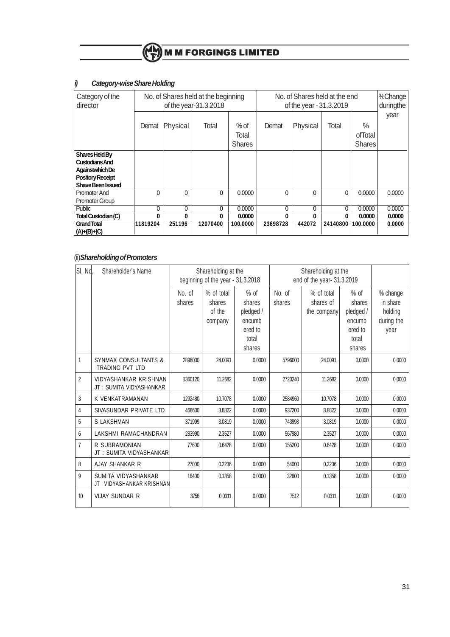# **i) Category-wise Share Holding**

| Category of the<br>director | No. of Shares held at the beginning<br>of the year-31.3.2018 |          |              |               | No. of Shares held at the end<br>of the year - 31.3.2019 |              |          |          | %Change<br>duringthe |
|-----------------------------|--------------------------------------------------------------|----------|--------------|---------------|----------------------------------------------------------|--------------|----------|----------|----------------------|
|                             |                                                              |          |              |               |                                                          |              |          |          | year                 |
|                             | Demat                                                        | Physical | Total        | $%$ of        | Demat                                                    | Physical     | Total    | $\%$     |                      |
|                             |                                                              |          |              | Total         |                                                          |              |          | ofTotal  |                      |
|                             |                                                              |          |              | <b>Shares</b> |                                                          |              |          | Shares   |                      |
| Shares Held By              |                                                              |          |              |               |                                                          |              |          |          |                      |
| <b>Custodians And</b>       |                                                              |          |              |               |                                                          |              |          |          |                      |
| Againstwhich De             |                                                              |          |              |               |                                                          |              |          |          |                      |
| <b>Pository Receipt</b>     |                                                              |          |              |               |                                                          |              |          |          |                      |
| Shave Been Issued           |                                                              |          |              |               |                                                          |              |          |          |                      |
| Promoter And                | 0                                                            | 0        | $\mathbf{0}$ | 0.0000        | 0                                                        | $\mathbf{0}$ | 0        | 0.0000   | 0.0000               |
| <b>Promoter Group</b>       |                                                              |          |              |               |                                                          |              |          |          |                      |
| Public                      | 0                                                            | 0        | 0            | 0.0000        | 0                                                        | 0            | 0        | 0.0000   | 0.0000               |
| Total Custodian (C)         | 0                                                            | 0        | 0            | 0.0000        | 0                                                        | 0            | n        | 0.0000   | 0.0000               |
| <b>Grand Total</b>          | 11819204                                                     | 251196   | 12070400     | 100.0000      | 23698728                                                 | 442072       | 24140800 | 100.0000 | 0.0000               |
| $(A) + (B) + (C)$           |                                                              |          |              |               |                                                          |              |          |          |                      |

# (ii)**Shareholding of Promoters**

| SI. No.        | Shareholder's Name                                        |                  | Shareholding at the<br>Shareholding at the<br>beginning of the year - 31.3.2018<br>end of the year- 31.3.2019 |                                      |                  |                                        |                                      |                                 |
|----------------|-----------------------------------------------------------|------------------|---------------------------------------------------------------------------------------------------------------|--------------------------------------|------------------|----------------------------------------|--------------------------------------|---------------------------------|
|                |                                                           | No. of<br>shares | % of total<br>shares<br>of the                                                                                | $%$ of<br>shares<br>pledged /        | No. of<br>shares | % of total<br>shares of<br>the company | $%$ of<br>shares<br>pledged /        | % change<br>in share<br>holding |
|                |                                                           |                  | company                                                                                                       | encumb<br>ered to<br>total<br>shares |                  |                                        | encumb<br>ered to<br>total<br>shares | during the<br>year              |
| 1              | <b>SYNMAX CONSULTANTS &amp;</b><br><b>TRADING PVT LTD</b> | 2898000          | 24.0091                                                                                                       | 0.0000                               | 5796000          | 24.0091                                | 0.0000                               | 0.0000                          |
| $\overline{2}$ | VIDYASHANKAR KRISHNAN<br>JT: SUMITA VIDYASHANKAR          | 1360120          | 11.2682                                                                                                       | 0.0000                               | 2720240          | 11.2682                                | 0.0000                               | 0.0000                          |
| 3              | K VENKATRAMANAN                                           | 1292480          | 10.7078                                                                                                       | 0.0000                               | 2584960          | 10.7078                                | 0.0000                               | 0.0000                          |
| 4              | SIVASUNDAR PRIVATE LTD                                    | 468600           | 3.8822                                                                                                        | 0.0000                               | 937200           | 3.8822                                 | 0.0000                               | 0.0000                          |
| 5              | <b>S LAKSHMAN</b>                                         | 371999           | 3.0819                                                                                                        | 0.0000                               | 743998           | 3.0819                                 | 0.0000                               | 0.0000                          |
| $6\phantom{1}$ | LAKSHMI RAMACHANDRAN                                      | 283990           | 2.3527                                                                                                        | 0.0000                               | 567980           | 2.3527                                 | 0.0000                               | 0.0000                          |
| $\overline{7}$ | R SUBRAMONIAN<br>JT: SUMITA VIDYASHANKAR                  | 77600            | 0.6428                                                                                                        | 0.0000                               | 155200           | 0.6428                                 | 0.0000                               | 0.0000                          |
| 8              | AJAY SHANKAR R                                            | 27000            | 0.2236                                                                                                        | 0.0000                               | 54000            | 0.2236                                 | 0.0000                               | 0.0000                          |
| 9              | SUMITA VIDYASHANKAR<br>JT: VIDYASHANKAR KRISHNAN          | 16400            | 0.1358                                                                                                        | 0.0000                               | 32800            | 0.1358                                 | 0.0000                               | 0.0000                          |
| 10             | <b>VIJAY SUNDAR R</b>                                     | 3756             | 0.0311                                                                                                        | 0.0000                               | 7512             | 0.0311                                 | 0.0000                               | 0.0000                          |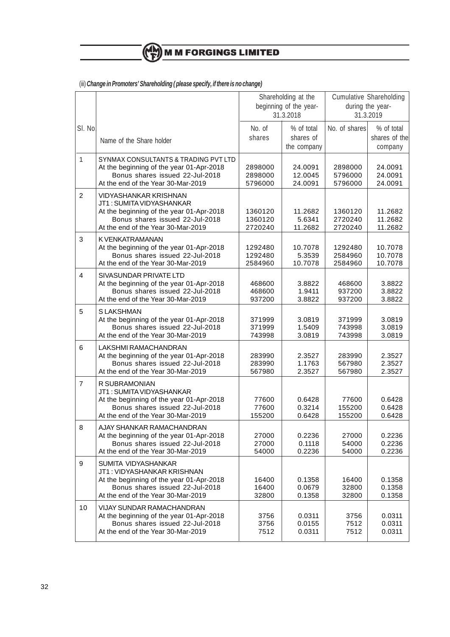# (iii) **Change in Promoters' Shareholding ( please specify, if there is no change)**

|                |                                                                                                                                                                        | Shareholding at the<br>beginning of the year-<br>31.3.2018 |                                        |                               | <b>Cumulative Shareholding</b><br>during the year-<br>31.3.2019 |  |
|----------------|------------------------------------------------------------------------------------------------------------------------------------------------------------------------|------------------------------------------------------------|----------------------------------------|-------------------------------|-----------------------------------------------------------------|--|
| SI. No.        | Name of the Share holder                                                                                                                                               | No. of<br>shares                                           | % of total<br>shares of<br>the company | No. of shares                 | % of total<br>shares of the<br>company                          |  |
| $\mathbf{1}$   | SYNMAX CONSULTANTS & TRADING PVT LTD<br>At the beginning of the year 01-Apr-2018<br>Bonus shares issued 22-Jul-2018<br>At the end of the Year 30-Mar-2019              | 2898000<br>2898000<br>5796000                              | 24.0091<br>12.0045<br>24.0091          | 2898000<br>5796000<br>5796000 | 24.0091<br>24.0091<br>24.0091                                   |  |
| $\overline{2}$ | VIDYASHANKAR KRISHNAN<br>JT1: SUMITA VIDYASHANKAR<br>At the beginning of the year 01-Apr-2018<br>Bonus shares issued 22-Jul-2018<br>At the end of the Year 30-Mar-2019 | 1360120<br>1360120<br>2720240                              | 11.2682<br>5.6341<br>11.2682           | 1360120<br>2720240<br>2720240 | 11.2682<br>11.2682<br>11.2682                                   |  |
| 3              | K VENKATRAMANAN<br>At the beginning of the year 01-Apr-2018<br>Bonus shares issued 22-Jul-2018<br>At the end of the Year 30-Mar-2019                                   | 1292480<br>1292480<br>2584960                              | 10.7078<br>5.3539<br>10.7078           | 1292480<br>2584960<br>2584960 | 10.7078<br>10.7078<br>10.7078                                   |  |
| $\overline{4}$ | SIVASUNDAR PRIVATE LTD<br>At the beginning of the year 01-Apr-2018<br>Bonus shares issued 22-Jul-2018<br>At the end of the Year 30-Mar-2019                            | 468600<br>468600<br>937200                                 | 3.8822<br>1.9411<br>3.8822             | 468600<br>937200<br>937200    | 3.8822<br>3.8822<br>3.8822                                      |  |
| 5              | S LAKSHMAN<br>At the beginning of the year 01-Apr-2018<br>Bonus shares issued 22-Jul-2018<br>At the end of the Year 30-Mar-2019                                        | 371999<br>371999<br>743998                                 | 3.0819<br>1.5409<br>3.0819             | 371999<br>743998<br>743998    | 3.0819<br>3.0819<br>3.0819                                      |  |
| 6              | LAKSHMI RAMACHANDRAN<br>At the beginning of the year 01-Apr-2018<br>Bonus shares issued 22-Jul-2018<br>At the end of the Year 30-Mar-2019                              | 283990<br>283990<br>567980                                 | 2.3527<br>1.1763<br>2.3527             | 283990<br>567980<br>567980    | 2.3527<br>2.3527<br>2.3527                                      |  |
| $\overline{7}$ | R SUBRAMONIAN<br>JT1: SUMITA VIDYASHANKAR<br>At the beginning of the year 01-Apr-2018<br>Bonus shares issued 22-Jul-2018<br>At the end of the Year 30-Mar-2019         | 77600<br>77600<br>155200                                   | 0.6428<br>0.3214<br>0.6428             | 77600<br>155200<br>155200     | 0.6428<br>0.6428<br>0.6428                                      |  |
| 8              | AJAY SHANKAR RAMACHANDRAN<br>At the beginning of the year 01-Apr-2018<br>Bonus shares issued 22-Jul-2018<br>At the end of the Year 30-Mar-2019                         | 27000<br>27000<br>54000                                    | 0.2236<br>0.1118<br>0.2236             | 27000<br>54000<br>54000       | 0.2236<br>0.2236<br>0.2236                                      |  |
| 9              | SUMITA VIDYASHANKAR<br>JT1: VIDYASHANKAR KRISHNAN<br>At the beginning of the year 01-Apr-2018<br>Bonus shares issued 22-Jul-2018<br>At the end of the Year 30-Mar-2019 | 16400<br>16400<br>32800                                    | 0.1358<br>0.0679<br>0.1358             | 16400<br>32800<br>32800       | 0.1358<br>0.1358<br>0.1358                                      |  |
| 10             | VIJAY SUNDAR RAMACHANDRAN<br>At the beginning of the year 01-Apr-2018<br>Bonus shares issued 22-Jul-2018<br>At the end of the Year 30-Mar-2019                         | 3756<br>3756<br>7512                                       | 0.0311<br>0.0155<br>0.0311             | 3756<br>7512<br>7512          | 0.0311<br>0.0311<br>0.0311                                      |  |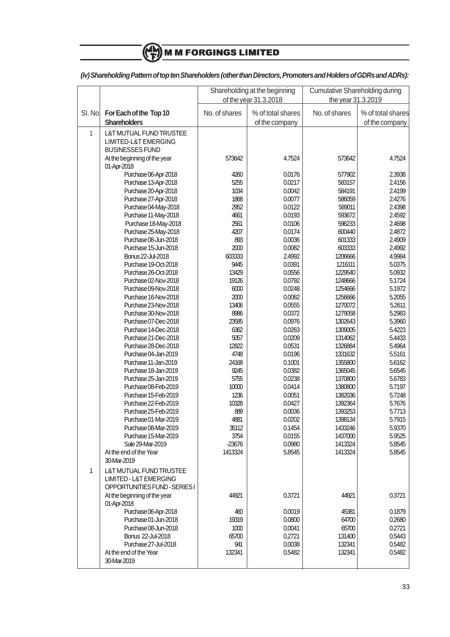# $M$  M M FORGINGS LIMITED

# **(iv) Shareholding Pattern of top ten Shareholders (other than Directors, Promoters and Holders of GDRs and ADRs):**

| No. of shares<br>No. of shares<br>SI. No<br>For Each of the Top 10<br>% of total shares<br>% of total shares<br><b>Shareholders</b><br>of the company<br>of the company<br>1<br><b>L&amp;T MUTUAL FUND TRUSTEE</b><br>LIMITED-L&T EMERGING<br><b>BUSINESSES FUND</b><br>4.7524<br>At the beginning of the year<br>573642<br>573642<br>4.7524<br>01-Apr-2018<br>Purchase 06-Apr-2018<br>0.0176<br>4260<br>577902<br>2.3938<br>Purchase 13-Apr-2018<br>5255<br>0.0217<br>583157<br>2.4156<br>1034<br>0.0042<br>Purchase 20-Apr-2018<br>584191<br>2.4199<br>1868<br>0.0077<br>2.4276<br>Purchase 27-Apr-2018<br>586059<br>2952<br>589011<br>2.4398<br>Purchase 04-May-2018<br>0.0122<br>Purchase 11-May-2018<br>4661<br>0.0193<br>593672<br>2.4592<br>Purchase 18-May-2018<br>2561<br>0.0106<br>596233<br>2.4698<br>4207<br>0.0174<br>600440<br>2.4872<br>Purchase 25-May-2018<br>Purchase 08-Jun-2018<br>893<br>0.0036<br>601333<br>2.4909<br>Purchase 15-Jun-2018<br>2000<br>0.0082<br>603333<br>2.4992<br>603333<br>2.4992<br>1206666<br>4.9984<br>Bonus 22-Jul-2018<br>0.0391<br>1216111<br>5.0375<br>Purchase 19-Oct-2018<br>9445<br>13429<br>0.0556<br>Purchase 26-Oct-2018<br>1229540<br>5.0932<br>19126<br>0.0792<br>5.1724<br>Purchase 02-Nov-2018<br>1248666<br>Purchase 09-Nov-2018<br>6000<br>0.0248<br>5.1972<br>1254666<br>2000<br>0.0082<br>1256666<br>5.2055<br>Purchase 16-Nov-2018<br>Purchase 23-Nov-2018<br>13406<br>0.0555<br>1270072<br>5.2611<br>8986<br>0.0372<br>1279058<br>5.2983<br>Purchase 30-Nov-2018<br>0.0976<br>5.3960<br>Purchase 07-Dec-2018<br>23585<br>1302643<br>Purchase 14-Dec-2018<br>6362<br>0.0263<br>1309005<br>5.4223<br>5057<br>0.0209<br>1314062<br>5.4433<br>Purchase 21-Dec-2018<br>12822<br>0.0531<br>5.4964<br>Purchase 28-Dec-2018<br>1326884<br>4748<br>0.0196<br>5.5161<br>Purchase 04-Jan-2019<br>1331632<br>0.1001<br>Purchase 11-Jan-2019<br>24168<br>1355800<br>5.6162<br>0.0382<br>Purchase 18-Jan-2019<br>9245<br>1365045<br>5.6545<br>Purchase 25-Jan-2019<br>5755<br>0.0238<br>1370800<br>5.6783<br>10000<br>0.0414<br>1380800<br>5.7197<br>Purchase 08-Feb-2019<br>1236<br>0.0051<br>1382036<br>Purchase 15-Feb-2019<br>5.7248<br>10328<br>0.0427<br>1392364<br>5.7676<br>Purchase 22-Feb-2019<br>Purchase 25-Feb-2019<br>889<br>0.0036<br>1393253<br>5.7713<br>4881<br>0.0202<br>1398134<br>5.7915<br>Purchase 01-Mar-2019<br>Purchase 08-Mar-2019<br>0.1454<br>5.9370<br>35112<br>1433246<br>3754<br>0.0155<br>5.9525<br>Purchase 15-Mar-2019<br>1437000<br>Sale 29-Mar-2019<br>$-23676$<br>0.0980<br>1413324<br>5.8545<br>1413324<br>At the end of the Year<br>1413324<br>5.8545<br>5.8545<br>30-Mar-2019<br>1<br>L&T MUTUAL FUND TRUSTEE<br><b>LIMITED - L&amp;T EMERGING</b><br>OPPORTUNITIES FUND - SERIES I<br>44921<br>0.3721<br>0.3721<br>At the beginning of the year<br>44921<br>01-Apr-2018<br>0.1879<br>Purchase 06-Apr-2018<br>460<br>0.0019<br>45381<br>Purchase 01-Jun-2018<br>19319<br>0.0800<br>64700<br>0.2680<br>Purchase 08-Jun-2018<br>1000<br>0.0041<br>65700<br>0.2721<br>Bonus 22-Jul-2018<br>65700<br>0.2721<br>131400<br>0.5443<br>0.0038<br>941<br>132341<br>0.5482<br>Purchase 27-Jul-2018<br>At the end of the Year<br>0.5482<br>132341<br>0.5482<br>132341 |             | Shareholding at the beginning<br>of the year 31.3.2018 |  | <b>Cumulative Shareholding during</b><br>the year 31.3.2019 |  |
|-------------------------------------------------------------------------------------------------------------------------------------------------------------------------------------------------------------------------------------------------------------------------------------------------------------------------------------------------------------------------------------------------------------------------------------------------------------------------------------------------------------------------------------------------------------------------------------------------------------------------------------------------------------------------------------------------------------------------------------------------------------------------------------------------------------------------------------------------------------------------------------------------------------------------------------------------------------------------------------------------------------------------------------------------------------------------------------------------------------------------------------------------------------------------------------------------------------------------------------------------------------------------------------------------------------------------------------------------------------------------------------------------------------------------------------------------------------------------------------------------------------------------------------------------------------------------------------------------------------------------------------------------------------------------------------------------------------------------------------------------------------------------------------------------------------------------------------------------------------------------------------------------------------------------------------------------------------------------------------------------------------------------------------------------------------------------------------------------------------------------------------------------------------------------------------------------------------------------------------------------------------------------------------------------------------------------------------------------------------------------------------------------------------------------------------------------------------------------------------------------------------------------------------------------------------------------------------------------------------------------------------------------------------------------------------------------------------------------------------------------------------------------------------------------------------------------------------------------------------------------------------------------------------------------------------------------------------------------------------------------------------------------------------------------------------------------------------------------------------------------------------------------------------------------------------------------------------------------------------------------------|-------------|--------------------------------------------------------|--|-------------------------------------------------------------|--|
|                                                                                                                                                                                                                                                                                                                                                                                                                                                                                                                                                                                                                                                                                                                                                                                                                                                                                                                                                                                                                                                                                                                                                                                                                                                                                                                                                                                                                                                                                                                                                                                                                                                                                                                                                                                                                                                                                                                                                                                                                                                                                                                                                                                                                                                                                                                                                                                                                                                                                                                                                                                                                                                                                                                                                                                                                                                                                                                                                                                                                                                                                                                                                                                                                                                       |             |                                                        |  |                                                             |  |
|                                                                                                                                                                                                                                                                                                                                                                                                                                                                                                                                                                                                                                                                                                                                                                                                                                                                                                                                                                                                                                                                                                                                                                                                                                                                                                                                                                                                                                                                                                                                                                                                                                                                                                                                                                                                                                                                                                                                                                                                                                                                                                                                                                                                                                                                                                                                                                                                                                                                                                                                                                                                                                                                                                                                                                                                                                                                                                                                                                                                                                                                                                                                                                                                                                                       |             |                                                        |  |                                                             |  |
|                                                                                                                                                                                                                                                                                                                                                                                                                                                                                                                                                                                                                                                                                                                                                                                                                                                                                                                                                                                                                                                                                                                                                                                                                                                                                                                                                                                                                                                                                                                                                                                                                                                                                                                                                                                                                                                                                                                                                                                                                                                                                                                                                                                                                                                                                                                                                                                                                                                                                                                                                                                                                                                                                                                                                                                                                                                                                                                                                                                                                                                                                                                                                                                                                                                       |             |                                                        |  |                                                             |  |
|                                                                                                                                                                                                                                                                                                                                                                                                                                                                                                                                                                                                                                                                                                                                                                                                                                                                                                                                                                                                                                                                                                                                                                                                                                                                                                                                                                                                                                                                                                                                                                                                                                                                                                                                                                                                                                                                                                                                                                                                                                                                                                                                                                                                                                                                                                                                                                                                                                                                                                                                                                                                                                                                                                                                                                                                                                                                                                                                                                                                                                                                                                                                                                                                                                                       |             |                                                        |  |                                                             |  |
|                                                                                                                                                                                                                                                                                                                                                                                                                                                                                                                                                                                                                                                                                                                                                                                                                                                                                                                                                                                                                                                                                                                                                                                                                                                                                                                                                                                                                                                                                                                                                                                                                                                                                                                                                                                                                                                                                                                                                                                                                                                                                                                                                                                                                                                                                                                                                                                                                                                                                                                                                                                                                                                                                                                                                                                                                                                                                                                                                                                                                                                                                                                                                                                                                                                       |             |                                                        |  |                                                             |  |
|                                                                                                                                                                                                                                                                                                                                                                                                                                                                                                                                                                                                                                                                                                                                                                                                                                                                                                                                                                                                                                                                                                                                                                                                                                                                                                                                                                                                                                                                                                                                                                                                                                                                                                                                                                                                                                                                                                                                                                                                                                                                                                                                                                                                                                                                                                                                                                                                                                                                                                                                                                                                                                                                                                                                                                                                                                                                                                                                                                                                                                                                                                                                                                                                                                                       |             |                                                        |  |                                                             |  |
|                                                                                                                                                                                                                                                                                                                                                                                                                                                                                                                                                                                                                                                                                                                                                                                                                                                                                                                                                                                                                                                                                                                                                                                                                                                                                                                                                                                                                                                                                                                                                                                                                                                                                                                                                                                                                                                                                                                                                                                                                                                                                                                                                                                                                                                                                                                                                                                                                                                                                                                                                                                                                                                                                                                                                                                                                                                                                                                                                                                                                                                                                                                                                                                                                                                       |             |                                                        |  |                                                             |  |
|                                                                                                                                                                                                                                                                                                                                                                                                                                                                                                                                                                                                                                                                                                                                                                                                                                                                                                                                                                                                                                                                                                                                                                                                                                                                                                                                                                                                                                                                                                                                                                                                                                                                                                                                                                                                                                                                                                                                                                                                                                                                                                                                                                                                                                                                                                                                                                                                                                                                                                                                                                                                                                                                                                                                                                                                                                                                                                                                                                                                                                                                                                                                                                                                                                                       |             |                                                        |  |                                                             |  |
|                                                                                                                                                                                                                                                                                                                                                                                                                                                                                                                                                                                                                                                                                                                                                                                                                                                                                                                                                                                                                                                                                                                                                                                                                                                                                                                                                                                                                                                                                                                                                                                                                                                                                                                                                                                                                                                                                                                                                                                                                                                                                                                                                                                                                                                                                                                                                                                                                                                                                                                                                                                                                                                                                                                                                                                                                                                                                                                                                                                                                                                                                                                                                                                                                                                       |             |                                                        |  |                                                             |  |
|                                                                                                                                                                                                                                                                                                                                                                                                                                                                                                                                                                                                                                                                                                                                                                                                                                                                                                                                                                                                                                                                                                                                                                                                                                                                                                                                                                                                                                                                                                                                                                                                                                                                                                                                                                                                                                                                                                                                                                                                                                                                                                                                                                                                                                                                                                                                                                                                                                                                                                                                                                                                                                                                                                                                                                                                                                                                                                                                                                                                                                                                                                                                                                                                                                                       |             |                                                        |  |                                                             |  |
|                                                                                                                                                                                                                                                                                                                                                                                                                                                                                                                                                                                                                                                                                                                                                                                                                                                                                                                                                                                                                                                                                                                                                                                                                                                                                                                                                                                                                                                                                                                                                                                                                                                                                                                                                                                                                                                                                                                                                                                                                                                                                                                                                                                                                                                                                                                                                                                                                                                                                                                                                                                                                                                                                                                                                                                                                                                                                                                                                                                                                                                                                                                                                                                                                                                       |             |                                                        |  |                                                             |  |
|                                                                                                                                                                                                                                                                                                                                                                                                                                                                                                                                                                                                                                                                                                                                                                                                                                                                                                                                                                                                                                                                                                                                                                                                                                                                                                                                                                                                                                                                                                                                                                                                                                                                                                                                                                                                                                                                                                                                                                                                                                                                                                                                                                                                                                                                                                                                                                                                                                                                                                                                                                                                                                                                                                                                                                                                                                                                                                                                                                                                                                                                                                                                                                                                                                                       |             |                                                        |  |                                                             |  |
|                                                                                                                                                                                                                                                                                                                                                                                                                                                                                                                                                                                                                                                                                                                                                                                                                                                                                                                                                                                                                                                                                                                                                                                                                                                                                                                                                                                                                                                                                                                                                                                                                                                                                                                                                                                                                                                                                                                                                                                                                                                                                                                                                                                                                                                                                                                                                                                                                                                                                                                                                                                                                                                                                                                                                                                                                                                                                                                                                                                                                                                                                                                                                                                                                                                       |             |                                                        |  |                                                             |  |
|                                                                                                                                                                                                                                                                                                                                                                                                                                                                                                                                                                                                                                                                                                                                                                                                                                                                                                                                                                                                                                                                                                                                                                                                                                                                                                                                                                                                                                                                                                                                                                                                                                                                                                                                                                                                                                                                                                                                                                                                                                                                                                                                                                                                                                                                                                                                                                                                                                                                                                                                                                                                                                                                                                                                                                                                                                                                                                                                                                                                                                                                                                                                                                                                                                                       |             |                                                        |  |                                                             |  |
|                                                                                                                                                                                                                                                                                                                                                                                                                                                                                                                                                                                                                                                                                                                                                                                                                                                                                                                                                                                                                                                                                                                                                                                                                                                                                                                                                                                                                                                                                                                                                                                                                                                                                                                                                                                                                                                                                                                                                                                                                                                                                                                                                                                                                                                                                                                                                                                                                                                                                                                                                                                                                                                                                                                                                                                                                                                                                                                                                                                                                                                                                                                                                                                                                                                       |             |                                                        |  |                                                             |  |
|                                                                                                                                                                                                                                                                                                                                                                                                                                                                                                                                                                                                                                                                                                                                                                                                                                                                                                                                                                                                                                                                                                                                                                                                                                                                                                                                                                                                                                                                                                                                                                                                                                                                                                                                                                                                                                                                                                                                                                                                                                                                                                                                                                                                                                                                                                                                                                                                                                                                                                                                                                                                                                                                                                                                                                                                                                                                                                                                                                                                                                                                                                                                                                                                                                                       |             |                                                        |  |                                                             |  |
|                                                                                                                                                                                                                                                                                                                                                                                                                                                                                                                                                                                                                                                                                                                                                                                                                                                                                                                                                                                                                                                                                                                                                                                                                                                                                                                                                                                                                                                                                                                                                                                                                                                                                                                                                                                                                                                                                                                                                                                                                                                                                                                                                                                                                                                                                                                                                                                                                                                                                                                                                                                                                                                                                                                                                                                                                                                                                                                                                                                                                                                                                                                                                                                                                                                       |             |                                                        |  |                                                             |  |
|                                                                                                                                                                                                                                                                                                                                                                                                                                                                                                                                                                                                                                                                                                                                                                                                                                                                                                                                                                                                                                                                                                                                                                                                                                                                                                                                                                                                                                                                                                                                                                                                                                                                                                                                                                                                                                                                                                                                                                                                                                                                                                                                                                                                                                                                                                                                                                                                                                                                                                                                                                                                                                                                                                                                                                                                                                                                                                                                                                                                                                                                                                                                                                                                                                                       |             |                                                        |  |                                                             |  |
|                                                                                                                                                                                                                                                                                                                                                                                                                                                                                                                                                                                                                                                                                                                                                                                                                                                                                                                                                                                                                                                                                                                                                                                                                                                                                                                                                                                                                                                                                                                                                                                                                                                                                                                                                                                                                                                                                                                                                                                                                                                                                                                                                                                                                                                                                                                                                                                                                                                                                                                                                                                                                                                                                                                                                                                                                                                                                                                                                                                                                                                                                                                                                                                                                                                       |             |                                                        |  |                                                             |  |
|                                                                                                                                                                                                                                                                                                                                                                                                                                                                                                                                                                                                                                                                                                                                                                                                                                                                                                                                                                                                                                                                                                                                                                                                                                                                                                                                                                                                                                                                                                                                                                                                                                                                                                                                                                                                                                                                                                                                                                                                                                                                                                                                                                                                                                                                                                                                                                                                                                                                                                                                                                                                                                                                                                                                                                                                                                                                                                                                                                                                                                                                                                                                                                                                                                                       |             |                                                        |  |                                                             |  |
|                                                                                                                                                                                                                                                                                                                                                                                                                                                                                                                                                                                                                                                                                                                                                                                                                                                                                                                                                                                                                                                                                                                                                                                                                                                                                                                                                                                                                                                                                                                                                                                                                                                                                                                                                                                                                                                                                                                                                                                                                                                                                                                                                                                                                                                                                                                                                                                                                                                                                                                                                                                                                                                                                                                                                                                                                                                                                                                                                                                                                                                                                                                                                                                                                                                       |             |                                                        |  |                                                             |  |
|                                                                                                                                                                                                                                                                                                                                                                                                                                                                                                                                                                                                                                                                                                                                                                                                                                                                                                                                                                                                                                                                                                                                                                                                                                                                                                                                                                                                                                                                                                                                                                                                                                                                                                                                                                                                                                                                                                                                                                                                                                                                                                                                                                                                                                                                                                                                                                                                                                                                                                                                                                                                                                                                                                                                                                                                                                                                                                                                                                                                                                                                                                                                                                                                                                                       |             |                                                        |  |                                                             |  |
|                                                                                                                                                                                                                                                                                                                                                                                                                                                                                                                                                                                                                                                                                                                                                                                                                                                                                                                                                                                                                                                                                                                                                                                                                                                                                                                                                                                                                                                                                                                                                                                                                                                                                                                                                                                                                                                                                                                                                                                                                                                                                                                                                                                                                                                                                                                                                                                                                                                                                                                                                                                                                                                                                                                                                                                                                                                                                                                                                                                                                                                                                                                                                                                                                                                       |             |                                                        |  |                                                             |  |
|                                                                                                                                                                                                                                                                                                                                                                                                                                                                                                                                                                                                                                                                                                                                                                                                                                                                                                                                                                                                                                                                                                                                                                                                                                                                                                                                                                                                                                                                                                                                                                                                                                                                                                                                                                                                                                                                                                                                                                                                                                                                                                                                                                                                                                                                                                                                                                                                                                                                                                                                                                                                                                                                                                                                                                                                                                                                                                                                                                                                                                                                                                                                                                                                                                                       |             |                                                        |  |                                                             |  |
|                                                                                                                                                                                                                                                                                                                                                                                                                                                                                                                                                                                                                                                                                                                                                                                                                                                                                                                                                                                                                                                                                                                                                                                                                                                                                                                                                                                                                                                                                                                                                                                                                                                                                                                                                                                                                                                                                                                                                                                                                                                                                                                                                                                                                                                                                                                                                                                                                                                                                                                                                                                                                                                                                                                                                                                                                                                                                                                                                                                                                                                                                                                                                                                                                                                       |             |                                                        |  |                                                             |  |
|                                                                                                                                                                                                                                                                                                                                                                                                                                                                                                                                                                                                                                                                                                                                                                                                                                                                                                                                                                                                                                                                                                                                                                                                                                                                                                                                                                                                                                                                                                                                                                                                                                                                                                                                                                                                                                                                                                                                                                                                                                                                                                                                                                                                                                                                                                                                                                                                                                                                                                                                                                                                                                                                                                                                                                                                                                                                                                                                                                                                                                                                                                                                                                                                                                                       |             |                                                        |  |                                                             |  |
|                                                                                                                                                                                                                                                                                                                                                                                                                                                                                                                                                                                                                                                                                                                                                                                                                                                                                                                                                                                                                                                                                                                                                                                                                                                                                                                                                                                                                                                                                                                                                                                                                                                                                                                                                                                                                                                                                                                                                                                                                                                                                                                                                                                                                                                                                                                                                                                                                                                                                                                                                                                                                                                                                                                                                                                                                                                                                                                                                                                                                                                                                                                                                                                                                                                       |             |                                                        |  |                                                             |  |
|                                                                                                                                                                                                                                                                                                                                                                                                                                                                                                                                                                                                                                                                                                                                                                                                                                                                                                                                                                                                                                                                                                                                                                                                                                                                                                                                                                                                                                                                                                                                                                                                                                                                                                                                                                                                                                                                                                                                                                                                                                                                                                                                                                                                                                                                                                                                                                                                                                                                                                                                                                                                                                                                                                                                                                                                                                                                                                                                                                                                                                                                                                                                                                                                                                                       |             |                                                        |  |                                                             |  |
|                                                                                                                                                                                                                                                                                                                                                                                                                                                                                                                                                                                                                                                                                                                                                                                                                                                                                                                                                                                                                                                                                                                                                                                                                                                                                                                                                                                                                                                                                                                                                                                                                                                                                                                                                                                                                                                                                                                                                                                                                                                                                                                                                                                                                                                                                                                                                                                                                                                                                                                                                                                                                                                                                                                                                                                                                                                                                                                                                                                                                                                                                                                                                                                                                                                       |             |                                                        |  |                                                             |  |
|                                                                                                                                                                                                                                                                                                                                                                                                                                                                                                                                                                                                                                                                                                                                                                                                                                                                                                                                                                                                                                                                                                                                                                                                                                                                                                                                                                                                                                                                                                                                                                                                                                                                                                                                                                                                                                                                                                                                                                                                                                                                                                                                                                                                                                                                                                                                                                                                                                                                                                                                                                                                                                                                                                                                                                                                                                                                                                                                                                                                                                                                                                                                                                                                                                                       |             |                                                        |  |                                                             |  |
|                                                                                                                                                                                                                                                                                                                                                                                                                                                                                                                                                                                                                                                                                                                                                                                                                                                                                                                                                                                                                                                                                                                                                                                                                                                                                                                                                                                                                                                                                                                                                                                                                                                                                                                                                                                                                                                                                                                                                                                                                                                                                                                                                                                                                                                                                                                                                                                                                                                                                                                                                                                                                                                                                                                                                                                                                                                                                                                                                                                                                                                                                                                                                                                                                                                       |             |                                                        |  |                                                             |  |
|                                                                                                                                                                                                                                                                                                                                                                                                                                                                                                                                                                                                                                                                                                                                                                                                                                                                                                                                                                                                                                                                                                                                                                                                                                                                                                                                                                                                                                                                                                                                                                                                                                                                                                                                                                                                                                                                                                                                                                                                                                                                                                                                                                                                                                                                                                                                                                                                                                                                                                                                                                                                                                                                                                                                                                                                                                                                                                                                                                                                                                                                                                                                                                                                                                                       |             |                                                        |  |                                                             |  |
|                                                                                                                                                                                                                                                                                                                                                                                                                                                                                                                                                                                                                                                                                                                                                                                                                                                                                                                                                                                                                                                                                                                                                                                                                                                                                                                                                                                                                                                                                                                                                                                                                                                                                                                                                                                                                                                                                                                                                                                                                                                                                                                                                                                                                                                                                                                                                                                                                                                                                                                                                                                                                                                                                                                                                                                                                                                                                                                                                                                                                                                                                                                                                                                                                                                       |             |                                                        |  |                                                             |  |
|                                                                                                                                                                                                                                                                                                                                                                                                                                                                                                                                                                                                                                                                                                                                                                                                                                                                                                                                                                                                                                                                                                                                                                                                                                                                                                                                                                                                                                                                                                                                                                                                                                                                                                                                                                                                                                                                                                                                                                                                                                                                                                                                                                                                                                                                                                                                                                                                                                                                                                                                                                                                                                                                                                                                                                                                                                                                                                                                                                                                                                                                                                                                                                                                                                                       |             |                                                        |  |                                                             |  |
|                                                                                                                                                                                                                                                                                                                                                                                                                                                                                                                                                                                                                                                                                                                                                                                                                                                                                                                                                                                                                                                                                                                                                                                                                                                                                                                                                                                                                                                                                                                                                                                                                                                                                                                                                                                                                                                                                                                                                                                                                                                                                                                                                                                                                                                                                                                                                                                                                                                                                                                                                                                                                                                                                                                                                                                                                                                                                                                                                                                                                                                                                                                                                                                                                                                       |             |                                                        |  |                                                             |  |
|                                                                                                                                                                                                                                                                                                                                                                                                                                                                                                                                                                                                                                                                                                                                                                                                                                                                                                                                                                                                                                                                                                                                                                                                                                                                                                                                                                                                                                                                                                                                                                                                                                                                                                                                                                                                                                                                                                                                                                                                                                                                                                                                                                                                                                                                                                                                                                                                                                                                                                                                                                                                                                                                                                                                                                                                                                                                                                                                                                                                                                                                                                                                                                                                                                                       |             |                                                        |  |                                                             |  |
|                                                                                                                                                                                                                                                                                                                                                                                                                                                                                                                                                                                                                                                                                                                                                                                                                                                                                                                                                                                                                                                                                                                                                                                                                                                                                                                                                                                                                                                                                                                                                                                                                                                                                                                                                                                                                                                                                                                                                                                                                                                                                                                                                                                                                                                                                                                                                                                                                                                                                                                                                                                                                                                                                                                                                                                                                                                                                                                                                                                                                                                                                                                                                                                                                                                       |             |                                                        |  |                                                             |  |
|                                                                                                                                                                                                                                                                                                                                                                                                                                                                                                                                                                                                                                                                                                                                                                                                                                                                                                                                                                                                                                                                                                                                                                                                                                                                                                                                                                                                                                                                                                                                                                                                                                                                                                                                                                                                                                                                                                                                                                                                                                                                                                                                                                                                                                                                                                                                                                                                                                                                                                                                                                                                                                                                                                                                                                                                                                                                                                                                                                                                                                                                                                                                                                                                                                                       |             |                                                        |  |                                                             |  |
|                                                                                                                                                                                                                                                                                                                                                                                                                                                                                                                                                                                                                                                                                                                                                                                                                                                                                                                                                                                                                                                                                                                                                                                                                                                                                                                                                                                                                                                                                                                                                                                                                                                                                                                                                                                                                                                                                                                                                                                                                                                                                                                                                                                                                                                                                                                                                                                                                                                                                                                                                                                                                                                                                                                                                                                                                                                                                                                                                                                                                                                                                                                                                                                                                                                       |             |                                                        |  |                                                             |  |
|                                                                                                                                                                                                                                                                                                                                                                                                                                                                                                                                                                                                                                                                                                                                                                                                                                                                                                                                                                                                                                                                                                                                                                                                                                                                                                                                                                                                                                                                                                                                                                                                                                                                                                                                                                                                                                                                                                                                                                                                                                                                                                                                                                                                                                                                                                                                                                                                                                                                                                                                                                                                                                                                                                                                                                                                                                                                                                                                                                                                                                                                                                                                                                                                                                                       |             |                                                        |  |                                                             |  |
|                                                                                                                                                                                                                                                                                                                                                                                                                                                                                                                                                                                                                                                                                                                                                                                                                                                                                                                                                                                                                                                                                                                                                                                                                                                                                                                                                                                                                                                                                                                                                                                                                                                                                                                                                                                                                                                                                                                                                                                                                                                                                                                                                                                                                                                                                                                                                                                                                                                                                                                                                                                                                                                                                                                                                                                                                                                                                                                                                                                                                                                                                                                                                                                                                                                       |             |                                                        |  |                                                             |  |
|                                                                                                                                                                                                                                                                                                                                                                                                                                                                                                                                                                                                                                                                                                                                                                                                                                                                                                                                                                                                                                                                                                                                                                                                                                                                                                                                                                                                                                                                                                                                                                                                                                                                                                                                                                                                                                                                                                                                                                                                                                                                                                                                                                                                                                                                                                                                                                                                                                                                                                                                                                                                                                                                                                                                                                                                                                                                                                                                                                                                                                                                                                                                                                                                                                                       |             |                                                        |  |                                                             |  |
|                                                                                                                                                                                                                                                                                                                                                                                                                                                                                                                                                                                                                                                                                                                                                                                                                                                                                                                                                                                                                                                                                                                                                                                                                                                                                                                                                                                                                                                                                                                                                                                                                                                                                                                                                                                                                                                                                                                                                                                                                                                                                                                                                                                                                                                                                                                                                                                                                                                                                                                                                                                                                                                                                                                                                                                                                                                                                                                                                                                                                                                                                                                                                                                                                                                       |             |                                                        |  |                                                             |  |
|                                                                                                                                                                                                                                                                                                                                                                                                                                                                                                                                                                                                                                                                                                                                                                                                                                                                                                                                                                                                                                                                                                                                                                                                                                                                                                                                                                                                                                                                                                                                                                                                                                                                                                                                                                                                                                                                                                                                                                                                                                                                                                                                                                                                                                                                                                                                                                                                                                                                                                                                                                                                                                                                                                                                                                                                                                                                                                                                                                                                                                                                                                                                                                                                                                                       | 30-Mar-2019 |                                                        |  |                                                             |  |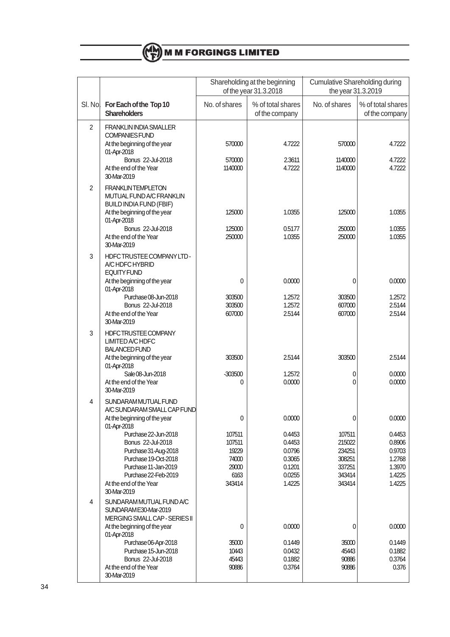

|                |                                                                                                                                                                     |                                                               | Shareholding at the beginning<br>of the year 31.3.2018             |                                                                    | <b>Cumulative Shareholding during</b><br>the year 31.3.2019        |  |
|----------------|---------------------------------------------------------------------------------------------------------------------------------------------------------------------|---------------------------------------------------------------|--------------------------------------------------------------------|--------------------------------------------------------------------|--------------------------------------------------------------------|--|
| SI. Nol        | For Each of the Top 10<br><b>Shareholders</b>                                                                                                                       | No. of shares                                                 | % of total shares<br>of the company                                | No. of shares                                                      | % of total shares<br>of the company                                |  |
| $\overline{c}$ | <b>FRANKLIN INDIA SMALLER</b><br><b>COMPANIES FUND</b><br>At the beginning of the year<br>01-Apr-2018                                                               | 570000                                                        | 4.7222                                                             | 570000                                                             | 4.7222                                                             |  |
|                | Bonus 22-Jul-2018<br>At the end of the Year<br>30-Mar-2019                                                                                                          | 570000<br>1140000                                             | 2.3611<br>4.7222                                                   | 1140000<br>1140000                                                 | 4.7222<br>4.7222                                                   |  |
| $\overline{c}$ | <b>FRANKLINTEMPLETON</b><br>MUTUAL FUND A/C FRANKLIN<br><b>BUILD INDIA FUND (FBIF)</b><br>At the beginning of the year                                              | 125000                                                        | 1.0355                                                             | 125000                                                             | 1.0355                                                             |  |
|                | 01-Apr-2018<br>Bonus 22-Jul-2018<br>At the end of the Year<br>30-Mar-2019                                                                                           | 125000<br>250000                                              | 0.5177<br>1.0355                                                   | 250000<br>250000                                                   | 1.0355<br>1.0355                                                   |  |
| 3              | HDFC TRUSTEE COMPANY LTD-<br>A/C HDFC HYBRID<br><b>EQUITY FUND</b>                                                                                                  |                                                               |                                                                    |                                                                    |                                                                    |  |
|                | At the beginning of the year<br>01-Apr-2018<br>Purchase 08-Jun-2018                                                                                                 | 0                                                             | 0.0000<br>1.2572                                                   | 0                                                                  | 0.0000<br>1.2572                                                   |  |
|                | Bonus 22-Jul-2018<br>At the end of the Year<br>30-Mar-2019                                                                                                          | 303500<br>303500<br>607000                                    | 1.2572<br>2.5144                                                   | 303500<br>607000<br>607000                                         | 2.5144<br>2.5144                                                   |  |
| 3              | HDFCTRUSTEE COMPANY<br><b>LIMITED A/C HDFC</b><br><b>BALANCED FUND</b><br>At the beginning of the year                                                              | 303500                                                        | 2.5144                                                             | 303500                                                             | 2.5144                                                             |  |
|                | 01-Apr-2018<br>Sale 08-Jun-2018<br>At the end of the Year<br>30-Mar-2019                                                                                            | $-303500$<br>0                                                | 1.2572<br>0.0000                                                   | 0<br>0                                                             | 0.0000<br>0.0000                                                   |  |
| 4              | SUNDARAM MUTUAL FUND<br>A/C SUNDARAM SMALL CAP FUND                                                                                                                 |                                                               |                                                                    |                                                                    |                                                                    |  |
|                | At the beginning of the year<br>01-Apr-2018                                                                                                                         | 0                                                             | 0.0000                                                             | 0                                                                  | 0.0000                                                             |  |
|                | Purchase 22-Jun-2018<br>Bonus 22-Jul-2018<br>Purchase 31-Aug-2018<br>Purchase 19-Oct-2018<br>Purchase 11-Jan-2019<br>Purchase 22-Feb-2019<br>At the end of the Year | 107511<br>107511<br>19229<br>74000<br>29000<br>6163<br>343414 | 0.4453<br>0.4453<br>0.0796<br>0.3065<br>0.1201<br>0.0255<br>1.4225 | 107511<br>215022<br>234251<br>308251<br>337251<br>343414<br>343414 | 0.4453<br>0.8906<br>0.9703<br>1.2768<br>1.3970<br>1.4225<br>1.4225 |  |
| 4              | 30-Mar-2019<br>SUNDARAM MUTUAL FUND A/C<br>SUNDARAM E30-Mar-2019                                                                                                    |                                                               |                                                                    |                                                                    |                                                                    |  |
|                | MERGING SMALL CAP - SERIES II<br>At the beginning of the year<br>01-Apr-2018                                                                                        | 0                                                             | 0.0000                                                             | 0                                                                  | 0.0000                                                             |  |
|                | Purchase 06-Apr-2018<br>Purchase 15-Jun-2018<br>Bonus 22-Jul-2018<br>At the end of the Year<br>30-Mar-2019                                                          | 35000<br>10443<br>45443<br>90886                              | 0.1449<br>0.0432<br>0.1882<br>0.3764                               | 35000<br>45443<br>90886<br>90886                                   | 0.1449<br>0.1882<br>0.3764<br>0.376                                |  |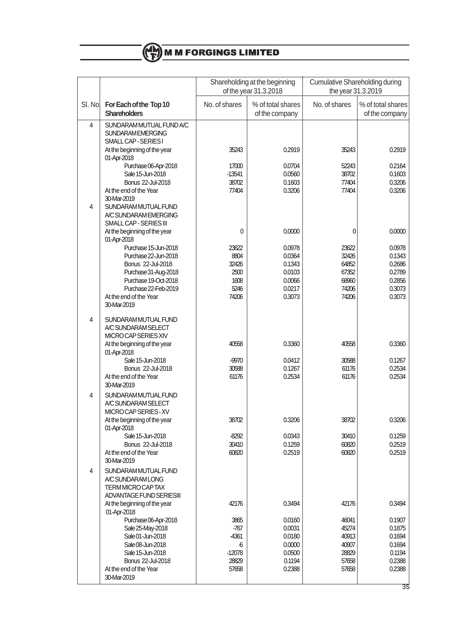

|         |                                                                                                                                                     |                                                                                | Shareholding at the beginning<br>of the year 31.3.2018             | <b>Cumulative Shareholding during</b><br>the year 31.3.2019 |                                                                    |  |
|---------|-----------------------------------------------------------------------------------------------------------------------------------------------------|--------------------------------------------------------------------------------|--------------------------------------------------------------------|-------------------------------------------------------------|--------------------------------------------------------------------|--|
| SI. No. | For Each of the Top 10<br><b>Shareholders</b>                                                                                                       | No. of shares                                                                  | % of total shares<br>of the company                                | No. of shares                                               | % of total shares<br>of the company                                |  |
| 4       | SUNDARAM MUTUAL FUND A/C<br><b>SUNDARAMEMERGING</b><br>SMALL CAP - SERIES I                                                                         |                                                                                |                                                                    |                                                             |                                                                    |  |
|         | At the beginning of the year<br>01-Apr-2018                                                                                                         | 35243                                                                          | 0.2919                                                             | 35243                                                       | 0.2919                                                             |  |
|         | Purchase 06-Apr-2018<br>Sale 15-Jun-2018                                                                                                            | 17000<br>$-13541$                                                              | 0.0704<br>0.0560                                                   | 52243<br>38702                                              | 0.2164<br>0.1603                                                   |  |
|         | Bonus 22-Jul-2018                                                                                                                                   | 38702                                                                          | 0.1603                                                             | 77404                                                       | 0.3206                                                             |  |
|         | At the end of the Year<br>30-Mar-2019                                                                                                               | 77404                                                                          | 0.3206                                                             | 77404                                                       | 0.3206                                                             |  |
| 4       | SUNDARAM MUTUAL FUND<br>A/C SUNDARAM EMERGING<br>SMALL CAP - SERIES III                                                                             |                                                                                |                                                                    |                                                             |                                                                    |  |
|         | At the beginning of the year<br>01-Apr-2018                                                                                                         | 0                                                                              | 0.0000                                                             | 0                                                           | 0.0000                                                             |  |
|         | Purchase 15-Jun-2018<br>Purchase 22-Jun-2018                                                                                                        | 23622<br>8804                                                                  | 0.0978<br>0.0364                                                   | 23622<br>32426                                              | 0.0978<br>0.1343                                                   |  |
|         | Bonus 22-Jul-2018                                                                                                                                   | 32426                                                                          | 0.1343                                                             | 64852                                                       | 0.2686                                                             |  |
|         | Purchase 31-Aug-2018                                                                                                                                | 2500                                                                           | 0.0103                                                             | 67352                                                       | 0.2789                                                             |  |
|         | Purchase 19-Oct-2018<br>Purchase 22-Feb-2019                                                                                                        | 1608<br>5246                                                                   | 0.0066<br>0.0217                                                   | 68960<br>74206                                              | 0.2856<br>0.3073                                                   |  |
|         | At the end of the Year<br>30-Mar-2019                                                                                                               | 74206                                                                          | 0.3073                                                             | 74206                                                       | 0.3073                                                             |  |
| 4       | SUNDARAM MUTUAL FUND<br>A/C SUNDARAM SELECT<br>MICRO CAP SERIES XIV                                                                                 |                                                                                |                                                                    |                                                             |                                                                    |  |
|         | At the beginning of the year<br>01-Apr-2018                                                                                                         | 40558                                                                          | 0.3360                                                             | 40558                                                       | 0.3360                                                             |  |
|         | Sale 15-Jun-2018<br>Bonus 22-Jul-2018                                                                                                               | $-9970$<br>30588                                                               | 0.0412<br>0.1267                                                   | 30588<br>61176                                              | 0.1267<br>0.2534                                                   |  |
|         | At the end of the Year<br>30-Mar-2019                                                                                                               | 61176                                                                          | 0.2534                                                             | 61176                                                       | 0.2534                                                             |  |
| 4       | SUNDARAM MUTUAL FUND<br>A/C SUNDARAM SELECT<br>MICRO CAP SERIES - XV                                                                                |                                                                                |                                                                    |                                                             |                                                                    |  |
|         | At the beginning of the year<br>01-Apr-2018                                                                                                         | 38702                                                                          | 0.3206                                                             | 38702                                                       | 0.3206                                                             |  |
|         | Sale 15-Jun-2018<br>Bonus 22-Jul-2018                                                                                                               | $-8292$<br>30410                                                               | 0.0343<br>0.1259                                                   | 30410<br>60820                                              | 0.1259<br>0.2519                                                   |  |
|         | At the end of the Year<br>30-Mar-2019                                                                                                               | 60820                                                                          | 0.2519                                                             | 60820                                                       | 0.2519                                                             |  |
| 4       | SUNDARAM MUTUAL FUND<br>A/C SUNDARAM LONG<br>TERM MICRO CAPTAX<br><b>ADVANTAGE FUND SERIESIII</b>                                                   |                                                                                |                                                                    |                                                             |                                                                    |  |
|         | At the beginning of the year<br>01-Apr-2018                                                                                                         | 42176                                                                          | 0.3494                                                             | 42176                                                       | 0.3494                                                             |  |
|         | Purchase 06-Apr-2018<br>Sale 25-May-2018<br>Sale 01-Jun-2018<br>Sale 08-Jun-2018<br>Sale 15-Jun-2018<br>Bonus 22-Jul-2018<br>At the end of the Year | 3865<br>$-767$<br>-4361<br>$\boldsymbol{\delta}$<br>$-12078$<br>28829<br>57658 | 0.0160<br>0.0031<br>0.0180<br>0.0000<br>0.0500<br>0.1194<br>0.2388 | 46041<br>45274<br>40913<br>40907<br>28829<br>57658<br>57658 | 0.1907<br>0.1875<br>0.1694<br>0.1694<br>0.1194<br>0.2388<br>0.2388 |  |
|         | 30-Mar-2019                                                                                                                                         |                                                                                |                                                                    |                                                             |                                                                    |  |

35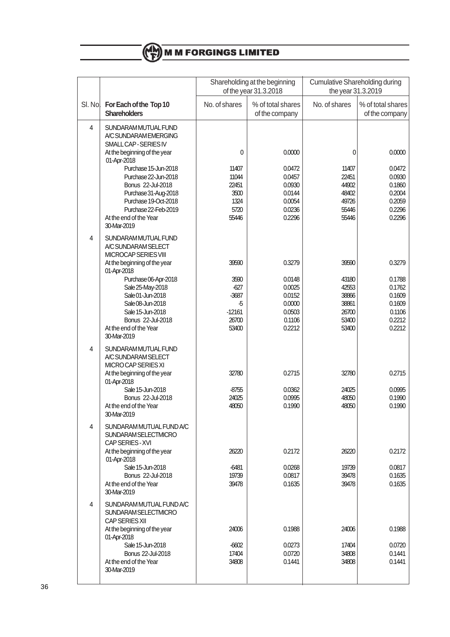

|         |                                                                                                    |                   | Shareholding at the beginning<br>of the year 31.3.2018 |                | <b>Cumulative Shareholding during</b><br>the year 31.3.2019 |  |
|---------|----------------------------------------------------------------------------------------------------|-------------------|--------------------------------------------------------|----------------|-------------------------------------------------------------|--|
| SI. Nol | For Each of the Top 10<br><b>Shareholders</b>                                                      | No. of shares     | % of total shares<br>of the company                    | No. of shares  | % of total shares<br>of the company                         |  |
| 4       | SUNDARAM MUTUAL FUND<br>A/C SUNDARAM EMERGING<br>SMALL CAP - SERIES IV                             |                   |                                                        |                |                                                             |  |
|         | At the beginning of the year<br>01-Apr-2018                                                        | 0                 | 0.0000                                                 | 0              | 0.0000                                                      |  |
|         | Purchase 15-Jun-2018<br>Purchase 22-Jun-2018                                                       | 11407<br>11044    | 0.0472<br>0.0457                                       | 11407<br>22451 | 0.0472<br>0.0930                                            |  |
|         | Bonus 22-Jul-2018<br>Purchase 31-Aug-2018                                                          | 22451<br>3500     | 0.0930<br>0.0144                                       | 44902<br>48402 | 0.1860<br>0.2004                                            |  |
|         | Purchase 19-Oct-2018<br>Purchase 22-Feb-2019                                                       | 1324<br>5720      | 0.0054<br>0.0236                                       | 49726<br>55446 | 0.2059<br>0.2296                                            |  |
|         | At the end of the Year<br>30-Mar-2019                                                              | 55446             | 0.2296                                                 | 55446          | 0.2296                                                      |  |
| 4       | SUNDARAM MUTUAL FUND<br>A/C SUNDARAM SELECT<br>MICROCAP SERIES VIII                                |                   |                                                        |                |                                                             |  |
|         | At the beginning of the year<br>01-Apr-2018                                                        | 39590             | 0.3279                                                 | 39590          | 0.3279                                                      |  |
|         | Purchase 06-Apr-2018<br>Sale 25-May-2018                                                           | 3590<br>$-627$    | 0.0148<br>0.0025                                       | 43180<br>42553 | 0.1788<br>0.1762                                            |  |
|         | Sale 01-Jun-2018<br>Sale 08-Jun-2018                                                               | $-3687$<br>-5     | 0.0152<br>0.0000                                       | 38866<br>38861 | 0.1609<br>0.1609                                            |  |
|         | Sale 15-Jun-2018<br>Bonus 22-Jul-2018                                                              | $-12161$<br>26700 | 0.0503<br>0.1106                                       | 26700<br>53400 | 0.1106<br>0.2212                                            |  |
|         | At the end of the Year<br>30-Mar-2019                                                              | 53400             | 0.2212                                                 | 53400          | 0.2212                                                      |  |
| 4       | SUNDARAM MUTUAL FUND<br>A/C SUNDARAM SELECT<br>MICRO CAP SERIES XI<br>At the beginning of the year | 32780             | 0.2715                                                 | 32780          | 0.2715                                                      |  |
|         | 01-Apr-2018<br>Sale 15-Jun-2018                                                                    | $-8755$           | 0.0362                                                 | 24025          | 0.0995                                                      |  |
|         | Bonus 22-Jul-2018<br>At the end of the Year<br>30-Mar-2019                                         | 24025<br>48050    | 0.0995<br>0.1990                                       | 48050<br>48050 | 0.1990<br>0.1990                                            |  |
| 4       | SUNDARAM MUTUAL FUND A/C<br><b>SUNDARAM SELECTMICRO</b><br>CAP SERIES - XVI                        |                   |                                                        |                |                                                             |  |
|         | At the beginning of the year<br>01-Apr-2018                                                        | 26220             | 0.2172                                                 | 26220          | 0.2172                                                      |  |
|         | Sale 15-Jun-2018<br>Bonus 22-Jul-2018                                                              | -6481<br>19739    | 0.0268<br>0.0817                                       | 19739<br>39478 | 0.0817<br>0.1635                                            |  |
|         | At the end of the Year<br>30-Mar-2019                                                              | 39478             | 0.1635                                                 | 39478          | 0.1635                                                      |  |
| 4       | SUNDARAM MUTUAL FUND A/C<br>SUNDARAM SELECTMICRO<br>CAP SERIES XII                                 |                   |                                                        |                |                                                             |  |
|         | At the beginning of the year<br>01-Apr-2018                                                        | 24006             | 0.1988                                                 | 24006          | 0.1988                                                      |  |
|         | Sale 15-Jun-2018<br>Bonus 22-Jul-2018                                                              | $-6602$<br>17404  | 0.0273<br>0.0720                                       | 17404<br>34808 | 0.0720<br>0.1441                                            |  |
|         | At the end of the Year<br>30-Mar-2019                                                              | 34808             | 0.1441                                                 | 34808          | 0.1441                                                      |  |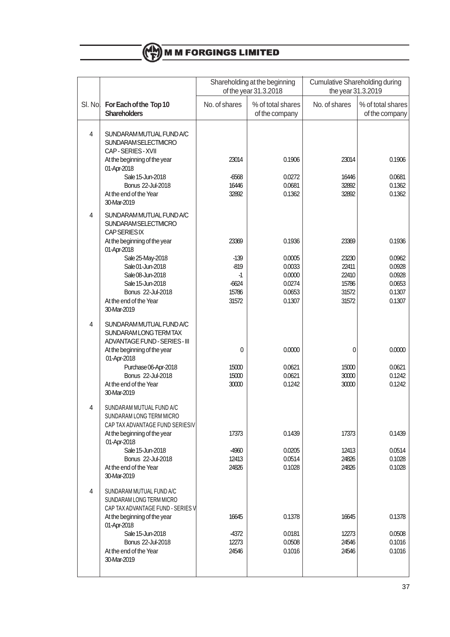

|         |                                                                                                                                                                                                                                                        | Shareholding at the beginning<br>of the year 31.3.2018         |                                                                    | <b>Cumulative Shareholding during</b><br>the year 31.3.2019 |                                                                    |  |
|---------|--------------------------------------------------------------------------------------------------------------------------------------------------------------------------------------------------------------------------------------------------------|----------------------------------------------------------------|--------------------------------------------------------------------|-------------------------------------------------------------|--------------------------------------------------------------------|--|
| SI. No. | For Each of the Top 10<br><b>Shareholders</b>                                                                                                                                                                                                          | No. of shares                                                  | % of total shares<br>of the company                                | No. of shares                                               | % of total shares<br>of the company                                |  |
| 4       | SUNDARAM MUTUAL FUND A/C<br>SUNDARAM SELECTMICRO<br>CAP-SERIES-XVII<br>At the beginning of the year<br>01-Apr-2018<br>Sale 15-Jun-2018<br>Bonus 22-Jul-2018<br>At the end of the Year<br>30-Mar-2019                                                   | 23014<br>$-6568$<br>16446<br>32892                             | 0.1906<br>0.0272<br>0.0681<br>0.1362                               | 23014<br>16446<br>32892<br>32892                            | 0.1906<br>0.0681<br>0.1362<br>0.1362                               |  |
| 4       | SUNDARAM MUTUAL FUND A/C<br>SUNDARAM SELECTMICRO<br><b>CAP SERIES IX</b><br>At the beginning of the year<br>01-Apr-2018<br>Sale 25-May-2018<br>Sale 01-Jun-2018<br>Sale 08-Jun-2018<br>Sale 15-Jun-2018<br>Bonus 22-Jul-2018<br>At the end of the Year | 23369<br>$-139$<br>$-819$<br>$-1$<br>$-6624$<br>15786<br>31572 | 0.1936<br>0.0005<br>0.0033<br>0.0000<br>0.0274<br>0.0653<br>0.1307 | 23369<br>23230<br>22411<br>22410<br>15786<br>31572<br>31572 | 0.1936<br>0.0962<br>0.0928<br>0.0928<br>0.0653<br>0.1307<br>0.1307 |  |
| 4       | 30-Mar-2019<br>SUNDARAM MUTUAL FUND A/C<br>SUNDARAM LONG TERM TAX<br>ADVANTAGE FUND - SERIES - III<br>At the beginning of the year<br>01-Apr-2018<br>Purchase 06-Apr-2018<br>Bonus 22-Jul-2018<br>At the end of the Year<br>30-Mar-2019                | 0<br>15000<br>15000<br>30000                                   | 0.0000<br>0.0621<br>0.0621<br>0.1242                               | 0<br>15000<br>30000<br>30000                                | 0.0000<br>0.0621<br>0.1242<br>0.1242                               |  |
| 4       | SUNDARAM MUTUAL FUND A/C<br>SUNDARAM LONG TERM MICRO<br>CAP TAX ADVANTAGE FUND SERIESIV<br>At the beginning of the year<br>01-Apr-2018<br>Sale 15-Jun-2018<br>Bonus 22-Jul-2018<br>At the end of the Year<br>30-Mar-2019                               | 17373<br>$-4960$<br>12413<br>24826                             | 0.1439<br>0.0205<br>0.0514<br>0.1028                               | 17373<br>12413<br>24826<br>24826                            | 0.1439<br>0.0514<br>0.1028<br>0.1028                               |  |
| 4       | SUNDARAM MUTUAL FUND A/C<br>SUNDARAM LONG TERM MICRO<br>CAP TAX ADVANTAGE FUND - SERIES V<br>At the beginning of the year<br>01-Apr-2018<br>Sale 15-Jun-2018<br>Bonus 22-Jul-2018<br>At the end of the Year<br>30-Mar-2019                             | 16645<br>-4372<br>12273<br>24546                               | 0.1378<br>0.0181<br>0.0508<br>0.1016                               | 16645<br>12273<br>24546<br>24546                            | 0.1378<br>0.0508<br>0.1016<br>0.1016                               |  |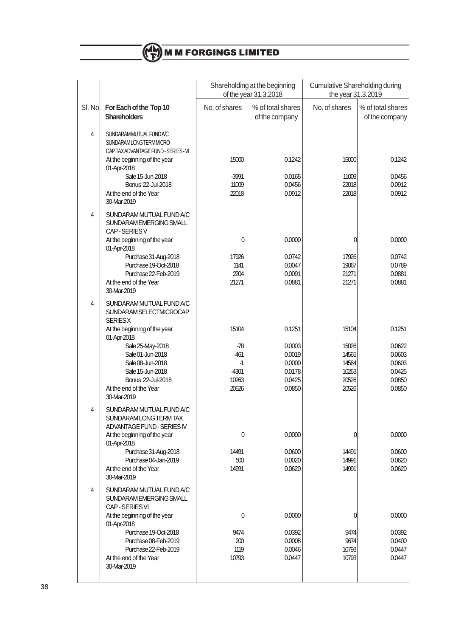|                                                                                                                                                                                                                                                                           | Shareholding at the beginning                               |                                                                    | <b>Cumulative Shareholding during</b>                       |                                                                    |  |
|---------------------------------------------------------------------------------------------------------------------------------------------------------------------------------------------------------------------------------------------------------------------------|-------------------------------------------------------------|--------------------------------------------------------------------|-------------------------------------------------------------|--------------------------------------------------------------------|--|
|                                                                                                                                                                                                                                                                           |                                                             |                                                                    |                                                             |                                                                    |  |
| SI. Nol<br>For Each of the Top 10<br><b>Shareholders</b>                                                                                                                                                                                                                  | No. of shares                                               | % of total shares<br>of the company                                | No. of shares                                               | % of total shares<br>of the company                                |  |
| SUNDARAMMUTUAL FUND A/C<br><b>SUNDARAMLONGTERMMICRO</b><br>CAPTAX ADVANTAGE FUND - SERIES - VI<br>At the beginning of the year<br>01-Apr-2018<br>Sale 15-Jun-2018<br>Bonus 22-Jul-2018<br>At the end of the Year<br>30-Mar-2019                                           | 15000<br>$-3991$<br>11009<br>22018                          | 0.1242<br>0.0165<br>0.0456<br>0.0912                               | 15000<br>11009<br>22018<br>22018                            | 0.1242<br>0.0456<br>0.0912<br>0.0912                               |  |
| SUNDARAM MUTUAL FUND A/C<br>SUNDARAM EMERGING SMALL<br>CAP-SERIES V<br>At the beginning of the year<br>01-Apr-2018<br>Purchase 31-Aug-2018<br>Purchase 19-Oct-2018<br>Purchase 22-Feb-2019<br>At the end of the Year<br>30-Mar-2019                                       | 0<br>17926<br>1141<br>2204<br>21271                         | 0.0000<br>0.0742<br>0.0047<br>0.0091<br>0.0881                     | 0<br>17926<br>19067<br>21271<br>21271                       | 0.0000<br>0.0742<br>0.0789<br>0.0881<br>0.0881                     |  |
| SUNDARAM MUTUAL FUND A/C<br>SUNDARAM SELECTMICROCAP<br><b>SERIESX</b><br>At the beginning of the year<br>01-Apr-2018<br>Sale 25-May-2018<br>Sale 01-Jun-2018<br>Sale 08-Jun-2018<br>Sale 15-Jun-2018<br><b>Bonus 22-Jul-2018</b><br>At the end of the Year<br>30-Mar-2019 | 15104<br>-78<br>$-461$<br>$-1$<br>$-4301$<br>10263<br>20526 | 0.1251<br>0.0003<br>0.0019<br>0.0000<br>0.0178<br>0.0425<br>0.0850 | 15104<br>15026<br>14565<br>14564<br>10263<br>20526<br>20526 | 0.1251<br>0.0622<br>0.0603<br>0.0603<br>0.0425<br>0.0850<br>0.0850 |  |
| SUNDARAM MUTUAL FUND A/C<br>SUNDARAM LONG TERM TAX<br>ADVANTAGE FUND - SERIES IV<br>At the beginning of the year<br>01-Apr-2018<br>Purchase 31-Aug-2018<br>Purchase 04-Jan-2019<br>At the end of the Year<br>30-Mar-2019                                                  | 0<br>14491<br>500<br>14991                                  | 0.0000<br>0.0600<br>0.0020<br>0.0620                               | 0<br>14491<br>14991<br>14991                                | 0.0000<br>0.0600<br>0.0620<br>0.0620                               |  |
| SUNDARAM MUTUAL FUND A/C<br>SUNDARAM EMERGING SMALL<br>CAP-SERIES VI<br>At the beginning of the year<br>01-Apr-2018<br>Purchase 19-Oct-2018<br>Purchase 08-Feb-2019<br>Purchase 22-Feb-2019<br>At the end of the Year<br>30-Mar-2019                                      | 0<br>9474<br>200<br>1119<br>10793                           | 0.0000<br>0.0392<br>0.0008<br>0.0046<br>0.0447                     | 0<br>9474<br>9674<br>10793<br>10793                         | 0.0000<br>0.0392<br>0.0400<br>0.0447<br>0.0447                     |  |
|                                                                                                                                                                                                                                                                           |                                                             |                                                                    | of the year 31.3.2018                                       | the year 31.3.2019                                                 |  |

# (CH) M M FORGINGS LIMITED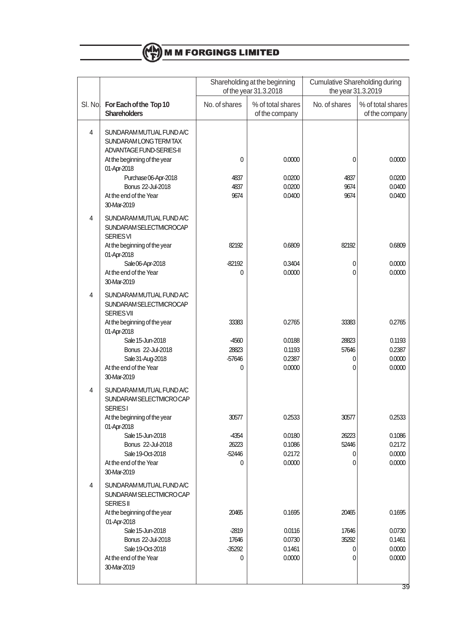

|         |                                                                                                    |                                 | Shareholding at the beginning<br>of the year 31.3.2018 | Cumulative Shareholding during<br>the year 31.3.2019 |                                      |
|---------|----------------------------------------------------------------------------------------------------|---------------------------------|--------------------------------------------------------|------------------------------------------------------|--------------------------------------|
| SI. No. | For Each of the Top 10<br><b>Shareholders</b>                                                      | No. of shares                   | % of total shares<br>of the company                    | No. of shares                                        | % of total shares<br>of the company  |
| 4       | SUNDARAM MUTUAL FUND A/C<br>SUNDARAM LONG TERM TAX<br>ADVANTAGE FUND-SERIES-II                     |                                 |                                                        |                                                      |                                      |
|         | At the beginning of the year<br>01-Apr-2018                                                        | 0                               | 0.0000                                                 | 0                                                    | 0.0000                               |
|         | Purchase 06-Apr-2018<br>Bonus 22-Jul-2018<br>At the end of the Year<br>30-Mar-2019                 | 4837<br>4837<br>9674            | 0.0200<br>0.0200<br>0.0400                             | 4837<br>9674<br>9674                                 | 0.0200<br>0.0400<br>0.0400           |
| 4       | SUNDARAM MUTUAL FUND A/C<br>SUNDARAM SELECTMICROCAP<br><b>SERIES VI</b>                            |                                 |                                                        |                                                      |                                      |
|         | At the beginning of the year<br>01-Apr-2018                                                        | 82192                           | 0.6809                                                 | 82192                                                | 0.6809                               |
|         | Sale 06-Apr-2018<br>At the end of the Year<br>30-Mar-2019                                          | $-82192$<br>0                   | 0.3404<br>0.0000                                       | 0<br>$\mathbf{0}$                                    | 0.0000<br>0.0000                     |
| 4       | SUNDARAM MUTUAL FUND A/C<br>SUNDARAM SELECTMICROCAP<br><b>SERIES VII</b>                           |                                 |                                                        |                                                      |                                      |
|         | At the beginning of the year<br>01-Apr-2018                                                        | 33383                           | 0.2765                                                 | 33383                                                | 0.2765                               |
|         | Sale 15-Jun-2018<br>Bonus 22-Jul-2018<br>Sale 31-Aug-2018                                          | -4560<br>28823<br>-57646        | 0.0188<br>0.1193<br>0.2387                             | 28823<br>57646<br>0                                  | 0.1193<br>0.2387<br>0.0000           |
|         | At the end of the Year<br>30-Mar-2019                                                              | 0                               | 0.0000                                                 | 0                                                    | 0.0000                               |
| 4       | SUNDARAM MUTUAL FUND A/C<br>SUNDARAM SELECTMICROCAP<br><b>SERIES1</b>                              |                                 |                                                        |                                                      |                                      |
|         | At the beginning of the year<br>01-Apr-2018                                                        | 30577                           | 0.2533                                                 | 30577                                                | 0.2533                               |
|         | Sale 15-Jun-2018<br>Bonus 22-Jul-2018<br>Sale 19-Oct-2018<br>At the end of the Year<br>30-Mar-2019 | -4354<br>26223<br>$-52446$<br>0 | 0.0180<br>0.1086<br>0.2172<br>0.0000                   | 26223<br>52446<br>0<br>0                             | 0.1086<br>0.2172<br>0.0000<br>0.0000 |
| 4       | SUNDARAM MUTUAL FUND A/C<br>SUNDARAM SELECTMICROCAP<br><b>SERIES II</b>                            |                                 |                                                        |                                                      |                                      |
|         | At the beginning of the year<br>01-Apr-2018                                                        | 20465                           | 0.1695                                                 | 20465                                                | 0.1695                               |
|         | Sale 15-Jun-2018<br>Bonus 22-Jul-2018                                                              | -2819<br>17646                  | 0.0116<br>0.0730                                       | 17646<br>35292                                       | 0.0730<br>0.1461                     |
|         | Sale 19-Oct-2018<br>At the end of the Year<br>30-Mar-2019                                          | $-35292$<br>0                   | 0.1461<br>0.0000                                       | 0<br>0                                               | 0.0000<br>0.0000                     |
|         |                                                                                                    |                                 |                                                        |                                                      |                                      |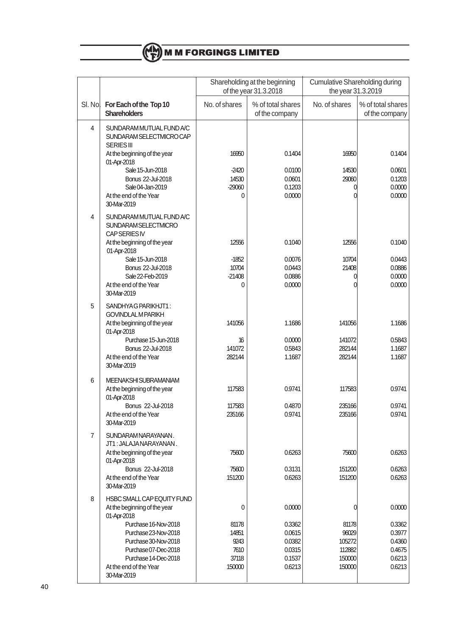

|         |                                                                                                |                  | Shareholding at the beginning<br>of the year 31.3.2018 | <b>Cumulative Shareholding during</b><br>the year 31.3.2019 |                                     |
|---------|------------------------------------------------------------------------------------------------|------------------|--------------------------------------------------------|-------------------------------------------------------------|-------------------------------------|
| SI. No. | For Each of the Top 10<br><b>Shareholders</b>                                                  | No. of shares    | % of total shares<br>of the company                    | No. of shares                                               | % of total shares<br>of the company |
| 4       | SUNDARAM MUTUAL FUND A/C<br>SUNDARAM SELECTMICROCAP<br><b>SERIES III</b>                       |                  |                                                        |                                                             |                                     |
|         | At the beginning of the year<br>01-Apr-2018                                                    | 16950            | 0.1404                                                 | 16950                                                       | 0.1404                              |
|         | Sale 15-Jun-2018<br><b>Bonus 22-Jul-2018</b>                                                   | $-2420$<br>14530 | 0.0100<br>0.0601                                       | 14530<br>29060                                              | 0.0601<br>0.1203                    |
|         | Sale 04-Jan-2019<br>At the end of the Year<br>30-Mar-2019                                      | $-29060$<br>0    | 0.1203<br>0.0000                                       | 0<br>0                                                      | 0.0000<br>0.0000                    |
| 4       | SUNDARAM MUTUAL FUND A/C<br>SUNDARAM SELECTMICRO<br><b>CAP SERIES IV</b>                       |                  |                                                        |                                                             |                                     |
|         | At the beginning of the year<br>01-Apr-2018                                                    | 12556            | 0.1040                                                 | 12556                                                       | 0.1040                              |
|         | Sale 15-Jun-2018<br>Bonus 22-Jul-2018                                                          | $-1852$<br>10704 | 0.0076<br>0.0443                                       | 10704<br>21408                                              | 0.0443<br>0.0886                    |
|         | Sale 22-Feb-2019<br>At the end of the Year                                                     | $-21408$<br>0    | 0.0886<br>0.0000                                       | 0<br>0                                                      | 0.0000<br>0.0000                    |
|         | 30-Mar-2019                                                                                    |                  |                                                        |                                                             |                                     |
| 5       | SANDHYAG PARIKHJT1:<br><b>GOVINDLALM PARIKH</b><br>At the beginning of the year<br>01-Apr-2018 | 141056           | 1.1686                                                 | 141056                                                      | 1.1686                              |
|         | Purchase 15-Jun-2018<br>Bonus 22-Jul-2018                                                      | 16<br>141072     | 0.0000<br>0.5843                                       | 141072<br>282144                                            | 0.5843<br>1.1687                    |
|         | At the end of the Year<br>30-Mar-2019                                                          | 282144           | 1.1687                                                 | 282144                                                      | 1.1687                              |
| 6       | MEENAKSHI SUBRAMANIAM<br>At the beginning of the year<br>01-Apr-2018                           | 117583           | 0.9741                                                 | 117583                                                      | 0.9741                              |
|         | Bonus 22-Jul-2018<br>At the end of the Year<br>30-Mar-2019                                     | 117583<br>235166 | 0.4870<br>0.9741                                       | 235166<br>235166                                            | 0.9741<br>0.9741                    |
| 7       | SUNDARAM NARAYANAN.<br>JT1: JALAJA NARAYANAN.                                                  |                  |                                                        |                                                             |                                     |
|         | At the beginning of the year<br>01-Apr-2018                                                    | 75600            | 0.6263                                                 | 75600                                                       | 0.6263                              |
|         | Bonus 22-Jul-2018<br>At the end of the Year<br>30-Mar-2019                                     | 75600<br>151200  | 0.3131<br>0.6263                                       | 151200<br>151200                                            | 0.6263<br>0.6263                    |
| 8       | HSBC SMALL CAP EQUITY FUND<br>At the beginning of the year<br>01-Apr-2018                      | 0                | 0.0000                                                 | 0                                                           | 0.0000                              |
|         | Purchase 16-Nov-2018<br>Purchase 23-Nov-2018                                                   | 81178<br>14851   | 0.3362<br>0.0615                                       | 81178<br>96029                                              | 0.3362<br>0.3977                    |
|         | Purchase 30-Nov-2018<br>Purchase 07-Dec-2018                                                   | 9243<br>7610     | 0.0382<br>0.0315                                       | 105272<br>112882                                            | 0.4360<br>0.4675                    |
|         | Purchase 14-Dec-2018                                                                           | 37118            | 0.1537                                                 | 150000                                                      | 0.6213                              |
|         | At the end of the Year<br>30-Mar-2019                                                          | 150000           | 0.6213                                                 | 150000                                                      | 0.6213                              |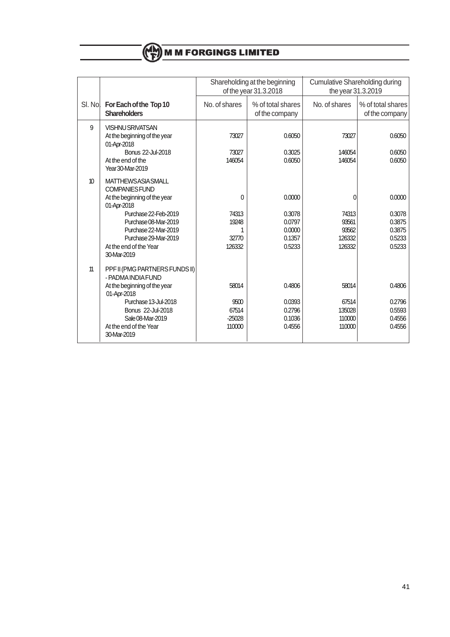|         |                                                      |               | Shareholding at the beginning | <b>Cumulative Shareholding during</b> |                   |  |
|---------|------------------------------------------------------|---------------|-------------------------------|---------------------------------------|-------------------|--|
|         |                                                      |               | of the year 31.3.2018         | the year 31.3.2019                    |                   |  |
| SI. Nol | For Each of the Top 10                               | No. of shares | % of total shares             | No. of shares                         | % of total shares |  |
|         | <b>Shareholders</b>                                  |               | of the company                |                                       | of the company    |  |
| 9       | <b>VISHNU SRIVATSAN</b>                              |               |                               |                                       |                   |  |
|         | At the beginning of the year<br>01-Apr-2018          | 73027         | 0.6050                        | 73027                                 | 0.6050            |  |
|         | Bonus 22-Jul-2018                                    | 73027         | 0.3025                        | 146054                                | 0.6050            |  |
|         | At the end of the<br>Year 30-Mar-2019                | 146054        | 0.6050                        | 146054                                | 0.6050            |  |
| 10      | <b>MATTHEWSASIA SMALL</b><br><b>COMPANIES FUND</b>   |               |                               |                                       |                   |  |
|         | At the beginning of the year<br>01-Apr-2018          | 0             | 0.0000                        | $\Omega$                              | 0.0000            |  |
|         | Purchase 22-Feb-2019                                 | 74313         | 0.3078                        | 74313                                 | 0.3078            |  |
|         | Purchase 08-Mar-2019                                 | 19248         | 0.0797                        | 93561                                 | 0.3875            |  |
|         | Purchase 22-Mar-2019                                 | 1             | 0.0000                        | 93562                                 | 0.3875            |  |
|         | Purchase 29-Mar-2019                                 | 32770         | 0.1357                        | 126332                                | 0.5233            |  |
|         | At the end of the Year<br>30-Mar-2019                | 126332        | 0.5233                        | 126332                                | 0.5233            |  |
| 11      | PPF II (PMG PARTNERS FUNDS II)<br>- PADMA INDIA FUND |               |                               |                                       |                   |  |
|         | At the beginning of the year<br>01-Apr-2018          | 58014         | 0.4806                        | 58014                                 | 0.4806            |  |
|         | Purchase 13-Jul-2018                                 | 9500          | 0.0393                        | 67514                                 | 0.2796            |  |
|         | Bonus 22-Jul-2018                                    | 67514         | 0.2796                        | 135028                                | 0.5593            |  |
|         | Sale 08-Mar-2019                                     | $-25028$      | 0.1036                        | 110000                                | 0.4556            |  |
|         | At the end of the Year<br>30-Mar-2019                | 110000        | 0.4556                        | 110000                                | 0.4556            |  |
|         |                                                      |               |                               |                                       |                   |  |

**M M FORGINGS LIMITED**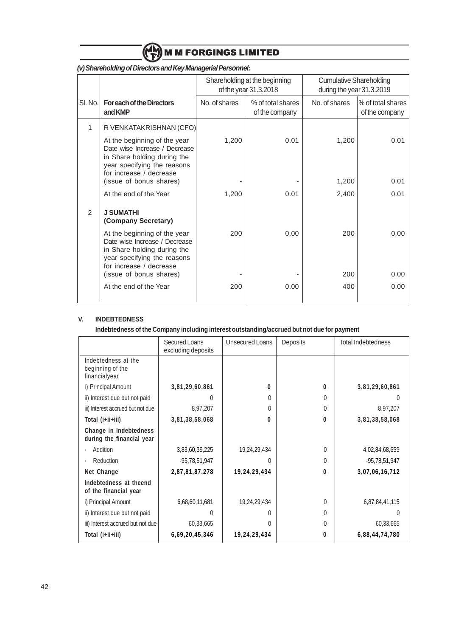

|         |                                                                                                                                                                                                                                        |                | Shareholding at the beginning<br>of the year 31.3.2018 | <b>Cumulative Shareholding</b><br>during the year 31.3.2019 |                                     |  |
|---------|----------------------------------------------------------------------------------------------------------------------------------------------------------------------------------------------------------------------------------------|----------------|--------------------------------------------------------|-------------------------------------------------------------|-------------------------------------|--|
| SI. No. | <b>For each of the Directors</b><br>and KMP                                                                                                                                                                                            | No. of shares  | % of total shares<br>of the company                    | No. of shares                                               | % of total shares<br>of the company |  |
| 1       | R VENKATAKRISHNAN (CFO)<br>At the beginning of the year<br>Date wise Increase / Decrease<br>in Share holding during the<br>year specifying the reasons<br>for increase / decrease<br>(issue of bonus shares)<br>At the end of the Year | 1,200<br>1,200 | 0.01<br>0.01                                           | 1,200<br>1,200<br>2,400                                     | 0.01<br>0.01<br>0.01                |  |
| 2       | <b>J SUMATHI</b><br>(Company Secretary)<br>At the beginning of the year<br>Date wise Increase / Decrease<br>in Share holding during the<br>year specifying the reasons<br>for increase / decrease<br>(issue of bonus shares)           | 200            | 0.00                                                   | 200<br>200                                                  | 0.00<br>0.00                        |  |
|         | At the end of the Year                                                                                                                                                                                                                 | 200            | 0.00                                                   | 400                                                         | 0.00                                |  |

# **(v) Shareholding of Directors and Key Managerial Personnel:**

# **V. INDEBTEDNESS**

**Indebtedness of the Company including interest outstanding/accrued but not due for payment**

|                                                          | Secured Loans<br>excluding deposits | Unsecured Loans | Deposits     | <b>Total Indebtedness</b> |
|----------------------------------------------------------|-------------------------------------|-----------------|--------------|---------------------------|
| Indebtedness at the<br>beginning of the<br>financialyear |                                     |                 |              |                           |
| i) Principal Amount                                      | 3,81,29,60,861                      | 0               | $\mathbf{0}$ | 3,81,29,60,861            |
| ii) Interest due but not paid                            | 0                                   | 0               | 0            | 0                         |
| iii) Interest accrued but not due                        | 8,97,207                            | 0               | 0            | 8,97,207                  |
| Total (i+ii+iii)                                         | 3,81,38,58,068                      | 0               | 0            | 3,81,38,58,068            |
| Change in Indebtedness<br>during the financial year      |                                     |                 |              |                           |
| Addition                                                 | 3,83,60,39,225                      | 19,24,29,434    | $\Omega$     | 4,02,84,68,659            |
| Reduction                                                | $-95,78,51,947$                     | <sup>0</sup>    | 0            | -95,78,51,947             |
| Net Change                                               | 2,87,81,87,278                      | 19,24,29,434    | $\bf{0}$     | 3,07,06,16,712            |
| Indebtedness at theend<br>of the financial year          |                                     |                 |              |                           |
| i) Principal Amount                                      | 6,68,60,11,681                      | 19,24,29,434    | 0            | 6,87,84,41,115            |
| ii) Interest due but not paid                            | 0                                   | 0               | 0            | 0                         |
| iii) Interest accrued but not due                        | 60,33,665                           | 0               | 0            | 60,33,665                 |
| Total (i+ii+iii)                                         | 6,69,20,45,346                      | 19,24,29,434    | 0            | 6,88,44,74,780            |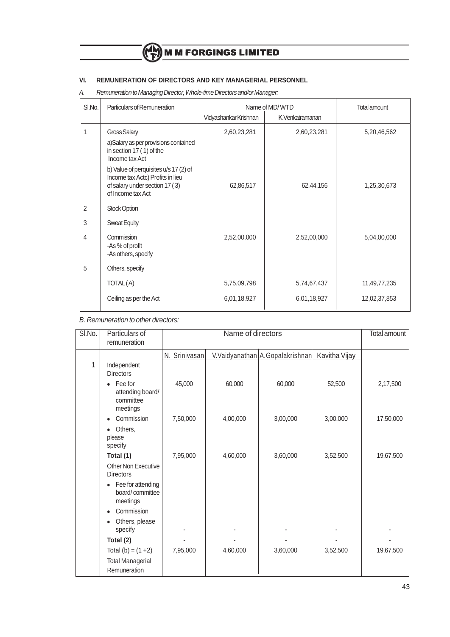# **VI. REMUNERATION OF DIRECTORS AND KEY MANAGERIAL PERSONNEL**

A. Remuneration to Managing Director, Whole-time Directors and/or Manager:

| SI.No. | Particulars of Remuneration                                                                                                      |                       | Name of MD/WTD  | <b>Total amount</b> |  |
|--------|----------------------------------------------------------------------------------------------------------------------------------|-----------------------|-----------------|---------------------|--|
|        |                                                                                                                                  | Vidyashankar Krishnan | K.Venkatramanan |                     |  |
| 1      | Gross Salary<br>a)Salary as per provisions contained<br>in section 17 (1) of the<br>Income tax Act                               | 2,60,23,281           | 2,60,23,281     | 5,20,46,562         |  |
|        | b) Value of perquisites u/s 17 (2) of<br>Income tax Actc) Profits in lieu<br>of salary under section 17 (3)<br>of Income tax Act | 62,86,517             | 62,44,156       | 1,25,30,673         |  |
| 2      | <b>Stock Option</b>                                                                                                              |                       |                 |                     |  |
| 3      | <b>Sweat Equity</b>                                                                                                              |                       |                 |                     |  |
| 4      | Commission<br>-As % of profit<br>-As others, specify                                                                             | 2,52,00,000           | 2,52,00,000     | 5,04,00,000         |  |
| 5      | Others, specify                                                                                                                  |                       |                 |                     |  |
|        | TOTAL(A)                                                                                                                         | 5,75,09,798           | 5,74,67,437     | 11,49,77,235        |  |
|        | Ceiling as per the Act                                                                                                           | 6,01,18,927           | 6,01,18,927     | 12,02,37,853        |  |

B. Remuneration to other directors:

| SI.No. | Particulars of<br>remuneration                                    |               | Name of directors |                                 |               | <b>Total amount</b> |
|--------|-------------------------------------------------------------------|---------------|-------------------|---------------------------------|---------------|---------------------|
|        |                                                                   | N. Srinivasan |                   | V.Vaidyanathan A.Gopalakrishnan | Kavitha Vijay |                     |
| 1      | Independent<br><b>Directors</b>                                   |               |                   |                                 |               |                     |
|        | Fee for<br>$\bullet$<br>attending board/<br>committee<br>meetings | 45,000        | 60,000            | 60,000                          | 52,500        | 2,17,500            |
|        | Commission<br>$\bullet$                                           | 7,50,000      | 4,00,000          | 3,00,000                        | 3,00,000      | 17,50,000           |
|        | Others,<br>٠<br>please<br>specify                                 |               |                   |                                 |               |                     |
|        | Total (1)                                                         | 7,95,000      | 4,60,000          | 3,60,000                        | 3,52,500      | 19,67,500           |
|        | Other Non Executive<br><b>Directors</b>                           |               |                   |                                 |               |                     |
|        | Fee for attending<br>$\bullet$<br>board/committee<br>meetings     |               |                   |                                 |               |                     |
|        | Commission<br>$\bullet$                                           |               |                   |                                 |               |                     |
|        | Others, please<br>٠<br>specify                                    |               |                   |                                 |               |                     |
|        | Total (2)                                                         |               |                   |                                 |               |                     |
|        | Total (b) = $(1 + 2)$                                             | 7,95,000      | 4,60,000          | 3,60,000                        | 3,52,500      | 19,67,500           |
|        | <b>Total Managerial</b><br>Remuneration                           |               |                   |                                 |               |                     |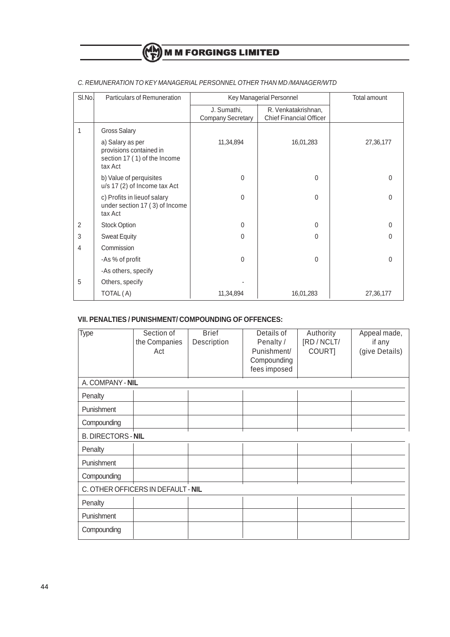# (CH) M M FORGINGS LIMITED

| SI.No.         | Particulars of Remuneration                                                            |                                         | Key Managerial Personnel                              | Total amount |
|----------------|----------------------------------------------------------------------------------------|-----------------------------------------|-------------------------------------------------------|--------------|
|                |                                                                                        | J. Sumathi,<br><b>Company Secretary</b> | R. Venkatakrishnan,<br><b>Chief Financial Officer</b> |              |
| 1              | <b>Gross Salary</b>                                                                    |                                         |                                                       |              |
|                | a) Salary as per<br>provisions contained in<br>section 17 (1) of the Income<br>tax Act | 11,34,894                               | 16,01,283                                             | 27,36,177    |
|                | b) Value of perquisites<br>u/s 17 (2) of Income tax Act                                | $\Omega$                                | $\Omega$                                              | 0            |
|                | c) Profits in lieuof salary<br>under section 17 (3) of Income<br>tax Act               | $\Omega$                                | 0                                                     | $\Omega$     |
| 2              | Stock Option                                                                           | $\mathbf{0}$                            | 0                                                     | $\Omega$     |
| 3              | <b>Sweat Equity</b>                                                                    | $\Omega$                                | $\Omega$                                              | $\Omega$     |
| $\overline{4}$ | Commission                                                                             |                                         |                                                       |              |
|                | -As % of profit                                                                        | $\Omega$                                | $\Omega$                                              | $\Omega$     |
|                | -As others, specify                                                                    |                                         |                                                       |              |
| 5              | Others, specify                                                                        |                                         |                                                       |              |
|                | TOTAL (A)                                                                              | 11,34,894                               | 16,01,283                                             | 27,36,177    |

# C. REMUNERATION TO KEY MANAGERIAL PERSONNEL OTHER THAN MD /MANAGER/WTD

# **VII. PENALTIES / PUNISHMENT/ COMPOUNDING OF OFFENCES:**

| Type                      | Section of<br>the Companies<br>Act | <b>Brief</b><br>Description | Details of<br>Penalty /<br>Punishment/<br>Compounding<br>fees imposed | Authority<br>[RD / NCLT/<br>COURT] | Appeal made,<br>if any<br>(give Details) |
|---------------------------|------------------------------------|-----------------------------|-----------------------------------------------------------------------|------------------------------------|------------------------------------------|
| A. COMPANY - NIL          |                                    |                             |                                                                       |                                    |                                          |
| Penalty                   |                                    |                             |                                                                       |                                    |                                          |
| Punishment                |                                    |                             |                                                                       |                                    |                                          |
| Compounding               |                                    |                             |                                                                       |                                    |                                          |
| <b>B. DIRECTORS - NIL</b> |                                    |                             |                                                                       |                                    |                                          |
| Penalty                   |                                    |                             |                                                                       |                                    |                                          |
| Punishment                |                                    |                             |                                                                       |                                    |                                          |
| Compounding               |                                    |                             |                                                                       |                                    |                                          |
|                           | C. OTHER OFFICERS IN DEFAULT - NIL |                             |                                                                       |                                    |                                          |
| Penalty                   |                                    |                             |                                                                       |                                    |                                          |
| Punishment                |                                    |                             |                                                                       |                                    |                                          |
| Compounding               |                                    |                             |                                                                       |                                    |                                          |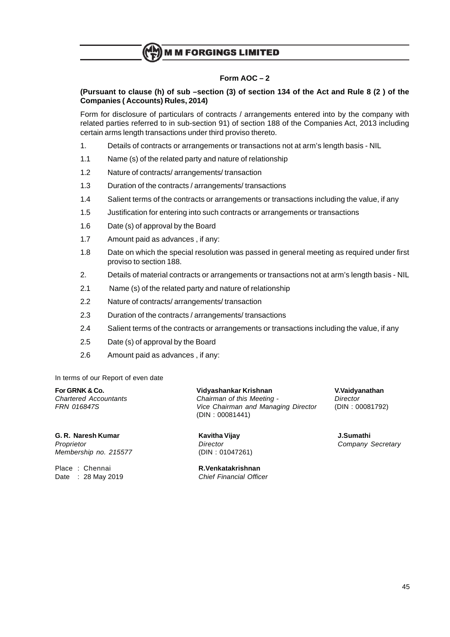

# **Form AOC – 2**

# **(Pursuant to clause (h) of sub –section (3) of section 134 of the Act and Rule 8 (2 ) of the Companies ( Accounts) Rules, 2014)**

Form for disclosure of particulars of contracts / arrangements entered into by the company with related parties referred to in sub-section 91) of section 188 of the Companies Act, 2013 including certain arms length transactions under third proviso thereto.

- 1. Details of contracts or arrangements or transactions not at arm's length basis NIL
- 1.1 Name (s) of the related party and nature of relationship
- 1.2 Nature of contracts/ arrangements/ transaction
- 1.3 Duration of the contracts / arrangements/ transactions
- 1.4 Salient terms of the contracts or arrangements or transactions including the value, if any
- 1.5 Justification for entering into such contracts or arrangements or transactions
- 1.6 Date (s) of approval by the Board
- 1.7 Amount paid as advances , if any:
- 1.8 Date on which the special resolution was passed in general meeting as required under first proviso to section 188.
- 2. Details of material contracts or arrangements or transactions not at arm's length basis NIL
- 2.1 Name (s) of the related party and nature of relationship
- 2.2 Nature of contracts/ arrangements/ transaction
- 2.3 Duration of the contracts / arrangements/ transactions
- 2.4 Salient terms of the contracts or arrangements or transactions including the value, if any
- 2.5 Date (s) of approval by the Board
- 2.6 Amount paid as advances , if any:

In terms of our Report of even date

**G. R. Naresh Kumar Kavitha Vijay J.Sumathi** Proprietor **Proprietor** Company Secretary **Director** Company Secretary Membership no. 215577 (DIN : 01047261)

Date :  $28$  May 2019

**For GRNK & Co. Vidyashankar Krishnan V.Vaidyanathan** Chartered Accountants Chairman of this Meeting - Director FRN 016847S Vice Chairman and Managing Director (DIN : 00081792) (DIN : 00081441)

Place : Chennai **R.Venkatakrishnan**<br>Date : 28 May 2019 **Research Charles Chief Financial Officer**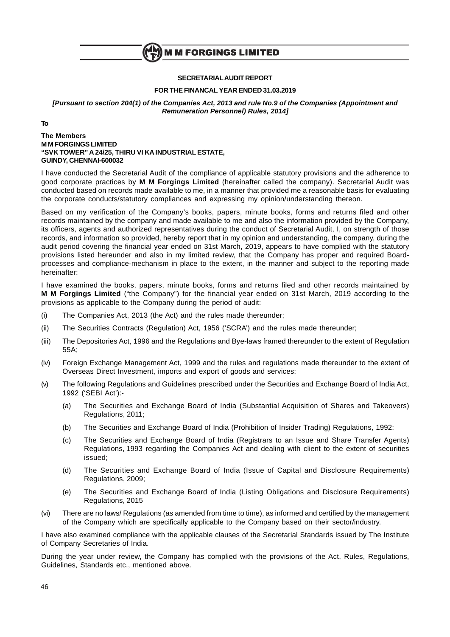

# **SECRETARIALAUDIT REPORT**

## **FOR THE FINANCAL YEAR ENDED 31.03.2019**

**[Pursuant to section 204(1) of the Companies Act, 2013 and rule No.9 of the Companies (Appointment and Remuneration Personnel) Rules, 2014]**

**To**

## **The Members M M FORGINGS LIMITED "SVK TOWER" A 24/25, THIRU VI KA INDUSTRIAL ESTATE, GUINDY, CHENNAI-600032**

I have conducted the Secretarial Audit of the compliance of applicable statutory provisions and the adherence to good corporate practices by **M M Forgings Limited** (hereinafter called the company). Secretarial Audit was conducted based on records made available to me, in a manner that provided me a reasonable basis for evaluating the corporate conducts/statutory compliances and expressing my opinion/understanding thereon.

Based on my verification of the Company's books, papers, minute books, forms and returns filed and other records maintained by the company and made available to me and also the information provided by the Company, its officers, agents and authorized representatives during the conduct of Secretarial Audit, I, on strength of those records, and information so provided, hereby report that in my opinion and understanding, the company, during the audit period covering the financial year ended on 31st March, 2019, appears to have complied with the statutory provisions listed hereunder and also in my limited review, that the Company has proper and required Boardprocesses and compliance-mechanism in place to the extent, in the manner and subject to the reporting made hereinafter:

I have examined the books, papers, minute books, forms and returns filed and other records maintained by **M M Forgings Limited** ("the Company") for the financial year ended on 31st March, 2019 according to the provisions as applicable to the Company during the period of audit:

- (i) The Companies Act, 2013 (the Act) and the rules made thereunder;
- (ii) The Securities Contracts (Regulation) Act, 1956 ('SCRA') and the rules made thereunder;
- (iii) The Depositories Act, 1996 and the Regulations and Bye-laws framed thereunder to the extent of Regulation 55A;
- (iv) Foreign Exchange Management Act, 1999 and the rules and regulations made thereunder to the extent of Overseas Direct Investment, imports and export of goods and services;
- (v) The following Regulations and Guidelines prescribed under the Securities and Exchange Board of India Act, 1992 ('SEBI Act'):-
	- (a) The Securities and Exchange Board of India (Substantial Acquisition of Shares and Takeovers) Regulations, 2011;
	- (b) The Securities and Exchange Board of India (Prohibition of Insider Trading) Regulations, 1992;
	- (c) The Securities and Exchange Board of India (Registrars to an Issue and Share Transfer Agents) Regulations, 1993 regarding the Companies Act and dealing with client to the extent of securities issued;
	- (d) The Securities and Exchange Board of India (Issue of Capital and Disclosure Requirements) Regulations, 2009;
	- (e) The Securities and Exchange Board of India (Listing Obligations and Disclosure Requirements) Regulations, 2015
- (vi) There are no laws/ Regulations (as amended from time to time), as informed and certified by the management of the Company which are specifically applicable to the Company based on their sector/industry.

I have also examined compliance with the applicable clauses of the Secretarial Standards issued by The Institute of Company Secretaries of India.

During the year under review, the Company has complied with the provisions of the Act, Rules, Regulations, Guidelines, Standards etc., mentioned above.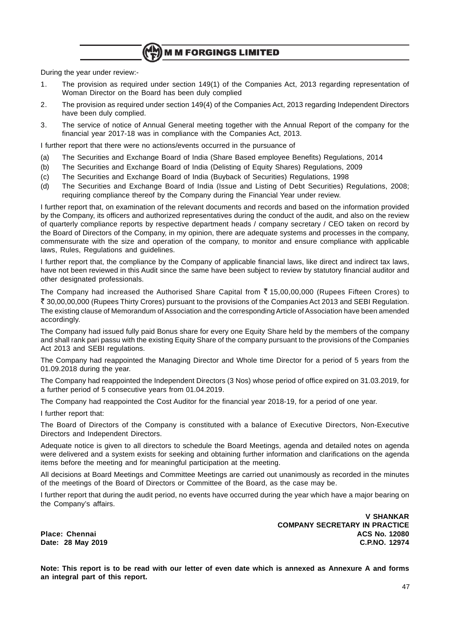**M M FORGINGS LIMITED** 

During the year under review:-

- 1. The provision as required under section 149(1) of the Companies Act, 2013 regarding representation of Woman Director on the Board has been duly complied
- 2. The provision as required under section 149(4) of the Companies Act, 2013 regarding Independent Directors have been duly complied.
- 3. The service of notice of Annual General meeting together with the Annual Report of the company for the financial year 2017-18 was in compliance with the Companies Act, 2013.

I further report that there were no actions/events occurred in the pursuance of

- (a) The Securities and Exchange Board of India (Share Based employee Benefits) Regulations, 2014
- (b) The Securities and Exchange Board of India (Delisting of Equity Shares) Regulations, 2009
- (c) The Securities and Exchange Board of India (Buyback of Securities) Regulations, 1998
- (d) The Securities and Exchange Board of India (Issue and Listing of Debt Securities) Regulations, 2008; requiring compliance thereof by the Company during the Financial Year under review.

I further report that, on examination of the relevant documents and records and based on the information provided by the Company, its officers and authorized representatives during the conduct of the audit, and also on the review of quarterly compliance reports by respective department heads / company secretary / CEO taken on record by the Board of Directors of the Company, in my opinion, there are adequate systems and processes in the company, commensurate with the size and operation of the company, to monitor and ensure compliance with applicable laws, Rules, Regulations and guidelines.

I further report that, the compliance by the Company of applicable financial laws, like direct and indirect tax laws, have not been reviewed in this Audit since the same have been subject to review by statutory financial auditor and other designated professionals.

The Company had increased the Authorised Share Capital from  $\bar{\zeta}$  15,00,00,000 (Rupees Fifteen Crores) to ` 30,00,00,000 (Rupees Thirty Crores) pursuant to the provisions of the Companies Act 2013 and SEBI Regulation. The existing clause of Memorandum of Association and the corresponding Article of Association have been amended accordingly.

The Company had issued fully paid Bonus share for every one Equity Share held by the members of the company and shall rank pari passu with the existing Equity Share of the company pursuant to the provisions of the Companies Act 2013 and SEBI regulations.

The Company had reappointed the Managing Director and Whole time Director for a period of 5 years from the 01.09.2018 during the year.

The Company had reappointed the Independent Directors (3 Nos) whose period of office expired on 31.03.2019, for a further period of 5 consecutive years from 01.04.2019.

The Company had reappointed the Cost Auditor for the financial year 2018-19, for a period of one year.

I further report that:

The Board of Directors of the Company is constituted with a balance of Executive Directors, Non-Executive Directors and Independent Directors.

Adequate notice is given to all directors to schedule the Board Meetings, agenda and detailed notes on agenda were delivered and a system exists for seeking and obtaining further information and clarifications on the agenda items before the meeting and for meaningful participation at the meeting.

All decisions at Board Meetings and Committee Meetings are carried out unanimously as recorded in the minutes of the meetings of the Board of Directors or Committee of the Board, as the case may be.

I further report that during the audit period, no events have occurred during the year which have a major bearing on the Company's affairs.

**Date: 28 May 2019** 

**V SHANKAR COMPANY SECRETARY IN PRACTICE Place: Chennai ACS No. 12080**

**Note: This report is to be read with our letter of even date which is annexed as Annexure A and forms an integral part of this report.**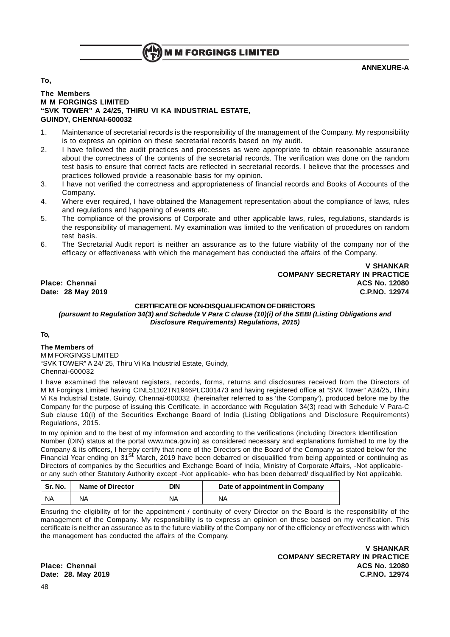

# **ANNEXURE-A**

**To,**

# **The Members M M FORGINGS LIMITED "SVK TOWER" A 24/25, THIRU VI KA INDUSTRIAL ESTATE, GUINDY, CHENNAI-600032**

- 1. Maintenance of secretarial records is the responsibility of the management of the Company. My responsibility is to express an opinion on these secretarial records based on my audit.
- 2. I have followed the audit practices and processes as were appropriate to obtain reasonable assurance about the correctness of the contents of the secretarial records. The verification was done on the random test basis to ensure that correct facts are reflected in secretarial records. I believe that the processes and practices followed provide a reasonable basis for my opinion.
- 3. I have not verified the correctness and appropriateness of financial records and Books of Accounts of the Company.
- 4. Where ever required, I have obtained the Management representation about the compliance of laws, rules and regulations and happening of events etc.
- 5. The compliance of the provisions of Corporate and other applicable laws, rules, regulations, standards is the responsibility of management. My examination was limited to the verification of procedures on random test basis.
- 6. The Secretarial Audit report is neither an assurance as to the future viability of the company nor of the efficacy or effectiveness with which the management has conducted the affairs of the Company.

**V SHANKAR COMPANY SECRETARY IN PRACTICE Place: Chennai ACS No. 12080 Date: 28 May 2019 C.P.NO. 12974**

# **CERTIFICATE OF NON-DISQUALIFICATION OF DIRECTORS**

**(pursuant to Regulation 34(3) and Schedule V Para C clause (10)(i) of the SEBI (Listing Obligations and Disclosure Requirements) Regulations, 2015)**

# **To,**

**The Members of** M M FORGINGS LIMITED "SVK TOWER" A 24/ 25, Thiru Vi Ka Industrial Estate, Guindy, Chennai-600032

I have examined the relevant registers, records, forms, returns and disclosures received from the Directors of M M Forgings Limited having CINL51102TN1946PLC001473 and having registered office at "SVK Tower" A24/25, Thiru Vi Ka Industrial Estate, Guindy, Chennai-600032 (hereinafter referred to as 'the Company'), produced before me by the Company for the purpose of issuing this Certificate, in accordance with Regulation 34(3) read with Schedule V Para-C Sub clause 10(i) of the Securities Exchange Board of India (Listing Obligations and Disclosure Requirements) Regulations, 2015.

In my opinion and to the best of my information and according to the verifications (including Directors Identification Number (DIN) status at the portal www.mca.gov.in) as considered necessary and explanations furnished to me by the Company & its officers, I hereby certify that none of the Directors on the Board of the Company as stated below for the Financial Year ending on 31<sup>st</sup> March, 2019 have been debarred or disqualified from being appointed or continuing as Directors of companies by the Securities and Exchange Board of India, Ministry of Corporate Affairs, -Not applicableor any such other Statutory Authority except -Not applicable- who has been debarred/ disqualified by Not applicable.

| ี Sr. No. | <b>Name of Director</b> | DIN | Date of appointment in Company |
|-----------|-------------------------|-----|--------------------------------|
| <b>NA</b> | ΝA                      | ΝA  | ΝA                             |

Ensuring the eligibility of for the appointment / continuity of every Director on the Board is the responsibility of the management of the Company. My responsibility is to express an opinion on these based on my verification. This certificate is neither an assurance as to the future viability of the Company nor of the efficiency or effectiveness with which the management has conducted the affairs of the Company.

**V SHANKAR COMPANY SECRETARY IN PRACTICE Place: Chennai ACS No. 12080 Date: 28. May 2019 C.P.NO. 12974**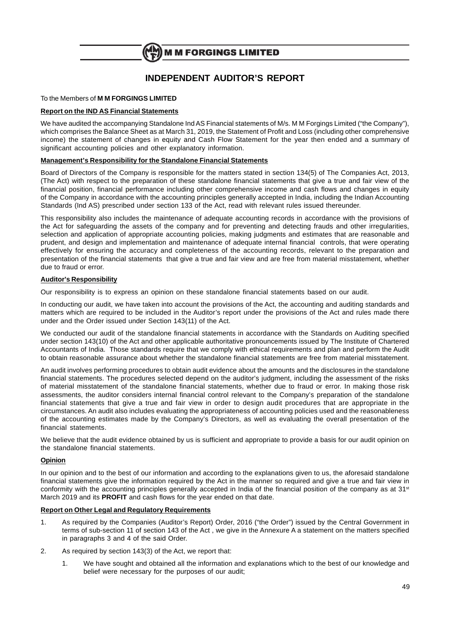

# **INDEPENDENT AUDITOR'S REPORT**

# To the Members of **M M FORGINGS LIMITED**

# **Report on the IND AS Financial Statements**

We have audited the accompanying Standalone Ind AS Financial statements of M/s. M M Forgings Limited ("the Company"), which comprises the Balance Sheet as at March 31, 2019, the Statement of Profit and Loss (including other comprehensive income) the statement of changes in equity and Cash Flow Statement for the year then ended and a summary of significant accounting policies and other explanatory information.

### **Management's Responsibility for the Standalone Financial Statements**

Board of Directors of the Company is responsible for the matters stated in section 134(5) of The Companies Act, 2013, (The Act) with respect to the preparation of these standalone financial statements that give a true and fair view of the financial position, financial performance including other comprehensive income and cash flows and changes in equity of the Company in accordance with the accounting principles generally accepted in India, including the Indian Accounting Standards (Ind AS) prescribed under section 133 of the Act, read with relevant rules issued thereunder.

This responsibility also includes the maintenance of adequate accounting records in accordance with the provisions of the Act for safeguarding the assets of the company and for preventing and detecting frauds and other irregularities, selection and application of appropriate accounting policies, making judgments and estimates that are reasonable and prudent, and design and implementation and maintenance of adequate internal financial controls, that were operating effectively for ensuring the accuracy and completeness of the accounting records, relevant to the preparation and presentation of the financial statements that give a true and fair view and are free from material misstatement, whether due to fraud or error.

## **Auditor's Responsibility**

Our responsibility is to express an opinion on these standalone financial statements based on our audit.

In conducting our audit, we have taken into account the provisions of the Act, the accounting and auditing standards and matters which are required to be included in the Auditor's report under the provisions of the Act and rules made there under and the Order issued under Section 143(11) of the Act.

We conducted our audit of the standalone financial statements in accordance with the Standards on Auditing specified under section 143(10) of the Act and other applicable authoritative pronouncements issued by The Institute of Chartered Accountants of India. Those standards require that we comply with ethical requirements and plan and perform the Audit to obtain reasonable assurance about whether the standalone financial statements are free from material misstatement.

An audit involves performing procedures to obtain audit evidence about the amounts and the disclosures in the standalone financial statements. The procedures selected depend on the auditor's judgment, including the assessment of the risks of material misstatement of the standalone financial statements, whether due to fraud or error. In making those risk assessments, the auditor considers internal financial control relevant to the Company's preparation of the standalone financial statements that give a true and fair view in order to design audit procedures that are appropriate in the circumstances. An audit also includes evaluating the appropriateness of accounting policies used and the reasonableness of the accounting estimates made by the Company's Directors, as well as evaluating the overall presentation of the financial statements.

We believe that the audit evidence obtained by us is sufficient and appropriate to provide a basis for our audit opinion on the standalone financial statements.

### **Opinion**

In our opinion and to the best of our information and according to the explanations given to us, the aforesaid standalone financial statements give the information required by the Act in the manner so required and give a true and fair view in conformity with the accounting principles generally accepted in India of the financial position of the company as at 31st March 2019 and its **PROFIT** and cash flows for the year ended on that date.

## **Report on Other Legal and Regulatory Requirements**

- 1. As required by the Companies (Auditor's Report) Order, 2016 ("the Order") issued by the Central Government in terms of sub-section 11 of section 143 of the Act , we give in the Annexure A a statement on the matters specified in paragraphs 3 and 4 of the said Order.
- 2. As required by section 143(3) of the Act, we report that:
	- 1. We have sought and obtained all the information and explanations which to the best of our knowledge and belief were necessary for the purposes of our audit;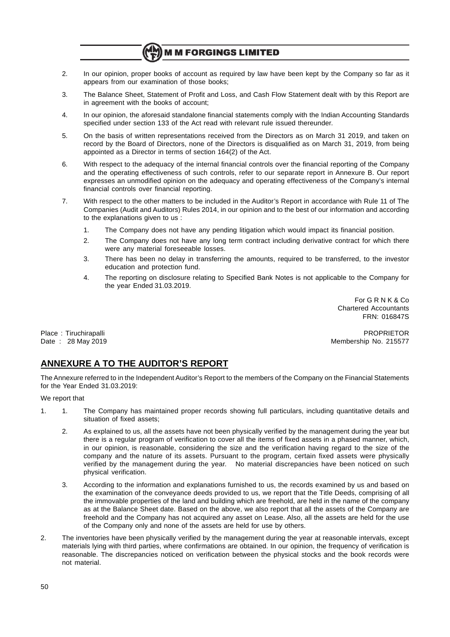# **M M FORGINGS LIMITED**

- 2. In our opinion, proper books of account as required by law have been kept by the Company so far as it appears from our examination of those books;
- 3. The Balance Sheet, Statement of Profit and Loss, and Cash Flow Statement dealt with by this Report are in agreement with the books of account;
- 4. In our opinion, the aforesaid standalone financial statements comply with the Indian Accounting Standards specified under section 133 of the Act read with relevant rule issued thereunder.
- 5. On the basis of written representations received from the Directors as on March 31 2019, and taken on record by the Board of Directors, none of the Directors is disqualified as on March 31, 2019, from being appointed as a Director in terms of section 164(2) of the Act.
- 6. With respect to the adequacy of the internal financial controls over the financial reporting of the Company and the operating effectiveness of such controls, refer to our separate report in Annexure B. Our report expresses an unmodified opinion on the adequacy and operating effectiveness of the Company's internal financial controls over financial reporting.
- 7. With respect to the other matters to be included in the Auditor's Report in accordance with Rule 11 of The Companies (Audit and Auditors) Rules 2014, in our opinion and to the best of our information and according to the explanations given to us :
	- 1. The Company does not have any pending litigation which would impact its financial position.
	- 2. The Company does not have any long term contract including derivative contract for which there were any material foreseeable losses.
	- 3. There has been no delay in transferring the amounts, required to be transferred, to the investor education and protection fund.
	- 4. The reporting on disclosure relating to Specified Bank Notes is not applicable to the Company for the year Ended 31.03.2019.

For G R N K & Co Chartered Accountants FRN: 016847S

Place : Tiruchirapalli Phase in the property of the property of the property of the property of the property of the property of the property of the property of the property of the property of the property of the property o Date : 28 May 2019 Membership No. 215577

# **ANNEXURE A TO THE AUDITOR'S REPORT**

The Annexure referred to in the Independent Auditor's Report to the members of the Company on the Financial Statements for the Year Ended 31.03.2019:

### We report that

- 1. 1. The Company has maintained proper records showing full particulars, including quantitative details and situation of fixed assets;
	- 2. As explained to us, all the assets have not been physically verified by the management during the year but there is a regular program of verification to cover all the items of fixed assets in a phased manner, which, in our opinion, is reasonable, considering the size and the verification having regard to the size of the company and the nature of its assets. Pursuant to the program, certain fixed assets were physically verified by the management during the year. No material discrepancies have been noticed on such physical verification.
	- 3. According to the information and explanations furnished to us, the records examined by us and based on the examination of the conveyance deeds provided to us, we report that the Title Deeds, comprising of all the immovable properties of the land and building which are freehold, are held in the name of the company as at the Balance Sheet date. Based on the above, we also report that all the assets of the Company are freehold and the Company has not acquired any asset on Lease. Also, all the assets are held for the use of the Company only and none of the assets are held for use by others.
- 2. The inventories have been physically verified by the management during the year at reasonable intervals, except materials lying with third parties, where confirmations are obtained. In our opinion, the frequency of verification is reasonable. The discrepancies noticed on verification between the physical stocks and the book records were not material.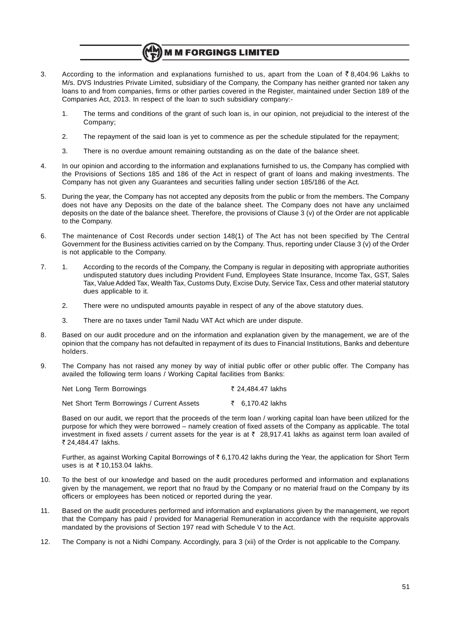# **M M FORGINGS LIMITED**

- 3. According to the information and explanations furnished to us, apart from the Loan of  $\bar{\zeta}$  8,404.96 Lakhs to M/s. DVS Industries Private Limited, subsidiary of the Company, the Company has neither granted nor taken any loans to and from companies, firms or other parties covered in the Register, maintained under Section 189 of the Companies Act, 2013. In respect of the loan to such subsidiary company:-
	- 1. The terms and conditions of the grant of such loan is, in our opinion, not prejudicial to the interest of the Company;
	- 2. The repayment of the said loan is yet to commence as per the schedule stipulated for the repayment;
	- 3. There is no overdue amount remaining outstanding as on the date of the balance sheet.
- 4. In our opinion and according to the information and explanations furnished to us, the Company has complied with the Provisions of Sections 185 and 186 of the Act in respect of grant of loans and making investments. The Company has not given any Guarantees and securities falling under section 185/186 of the Act.
- 5. During the year, the Company has not accepted any deposits from the public or from the members. The Company does not have any Deposits on the date of the balance sheet. The Company does not have any unclaimed deposits on the date of the balance sheet. Therefore, the provisions of Clause 3 (v) of the Order are not applicable to the Company.
- 6. The maintenance of Cost Records under section 148(1) of The Act has not been specified by The Central Government for the Business activities carried on by the Company. Thus, reporting under Clause 3 (v) of the Order is not applicable to the Company.
- 7. 1. According to the records of the Company, the Company is regular in depositing with appropriate authorities undisputed statutory dues including Provident Fund, Employees State Insurance, Income Tax, GST, Sales Tax, Value Added Tax, Wealth Tax, Customs Duty, Excise Duty, Service Tax, Cess and other material statutory dues applicable to it.
	- 2. There were no undisputed amounts payable in respect of any of the above statutory dues.
	- 3. There are no taxes under Tamil Nadu VAT Act which are under dispute.
- 8. Based on our audit procedure and on the information and explanation given by the management, we are of the opinion that the company has not defaulted in repayment of its dues to Financial Institutions, Banks and debenture holders.
- 9. The Company has not raised any money by way of initial public offer or other public offer. The Company has availed the following term loans / Working Capital facilities from Banks:

| Net Long Term Borrowings |  |  |  |  | ₹ 24,484.47 lakhs |  |  |
|--------------------------|--|--|--|--|-------------------|--|--|
|                          |  |  |  |  |                   |  |  |

Net Short Term Borrowings / Current Assets  $\bar{z}$  6,170.42 lakhs

Based on our audit, we report that the proceeds of the term loan / working capital loan have been utilized for the purpose for which they were borrowed – namely creation of fixed assets of the Company as applicable. The total investment in fixed assets / current assets for the year is at  $\bar{\tau}$  28,917.41 lakhs as against term loan availed of ` 24,484.47 lakhs.

Further, as against Working Capital Borrowings of  $\bar{\tau}$  6,170.42 lakhs during the Year, the application for Short Term uses is at  $\bar{\tau}$  10,153.04 lakhs.

- 10. To the best of our knowledge and based on the audit procedures performed and information and explanations given by the management, we report that no fraud by the Company or no material fraud on the Company by its officers or employees has been noticed or reported during the year.
- 11. Based on the audit procedures performed and information and explanations given by the management, we report that the Company has paid / provided for Managerial Remuneration in accordance with the requisite approvals mandated by the provisions of Section 197 read with Schedule V to the Act.
- 12. The Company is not a Nidhi Company. Accordingly, para 3 (xii) of the Order is not applicable to the Company.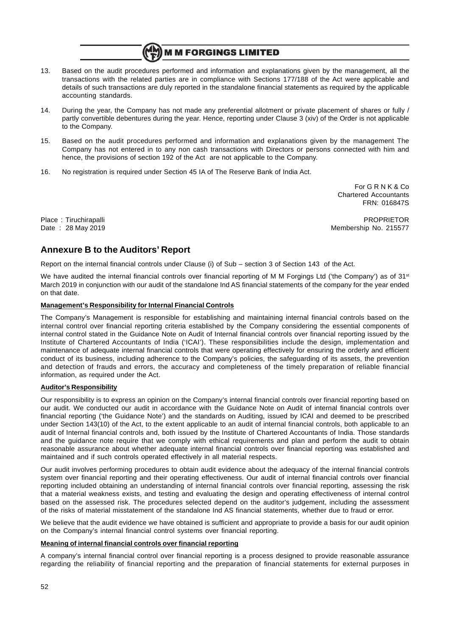

- 13. Based on the audit procedures performed and information and explanations given by the management, all the transactions with the related parties are in compliance with Sections 177/188 of the Act were applicable and details of such transactions are duly reported in the standalone financial statements as required by the applicable accounting standards.
- 14. During the year, the Company has not made any preferential allotment or private placement of shares or fully / partly convertible debentures during the year. Hence, reporting under Clause 3 (xiv) of the Order is not applicable to the Company.
- 15. Based on the audit procedures performed and information and explanations given by the management The Company has not entered in to any non cash transactions with Directors or persons connected with him and hence, the provisions of section 192 of the Act are not applicable to the Company.
- 16. No registration is required under Section 45 IA of The Reserve Bank of India Act.

For G R N K & Co Chartered Accountants FRN: 016847S

Place : Tiruchirapalli Phace : Tiruchirapalli PROPRIETOR Date : 28 May 2019 Membership No. 215577

# **Annexure B to the Auditors' Report**

Report on the internal financial controls under Clause (i) of Sub – section 3 of Section 143 of the Act.

We have audited the internal financial controls over financial reporting of M M Forgings Ltd ('the Company') as of  $31<sup>st</sup>$ March 2019 in conjunction with our audit of the standalone Ind AS financial statements of the company for the year ended on that date.

# **Management's Responsibility for Internal Financial Controls**

The Company's Management is responsible for establishing and maintaining internal financial controls based on the internal control over financial reporting criteria established by the Company considering the essential components of internal control stated in the Guidance Note on Audit of Internal financial controls over financial reporting issued by the Institute of Chartered Accountants of India ('ICAI'). These responsibilities include the design, implementation and maintenance of adequate internal financial controls that were operating effectively for ensuring the orderly and efficient conduct of its business, including adherence to the Company's policies, the safeguarding of its assets, the prevention and detection of frauds and errors, the accuracy and completeness of the timely preparation of reliable financial information, as required under the Act.

# **Auditor's Responsibility**

Our responsibility is to express an opinion on the Company's internal financial controls over financial reporting based on our audit. We conducted our audit in accordance with the Guidance Note on Audit of internal financial controls over financial reporting ('the Guidance Note') and the standards on Auditing, issued by ICAI and deemed to be prescribed under Section 143(10) of the Act, to the extent applicable to an audit of internal financial controls, both applicable to an audit of Internal financial controls and, both issued by the Institute of Chartered Accountants of India. Those standards and the guidance note require that we comply with ethical requirements and plan and perform the audit to obtain reasonable assurance about whether adequate internal financial controls over financial reporting was established and maintained and if such controls operated effectively in all material respects.

Our audit involves performing procedures to obtain audit evidence about the adequacy of the internal financial controls system over financial reporting and their operating effectiveness. Our audit of internal financial controls over financial reporting included obtaining an understanding of internal financial controls over financial reporting, assessing the risk that a material weakness exists, and testing and evaluating the design and operating effectiveness of internal control based on the assessed risk. The procedures selected depend on the auditor's judgement, including the assessment of the risks of material misstatement of the standalone Ind AS financial statements, whether due to fraud or error.

We believe that the audit evidence we have obtained is sufficient and appropriate to provide a basis for our audit opinion on the Company's internal financial control systems over financial reporting.

# **Meaning of internal financial controls over financial reporting**

A company's internal financial control over financial reporting is a process designed to provide reasonable assurance regarding the reliability of financial reporting and the preparation of financial statements for external purposes in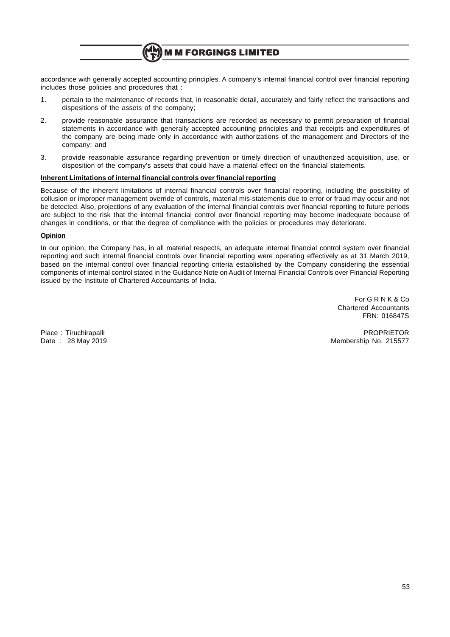

accordance with generally accepted accounting principles. A company's internal financial control over financial reporting includes those policies and procedures that :

- 1. pertain to the maintenance of records that, in reasonable detail, accurately and fairly reflect the transactions and dispositions of the assets of the company;
- 2. provide reasonable assurance that transactions are recorded as necessary to permit preparation of financial statements in accordance with generally accepted accounting principles and that receipts and expenditures of the company are being made only in accordance with authorizations of the management and Directors of the company; and
- 3. provide reasonable assurance regarding prevention or timely direction of unauthorized acquisition, use, or disposition of the company's assets that could have a material effect on the financial statements.

### **Inherent Limitations of internal financial controls over financial reporting**

Because of the inherent limitations of internal financial controls over financial reporting, including the possibility of collusion or improper management override of controls, material mis-statements due to error or fraud may occur and not be detected. Also, projections of any evaluation of the internal financial controls over financial reporting to future periods are subject to the risk that the internal financial control over financial reporting may become inadequate because of changes in conditions, or that the degree of compliance with the policies or procedures may deteriorate.

### **Opinion**

In our opinion, the Company has, in all material respects, an adequate internal financial control system over financial reporting and such internal financial controls over financial reporting were operating effectively as at 31 March 2019, based on the internal control over financial reporting criteria established by the Company considering the essential components of internal control stated in the Guidance Note on Audit of Internal Financial Controls over Financial Reporting issued by the Institute of Chartered Accountants of India.

> For G R N K & Co Chartered Accountants FRN: 016847S

Place : Tiruchirapalli Phace : The PROPRIETOR Place : The PROPRIETOR PROPRIETOR Date : 28 May 2019 Membership No. 215577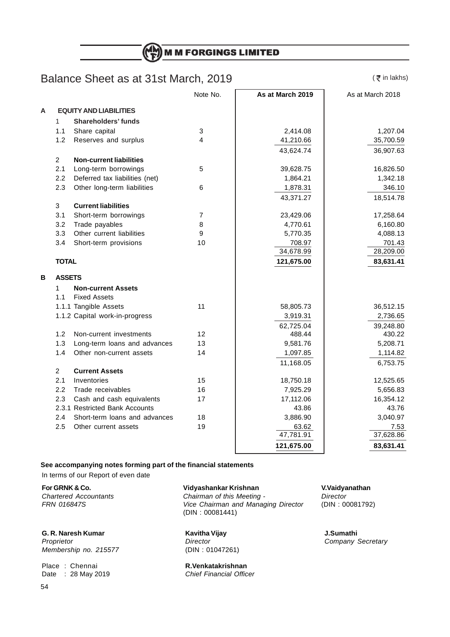**M M FORGINGS LIMITED** 

# Balance Sheet as at 31st March, 2019

 $($   $\bar{z}$  in lakhs)

|   |                |                                | Note No. | As at March 2019 | As at March 2018 |
|---|----------------|--------------------------------|----------|------------------|------------------|
| A |                | <b>EQUITY AND LIABILITIES</b>  |          |                  |                  |
|   | $\mathbf{1}$   | <b>Shareholders' funds</b>     |          |                  |                  |
|   | 1.1            | Share capital                  | 3        | 2,414.08         | 1,207.04         |
|   | 1.2            | Reserves and surplus           | 4        | 41,210.66        | 35,700.59        |
|   |                |                                |          | 43,624.74        | 36,907.63        |
|   | $\overline{2}$ | <b>Non-current liabilities</b> |          |                  |                  |
|   | 2.1            | Long-term borrowings           | 5        | 39,628.75        | 16,826.50        |
|   | 2.2            | Deferred tax liabilities (net) |          | 1,864.21         | 1,342.18         |
|   | 2.3            | Other long-term liabilities    | 6        | 1,878.31         | 346.10           |
|   |                |                                |          | 43,371.27        | 18,514.78        |
|   | 3              | <b>Current liabilities</b>     |          |                  |                  |
|   | 3.1            | Short-term borrowings          | 7        | 23,429.06        | 17,258.64        |
|   | 3.2            | Trade payables                 | 8        | 4,770.61         | 6,160.80         |
|   | 3.3            | Other current liabilities      | 9        | 5,770.35         | 4,088.13         |
|   | 3.4            | Short-term provisions          | 10       | 708.97           | 701.43           |
|   |                |                                |          | 34,678.99        | 28,209.00        |
|   | <b>TOTAL</b>   |                                |          | 121,675.00       | 83,631.41        |
| в | <b>ASSETS</b>  |                                |          |                  |                  |
|   | 1              | <b>Non-current Assets</b>      |          |                  |                  |
|   | 1.1            | <b>Fixed Assets</b>            |          |                  |                  |
|   |                | 1.1.1 Tangible Assets          | 11       | 58,805.73        | 36,512.15        |
|   |                | 1.1.2 Capital work-in-progress |          | 3,919.31         | 2,736.65         |
|   |                |                                |          | 62,725.04        | 39,248.80        |
|   | 1.2            | Non-current investments        | 12       | 488.44           | 430.22           |
|   | 1.3            | Long-term loans and advances   | 13       | 9,581.76         | 5,208.71         |
|   | 1.4            | Other non-current assets       | 14       | 1,097.85         | 1,114.82         |
|   |                |                                |          | 11,168.05        | 6,753.75         |
|   | $\overline{2}$ | <b>Current Assets</b>          |          |                  |                  |
|   | 2.1            | Inventories                    | 15       | 18,750.18        | 12,525.65        |
|   | 2.2            | Trade receivables              | 16       | 7,925.29         | 5,656.83         |
|   | 2.3            | Cash and cash equivalents      | 17       | 17,112.06        | 16,354.12        |
|   |                | 2.3.1 Restricted Bank Accounts |          | 43.86            | 43.76            |
|   | 2.4            | Short-term loans and advances  | 18       | 3,886.90         | 3,040.97         |
|   | 2.5            | Other current assets           | 19       | 63.62            | 7.53             |
|   |                |                                |          | 47,781.91        | 37,628.86        |
|   |                |                                |          | 121,675.00       | 83,631.41        |

**See accompanying notes forming part of the financial statements**

In terms of our Report of even date

**G. R. Naresh Kumar Kavitha Vijay J.Sumathi** Proprietor Company Secretary<br>
Membership no. 215577 (DIN : 01047261) Membership no. 215577

Place : Chennai **R.Venkatakrishnan** Date : 28 May 2019 Chief Financial Officer

**For GRNK & Co. Vidyashankar Krishnan V.Vaidyanathan** Chartered Accountants **Chairman of this Meeting -** Director Director<br>
FRN 016847S - Conairman and Managing Director (DIN: 00081792) Vice Chairman and Managing Director (DIN : 00081441)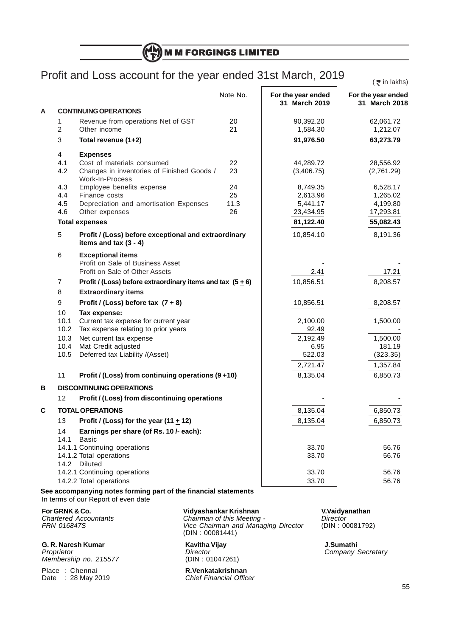(H) **M M FORGINGS LIMITED** 

# Profit and Loss account for the year ended 31st March, 2019

 $($   $\bar{z}$  in lakhs)

|   |                |                                                                                 | Note No. | For the year ended<br>31 March 2019 | For the year ended<br>31 March 2018 |
|---|----------------|---------------------------------------------------------------------------------|----------|-------------------------------------|-------------------------------------|
| A |                | <b>CONTINUING OPERATIONS</b>                                                    |          |                                     |                                     |
|   | 1              | Revenue from operations Net of GST                                              | 20       | 90,392.20                           | 62,061.72                           |
|   | $\overline{c}$ | Other income                                                                    | 21       | 1,584.30                            | 1,212.07                            |
|   | 3              | Total revenue (1+2)                                                             |          | 91,976.50                           | 63,273.79                           |
|   | 4              | <b>Expenses</b>                                                                 |          |                                     |                                     |
|   | 4.1            | Cost of materials consumed                                                      | 22       | 44,289.72                           | 28,556.92                           |
|   | 4.2            | Changes in inventories of Finished Goods /<br>Work-In-Process                   | 23       | (3,406.75)                          | (2,761.29)                          |
|   | 4.3            | Employee benefits expense                                                       | 24       | 8,749.35                            | 6,528.17                            |
|   | 4.4            | Finance costs                                                                   | 25       | 2,613.96                            | 1,265.02                            |
|   | 4.5            | Depreciation and amortisation Expenses                                          | 11.3     | 5,441.17                            | 4,199.80                            |
|   | 4.6            | Other expenses                                                                  | 26       | 23,434.95                           | 17,293.81                           |
|   |                | <b>Total expenses</b>                                                           |          | 81,122.40                           | 55,082.43                           |
|   | 5              | Profit / (Loss) before exceptional and extraordinary<br>items and tax $(3 - 4)$ |          | 10,854.10                           | 8,191.36                            |
|   | 6              | <b>Exceptional items</b>                                                        |          |                                     |                                     |
|   |                | Profit on Sale of Business Asset                                                |          |                                     |                                     |
|   |                | Profit on Sale of Other Assets                                                  |          | 2.41                                | 17.21                               |
|   | 7              | Profit / (Loss) before extraordinary items and tax $(5 + 6)$                    |          | 10,856.51                           | 8,208.57                            |
|   | 8              | <b>Extraordinary items</b>                                                      |          |                                     |                                     |
|   | 9              | Profit / (Loss) before tax $(7 + 8)$                                            |          | 10,856.51                           | 8,208.57                            |
|   | 10             | Tax expense:                                                                    |          |                                     |                                     |
|   | 10.1           | Current tax expense for current year                                            |          | 2,100.00                            | 1,500.00                            |
|   | 10.2           | Tax expense relating to prior years                                             |          | 92.49                               |                                     |
|   | 10.3           | Net current tax expense                                                         |          | 2,192.49                            | 1,500.00                            |
|   | 10.4<br>10.5   | Mat Credit adjusted<br>Deferred tax Liability /(Asset)                          |          | 6.95<br>522.03                      | 181.19                              |
|   |                |                                                                                 |          |                                     | (323.35)                            |
|   |                |                                                                                 |          | 2,721.47                            | 1,357.84                            |
|   | 11             | Profit / (Loss) from continuing operations $(9 + 10)$                           |          | 8,135.04                            | 6,850.73                            |
| В |                | <b>DISCONTINUING OPERATIONS</b>                                                 |          |                                     |                                     |
|   | 12             | Profit / (Loss) from discontinuing operations                                   |          |                                     |                                     |
| C |                | <b>TOTAL OPERATIONS</b>                                                         |          | 8,135.04                            | 6,850.73                            |
|   | 13             | Profit / (Loss) for the year (11 $\pm$ 12)                                      |          | 8,135.04                            | 6,850.73                            |
|   | 14             | Earnings per share (of Rs. 10 /- each):                                         |          |                                     |                                     |
|   | 14.1           | Basic                                                                           |          |                                     |                                     |
|   |                | 14.1.1 Continuing operations                                                    |          | 33.70                               | 56.76                               |
|   |                | 14.1.2 Total operations<br>14.2 Diluted                                         |          | 33.70                               | 56.76                               |
|   |                | 14.2.1 Continuing operations                                                    |          | 33.70                               | 56.76                               |
|   |                | 14.2.2 Total operations                                                         |          | 33.70                               | 56.76                               |
|   |                | See accompanying notes forming part of the financial statements                 |          |                                     |                                     |
|   |                | In terms of our Report of even date                                             |          |                                     |                                     |

**G. R. Naresh Kumar C. R. Naresh Kumathi**<br> *Proprietor* **Company** *Director Director Company S* Membership no. 215577

Date :  $28$  May  $2019$ 

**For GRNK & Co. Vidyashankar Krishnan V.Vaidyanathan** Chartered Accountants **Chairman of this Meeting -** Director FRN 016847S **Vice Chairman and Managing Director** (DIN : 00081792) (DIN : 00081441)

Director Company Secretary<br>
(DIN: 01047261)

Place : Chennai **R.Venkatakrishnan**<br>
Date : 28 May 2019 **R.Venkatakrishnan**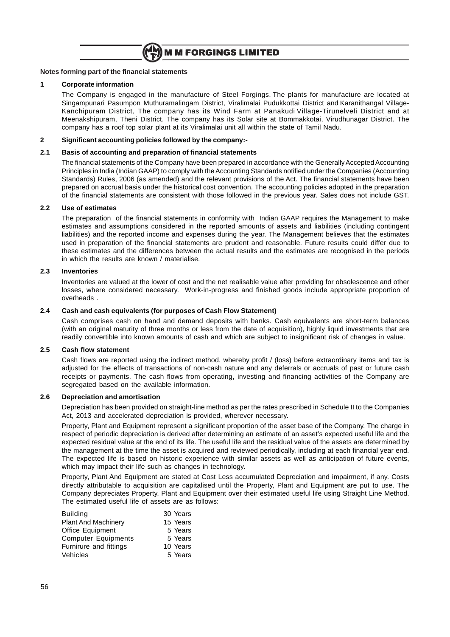

### **Notes forming part of the financial statements**

### **1 Corporate information**

The Company is engaged in the manufacture of Steel Forgings. The plants for manufacture are located at Singampunari Pasumpon Muthuramalingam District, Viralimalai Pudukkottai District and Karanithangal Village-Kanchipuram District, The company has its Wind Farm at Panakudi Village-Tirunelveli District and at Meenakshipuram, Theni District. The company has its Solar site at Bommakkotai, Virudhunagar District. The company has a roof top solar plant at its Viralimalai unit all within the state of Tamil Nadu.

## **2 Significant accounting policies followed by the company:-**

# **2.1 Basis of accounting and preparation of financial statements**

The financial statements of the Company have been prepared in accordance with the Generally Accepted Accounting Principles in India (Indian GAAP) to comply with the Accounting Standards notified under the Companies (Accounting Standards) Rules, 2006 (as amended) and the relevant provisions of the Act. The financial statements have been prepared on accrual basis under the historical cost convention. The accounting policies adopted in the preparation of the financial statements are consistent with those followed in the previous year. Sales does not include GST.

# **2.2 Use of estimates**

The preparation of the financial statements in conformity with Indian GAAP requires the Management to make estimates and assumptions considered in the reported amounts of assets and liabilities (including contingent liabilities) and the reported income and expenses during the year. The Management believes that the estimates used in preparation of the financial statements are prudent and reasonable. Future results could differ due to these estimates and the differences between the actual results and the estimates are recognised in the periods in which the results are known / materialise.

# **2.3 Inventories**

Inventories are valued at the lower of cost and the net realisable value after providing for obsolescence and other losses, where considered necessary. Work-in-progress and finished goods include appropriate proportion of overheads .

# **2.4 Cash and cash equivalents (for purposes of Cash Flow Statement)**

Cash comprises cash on hand and demand deposits with banks. Cash equivalents are short-term balances (with an original maturity of three months or less from the date of acquisition), highly liquid investments that are readily convertible into known amounts of cash and which are subject to insignificant risk of changes in value.

### **2.5 Cash flow statement**

Cash flows are reported using the indirect method, whereby profit / (loss) before extraordinary items and tax is adjusted for the effects of transactions of non-cash nature and any deferrals or accruals of past or future cash receipts or payments. The cash flows from operating, investing and financing activities of the Company are segregated based on the available information.

## **2.6 Depreciation and amortisation**

Depreciation has been provided on straight-line method as per the rates prescribed in Schedule II to the Companies Act, 2013 and accelerated depreciation is provided, wherever necessary.

Property, Plant and Equipment represent a significant proportion of the asset base of the Company. The charge in respect of periodic depreciation is derived after determining an estimate of an asset's expected useful life and the expected residual value at the end of its life. The useful life and the residual value of the assets are determined by the management at the time the asset is acquired and reviewed periodically, including at each financial year end. The expected life is based on historic experience with similar assets as well as anticipation of future events, which may impact their life such as changes in technology.

Property, Plant And Equipment are stated at Cost Less accumulated Depreciation and impairment, if any. Costs directly attributable to acquisition are capitalised until the Property, Plant and Equipment are put to use. The Company depreciates Property, Plant and Equipment over their estimated useful life using Straight Line Method. The estimated useful life of assets are as follows:

| <b>Building</b>            | 30 Years |
|----------------------------|----------|
| <b>Plant And Machinery</b> | 15 Years |
| Office Equipment           | 5 Years  |
| <b>Computer Equipments</b> | 5 Years  |
| Furnirure and fittings     | 10 Years |
| Vehicles                   | 5 Years  |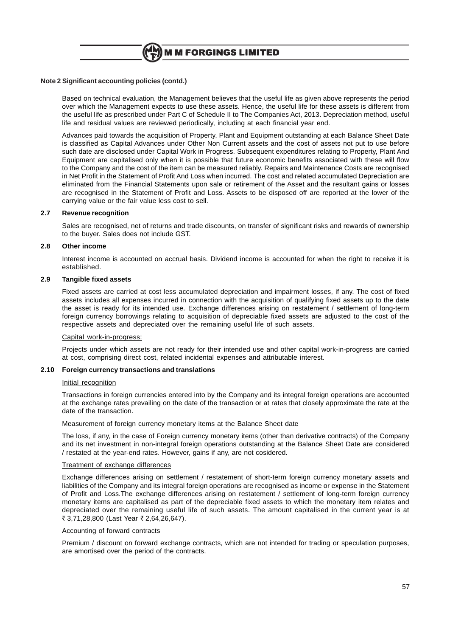

### **Note 2 Significant accounting policies (contd.)**

Based on technical evaluation, the Management believes that the useful life as given above represents the period over which the Management expects to use these assets. Hence, the useful life for these assets is different from the useful life as prescribed under Part C of Schedule II to The Companies Act, 2013. Depreciation method, useful life and residual values are reviewed periodically, including at each financial year end.

Advances paid towards the acquisition of Property, Plant and Equipment outstanding at each Balance Sheet Date is classified as Capital Advances under Other Non Current assets and the cost of assets not put to use before such date are disclosed under Capital Work in Progress. Subsequent expenditures relating to Property, Plant And Equipment are capitalised only when it is possible that future economic benefits associated with these will flow to the Company and the cost of the item can be measured reliably. Repairs and Maintenance Costs are recognised in Net Profit in the Statement of Profit And Loss when incurred. The cost and related accumulated Depreciation are eliminated from the Financial Statements upon sale or retirement of the Asset and the resultant gains or losses are recognised in the Statement of Profit and Loss. Assets to be disposed off are reported at the lower of the carrying value or the fair value less cost to sell.

## **2.7 Revenue recognition**

Sales are recognised, net of returns and trade discounts, on transfer of significant risks and rewards of ownership to the buyer. Sales does not include GST.

### **2.8 Other income**

Interest income is accounted on accrual basis. Dividend income is accounted for when the right to receive it is established.

### **2.9 Tangible fixed assets**

Fixed assets are carried at cost less accumulated depreciation and impairment losses, if any. The cost of fixed assets includes all expenses incurred in connection with the acquisition of qualifying fixed assets up to the date the asset is ready for its intended use. Exchange differences arising on restatement / settlement of long-term foreign currency borrowings relating to acquisition of depreciable fixed assets are adjusted to the cost of the respective assets and depreciated over the remaining useful life of such assets.

#### Capital work-in-progress:

Projects under which assets are not ready for their intended use and other capital work-in-progress are carried at cost, comprising direct cost, related incidental expenses and attributable interest.

### **2.10 Foreign currency transactions and translations**

#### Initial recognition

Transactions in foreign currencies entered into by the Company and its integral foreign operations are accounted at the exchange rates prevailing on the date of the transaction or at rates that closely approximate the rate at the date of the transaction.

### Measurement of foreign currency monetary items at the Balance Sheet date

The loss, if any, in the case of Foreign currency monetary items (other than derivative contracts) of the Company and its net investment in non-integral foreign operations outstanding at the Balance Sheet Date are considered / restated at the year-end rates. However, gains if any, are not cosidered.

#### Treatment of exchange differences

Exchange differences arising on settlement / restatement of short-term foreign currency monetary assets and liabilities of the Company and its integral foreign operations are recognised as income or expense in the Statement of Profit and Loss.The exchange differences arising on restatement / settlement of long-term foreign currency monetary items are capitalised as part of the depreciable fixed assets to which the monetary item relates and depreciated over the remaining useful life of such assets. The amount capitalised in the current year is at ₹ 3,71,28,800 (Last Year ₹ 2,64,26,647).

## Accounting of forward contracts

Premium / discount on forward exchange contracts, which are not intended for trading or speculation purposes, are amortised over the period of the contracts.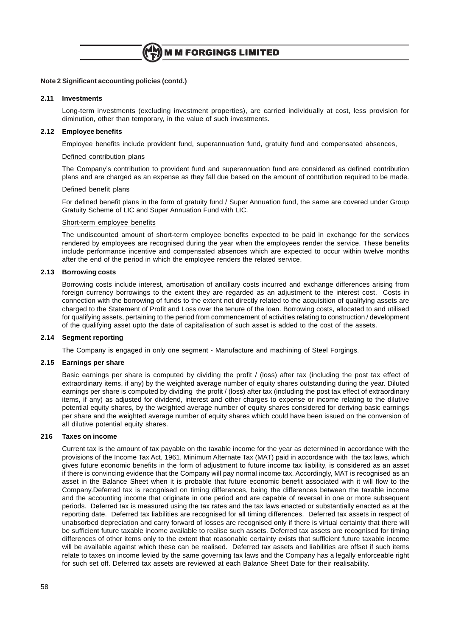### **Note 2 Significant accounting policies (contd.)**

### **2.11 Investments**

Long-term investments (excluding investment properties), are carried individually at cost, less provision for diminution, other than temporary, in the value of such investments.

### **2.12 Employee benefits**

Employee benefits include provident fund, superannuation fund, gratuity fund and compensated absences,

### Defined contribution plans

The Company's contribution to provident fund and superannuation fund are considered as defined contribution plans and are charged as an expense as they fall due based on the amount of contribution required to be made.

#### Defined benefit plans

For defined benefit plans in the form of gratuity fund / Super Annuation fund, the same are covered under Group Gratuity Scheme of LIC and Super Annuation Fund with LIC.

### Short-term employee benefits

The undiscounted amount of short-term employee benefits expected to be paid in exchange for the services rendered by employees are recognised during the year when the employees render the service. These benefits include performance incentive and compensated absences which are expected to occur within twelve months after the end of the period in which the employee renders the related service.

### **2.13 Borrowing costs**

Borrowing costs include interest, amortisation of ancillary costs incurred and exchange differences arising from foreign currency borrowings to the extent they are regarded as an adjustment to the interest cost. Costs in connection with the borrowing of funds to the extent not directly related to the acquisition of qualifying assets are charged to the Statement of Profit and Loss over the tenure of the loan. Borrowing costs, allocated to and utilised for qualifying assets, pertaining to the period from commencement of activities relating to construction / development of the qualifying asset upto the date of capitalisation of such asset is added to the cost of the assets.

### **2.14 Segment reporting**

The Company is engaged in only one segment - Manufacture and machining of Steel Forgings.

#### **2.15 Earnings per share**

Basic earnings per share is computed by dividing the profit / (loss) after tax (including the post tax effect of extraordinary items, if any) by the weighted average number of equity shares outstanding during the year. Diluted earnings per share is computed by dividing the profit / (loss) after tax (including the post tax effect of extraordinary items, if any) as adjusted for dividend, interest and other charges to expense or income relating to the dilutive potential equity shares, by the weighted average number of equity shares considered for deriving basic earnings per share and the weighted average number of equity shares which could have been issued on the conversion of all dilutive potential equity shares.

### **216 Taxes on income**

Current tax is the amount of tax payable on the taxable income for the year as determined in accordance with the provisions of the Income Tax Act, 1961. Minimum Alternate Tax (MAT) paid in accordance with the tax laws, which gives future economic benefits in the form of adjustment to future income tax liability, is considered as an asset if there is convincing evidence that the Company will pay normal income tax. Accordingly, MAT is recognised as an asset in the Balance Sheet when it is probable that future economic benefit associated with it will flow to the Company.Deferred tax is recognised on timing differences, being the differences between the taxable income and the accounting income that originate in one period and are capable of reversal in one or more subsequent periods. Deferred tax is measured using the tax rates and the tax laws enacted or substantially enacted as at the reporting date. Deferred tax liabilities are recognised for all timing differences. Deferred tax assets in respect of unabsorbed depreciation and carry forward of losses are recognised only if there is virtual certainty that there will be sufficient future taxable income available to realise such assets. Deferred tax assets are recognised for timing differences of other items only to the extent that reasonable certainty exists that sufficient future taxable income will be available against which these can be realised. Deferred tax assets and liabilities are offset if such items relate to taxes on income levied by the same governing tax laws and the Company has a legally enforceable right for such set off. Deferred tax assets are reviewed at each Balance Sheet Date for their realisability.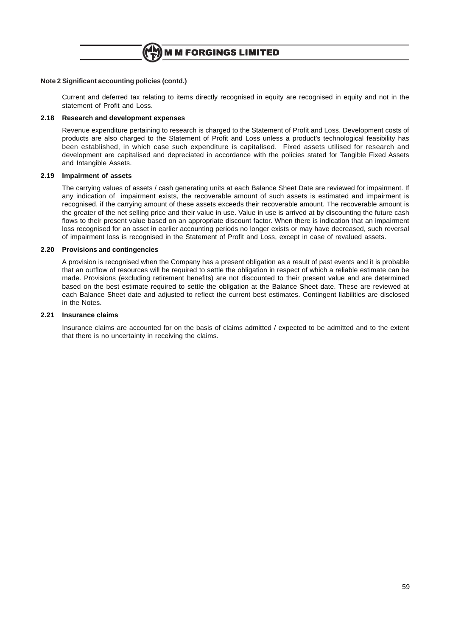

## **Note 2 Significant accounting policies (contd.)**

Current and deferred tax relating to items directly recognised in equity are recognised in equity and not in the statement of Profit and Loss.

## **2.18 Research and development expenses**

Revenue expenditure pertaining to research is charged to the Statement of Profit and Loss. Development costs of products are also charged to the Statement of Profit and Loss unless a product's technological feasibility has been established, in which case such expenditure is capitalised. Fixed assets utilised for research and development are capitalised and depreciated in accordance with the policies stated for Tangible Fixed Assets and Intangible Assets.

# **2.19 Impairment of assets**

The carrying values of assets / cash generating units at each Balance Sheet Date are reviewed for impairment. If any indication of impairment exists, the recoverable amount of such assets is estimated and impairment is recognised, if the carrying amount of these assets exceeds their recoverable amount. The recoverable amount is the greater of the net selling price and their value in use. Value in use is arrived at by discounting the future cash flows to their present value based on an appropriate discount factor. When there is indication that an impairment loss recognised for an asset in earlier accounting periods no longer exists or may have decreased, such reversal of impairment loss is recognised in the Statement of Profit and Loss, except in case of revalued assets.

# **2.20 Provisions and contingencies**

A provision is recognised when the Company has a present obligation as a result of past events and it is probable that an outflow of resources will be required to settle the obligation in respect of which a reliable estimate can be made. Provisions (excluding retirement benefits) are not discounted to their present value and are determined based on the best estimate required to settle the obligation at the Balance Sheet date. These are reviewed at each Balance Sheet date and adjusted to reflect the current best estimates. Contingent liabilities are disclosed in the Notes.

### **2.21 Insurance claims**

Insurance claims are accounted for on the basis of claims admitted / expected to be admitted and to the extent that there is no uncertainty in receiving the claims.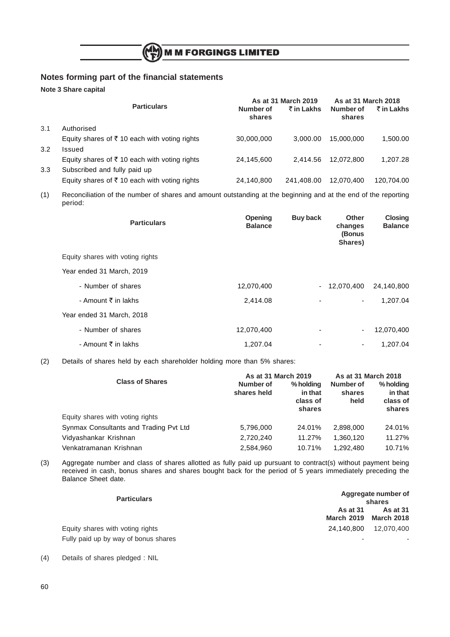

# **Notes forming part of the financial statements**

**Note 3 Share capital**

|     |                                                          |                     | As at 31 March 2019 | As at 31 March 2018 |            |
|-----|----------------------------------------------------------|---------------------|---------------------|---------------------|------------|
|     | <b>Particulars</b>                                       | Number of<br>shares | ₹ in Lakhs          | Number of<br>shares | ₹ in Lakhs |
| 3.1 | Authorised                                               |                     |                     |                     |            |
|     | Equity shares of ₹10 each with voting rights             | 30,000,000          | 3.000.00            | 15.000.000          | 1,500.00   |
| 3.2 | Issued                                                   |                     |                     |                     |            |
|     | Equity shares of $\bar{\tau}$ 10 each with voting rights | 24.145.600          | 2.414.56            | 12.072.800          | 1.207.28   |
| 3.3 | Subscribed and fully paid up                             |                     |                     |                     |            |
|     | Equity shares of $\bar{\tau}$ 10 each with voting rights | 24,140,800          | 241.408.00          | 12.070.400          | 120,704.00 |

(1) Reconciliation of the number of shares and amount outstanding at the beginning and at the end of the reporting period:

| <b>Particulars</b>               | Opening<br><b>Balance</b> | <b>Buy back</b> | <b>Other</b><br>changes<br>(Bonus<br>Shares) | <b>Closing</b><br><b>Balance</b> |
|----------------------------------|---------------------------|-----------------|----------------------------------------------|----------------------------------|
| Equity shares with voting rights |                           |                 |                                              |                                  |
| Year ended 31 March, 2019        |                           |                 |                                              |                                  |
| - Number of shares               | 12,070,400                |                 | $-12,070,400$                                | 24,140,800                       |
| - Amount ₹ in lakhs              | 2,414.08                  |                 | $\overline{\phantom{0}}$                     | 1,207.04                         |
| Year ended 31 March, 2018        |                           |                 |                                              |                                  |
| - Number of shares               | 12,070,400                |                 | $\overline{\phantom{a}}$                     | 12,070,400                       |
| - Amount ₹ in lakhs              | 1,207.04                  |                 | ۰                                            | 1,207.04                         |

(2) Details of shares held by each shareholder holding more than 5% shares:

|                                        | As at 31 March 2019      | As at 31 March 2018                        |                             |                                            |
|----------------------------------------|--------------------------|--------------------------------------------|-----------------------------|--------------------------------------------|
| <b>Class of Shares</b>                 | Number of<br>shares held | % holding<br>in that<br>class of<br>shares | Number of<br>shares<br>held | % holding<br>in that<br>class of<br>shares |
| Equity shares with voting rights       |                          |                                            |                             |                                            |
| Synmax Consultants and Trading Pvt Ltd | 5,796,000                | 24.01%                                     | 2.898.000                   | 24.01%                                     |
| Vidyashankar Krishnan                  | 2,720,240                | 11.27%                                     | 1.360.120                   | 11.27%                                     |
| Venkatramanan Krishnan                 | 2,584,960                | 10.71%                                     | 1.292.480                   | 10.71%                                     |

(3) Aggregate number and class of shares allotted as fully paid up pursuant to contract(s) without payment being received in cash, bonus shares and shares bought back for the period of 5 years immediately preceding the Balance Sheet date.

| <b>Particulars</b>                                                       | Aggregate number of<br>shares                   |          |  |  |
|--------------------------------------------------------------------------|-------------------------------------------------|----------|--|--|
|                                                                          | <b>As at 31</b><br><b>March 2019 March 2018</b> | As at 31 |  |  |
| Equity shares with voting rights<br>Fully paid up by way of bonus shares | 24,140,800 12,070,400<br>-                      |          |  |  |

(4) Details of shares pledged : NIL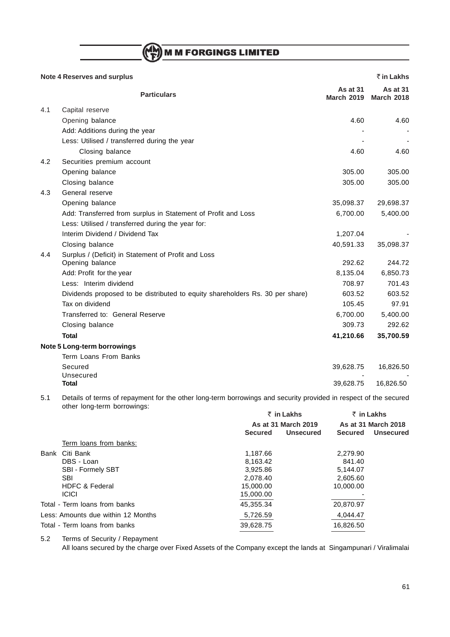$\binom{(\mathsf{M}\mathsf{M})}{\mathsf{F}}$ M M FORGINGS LIMITED

|     | <b>Note 4 Reserves and surplus</b>                                            |                                      | ₹ in Lakhs                           |
|-----|-------------------------------------------------------------------------------|--------------------------------------|--------------------------------------|
|     | <b>Particulars</b>                                                            | <b>As at 31</b><br><b>March 2019</b> | <b>As at 31</b><br><b>March 2018</b> |
| 4.1 | Capital reserve                                                               |                                      |                                      |
|     | Opening balance                                                               | 4.60                                 | 4.60                                 |
|     | Add: Additions during the year                                                |                                      |                                      |
|     | Less: Utilised / transferred during the year                                  |                                      |                                      |
|     | Closing balance                                                               | 4.60                                 | 4.60                                 |
| 4.2 | Securities premium account                                                    |                                      |                                      |
|     | Opening balance                                                               | 305.00                               | 305.00                               |
|     | Closing balance                                                               | 305.00                               | 305.00                               |
| 4.3 | General reserve                                                               |                                      |                                      |
|     | Opening balance                                                               | 35,098.37                            | 29,698.37                            |
|     | Add: Transferred from surplus in Statement of Profit and Loss                 | 6,700.00                             | 5,400.00                             |
|     | Less: Utilised / transferred during the year for:                             |                                      |                                      |
|     | Interim Dividend / Dividend Tax                                               | 1,207.04                             |                                      |
|     | Closing balance                                                               | 40,591.33                            | 35,098.37                            |
| 4.4 | Surplus / (Deficit) in Statement of Profit and Loss                           |                                      |                                      |
|     | Opening balance                                                               | 292.62                               | 244.72                               |
|     | Add: Profit for the year                                                      | 8,135.04                             | 6,850.73                             |
|     | Less: Interim dividend                                                        | 708.97                               | 701.43                               |
|     | Dividends proposed to be distributed to equity shareholders Rs. 30 per share) | 603.52                               | 603.52                               |
|     | Tax on dividend                                                               | 105.45                               | 97.91                                |
|     | Transferred to: General Reserve                                               | 6,700.00                             | 5,400.00                             |
|     | Closing balance                                                               | 309.73                               | 292.62                               |
|     | <b>Total</b>                                                                  | 41,210.66                            | 35,700.59                            |
|     | Note 5 Long-term borrowings                                                   |                                      |                                      |
|     | Term Loans From Banks                                                         |                                      |                                      |
|     | Secured                                                                       | 39,628.75                            | 16,826.50                            |
|     | Unsecured                                                                     |                                      |                                      |
|     | Total                                                                         | 39,628.75                            | 16,826.50                            |

5.1 Details of terms of repayment for the other long-term borrowings and security provided in respect of the secured other long-term borrowings:

|      |                                    |                | ₹ in Lakhs          |                     | $\bar{z}$ in Lakhs |
|------|------------------------------------|----------------|---------------------|---------------------|--------------------|
|      |                                    |                | As at 31 March 2019 | As at 31 March 2018 |                    |
|      |                                    | <b>Secured</b> | <b>Unsecured</b>    | <b>Secured</b>      | <b>Unsecured</b>   |
|      | Term loans from banks:             |                |                     |                     |                    |
| Bank | Citi Bank                          | 1,187.66       |                     | 2,279.90            |                    |
|      | DBS - Loan                         | 8.163.42       |                     | 841.40              |                    |
|      | <b>SBI - Formely SBT</b>           | 3.925.86       |                     | 5.144.07            |                    |
|      | <b>SBI</b>                         | 2.078.40       |                     | 2,605.60            |                    |
|      | <b>HDFC &amp; Federal</b>          | 15,000.00      |                     | 10,000.00           |                    |
|      | <b>ICICI</b>                       | 15,000.00      |                     |                     |                    |
|      | Total - Term loans from banks      | 45.355.34      |                     | 20,870.97           |                    |
|      | Less: Amounts due within 12 Months | 5,726.59       |                     | 4,044.47            |                    |
|      | Total - Term loans from banks      | 39,628.75      |                     | 16.826.50           |                    |

5.2 Terms of Security / Repayment

All loans secured by the charge over Fixed Assets of the Company except the lands at Singampunari / Viralimalai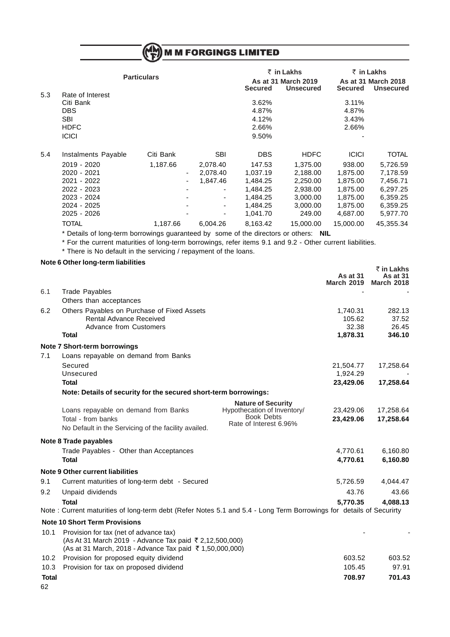|     |                                                                                                            |                    |            | M M FORGINGS LIMITED |                                         |                |                                         |
|-----|------------------------------------------------------------------------------------------------------------|--------------------|------------|----------------------|-----------------------------------------|----------------|-----------------------------------------|
|     |                                                                                                            |                    |            |                      | $\bar{z}$ in Lakhs                      |                | ₹ in Lakhs                              |
|     |                                                                                                            | <b>Particulars</b> |            | <b>Secured</b>       | As at 31 March 2019<br><b>Unsecured</b> | <b>Secured</b> | As at 31 March 2018<br><b>Unsecured</b> |
| 5.3 | Rate of Interest                                                                                           |                    |            |                      |                                         |                |                                         |
|     | Citi Bank                                                                                                  |                    |            | 3.62%                |                                         | 3.11%          |                                         |
|     | <b>DBS</b>                                                                                                 |                    |            | 4.87%                |                                         | 4.87%          |                                         |
|     | <b>SBI</b>                                                                                                 |                    |            | 4.12%                |                                         | 3.43%          |                                         |
|     | <b>HDFC</b>                                                                                                |                    |            | 2.66%                |                                         | 2.66%          |                                         |
|     | <b>ICICI</b>                                                                                               |                    |            | 9.50%                |                                         |                |                                         |
| 5.4 | Instalments Payable                                                                                        | Citi Bank          | <b>SBI</b> | <b>DBS</b>           | <b>HDFC</b>                             | <b>ICICI</b>   | <b>TOTAL</b>                            |
|     | 2019 - 2020                                                                                                | 1,187.66           | 2,078.40   | 147.53               | 1,375.00                                | 938.00         | 5,726.59                                |
|     | 2020 - 2021                                                                                                |                    | 2,078.40   | 1,037.19             | 2.188.00                                | 1,875.00       | 7,178.59                                |
|     | 2021 - 2022                                                                                                |                    | 1,847.46   | 1,484.25             | 2,250.00                                | 1,875.00       | 7,456.71                                |
|     | 2022 - 2023                                                                                                |                    |            | 1,484.25             | 2,938.00                                | 1,875.00       | 6,297.25                                |
|     | 2023 - 2024                                                                                                |                    |            | 1,484.25             | 3,000.00                                | 1,875.00       | 6,359.25                                |
|     | 2024 - 2025                                                                                                |                    | ۰          | 1,484.25             | 3,000.00                                | 1,875.00       | 6,359.25                                |
|     | 2025 - 2026                                                                                                |                    |            | 1,041.70             | 249.00                                  | 4,687.00       | 5,977.70                                |
|     | <b>TOTAL</b>                                                                                               | 1,187.66           | 6,004.26   | 8,163.42             | 15,000.00                               | 15,000.00      | 45,355.34                               |
|     | * Details of long-term borrowings guaranteed by some of the directors or others: NIL                       |                    |            |                      |                                         |                |                                         |
|     | * For the current maturities of long-term borrowings, refer items 9.1 and 9.2 - Other current liabilities. |                    |            |                      |                                         |                |                                         |
|     | * There is No default in the servicing / repayment of the loans.                                           |                    |            |                      |                                         |                |                                         |
|     | Note 6 Other long-term liabilities                                                                         |                    |            |                      |                                         |                |                                         |
|     |                                                                                                            |                    |            |                      |                                         |                | ₹ in Lakhs                              |

|              |                                                                                                                     |                                                  | As at 31<br><b>March 2019</b> | <b>As at 31</b><br><b>March 2018</b> |
|--------------|---------------------------------------------------------------------------------------------------------------------|--------------------------------------------------|-------------------------------|--------------------------------------|
| 6.1          | <b>Trade Payables</b>                                                                                               |                                                  |                               |                                      |
|              | Others than acceptances                                                                                             |                                                  |                               |                                      |
| 6.2          | Others Payables on Purchase of Fixed Assets                                                                         |                                                  | 1,740.31                      | 282.13                               |
|              | <b>Rental Advance Received</b>                                                                                      |                                                  | 105.62                        | 37.52                                |
|              | Advance from Customers                                                                                              |                                                  | 32.38                         | 26.45                                |
|              | Total                                                                                                               |                                                  | 1,878.31                      | 346.10                               |
|              | Note 7 Short-term borrowings                                                                                        |                                                  |                               |                                      |
| 7.1          | Loans repayable on demand from Banks                                                                                |                                                  |                               |                                      |
|              | Secured                                                                                                             |                                                  | 21,504.77                     | 17,258.64                            |
|              | Unsecured                                                                                                           |                                                  | 1,924.29                      |                                      |
|              | Total                                                                                                               |                                                  | 23,429.06                     | 17,258.64                            |
|              | Note: Details of security for the secured short-term borrowings:                                                    |                                                  |                               |                                      |
|              |                                                                                                                     | <b>Nature of Security</b>                        |                               |                                      |
|              | Loans repayable on demand from Banks                                                                                | Hypothecation of Inventory/<br><b>Book Debts</b> | 23,429.06                     | 17,258.64                            |
|              | Total - from banks                                                                                                  | Rate of Interest 6.96%                           | 23,429.06                     | 17,258.64                            |
|              | No Default in the Servicing of the facility availed.                                                                |                                                  |                               |                                      |
|              | Note 8 Trade payables                                                                                               |                                                  |                               |                                      |
|              | Trade Payables - Other than Acceptances                                                                             |                                                  | 4,770.61                      | 6,160.80                             |
|              | <b>Total</b>                                                                                                        |                                                  | 4,770.61                      | 6,160.80                             |
|              | <b>Note 9 Other current liabilities</b>                                                                             |                                                  |                               |                                      |
| 9.1          | Current maturities of long-term debt - Secured                                                                      |                                                  | 5,726.59                      | 4,044.47                             |
| 9.2          | Unpaid dividends                                                                                                    |                                                  | 43.76                         | 43.66                                |
|              | <b>Total</b>                                                                                                        |                                                  | 5,770.35                      | 4,088.13                             |
|              | Note: Current maturities of long-term debt (Refer Notes 5.1 and 5.4 - Long Term Borrowings for details of Securirty |                                                  |                               |                                      |
|              | <b>Note 10 Short Term Provisions</b>                                                                                |                                                  |                               |                                      |
| 10.1         | Provision for tax (net of advance tax)                                                                              |                                                  |                               |                                      |
|              | (As At 31 March 2019 - Advance Tax paid ₹ 2,12,500,000)                                                             |                                                  |                               |                                      |
|              | (As at 31 March, 2018 - Advance Tax paid ₹ 1,50,000,000)                                                            |                                                  |                               |                                      |
| 10.2         | Provision for proposed equity dividend                                                                              |                                                  | 603.52                        | 603.52                               |
| 10.3         | Provision for tax on proposed dividend                                                                              |                                                  | 105.45                        | 97.91                                |
| <b>Total</b> |                                                                                                                     |                                                  | 708.97                        | 701.43                               |
| 62           |                                                                                                                     |                                                  |                               |                                      |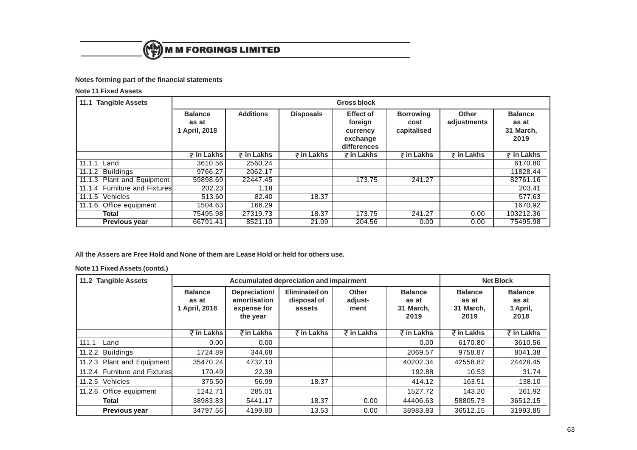

# **Notes forming part of the financial statements**

# **Note 11 Fixed Assets**

| 11.1 Tangible Assets          | <b>Gross block</b>                       |                  |                  |                                                                    |                                         |                      |                                              |  |
|-------------------------------|------------------------------------------|------------------|------------------|--------------------------------------------------------------------|-----------------------------------------|----------------------|----------------------------------------------|--|
|                               | <b>Balance</b><br>as at<br>1 April, 2018 | <b>Additions</b> | <b>Disposals</b> | <b>Effect of</b><br>foreign<br>currency<br>exchange<br>differences | <b>Borrowing</b><br>cost<br>capitalised | Other<br>adjustments | <b>Balance</b><br>as at<br>31 March,<br>2019 |  |
|                               | ₹ in Lakhs                               | ₹ in Lakhs       | ₹ in Lakhs       | $\overline{z}$ in Lakhs                                            | ₹ in Lakhs                              | ₹ in Lakhs           | ₹ in Lakhs                                   |  |
| 11.1.1<br>Land                | 3610.56                                  | 2560.24          |                  |                                                                    |                                         |                      | 6170.80                                      |  |
| 11.1.2 Buildings              | 9766.27                                  | 2062.17          |                  |                                                                    |                                         |                      | 11828.44                                     |  |
| 11.1.3 Plant and Equipment    | 59898.69                                 | 22447.45         |                  | 173.75                                                             | 241.27                                  |                      | 82761.16                                     |  |
| 11.1.4 Furniture and Fixtures | 202.23                                   | 1.18             |                  |                                                                    |                                         |                      | 203.41                                       |  |
| 11.1.5 Vehicles               | 513.60                                   | 82.40            | 18.37            |                                                                    |                                         |                      | 577.63                                       |  |
| 11.1.6 Office equipment       | 1504.63                                  | 166.29           |                  |                                                                    |                                         |                      | 1670.92                                      |  |
| Total                         | 75495.98                                 | 27319.73         | 18.37            | 173.75                                                             | 241.27                                  | 0.00                 | 103212.36                                    |  |
| <b>Previous year</b>          | 66791.41                                 | 8521.10          | 21.09            | 204.56                                                             | 0.00                                    | 0.00                 | 75495.98                                     |  |

**All the Assers are Free Hold and None of them are Lease Hold or held for others use.**

# **Note 11 Fixed Assets (contd.)**

| 11.2 Tangible Assets          |                                          | Accumulated depreciation and impairment                  | <b>Net Block</b>                       |                                 |                                              |                                              |                                             |
|-------------------------------|------------------------------------------|----------------------------------------------------------|----------------------------------------|---------------------------------|----------------------------------------------|----------------------------------------------|---------------------------------------------|
|                               | <b>Balance</b><br>as at<br>1 April, 2018 | Depreciation/<br>amortisation<br>expense for<br>the year | Eliminated on<br>disposal of<br>assets | <b>Other</b><br>adjust-<br>ment | <b>Balance</b><br>as at<br>31 March,<br>2019 | <b>Balance</b><br>as at<br>31 March,<br>2019 | <b>Balance</b><br>as at<br>1 April,<br>2018 |
|                               | ₹ in Lakhs                               | ₹in Lakhs                                                | ₹ in Lakhs                             | ₹ in Lakhs                      | $\bar{z}$ in Lakhs                           | ₹in Lakhs                                    | $\overline{z}$ in Lakhs                     |
| 111.1<br>Land                 | 0.00                                     | 0.00                                                     |                                        |                                 | 0.00                                         | 6170.80                                      | 3610.56                                     |
| 11.2.2 Buildings              | 1724.89                                  | 344.68                                                   |                                        |                                 | 2069.57                                      | 9758.87                                      | 8041.38                                     |
| 11.2.3 Plant and Equipment    | 35470.24                                 | 4732.10                                                  |                                        |                                 | 40202.34                                     | 42558.82                                     | 24428.45                                    |
| 11.2.4 Furniture and Fixtures | 170.49                                   | 22.39                                                    |                                        |                                 | 192.88                                       | 10.53                                        | 31.74                                       |
| 11.2.5 Vehicles               | 375.50                                   | 56.99                                                    | 18.37                                  |                                 | 414.12                                       | 163.51                                       | 138.10                                      |
| 11.2.6 Office equipment       | 1242.71                                  | 285.01                                                   |                                        |                                 | 1527.72                                      | 143.20                                       | 261.92                                      |
| Total                         | 38983.83                                 | 5441.17                                                  | 18.37                                  | 0.00                            | 44406.63                                     | 58805.73                                     | 36512.15                                    |
| Previous year                 | 34797.56                                 | 4199.80                                                  | 13.53                                  | 0.00                            | 38983.83                                     | 36512.15                                     | 31993.85                                    |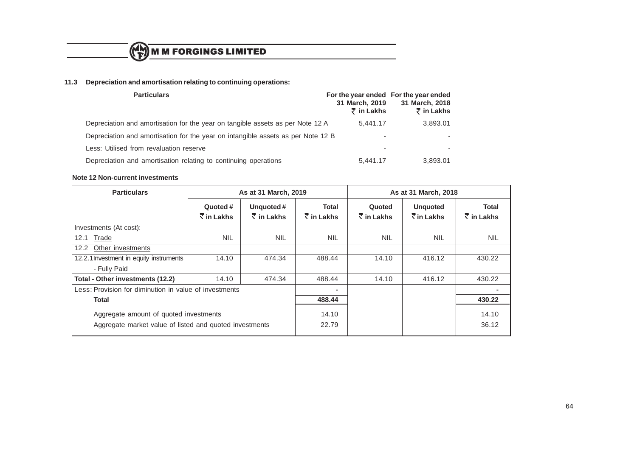

# **11.3 Depreciation and amortisation relating to continuing operations:**

| <b>Particulars</b>                                                               | 31 March, 2019<br>$\bar{\tau}$ in Lakhs | For the year ended For the year ended<br>31 March, 2018<br>₹ in Lakhs |
|----------------------------------------------------------------------------------|-----------------------------------------|-----------------------------------------------------------------------|
| Depreciation and amortisation for the year on tangible assets as per Note 12 A   | 5.441.17                                | 3,893.01                                                              |
| Depreciation and amortisation for the year on intangible assets as per Note 12 B | ٠                                       |                                                                       |
| Less: Utilised from revaluation reserve                                          | -                                       |                                                                       |
| Depreciation and amortisation relating to continuing operations                  | 5.441.17                                | 3,893.01                                                              |

### **Note 12 Non-current investments**

| <b>Particulars</b>                                                                                | As at 31 March, 2019     |                                    |                     | As at 31 March, 2018   |                                                       |                             |
|---------------------------------------------------------------------------------------------------|--------------------------|------------------------------------|---------------------|------------------------|-------------------------------------------------------|-----------------------------|
|                                                                                                   | Quoted #<br>रें in Lakhs | Unquoted#<br>$\bar{\tau}$ in Lakhs | Total<br>₹ in Lakhs | Quoted<br>रें in Lakhs | <b>Unquoted</b><br>$\bar{\bar{\mathcal{K}}}$ in Lakhs | Total<br>$\bar{z}$ in Lakhs |
| Investments (At cost):                                                                            |                          |                                    |                     |                        |                                                       |                             |
| Trade<br>12.1                                                                                     | <b>NIL</b>               | <b>NIL</b>                         | <b>NIL</b>          | <b>NIL</b>             | <b>NIL</b>                                            | <b>NIL</b>                  |
| Other investments<br>12.2                                                                         |                          |                                    |                     |                        |                                                       |                             |
| 12.2.1 Investment in equity instruments                                                           | 14.10                    | 474.34                             | 488.44              | 14.10                  | 416.12                                                | 430.22                      |
| - Fully Paid                                                                                      |                          |                                    |                     |                        |                                                       |                             |
| Total - Other investments (12.2)                                                                  | 14.10                    | 474.34                             | 488.44              | 14.10                  | 416.12                                                | 430.22                      |
| Less: Provision for diminution in value of investments                                            |                          |                                    | $\blacksquare$      |                        |                                                       | ۰                           |
| Total                                                                                             |                          |                                    | 488.44              |                        |                                                       | 430.22                      |
| Aggregate amount of quoted investments<br>Aggregate market value of listed and quoted investments |                          |                                    | 14.10<br>22.79      |                        |                                                       | 14.10<br>36.12              |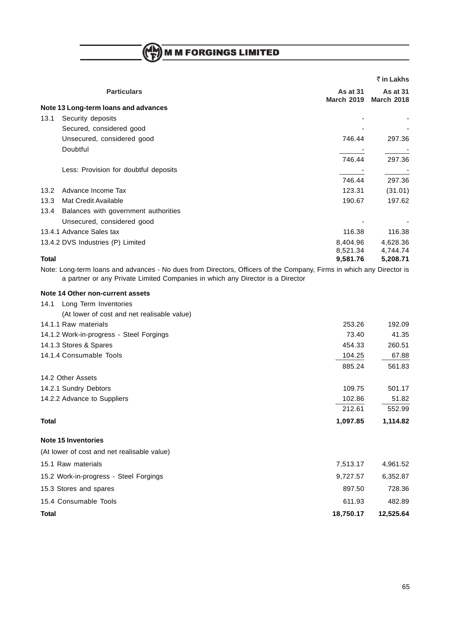$\binom{(\mathbf{A})}{\mathbf{F}}$  M M FORGINGS LIMITED

|                |                                                                                                                     |                               | ₹ in Lakhs                           |
|----------------|---------------------------------------------------------------------------------------------------------------------|-------------------------------|--------------------------------------|
|                | <b>Particulars</b>                                                                                                  | As at 31<br><b>March 2019</b> | <b>As at 31</b><br><b>March 2018</b> |
|                | Note 13 Long-term loans and advances                                                                                |                               |                                      |
| 13.1           | Security deposits                                                                                                   |                               |                                      |
|                | Secured, considered good                                                                                            |                               |                                      |
|                | Unsecured, considered good                                                                                          | 746.44                        | 297.36                               |
|                | Doubtful                                                                                                            |                               |                                      |
|                |                                                                                                                     | 746.44                        | 297.36                               |
|                | Less: Provision for doubtful deposits                                                                               |                               |                                      |
|                |                                                                                                                     | 746.44                        | 297.36                               |
| $13.2^{\circ}$ | Advance Income Tax                                                                                                  | 123.31                        | (31.01)                              |
| 13.3           | Mat Credit Available                                                                                                | 190.67                        | 197.62                               |
| 13.4           | Balances with government authorities                                                                                |                               |                                      |
|                | Unsecured, considered good                                                                                          |                               |                                      |
|                | 13.4.1 Advance Sales tax                                                                                            | 116.38                        | 116.38                               |
|                | 13.4.2 DVS Industries (P) Limited                                                                                   | 8,404.96<br>8,521.34          | 4,628.36<br>4,744.74                 |
| <b>Total</b>   |                                                                                                                     | 9,581.76                      | 5,208.71                             |
|                | Nata: Lang taung lagun nu diadinyang Maidiya fuan Dinastang Officers of the Occupance Financia which any Dinastania |                               |                                      |

Note: Long-term loans and advances - No dues from Directors, Officers of the Company, Firms in which any Director is a partner or any Private Limited Companies in which any Director is a Director

## **Note 14 Other non-current assets**

| Long Term Inventories<br>14.1               |           |           |
|---------------------------------------------|-----------|-----------|
| (At lower of cost and net realisable value) |           |           |
| 14.1.1 Raw materials                        | 253.26    | 192.09    |
| 14.1.2 Work-in-progress - Steel Forgings    | 73.40     | 41.35     |
| 14.1.3 Stores & Spares                      | 454.33    | 260.51    |
| 14.1.4 Consumable Tools                     | 104.25    | 67.88     |
|                                             | 885.24    | 561.83    |
| 14.2 Other Assets                           |           |           |
| 14.2.1 Sundry Debtors                       | 109.75    | 501.17    |
| 14.2.2 Advance to Suppliers                 | 102.86    | 51.82     |
|                                             | 212.61    | 552.99    |
| <b>Total</b>                                | 1,097.85  | 1,114.82  |
| <b>Note 15 Inventories</b>                  |           |           |
| (At lower of cost and net realisable value) |           |           |
| 15.1 Raw materials                          | 7,513.17  | 4,961.52  |
| 15.2 Work-in-progress - Steel Forgings      | 9,727.57  | 6,352.87  |
| 15.3 Stores and spares                      | 897.50    | 728.36    |
| 15.4 Consumable Tools                       | 611.93    | 482.89    |
| <b>Total</b>                                | 18,750.17 | 12,525.64 |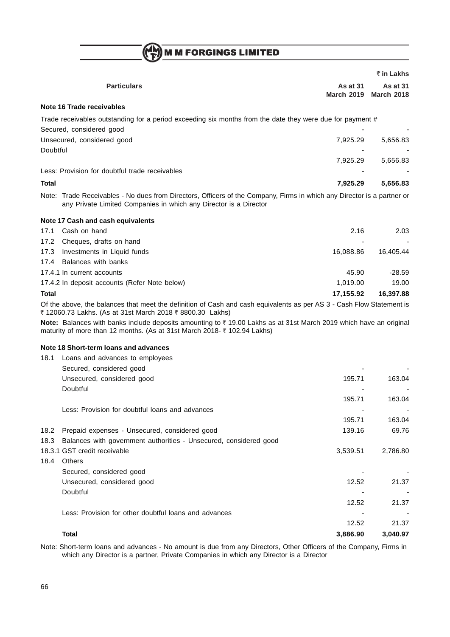$\binom{M_{\rm M}}{\rm F}$  M M FORGINGS LIMITED

|          |                                                                                                                                                                                               |                               | ₹ in Lakhs                           |
|----------|-----------------------------------------------------------------------------------------------------------------------------------------------------------------------------------------------|-------------------------------|--------------------------------------|
|          | <b>Particulars</b>                                                                                                                                                                            | As at 31<br><b>March 2019</b> | <b>As at 31</b><br><b>March 2018</b> |
|          | Note 16 Trade receivables                                                                                                                                                                     |                               |                                      |
|          | Trade receivables outstanding for a period exceeding six months from the date they were due for payment #                                                                                     |                               |                                      |
|          | Secured, considered good                                                                                                                                                                      |                               |                                      |
|          | Unsecured, considered good                                                                                                                                                                    | 7,925.29                      | 5,656.83                             |
| Doubtful |                                                                                                                                                                                               |                               |                                      |
|          |                                                                                                                                                                                               | 7,925.29                      | 5,656.83                             |
|          | Less: Provision for doubtful trade receivables                                                                                                                                                |                               |                                      |
| Total    |                                                                                                                                                                                               | 7,925.29                      | 5,656.83                             |
|          | Note: Trade Receivables - No dues from Directors, Officers of the Company, Firms in which any Director is a partner or<br>any Private Limited Companies in which any Director is a Director   |                               |                                      |
|          | Note 17 Cash and cash equivalents                                                                                                                                                             |                               |                                      |
| 17.1     | Cash on hand                                                                                                                                                                                  | 2.16                          | 2.03                                 |
| 17.2     | Cheques, drafts on hand                                                                                                                                                                       |                               |                                      |
| 17.3     | Investments in Liquid funds                                                                                                                                                                   | 16,088.86                     | 16,405.44                            |
| 17.4     | Balances with banks                                                                                                                                                                           |                               |                                      |
|          | 17.4.1 In current accounts                                                                                                                                                                    | 45.90                         | -28.59                               |
|          | 17.4.2 In deposit accounts (Refer Note below)                                                                                                                                                 | 1,019.00                      | 19.00                                |
| Total    |                                                                                                                                                                                               | 17,155.92                     | 16,397.88                            |
|          | Of the above, the balances that meet the definition of Cash and cash equivalents as per AS 3 - Cash Flow Statement is<br>₹ 12060.73 Lakhs. (As at 31st March 2018 ₹ 8800.30 Lakhs)            |                               |                                      |
|          | Note: Balances with banks include deposits amounting to ₹19.00 Lakhs as at 31st March 2019 which have an original<br>maturity of more than 12 months. (As at 31st March 2018- ₹ 102.94 Lakhs) |                               |                                      |
|          | Note 18 Short-term loans and advances                                                                                                                                                         |                               |                                      |
| 18.1     | Loans and advances to employees                                                                                                                                                               |                               |                                      |
|          | Secured, considered good                                                                                                                                                                      |                               |                                      |
|          | Unsecured, considered good                                                                                                                                                                    | 195.71                        | 163.04                               |
|          | Doubtful                                                                                                                                                                                      |                               |                                      |
|          |                                                                                                                                                                                               | 195.71                        | 163.04                               |
|          | Less: Provision for doubtful loans and advances                                                                                                                                               |                               |                                      |
|          |                                                                                                                                                                                               | 195.71                        | 163.04                               |
| 18.2     | Prepaid expenses - Unsecured, considered good                                                                                                                                                 | 139.16                        | 69.76                                |
| 18.3     | Balances with government authorities - Unsecured, considered good                                                                                                                             |                               |                                      |
|          | 18.3.1 GST credit receivable                                                                                                                                                                  | 3,539.51                      | 2,786.80                             |
| 18.4     | Others                                                                                                                                                                                        |                               |                                      |
|          | Secured, considered good                                                                                                                                                                      |                               |                                      |
|          | Unsecured, considered good                                                                                                                                                                    | 12.52                         | 21.37                                |
|          | Doubtful                                                                                                                                                                                      |                               |                                      |
|          |                                                                                                                                                                                               | 12.52                         | 21.37                                |
|          | Less: Provision for other doubtful loans and advances                                                                                                                                         |                               |                                      |
|          |                                                                                                                                                                                               | 12.52                         | 21.37                                |

Note: Short-term loans and advances - No amount is due from any Directors, Other Officers of the Company, Firms in which any Director is a partner, Private Companies in which any Director is a Director

**Total 3,886.90 3,040.97**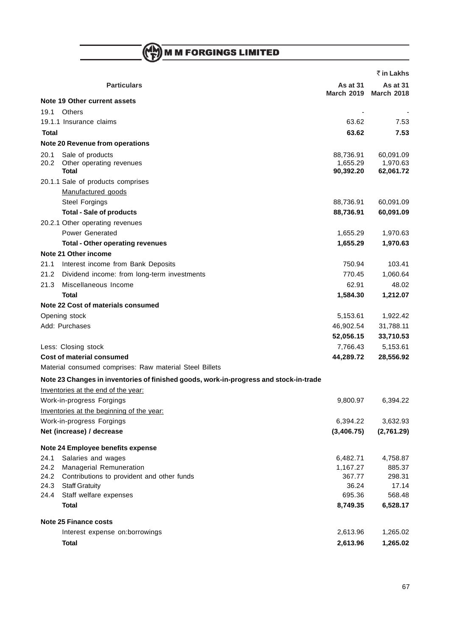M M FORGINGS LIMITED

|       |                                                                                                                                                  |                               | ₹ in Lakhs                    |
|-------|--------------------------------------------------------------------------------------------------------------------------------------------------|-------------------------------|-------------------------------|
|       | <b>Particulars</b>                                                                                                                               | As at 31<br><b>March 2019</b> | As at 31<br><b>March 2018</b> |
|       | Note 19 Other current assets                                                                                                                     |                               |                               |
| 19.1  | <b>Others</b>                                                                                                                                    |                               |                               |
|       | 19.1.1 Insurance claims                                                                                                                          | 63.62                         | 7.53                          |
| Total |                                                                                                                                                  | 63.62                         | 7.53                          |
|       | Note 20 Revenue from operations                                                                                                                  |                               |                               |
| 20.1  | Sale of products                                                                                                                                 | 88,736.91                     | 60,091.09                     |
| 20.2  | Other operating revenues                                                                                                                         | 1,655.29                      | 1,970.63                      |
|       | Total                                                                                                                                            | 90,392.20                     | 62,061.72                     |
|       | 20.1.1 Sale of products comprises                                                                                                                |                               |                               |
|       | Manufactured goods<br><b>Steel Forgings</b>                                                                                                      |                               |                               |
|       |                                                                                                                                                  | 88,736.91                     | 60,091.09                     |
|       | <b>Total - Sale of products</b><br>20.2.1 Other operating revenues                                                                               | 88,736.91                     | 60,091.09                     |
|       |                                                                                                                                                  |                               |                               |
|       | <b>Power Generated</b>                                                                                                                           | 1,655.29<br>1,655.29          | 1,970.63                      |
|       | <b>Total - Other operating revenues</b><br>Note 21 Other income                                                                                  |                               | 1,970.63                      |
| 21.1  |                                                                                                                                                  | 750.94                        | 103.41                        |
| 21.2  | Interest income from Bank Deposits<br>Dividend income: from long-term investments                                                                | 770.45                        |                               |
| 21.3  | Miscellaneous Income                                                                                                                             | 62.91                         | 1,060.64<br>48.02             |
|       | <b>Total</b>                                                                                                                                     |                               | 1,212.07                      |
|       | Note 22 Cost of materials consumed                                                                                                               | 1,584.30                      |                               |
|       |                                                                                                                                                  |                               |                               |
|       | Opening stock                                                                                                                                    | 5,153.61                      | 1,922.42                      |
|       | Add: Purchases                                                                                                                                   | 46,902.54                     | 31,788.11                     |
|       |                                                                                                                                                  | 52,056.15                     | 33,710.53                     |
|       | Less: Closing stock<br><b>Cost of material consumed</b>                                                                                          | 7,766.43                      | 5,153.61                      |
|       |                                                                                                                                                  | 44,289.72                     | 28,556.92                     |
|       | Material consumed comprises: Raw material Steel Billets<br>Note 23 Changes in inventories of finished goods, work-in-progress and stock-in-trade |                               |                               |
|       | Inventories at the end of the year:                                                                                                              |                               |                               |
|       | Work-in-progress Forgings                                                                                                                        | 9,800.97                      | 6,394.22                      |
|       | Inventories at the beginning of the year:                                                                                                        |                               |                               |
|       | Work-in-progress Forgings                                                                                                                        | 6,394.22                      | 3,632.93                      |
|       | Net (increase) / decrease                                                                                                                        | (3,406.75)                    | (2,761.29)                    |
|       |                                                                                                                                                  |                               |                               |
|       | Note 24 Employee benefits expense                                                                                                                |                               |                               |
| 24.1  | Salaries and wages                                                                                                                               | 6,482.71                      | 4,758.87                      |
| 24.2  | Managerial Remuneration                                                                                                                          | 1,167.27                      | 885.37                        |
| 24.2  | Contributions to provident and other funds                                                                                                       | 367.77                        | 298.31                        |
| 24.3  | <b>Staff Gratuity</b>                                                                                                                            | 36.24                         | 17.14                         |
| 24.4  | Staff welfare expenses                                                                                                                           | 695.36                        | 568.48                        |
|       | <b>Total</b>                                                                                                                                     | 8,749.35                      | 6,528.17                      |
|       | <b>Note 25 Finance costs</b>                                                                                                                     |                               |                               |
|       | Interest expense on:borrowings                                                                                                                   | 2,613.96                      | 1,265.02                      |
|       | <b>Total</b>                                                                                                                                     | 2,613.96                      | 1,265.02                      |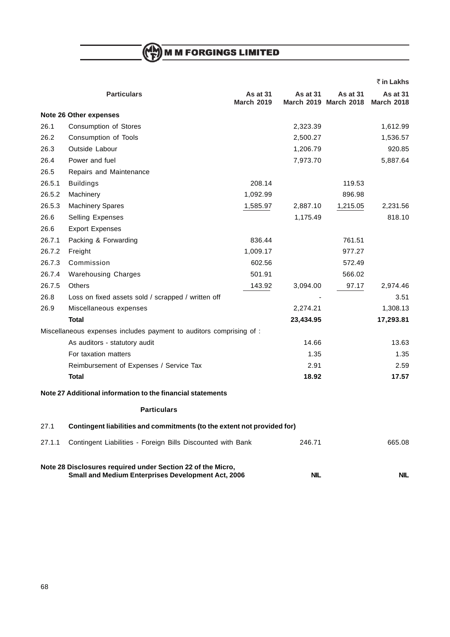**M M FORGINGS LIMITED** 

|        |                                                                                                                          |                               |                 |                                          | ₹ in Lakhs                           |
|--------|--------------------------------------------------------------------------------------------------------------------------|-------------------------------|-----------------|------------------------------------------|--------------------------------------|
|        | <b>Particulars</b>                                                                                                       | As at 31<br><b>March 2019</b> | <b>As at 31</b> | <b>As at 31</b><br>March 2019 March 2018 | <b>As at 31</b><br><b>March 2018</b> |
|        | Note 26 Other expenses                                                                                                   |                               |                 |                                          |                                      |
| 26.1   | Consumption of Stores                                                                                                    |                               | 2,323.39        |                                          | 1,612.99                             |
| 26.2   | Consumption of Tools                                                                                                     |                               | 2,500.27        |                                          | 1,536.57                             |
| 26.3   | Outside Labour                                                                                                           |                               | 1,206.79        |                                          | 920.85                               |
| 26.4   | Power and fuel                                                                                                           |                               | 7,973.70        |                                          | 5,887.64                             |
| 26.5   | Repairs and Maintenance                                                                                                  |                               |                 |                                          |                                      |
| 26.5.1 | <b>Buildings</b>                                                                                                         | 208.14                        |                 | 119.53                                   |                                      |
| 26.5.2 | Machinery                                                                                                                | 1,092.99                      |                 | 896.98                                   |                                      |
| 26.5.3 | <b>Machinery Spares</b>                                                                                                  | 1,585.97                      | 2,887.10        | 1,215.05                                 | 2,231.56                             |
| 26.6   | Selling Expenses                                                                                                         |                               | 1,175.49        |                                          | 818.10                               |
| 26.6   | <b>Export Expenses</b>                                                                                                   |                               |                 |                                          |                                      |
| 26.7.1 | Packing & Forwarding                                                                                                     | 836.44                        |                 | 761.51                                   |                                      |
| 26.7.2 | Freight                                                                                                                  | 1,009.17                      |                 | 977.27                                   |                                      |
| 26.7.3 | Commission                                                                                                               | 602.56                        |                 | 572.49                                   |                                      |
| 26.7.4 | <b>Warehousing Charges</b>                                                                                               | 501.91                        |                 | 566.02                                   |                                      |
| 26.7.5 | <b>Others</b>                                                                                                            | 143.92                        | 3,094.00        | 97.17                                    | 2,974.46                             |
| 26.8   | Loss on fixed assets sold / scrapped / written off                                                                       |                               |                 |                                          | 3.51                                 |
| 26.9   | Miscellaneous expenses                                                                                                   |                               | 2,274.21        |                                          | 1,308.13                             |
|        | Total                                                                                                                    |                               | 23,434.95       |                                          | 17,293.81                            |
|        | Miscellaneous expenses includes payment to auditors comprising of :                                                      |                               |                 |                                          |                                      |
|        | As auditors - statutory audit                                                                                            |                               | 14.66           |                                          | 13.63                                |
|        | For taxation matters                                                                                                     |                               | 1.35            |                                          | 1.35                                 |
|        | Reimbursement of Expenses / Service Tax                                                                                  |                               | 2.91            |                                          | 2.59                                 |
|        | <b>Total</b>                                                                                                             |                               | 18.92           |                                          | 17.57                                |
|        | Note 27 Additional information to the financial statements                                                               |                               |                 |                                          |                                      |
|        | <b>Particulars</b>                                                                                                       |                               |                 |                                          |                                      |
| 27.1   | Contingent liabilities and commitments (to the extent not provided for)                                                  |                               |                 |                                          |                                      |
| 27.1.1 | Contingent Liabilities - Foreign Bills Discounted with Bank                                                              |                               | 246.71          |                                          | 665.08                               |
|        | Note 28 Disclosures required under Section 22 of the Micro,<br><b>Small and Medium Enterprises Development Act, 2006</b> |                               | <b>NIL</b>      |                                          | <b>NIL</b>                           |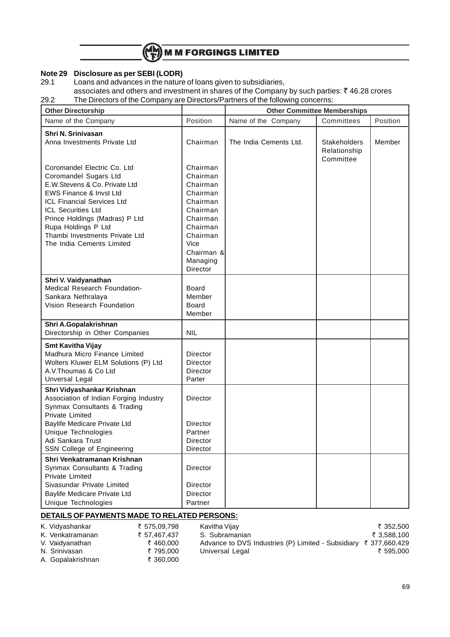

# **Note 29 Disclosure as per SEBI (LODR)**

Loans and advances in the nature of loans given to subsidiaries,

associates and others and investment in shares of the Company by such parties:  $\bar{\tau}$  46.28 crores 29.2 The Directors of the Company are Directors/Partners of the following concerns:

| <b>Other Directorship</b>                                                                                                                                                                                                                                                                           |                                                                                                                                                        | <b>Other Committee Memberships</b> |                                                  |          |
|-----------------------------------------------------------------------------------------------------------------------------------------------------------------------------------------------------------------------------------------------------------------------------------------------------|--------------------------------------------------------------------------------------------------------------------------------------------------------|------------------------------------|--------------------------------------------------|----------|
| Name of the Company                                                                                                                                                                                                                                                                                 | Position                                                                                                                                               | Name of the Company                | Committees                                       | Position |
| Shri N. Srinivasan<br>Anna Investments Private Ltd                                                                                                                                                                                                                                                  | Chairman                                                                                                                                               | The India Cements Ltd.             | <b>Stakeholders</b><br>Relationship<br>Committee | Member   |
| Coromandel Electric Co. Ltd<br>Coromandel Sugars Ltd<br>E.W.Stevens & Co. Private Ltd<br>EWS Finance & Invst Ltd<br>ICL Financial Services Ltd<br><b>ICL Securities Ltd</b><br>Prince Holdings (Madras) P Ltd<br>Rupa Holdings P Ltd<br>Thambi Investments Private Ltd<br>The India Cements Limited | Chairman<br>Chairman<br>Chairman<br>Chairman<br>Chairman<br>Chairman<br>Chairman<br>Chairman<br>Chairman<br>Vice<br>Chairman &<br>Managing<br>Director |                                    |                                                  |          |
| Shri V. Vaidyanathan<br>Medical Research Foundation-<br>Sankara Nethralaya<br>Vision Research Foundation                                                                                                                                                                                            | Board<br>Member<br><b>Board</b><br>Member                                                                                                              |                                    |                                                  |          |
| Shri A.Gopalakrishnan<br>Directorship in Other Companies                                                                                                                                                                                                                                            | <b>NIL</b>                                                                                                                                             |                                    |                                                  |          |
| <b>Smt Kavitha Vijay</b><br>Madhura Micro Finance Limited<br>Wolters Kluwer ELM Solutions (P) Ltd<br>A.V. Thoumas & Co Ltd<br>Unversal Legal                                                                                                                                                        | Director<br>Director<br>Director<br>Parter                                                                                                             |                                    |                                                  |          |
| Shri Vidyashankar Krishnan<br>Association of Indian Forging Industry<br>Synmax Consultants & Trading<br><b>Private Limited</b>                                                                                                                                                                      | Director                                                                                                                                               |                                    |                                                  |          |
| Baylife Medicare Private Ltd<br>Unique Technologies<br>Adi Sankara Trust<br>SSN College of Engineering                                                                                                                                                                                              | Director<br>Partner<br>Director<br>Director                                                                                                            |                                    |                                                  |          |
| Shri Venkatramanan Krishnan<br>Synmax Consultants & Trading<br>Private Limited<br>Sivasundar Private Limited<br>Baylife Medicare Private Ltd<br>Unique Technologies                                                                                                                                 | Director<br>Director<br>Director<br>Partner                                                                                                            |                                    |                                                  |          |
|                                                                                                                                                                                                                                                                                                     |                                                                                                                                                        |                                    |                                                  |          |

### **DETAILS OF PAYMENTS MADE TO RELATED PERSONS:**

| K. Vidyashankar   | ₹ 575,09,798 | Kavitha Vijay                                                               | ₹ 352.500   |
|-------------------|--------------|-----------------------------------------------------------------------------|-------------|
| K. Venkatramanan  | ₹ 57.467.437 | S. Subramanian                                                              | ₹ 3,588,100 |
| V. Vaidyanathan   | ₹460.000     | Advance to DVS Industries (P) Limited - Subsidiary $\bar{\tau}$ 377,660,429 |             |
| N. Srinivasan     | ₹795.000     | Universal Legal                                                             | ₹ 595,000   |
| A. Gopalakrishnan | ₹ 360.000    |                                                                             |             |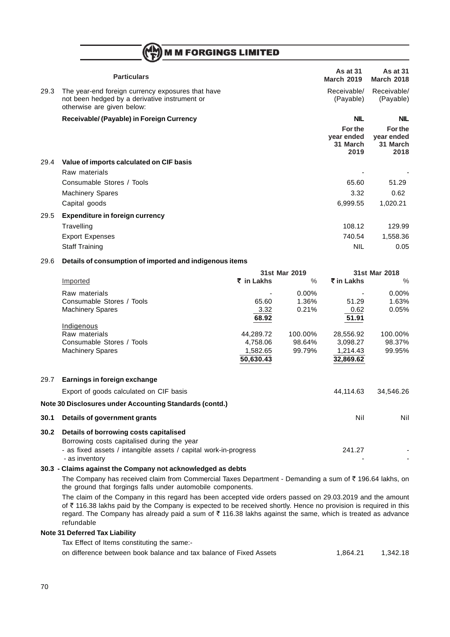## **MM FORGINGS LIMITED**

|      | <b>Particulars</b>                                                                                                               | As at 31<br><b>March 2019</b>             | <b>As at 31</b><br><b>March 2018</b>      |
|------|----------------------------------------------------------------------------------------------------------------------------------|-------------------------------------------|-------------------------------------------|
| 29.3 | The year-end foreign currency exposures that have<br>not been hedged by a derivative instrument or<br>otherwise are given below: | Receivable/<br>(Payable)                  | Receivable/<br>(Payable)                  |
|      | Receivable/ (Payable) in Foreign Currency                                                                                        | <b>NIL</b>                                | <b>NIL</b>                                |
|      |                                                                                                                                  | For the<br>year ended<br>31 March<br>2019 | For the<br>year ended<br>31 March<br>2018 |
| 29.4 | Value of imports calculated on CIF basis                                                                                         |                                           |                                           |
|      | Raw materials                                                                                                                    |                                           |                                           |
|      | Consumable Stores / Tools                                                                                                        | 65.60                                     | 51.29                                     |
|      | <b>Machinery Spares</b>                                                                                                          | 3.32                                      | 0.62                                      |
|      | Capital goods                                                                                                                    | 6,999.55                                  | 1,020.21                                  |

## 29.5 **Expenditure in foreign currency** Travelling 108.12 129.99 Export Expenses 740.54 1,558.36 Staff Training NIL 0.05

#### 29.6 **Details of consumption of imported and indigenous items**

|      |                                                                  |            | 31st Mar 2019 |            | 31st Mar 2018 |
|------|------------------------------------------------------------------|------------|---------------|------------|---------------|
|      | Imported                                                         | ₹ in Lakhs | $\%$          | ₹ in Lakhs | $\%$          |
|      | Raw materials                                                    |            | $0.00\%$      |            | $0.00\%$      |
|      | Consumable Stores / Tools                                        | 65.60      | 1.36%         | 51.29      | 1.63%         |
|      | <b>Machinery Spares</b>                                          | 3.32       | 0.21%         | 0.62       | 0.05%         |
|      |                                                                  | 68.92      |               | 51.91      |               |
|      | Indigenous                                                       |            |               |            |               |
|      | Raw materials                                                    | 44,289.72  | 100.00%       | 28,556.92  | 100.00%       |
|      | Consumable Stores / Tools                                        | 4,758.06   | 98.64%        | 3,098.27   | 98.37%        |
|      | <b>Machinery Spares</b>                                          | 1,582.65   | 99.79%        | 1,214.43   | 99.95%        |
|      |                                                                  | 50,630.43  |               | 32,869.62  |               |
| 29.7 | Earnings in foreign exchange                                     |            |               |            |               |
|      | Export of goods calculated on CIF basis                          |            |               | 44,114.63  | 34,546.26     |
|      | Note 30 Disclosures under Accounting Standards (contd.)          |            |               |            |               |
| 30.1 | Details of government grants                                     |            |               | Nil        | Nil           |
| 30.2 | Details of borrowing costs capitalised                           |            |               |            |               |
|      | Borrowing costs capitalised during the year                      |            |               |            |               |
|      | - as fixed assets / intangible assets / capital work-in-progress |            |               | 241.27     |               |
|      | - as inventory                                                   |            |               |            |               |

#### **30.3 - Claims against the Company not acknowledged as debts**

The Company has received claim from Commercial Taxes Department - Demanding a sum of  $\bar{\tau}$  196.64 lakhs, on the ground that forgings falls under automobile components.

The claim of the Company in this regard has been accepted vide orders passed on 29.03.2019 and the amount of  $\bar{\tau}$  116.38 lakhs paid by the Company is expected to be received shortly. Hence no provision is required in this regard. The Company has already paid a sum of  $\bar{\tau}$  116.38 lakhs against the same, which is treated as advance refundable

## **Note 31 Deferred Tax Liability**

Tax Effect of Items constituting the same:-

on difference between book balance and tax balance of Fixed Assets 1,864.21 1,864.21 1,342.18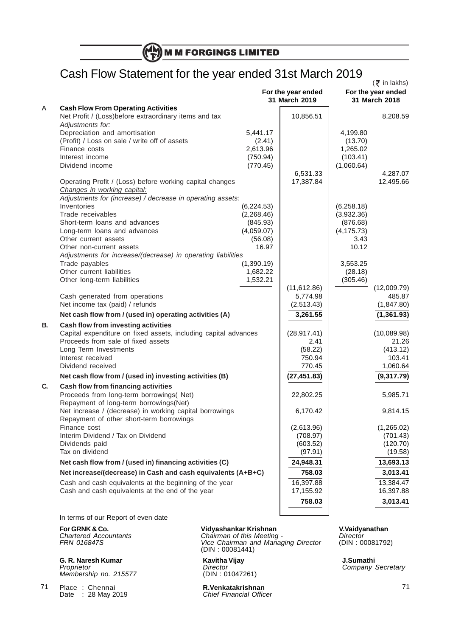# Cash Flow Statement for the year ended 31st March 2019

|    | <br>$\boldsymbol{J}$                                                                                |            | For the year ended<br>31 March 2019 |             | $($ ₹ in lakhs)<br>For the year ended<br>31 March 2018 |
|----|-----------------------------------------------------------------------------------------------------|------------|-------------------------------------|-------------|--------------------------------------------------------|
| Α  | <b>Cash Flow From Operating Activities</b>                                                          |            |                                     |             |                                                        |
|    | Net Profit / (Loss) before extraordinary items and tax                                              |            | 10,856.51                           |             | 8,208.59                                               |
|    | Adjustments for:                                                                                    |            |                                     |             |                                                        |
|    | Depreciation and amortisation                                                                       | 5,441.17   |                                     | 4,199.80    |                                                        |
|    | (Profit) / Loss on sale / write off of assets                                                       | (2.41)     |                                     | (13.70)     |                                                        |
|    | Finance costs                                                                                       | 2,613.96   |                                     | 1,265.02    |                                                        |
|    | Interest income                                                                                     | (750.94)   |                                     | (103.41)    |                                                        |
|    | Dividend income                                                                                     | (770.45)   |                                     | (1,060.64)  |                                                        |
|    |                                                                                                     |            | 6,531.33                            |             | 4,287.07                                               |
|    | Operating Profit / (Loss) before working capital changes<br>Changes in working capital:             |            | 17,387.84                           |             | 12,495.66                                              |
|    | Adjustments for (increase) / decrease in operating assets:                                          |            |                                     |             |                                                        |
|    | Inventories                                                                                         | (6,224.53) |                                     | (6, 258.18) |                                                        |
|    | Trade receivables                                                                                   | (2,268.46) |                                     | (3,932.36)  |                                                        |
|    | Short-term loans and advances                                                                       | (845.93)   |                                     | (876.68)    |                                                        |
|    | Long-term loans and advances                                                                        | (4,059.07) |                                     | (4, 175.73) |                                                        |
|    | Other current assets                                                                                | (56.08)    |                                     | 3.43        |                                                        |
|    | Other non-current assets                                                                            | 16.97      |                                     | 10.12       |                                                        |
|    | Adjustments for increase/(decrease) in operating liabilities                                        |            |                                     |             |                                                        |
|    | Trade payables                                                                                      | (1,390.19) |                                     | 3,553.25    |                                                        |
|    | Other current liabilities                                                                           | 1,682.22   |                                     | (28.18)     |                                                        |
|    | Other long-term liabilities                                                                         | 1,532.21   |                                     | (305.46)    |                                                        |
|    |                                                                                                     |            | (11, 612.86)                        |             | (12,009.79)                                            |
|    | Cash generated from operations                                                                      |            | 5,774.98                            |             | 485.87                                                 |
|    | Net income tax (paid) / refunds                                                                     |            | (2,513.43)                          |             | (1, 847.80)                                            |
|    | Net cash flow from / (used in) operating activities (A)                                             |            | 3,261.55                            |             | (1, 361.93)                                            |
|    |                                                                                                     |            |                                     |             |                                                        |
| В. | Cash flow from investing activities                                                                 |            |                                     |             |                                                        |
|    | Capital expenditure on fixed assets, including capital advances                                     |            | (28, 917.41)                        |             | (10,089.98)                                            |
|    | Proceeds from sale of fixed assets                                                                  |            | 2.41                                |             | 21.26                                                  |
|    | Long Term Investments                                                                               |            | (58.22)                             |             | (413.12)                                               |
|    | Interest received                                                                                   |            | 750.94                              |             | 103.41                                                 |
|    | Dividend received                                                                                   |            | 770.45                              |             | 1,060.64                                               |
|    | Net cash flow from / (used in) investing activities (B)                                             |            | (27, 451.83)                        |             | (9,317.79)                                             |
| C. | Cash flow from financing activities<br>Proceeds from long-term borrowings( Net)                     |            | 22,802.25                           |             | 5,985.71                                               |
|    | Repayment of long-term borrowings(Net)                                                              |            |                                     |             |                                                        |
|    | Net increase / (decrease) in working capital borrowings<br>Repayment of other short-term borrowings |            | 6,170.42                            |             | 9,814.15                                               |
|    | Finance cost                                                                                        |            | (2,613.96)                          |             | (1,265.02)                                             |
|    | Interim Dividend / Tax on Dividend                                                                  |            | (708.97)                            |             | (701.43)                                               |
|    | Dividends paid                                                                                      |            | (603.52)                            |             | (120.70)                                               |
|    | Tax on dividend                                                                                     |            | (97.91)                             |             | (19.58)                                                |
|    | Net cash flow from / (used in) financing activities (C)                                             |            | 24,948.31                           |             | 13,693.13                                              |
|    | Net increase/(decrease) in Cash and cash equivalents (A+B+C)                                        |            | 758.03                              |             | 3,013.41                                               |
|    | Cash and cash equivalents at the beginning of the year                                              |            | 16,397.88                           |             | 13,384.47                                              |
|    | Cash and cash equivalents at the end of the year                                                    |            | 17,155.92                           |             | 16,397.88                                              |
|    |                                                                                                     |            | 758.03                              |             | 3,013.41                                               |
|    |                                                                                                     |            |                                     |             |                                                        |
|    |                                                                                                     |            |                                     |             |                                                        |

In terms of our Report of even date

**G. R. Naresh Kumar C. R. Naresh Kumathi**<br> *Proprietor* **Company** *Director Director* **Company** *Company* Membership no. 215577

Place : Chennai **R.Venkatakrishnan** 71

#### **For GRNK & Co. Vidyashankar Krishnan V.Vaidyanathan**

Chartered Accountants **Chairman of this Meeting -** Director For GRNK & Co.<br>
Chartered Accountants Chairman of this Meeting - The Chairman and Managing Director (DIN : 00081792)<br>
FRN 016847S - Vice Chairman and Managing Director (DIN : 00081792) (DIN : 00081441)

Proprietor<br>Director Company Secretary<br>(DIN : 01047261)

Date : 28 May 2019 **Chief Financial Officer**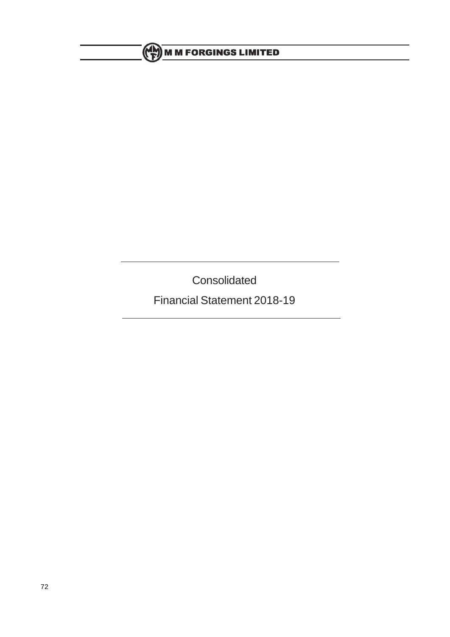# **ME M M FORGINGS LIMITED**

**Consolidated** 

Financial Statement 2018-19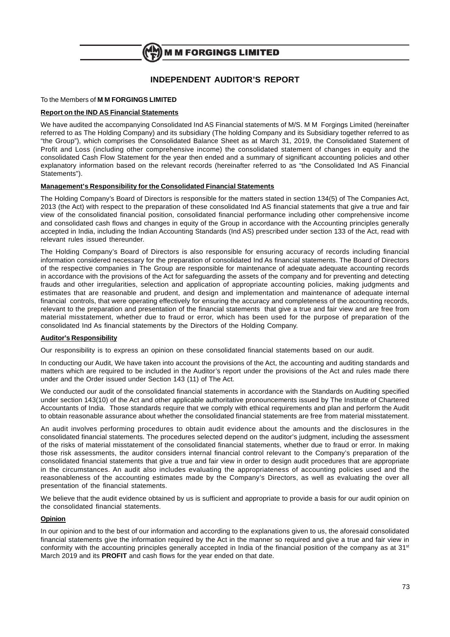

## **INDEPENDENT AUDITOR'S REPORT**

#### To the Members of **M M FORGINGS LIMITED**

#### **Report on the IND AS Financial Statements**

We have audited the accompanying Consolidated Ind AS Financial statements of M/S. M M Forgings Limited (hereinafter referred to as The Holding Company) and its subsidiary (The holding Company and its Subsidiary together referred to as "the Group"), which comprises the Consolidated Balance Sheet as at March 31, 2019, the Consolidated Statement of Profit and Loss (including other comprehensive income) the consolidated statement of changes in equity and the consolidated Cash Flow Statement for the year then ended and a summary of significant accounting policies and other explanatory information based on the relevant records (hereinafter referred to as "the Consolidated Ind AS Financial Statements").

#### **Management's Responsibility for the Consolidated Financial Statements**

The Holding Company's Board of Directors is responsible for the matters stated in section 134(5) of The Companies Act, 2013 (the Act) with respect to the preparation of these consolidated Ind AS financial statements that give a true and fair view of the consolidated financial position, consolidated financial performance including other comprehensive income and consolidated cash flows and changes in equity of the Group in accordance with the Accounting principles generally accepted in India, including the Indian Accounting Standards (Ind AS) prescribed under section 133 of the Act, read with relevant rules issued thereunder.

The Holding Company's Board of Directors is also responsible for ensuring accuracy of records including financial information considered necessary for the preparation of consolidated Ind As financial statements. The Board of Directors of the respective companies in The Group are responsible for maintenance of adequate adequate accounting records in accordance with the provisions of the Act for safeguarding the assets of the company and for preventing and detecting frauds and other irregularities, selection and application of appropriate accounting policies, making judgments and estimates that are reasonable and prudent, and design and implementation and maintenance of adequate internal financial controls, that were operating effectively for ensuring the accuracy and completeness of the accounting records, relevant to the preparation and presentation of the financial statements that give a true and fair view and are free from material misstatement, whether due to fraud or error, which has been used for the purpose of preparation of the consolidated Ind As financial statements by the Directors of the Holding Company.

#### **Auditor's Responsibility**

Our responsibility is to express an opinion on these consolidated financial statements based on our audit.

In conducting our Audit, We have taken into account the provisions of the Act, the accounting and auditing standards and matters which are required to be included in the Auditor's report under the provisions of the Act and rules made there under and the Order issued under Section 143 (11) of The Act.

We conducted our audit of the consolidated financial statements in accordance with the Standards on Auditing specified under section 143(10) of the Act and other applicable authoritative pronouncements issued by The Institute of Chartered Accountants of India. Those standards require that we comply with ethical requirements and plan and perform the Audit to obtain reasonable assurance about whether the consolidated financial statements are free from material misstatement.

An audit involves performing procedures to obtain audit evidence about the amounts and the disclosures in the consolidated financial statements. The procedures selected depend on the auditor's judgment, including the assessment of the risks of material misstatement of the consolidated financial statements, whether due to fraud or error. In making those risk assessments, the auditor considers internal financial control relevant to the Company's preparation of the consolidated financial statements that give a true and fair view in order to design audit procedures that are appropriate in the circumstances. An audit also includes evaluating the appropriateness of accounting policies used and the reasonableness of the accounting estimates made by the Company's Directors, as well as evaluating the over all presentation of the financial statements.

We believe that the audit evidence obtained by us is sufficient and appropriate to provide a basis for our audit opinion on the consolidated financial statements.

#### **Opinion**

In our opinion and to the best of our information and according to the explanations given to us, the aforesaid consolidated financial statements give the information required by the Act in the manner so required and give a true and fair view in conformity with the accounting principles generally accepted in India of the financial position of the company as at 31st March 2019 and its **PROFIT** and cash flows for the year ended on that date.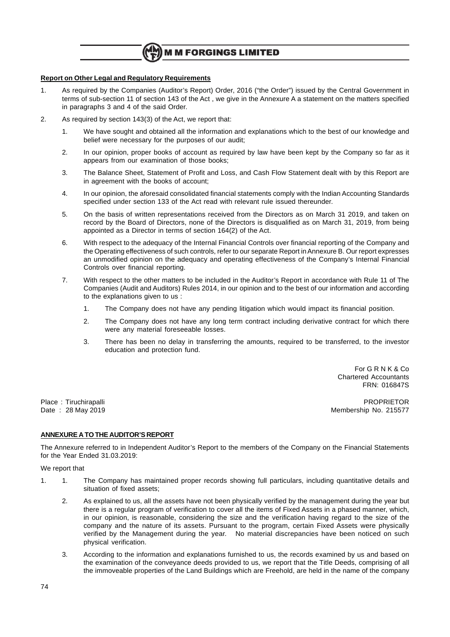

#### **Report on Other Legal and Regulatory Requirements**

- 1. As required by the Companies (Auditor's Report) Order, 2016 ("the Order") issued by the Central Government in terms of sub-section 11 of section 143 of the Act , we give in the Annexure A a statement on the matters specified in paragraphs 3 and 4 of the said Order.
- 2. As required by section 143(3) of the Act, we report that:
	- 1. We have sought and obtained all the information and explanations which to the best of our knowledge and belief were necessary for the purposes of our audit;
	- 2. In our opinion, proper books of account as required by law have been kept by the Company so far as it appears from our examination of those books;
	- 3. The Balance Sheet, Statement of Profit and Loss, and Cash Flow Statement dealt with by this Report are in agreement with the books of account;
	- 4. In our opinion, the aforesaid consolidated financial statements comply with the Indian Accounting Standards specified under section 133 of the Act read with relevant rule issued thereunder.
	- 5. On the basis of written representations received from the Directors as on March 31 2019, and taken on record by the Board of Directors, none of the Directors is disqualified as on March 31, 2019, from being appointed as a Director in terms of section 164(2) of the Act.
	- 6. With respect to the adequacy of the Internal Financial Controls over financial reporting of the Company and the Operating effectiveness of such controls, refer to our separate Report in Annexure B. Our report expresses an unmodified opinion on the adequacy and operating effectiveness of the Company's Internal Financial Controls over financial reporting.
	- 7. With respect to the other matters to be included in the Auditor's Report in accordance with Rule 11 of The Companies (Audit and Auditors) Rules 2014, in our opinion and to the best of our information and according to the explanations given to us :
		- 1. The Company does not have any pending litigation which would impact its financial position.
		- 2. The Company does not have any long term contract including derivative contract for which there were any material foreseeable losses.
		- 3. There has been no delay in transferring the amounts, required to be transferred, to the investor education and protection fund.

For G R N K & Co Chartered Accountants FRN: 016847S

Place : Tiruchirapalli PROPRIETOR Membership No. 215577

#### **ANNEXURE A TO THE AUDITOR'S REPORT**

The Annexure referred to in Independent Auditor's Report to the members of the Company on the Financial Statements for the Year Ended 31.03.2019:

#### We report that

- 1. 1. The Company has maintained proper records showing full particulars, including quantitative details and situation of fixed assets;
	- 2. As explained to us, all the assets have not been physically verified by the management during the year but there is a regular program of verification to cover all the items of Fixed Assets in a phased manner, which, in our opinion, is reasonable, considering the size and the verification having regard to the size of the company and the nature of its assets. Pursuant to the program, certain Fixed Assets were physically verified by the Management during the year. No material discrepancies have been noticed on such physical verification.
	- 3. According to the information and explanations furnished to us, the records examined by us and based on the examination of the conveyance deeds provided to us, we report that the Title Deeds, comprising of all the immoveable properties of the Land Buildings which are Freehold, are held in the name of the company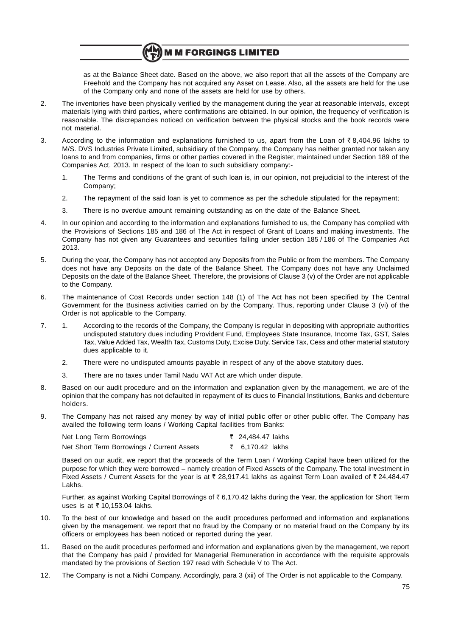as at the Balance Sheet date. Based on the above, we also report that all the assets of the Company are Freehold and the Company has not acquired any Asset on Lease. Also, all the assets are held for the use of the Company only and none of the assets are held for use by others.

2. The inventories have been physically verified by the management during the year at reasonable intervals, except materials lying with third parties, where confirmations are obtained. In our opinion, the frequency of verification is reasonable. The discrepancies noticed on verification between the physical stocks and the book records were not material.

**M M FORGINGS LIMITED** 

- 3. According to the information and explanations furnished to us, apart from the Loan of  $\bar{\tau}$  8,404.96 lakhs to M/S. DVS Industries Private Limited, subsidiary of the Company, the Company has neither granted nor taken any loans to and from companies, firms or other parties covered in the Register, maintained under Section 189 of the Companies Act, 2013. In respect of the loan to such subsidiary company:-
	- 1. The Terms and conditions of the grant of such loan is, in our opinion, not prejudicial to the interest of the Company;
	- 2. The repayment of the said loan is yet to commence as per the schedule stipulated for the repayment;
	- 3. There is no overdue amount remaining outstanding as on the date of the Balance Sheet.
- 4. In our opinion and according to the information and explanations furnished to us, the Company has complied with the Provisions of Sections 185 and 186 of The Act in respect of Grant of Loans and making investments. The Company has not given any Guarantees and securities falling under section 185 / 186 of The Companies Act 2013.
- 5. During the year, the Company has not accepted any Deposits from the Public or from the members. The Company does not have any Deposits on the date of the Balance Sheet. The Company does not have any Unclaimed Deposits on the date of the Balance Sheet. Therefore, the provisions of Clause 3 (v) of the Order are not applicable to the Company.
- 6. The maintenance of Cost Records under section 148 (1) of The Act has not been specified by The Central Government for the Business activities carried on by the Company. Thus, reporting under Clause 3 (vi) of the Order is not applicable to the Company.
- 7. 1. According to the records of the Company, the Company is regular in depositing with appropriate authorities undisputed statutory dues including Provident Fund, Employees State Insurance, Income Tax, GST, Sales Tax, Value Added Tax, Wealth Tax, Customs Duty, Excise Duty, Service Tax, Cess and other material statutory dues applicable to it.
	- 2. There were no undisputed amounts payable in respect of any of the above statutory dues.
	- 3. There are no taxes under Tamil Nadu VAT Act are which under dispute.
- 8. Based on our audit procedure and on the information and explanation given by the management, we are of the opinion that the company has not defaulted in repayment of its dues to Financial Institutions, Banks and debenture holders.
- 9. The Company has not raised any money by way of initial public offer or other public offer. The Company has availed the following term loans / Working Capital facilities from Banks:

| Net Long Term Borrowings                   | ₹ 24,484.47 lakhs |  |
|--------------------------------------------|-------------------|--|
| Net Short Term Borrowings / Current Assets | ₹ 6,170.42 lakhs  |  |

Based on our audit, we report that the proceeds of the Term Loan / Working Capital have been utilized for the purpose for which they were borrowed – namely creation of Fixed Assets of the Company. The total investment in Fixed Assets / Current Assets for the year is at  $\bar{z}$  28,917.41 lakhs as against Term Loan availed of  $\bar{z}$  24,484.47 Lakhs.

Further, as against Working Capital Borrowings of  $\bar{\tau}$  6,170.42 lakhs during the Year, the application for Short Term uses is at  $\bar{\tau}$  10.153.04 lakhs.

- 10. To the best of our knowledge and based on the audit procedures performed and information and explanations given by the management, we report that no fraud by the Company or no material fraud on the Company by its officers or employees has been noticed or reported during the year.
- 11. Based on the audit procedures performed and information and explanations given by the management, we report that the Company has paid / provided for Managerial Remuneration in accordance with the requisite approvals mandated by the provisions of Section 197 read with Schedule V to The Act.
- 12. The Company is not a Nidhi Company. Accordingly, para 3 (xii) of The Order is not applicable to the Company.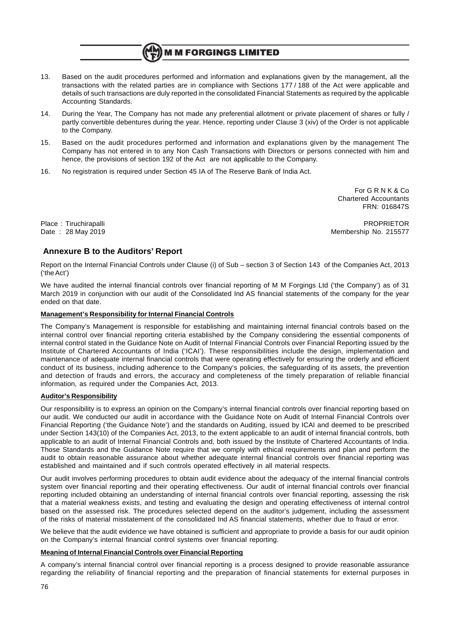## **M M FORGINGS LIMITED**

- 13. Based on the audit procedures performed and information and explanations given by the management, all the transactions with the related parties are in compliance with Sections 177 / 188 of the Act were applicable and details of such transactions are duly reported in the consolidated Financial Statements as required by the applicable Accounting Standards.
- 14. During the Year, The Company has not made any preferential allotment or private placement of shares or fully / partly convertible debentures during the year. Hence, reporting under Clause 3 (xiv) of the Order is not applicable to the Company.
- 15. Based on the audit procedures performed and information and explanations given by the management The Company has not entered in to any Non Cash Transactions with Directors or persons connected with him and hence, the provisions of section 192 of the Act are not applicable to the Company.
- 16. No registration is required under Section 45 IA of The Reserve Bank of India Act.

For G R N K & Co Chartered Accountants FRN: 016847S

Place : Tiruchirapalli PROPRIETOR Date : 28 May 2019 Membership No. 215577

## **Annexure B to the Auditors' Report**

Report on the Internal Financial Controls under Clause (i) of Sub – section 3 of Section 143 of the Companies Act, 2013 ('the Act')

We have audited the internal financial controls over financial reporting of M M Forgings Ltd ('the Company') as of 31 March 2019 in conjunction with our audit of the Consolidated Ind AS financial statements of the company for the year ended on that date.

#### **Management's Responsibility for Internal Financial Controls**

The Company's Management is responsible for establishing and maintaining internal financial controls based on the internal control over financial reporting criteria established by the Company considering the essential components of internal control stated in the Guidance Note on Audit of Internal Financial Controls over Financial Reporting issued by the Institute of Chartered Accountants of India ('ICAI'). These responsibilities include the design, implementation and maintenance of adequate internal financial controls that were operating effectively for ensuring the orderly and efficient conduct of its business, including adherence to the Company's policies, the safeguarding of its assets, the prevention and detection of frauds and errors, the accuracy and completeness of the timely preparation of reliable financial information, as required under the Companies Act, 2013.

#### **Auditor's Responsibility**

Our responsibility is to express an opinion on the Company's internal financial controls over financial reporting based on our audit. We conducted our audit in accordance with the Guidance Note on Audit of Internal Financial Controls over Financial Reporting ('the Guidance Note') and the standards on Auditing, issued by ICAI and deemed to be prescribed under Section 143(10) of the Companies Act, 2013, to the extent applicable to an audit of internal financial controls, both applicable to an audit of Internal Financial Controls and, both issued by the Institute of Chartered Accountants of India. Those Standards and the Guidance Note require that we comply with ethical requirements and plan and perform the audit to obtain reasonable assurance about whether adequate internal financial controls over financial reporting was established and maintained and if such controls operated effectively in all material respects.

Our audit involves performing procedures to obtain audit evidence about the adequacy of the internal financial controls system over financial reporting and their operating effectiveness. Our audit of internal financial controls over financial reporting included obtaining an understanding of internal financial controls over financial reporting, assessing the risk that a material weakness exists, and testing and evaluating the design and operating effectiveness of internal control based on the assessed risk. The procedures selected depend on the auditor's judgement, including the assessment of the risks of material misstatement of the consolidated Ind AS financial statements, whether due to fraud or error.

We believe that the audit evidence we have obtained is sufficient and appropriate to provide a basis for our audit opinion on the Company's internal financial control systems over financial reporting.

#### **Meaning of Internal Financial Controls over Financial Reporting**

A company's internal financial control over financial reporting is a process designed to provide reasonable assurance regarding the reliability of financial reporting and the preparation of financial statements for external purposes in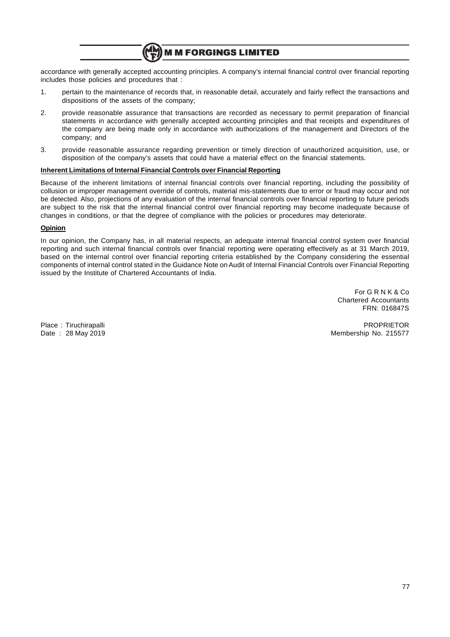

accordance with generally accepted accounting principles. A company's internal financial control over financial reporting includes those policies and procedures that :

- 1. pertain to the maintenance of records that, in reasonable detail, accurately and fairly reflect the transactions and dispositions of the assets of the company;
- 2. provide reasonable assurance that transactions are recorded as necessary to permit preparation of financial statements in accordance with generally accepted accounting principles and that receipts and expenditures of the company are being made only in accordance with authorizations of the management and Directors of the company; and
- 3. provide reasonable assurance regarding prevention or timely direction of unauthorized acquisition, use, or disposition of the company's assets that could have a material effect on the financial statements.

#### **Inherent Limitations of Internal Financial Controls over Financial Reporting**

Because of the inherent limitations of internal financial controls over financial reporting, including the possibility of collusion or improper management override of controls, material mis-statements due to error or fraud may occur and not be detected. Also, projections of any evaluation of the internal financial controls over financial reporting to future periods are subject to the risk that the internal financial control over financial reporting may become inadequate because of changes in conditions, or that the degree of compliance with the policies or procedures may deteriorate.

#### **Opinion**

In our opinion, the Company has, in all material respects, an adequate internal financial control system over financial reporting and such internal financial controls over financial reporting were operating effectively as at 31 March 2019, based on the internal control over financial reporting criteria established by the Company considering the essential components of internal control stated in the Guidance Note on Audit of Internal Financial Controls over Financial Reporting issued by the Institute of Chartered Accountants of India.

> For G R N K & Co Chartered Accountants FRN: 016847S

Place : Tiruchirapalli PROPRIETOR Date : 28 May 2019 Membership No. 215577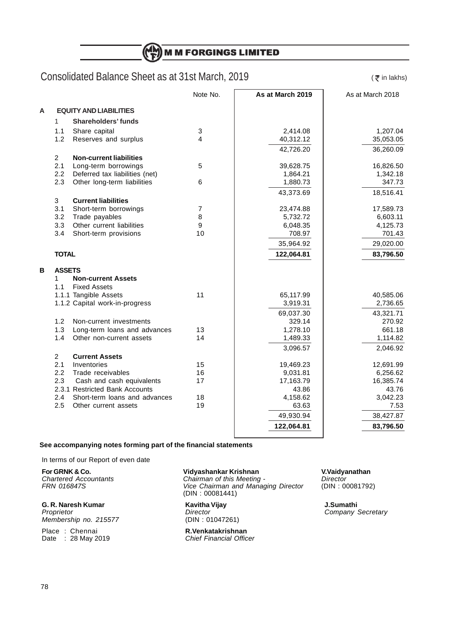**M M FORGINGS LIMITED** (H)

## Consolidated Balance Sheet as at 31st March, 2019

 $($   $\overline{\mathbf{x}}$  in lakhs)

|   |                |                                                  | Note No.       | As at March 2019 | As at March 2018 |
|---|----------------|--------------------------------------------------|----------------|------------------|------------------|
| A |                | <b>EQUITY AND LIABILITIES</b>                    |                |                  |                  |
|   | $\mathbf{1}$   | <b>Shareholders' funds</b>                       |                |                  |                  |
|   | 1.1            | Share capital                                    | 3              | 2,414.08         | 1,207.04         |
|   | 1.2            | Reserves and surplus                             | 4              | 40,312.12        | 35,053.05        |
|   |                |                                                  |                | 42,726.20        | 36,260.09        |
|   | $\overline{2}$ | <b>Non-current liabilities</b>                   |                |                  |                  |
|   | 2.1            | Long-term borrowings                             | 5              | 39,628.75        | 16,826.50        |
|   | 2.2            | Deferred tax liabilities (net)                   |                | 1,864.21         | 1,342.18         |
|   | 2.3            | Other long-term liabilities                      | 6              | 1,880.73         | 347.73           |
|   |                |                                                  |                | 43,373.69        | 18,516.41        |
|   | 3              | <b>Current liabilities</b>                       |                |                  |                  |
|   | 3.1            | Short-term borrowings                            | $\overline{7}$ | 23,474.88        | 17,589.73        |
|   | 3.2            | Trade payables                                   | 8              | 5,732.72         | 6,603.11         |
|   | 3.3            | Other current liabilities                        | 9              | 6,048.35         | 4,125.73         |
|   | 3.4            | Short-term provisions                            | 10             | 708.97           | 701.43           |
|   |                |                                                  |                | 35,964.92        | 29,020.00        |
|   | <b>TOTAL</b>   |                                                  |                | 122,064.81       | 83,796.50        |
|   |                |                                                  |                |                  |                  |
| в | <b>ASSETS</b>  |                                                  |                |                  |                  |
|   | 1<br>1.1       | <b>Non-current Assets</b><br><b>Fixed Assets</b> |                |                  |                  |
|   |                | 1.1.1 Tangible Assets                            | 11             | 65,117.99        | 40,585.06        |
|   |                | 1.1.2 Capital work-in-progress                   |                | 3,919.31         | 2,736.65         |
|   |                |                                                  |                | 69,037.30        | 43,321.71        |
|   | 1.2            | Non-current investments                          |                | 329.14           | 270.92           |
|   | 1.3            | Long-term loans and advances                     | 13             | 1,278.10         | 661.18           |
|   | 1.4            | Other non-current assets                         | 14             | 1,489.33         | 1,114.82         |
|   |                |                                                  |                | 3,096.57         | 2,046.92         |
|   | $\overline{2}$ | <b>Current Assets</b>                            |                |                  |                  |
|   | 2.1            | Inventories                                      | 15             | 19,469.23        | 12,691.99        |
|   | 2.2            | Trade receivables                                | 16             | 9,031.81         | 6,256.62         |
|   | 2.3            | Cash and cash equivalents                        | 17             | 17,163.79        | 16,385.74        |
|   |                | 2.3.1 Restricted Bank Accounts                   |                | 43.86            | 43.76            |
|   | 2.4            | Short-term loans and advances                    | 18             | 4,158.62         | 3,042.23         |
|   | 2.5            | Other current assets                             | 19             | 63.63            | 7.53             |
|   |                |                                                  |                | 49,930.94        | 38,427.87        |
|   |                |                                                  |                | 122,064.81       | 83,796.50        |
|   |                |                                                  |                |                  |                  |

## **See accompanying notes forming part of the financial statements**

In terms of our Report of even date

**For GRNK & Co. Vidyashankar Krishnan**<br>
Chartered Accountants **Chairman of this Meeting -** Director *Director*<br>
FRN 016847S **1992** Vice Chairman and Managing Director (DIN : 00081792) Chartered Accountants Chairman of this Meeting -<br>FRN 016847S<br>Vice Chairman and Manad

**G. R. Naresh Kumar Kavitha Vijay J.Sumathi** Membership no. 215577

Place : Chennai **R.Venkatakrishnan** Date : 28 May 2019 **Chief Financial Officer** 

**FRAM 120 STRA 2018 2019**<br>Vice Chairman and Managing Director (DIN : 00081441)

Company Secretary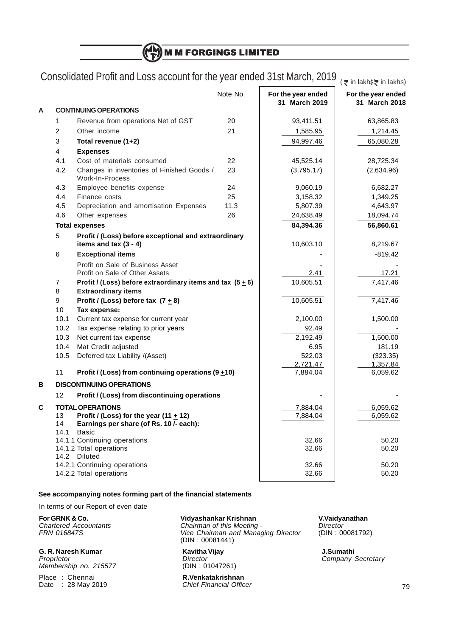(H) **M M FORGINGS LIMITED** 

# Consolidated Profit and Loss account for the year ended 31st March, 2019  $\frac{1}{\sqrt{\bar{\tau}}}$  in lakhs $\bar{\tau}$  in lakhs)

|   |                |                                                               | Note No. | For the year ended | For the year ended   |
|---|----------------|---------------------------------------------------------------|----------|--------------------|----------------------|
|   |                |                                                               |          | 31 March 2019      | 31 March 2018        |
| A |                | <b>CONTINUING OPERATIONS</b>                                  |          |                    |                      |
|   | 1              | Revenue from operations Net of GST                            | 20       | 93,411.51          | 63,865.83            |
|   | $\overline{2}$ | Other income                                                  | 21       | 1,585.95           | 1,214.45             |
|   | 3              | Total revenue (1+2)                                           |          | 94,997.46          | 65,080.28            |
|   | 4              | <b>Expenses</b>                                               |          |                    |                      |
|   | 4.1            | Cost of materials consumed                                    | 22       | 45,525.14          | 28,725.34            |
|   | 4.2            | Changes in inventories of Finished Goods /<br>Work-In-Process | 23       | (3,795.17)         | (2,634.96)           |
|   | 4.3            | Employee benefits expense                                     | 24       | 9,060.19           | 6,682.27             |
|   | 4.4            | Finance costs                                                 | 25       | 3,158.32           | 1,349.25             |
|   | 4.5            | Depreciation and amortisation Expenses                        | 11.3     | 5,807.39           | 4,643.97             |
|   | 4.6            | Other expenses                                                | 26       | 24,638.49          | 18,094.74            |
|   |                | <b>Total expenses</b>                                         |          | 84,394.36          | 56,860.61            |
|   | 5              | Profit / (Loss) before exceptional and extraordinary          |          |                    |                      |
|   |                | items and tax $(3 - 4)$                                       |          | 10,603.10          | 8,219.67             |
|   | 6              | <b>Exceptional items</b>                                      |          |                    | $-819.42$            |
|   |                | Profit on Sale of Business Asset                              |          |                    |                      |
|   |                | Profit on Sale of Other Assets                                |          | 2.41               | 17.21                |
|   | 7              | Profit / (Loss) before extraordinary items and tax $(5 + 6)$  |          | 10,605.51          | 7,417.46             |
|   | 8              | <b>Extraordinary items</b>                                    |          |                    |                      |
|   | 9              | Profit / (Loss) before tax $(7 + 8)$                          |          | 10,605.51          | 7,417.46             |
|   | 10             | Tax expense:                                                  |          |                    |                      |
|   | 10.1           | Current tax expense for current year                          |          | 2,100.00           | 1,500.00             |
|   | 10.2           | Tax expense relating to prior years                           |          | 92.49              |                      |
|   | 10.3           | Net current tax expense                                       |          | 2,192.49           | 1,500.00             |
|   | 10.4           | Mat Credit adjusted                                           |          | 6.95               | 181.19               |
|   | 10.5           | Deferred tax Liability /(Asset)                               |          | 522.03<br>2,721.47 | (323.35)<br>1,357.84 |
|   | 11             | Profit / (Loss) from continuing operations (9 $\pm$ 10)       |          | 7,884.04           | 6,059.62             |
| в |                | <b>DISCONTINUING OPERATIONS</b>                               |          |                    |                      |
|   | 12             | Profit / (Loss) from discontinuing operations                 |          |                    |                      |
| C |                | <b>TOTAL OPERATIONS</b>                                       |          | 7,884.04           | 6,059.62             |
|   | 13             | Profit / (Loss) for the year (11 $\pm$ 12)                    |          | 7,884.04           | 6,059.62             |
|   | 14             | Earnings per share (of Rs. 10 /- each):                       |          |                    |                      |
|   | 14.1           | Basic                                                         |          |                    |                      |
|   |                | 14.1.1 Continuing operations                                  |          | 32.66              | 50.20                |
|   |                | 14.1.2 Total operations<br>14.2 Diluted                       |          | 32.66              | 50.20                |
|   |                | 14.2.1 Continuing operations                                  |          | 32.66              | 50.20                |
|   |                | 14.2.2 Total operations                                       |          | 32.66              | 50.20                |
|   |                |                                                               |          |                    |                      |

### **See accompanying notes forming part of the financial statements**

In terms of our Report of even date

Membership no. 215577

Place : Chennai **R.Venkatakrishnan** Date : 28 May 2019 **Chief Financial Officer** 

**For GRNK & Co. Vidyashankar Krishnan**<br>
Chartered Accountants **Chairman of this Meeting -** Director **Director** Chartered Accountants **Chairman of this Meeting -** Director **Chairman Chairman of this Meeting -** Director **Chairman** and Managing Director (DIN : 00081792) Vice Chairman and Managing Director (DIN : 00081441)

**G. R. Naresh Kumar C. R. Naresh Kumathi**<br> *Proprietor* **Company** *Director Director* **Company** *S* Director Company Secretary<br>
(DIN: 01047261)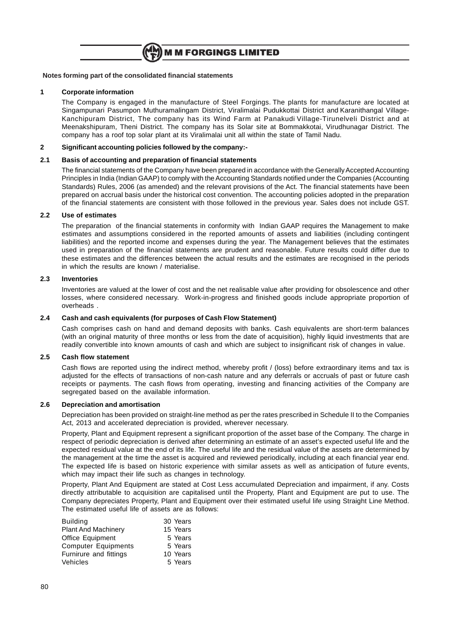

#### **1 Corporate information**

The Company is engaged in the manufacture of Steel Forgings. The plants for manufacture are located at Singampunari Pasumpon Muthuramalingam District, Viralimalai Pudukkottai District and Karanithangal Village-Kanchipuram District, The company has its Wind Farm at Panakudi Village-Tirunelveli District and at Meenakshipuram, Theni District. The company has its Solar site at Bommakkotai, Virudhunagar District. The company has a roof top solar plant at its Viralimalai unit all within the state of Tamil Nadu.

## **2 Significant accounting policies followed by the company:-**

#### **2.1 Basis of accounting and preparation of financial statements**

The financial statements of the Company have been prepared in accordance with the Generally Accepted Accounting Principles in India (Indian GAAP) to comply with the Accounting Standards notified under the Companies (Accounting Standards) Rules, 2006 (as amended) and the relevant provisions of the Act. The financial statements have been prepared on accrual basis under the historical cost convention. The accounting policies adopted in the preparation of the financial statements are consistent with those followed in the previous year. Sales does not include GST.

#### **2.2 Use of estimates**

The preparation of the financial statements in conformity with Indian GAAP requires the Management to make estimates and assumptions considered in the reported amounts of assets and liabilities (including contingent liabilities) and the reported income and expenses during the year. The Management believes that the estimates used in preparation of the financial statements are prudent and reasonable. Future results could differ due to these estimates and the differences between the actual results and the estimates are recognised in the periods in which the results are known / materialise.

#### **2.3 Inventories**

Inventories are valued at the lower of cost and the net realisable value after providing for obsolescence and other losses, where considered necessary. Work-in-progress and finished goods include appropriate proportion of overheads .

#### **2.4 Cash and cash equivalents (for purposes of Cash Flow Statement)**

Cash comprises cash on hand and demand deposits with banks. Cash equivalents are short-term balances (with an original maturity of three months or less from the date of acquisition), highly liquid investments that are readily convertible into known amounts of cash and which are subject to insignificant risk of changes in value.

#### **2.5 Cash flow statement**

Cash flows are reported using the indirect method, whereby profit / (loss) before extraordinary items and tax is adjusted for the effects of transactions of non-cash nature and any deferrals or accruals of past or future cash receipts or payments. The cash flows from operating, investing and financing activities of the Company are segregated based on the available information.

#### **2.6 Depreciation and amortisation**

Depreciation has been provided on straight-line method as per the rates prescribed in Schedule II to the Companies Act, 2013 and accelerated depreciation is provided, wherever necessary.

Property, Plant and Equipment represent a significant proportion of the asset base of the Company. The charge in respect of periodic depreciation is derived after determining an estimate of an asset's expected useful life and the expected residual value at the end of its life. The useful life and the residual value of the assets are determined by the management at the time the asset is acquired and reviewed periodically, including at each financial year end. The expected life is based on historic experience with similar assets as well as anticipation of future events, which may impact their life such as changes in technology.

Property, Plant And Equipment are stated at Cost Less accumulated Depreciation and impairment, if any. Costs directly attributable to acquisition are capitalised until the Property, Plant and Equipment are put to use. The Company depreciates Property, Plant and Equipment over their estimated useful life using Straight Line Method. The estimated useful life of assets are as follows:

| <b>Building</b>            | 30 Years |
|----------------------------|----------|
| <b>Plant And Machinery</b> | 15 Years |
| <b>Office Equipment</b>    | 5 Years  |
| <b>Computer Equipments</b> | 5 Years  |
| Furnirure and fittings     | 10 Years |
| Vehicles                   | 5 Years  |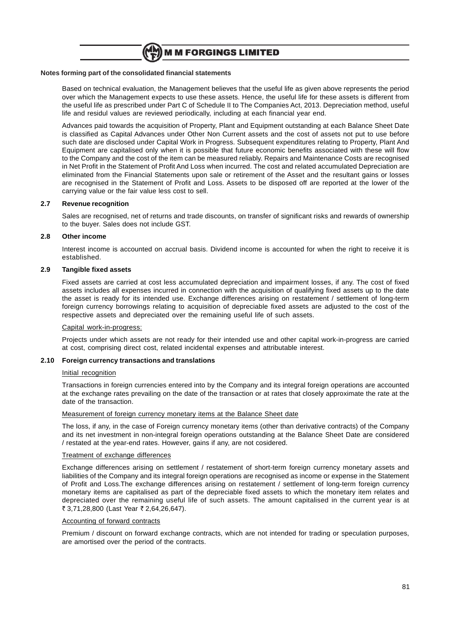

Based on technical evaluation, the Management believes that the useful life as given above represents the period over which the Management expects to use these assets. Hence, the useful life for these assets is different from the useful life as prescribed under Part C of Schedule II to The Companies Act, 2013. Depreciation method, useful life and residul values are reviewed periodically, including at each financial year end.

Advances paid towards the acquisition of Property, Plant and Equipment outstanding at each Balance Sheet Date is classified as Capital Advances under Other Non Current assets and the cost of assets not put to use before such date are disclosed under Capital Work in Progress. Subsequent expenditures relating to Property, Plant And Equipment are capitalised only when it is possible that future economic benefits associated with these will flow to the Company and the cost of the item can be measured reliably. Repairs and Maintenance Costs are recognised in Net Profit in the Statement of Profit And Loss when incurred. The cost and related accumulated Depreciation are eliminated from the Financial Statements upon sale or retirement of the Asset and the resultant gains or losses are recognised in the Statement of Profit and Loss. Assets to be disposed off are reported at the lower of the carrying value or the fair value less cost to sell.

#### **2.7 Revenue recognition**

Sales are recognised, net of returns and trade discounts, on transfer of significant risks and rewards of ownership to the buyer. Sales does not include GST.

#### **2.8 Other income**

Interest income is accounted on accrual basis. Dividend income is accounted for when the right to receive it is established.

#### **2.9 Tangible fixed assets**

Fixed assets are carried at cost less accumulated depreciation and impairment losses, if any. The cost of fixed assets includes all expenses incurred in connection with the acquisition of qualifying fixed assets up to the date the asset is ready for its intended use. Exchange differences arising on restatement / settlement of long-term foreign currency borrowings relating to acquisition of depreciable fixed assets are adjusted to the cost of the respective assets and depreciated over the remaining useful life of such assets.

#### Capital work-in-progress:

Projects under which assets are not ready for their intended use and other capital work-in-progress are carried at cost, comprising direct cost, related incidental expenses and attributable interest.

#### **2.10 Foreign currency transactions and translations**

#### Initial recognition

Transactions in foreign currencies entered into by the Company and its integral foreign operations are accounted at the exchange rates prevailing on the date of the transaction or at rates that closely approximate the rate at the date of the transaction.

#### Measurement of foreign currency monetary items at the Balance Sheet date

The loss, if any, in the case of Foreign currency monetary items (other than derivative contracts) of the Company and its net investment in non-integral foreign operations outstanding at the Balance Sheet Date are considered / restated at the year-end rates. However, gains if any, are not cosidered.

#### Treatment of exchange differences

Exchange differences arising on settlement / restatement of short-term foreign currency monetary assets and liabilities of the Company and its integral foreign operations are recognised as income or expense in the Statement of Profit and Loss.The exchange differences arising on restatement / settlement of long-term foreign currency monetary items are capitalised as part of the depreciable fixed assets to which the monetary item relates and depreciated over the remaining useful life of such assets. The amount capitalised in the current year is at ₹ 3,71,28,800 (Last Year ₹ 2,64,26,647).

#### Accounting of forward contracts

Premium / discount on forward exchange contracts, which are not intended for trading or speculation purposes, are amortised over the period of the contracts.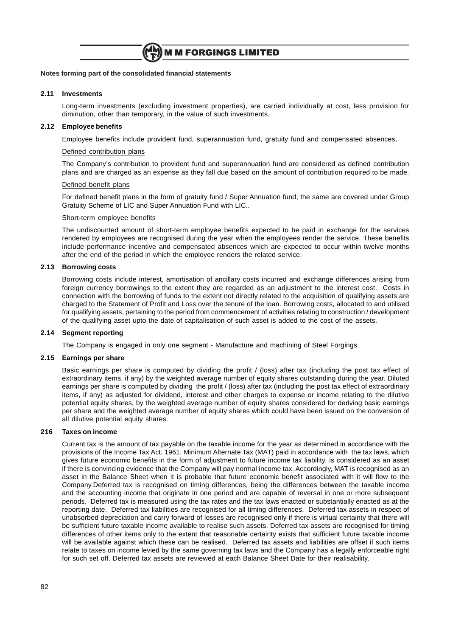

#### **2.11 Investments**

Long-term investments (excluding investment properties), are carried individually at cost, less provision for diminution, other than temporary, in the value of such investments.

#### **2.12 Employee benefits**

Employee benefits include provident fund, superannuation fund, gratuity fund and compensated absences,

#### Defined contribution plans

The Company's contribution to provident fund and superannuation fund are considered as defined contribution plans and are charged as an expense as they fall due based on the amount of contribution required to be made.

#### Defined benefit plans

For defined benefit plans in the form of gratuity fund / Super Annuation fund, the same are covered under Group Gratuity Scheme of LIC and Super Annuation Fund with LIC..

#### Short-term employee benefits

The undiscounted amount of short-term employee benefits expected to be paid in exchange for the services rendered by employees are recognised during the year when the employees render the service. These benefits include performance incentive and compensated absences which are expected to occur within twelve months after the end of the period in which the employee renders the related service.

#### **2.13 Borrowing costs**

Borrowing costs include interest, amortisation of ancillary costs incurred and exchange differences arising from foreign currency borrowings to the extent they are regarded as an adjustment to the interest cost. Costs in connection with the borrowing of funds to the extent not directly related to the acquisition of qualifying assets are charged to the Statement of Profit and Loss over the tenure of the loan. Borrowing costs, allocated to and utilised for qualifying assets, pertaining to the period from commencement of activities relating to construction / development of the qualifying asset upto the date of capitalisation of such asset is added to the cost of the assets.

### **2.14 Segment reporting**

The Company is engaged in only one segment - Manufacture and machining of Steel Forgings.

#### **2.15 Earnings per share**

Basic earnings per share is computed by dividing the profit / (loss) after tax (including the post tax effect of extraordinary items, if any) by the weighted average number of equity shares outstanding during the year. Diluted earnings per share is computed by dividing the profit / (loss) after tax (including the post tax effect of extraordinary items, if any) as adjusted for dividend, interest and other charges to expense or income relating to the dilutive potential equity shares, by the weighted average number of equity shares considered for deriving basic earnings per share and the weighted average number of equity shares which could have been issued on the conversion of all dilutive potential equity shares.

#### **216 Taxes on income**

Current tax is the amount of tax payable on the taxable income for the year as determined in accordance with the provisions of the Income Tax Act, 1961. Minimum Alternate Tax (MAT) paid in accordance with the tax laws, which gives future economic benefits in the form of adjustment to future income tax liability, is considered as an asset if there is convincing evidence that the Company will pay normal income tax. Accordingly, MAT is recognised as an asset in the Balance Sheet when it is probable that future economic benefit associated with it will flow to the Company.Deferred tax is recognised on timing differences, being the differences between the taxable income and the accounting income that originate in one period and are capable of reversal in one or more subsequent periods. Deferred tax is measured using the tax rates and the tax laws enacted or substantially enacted as at the reporting date. Deferred tax liabilities are recognised for all timing differences. Deferred tax assets in respect of unabsorbed depreciation and carry forward of losses are recognised only if there is virtual certainty that there will be sufficient future taxable income available to realise such assets. Deferred tax assets are recognised for timing differences of other items only to the extent that reasonable certainty exists that sufficient future taxable income will be available against which these can be realised. Deferred tax assets and liabilities are offset if such items relate to taxes on income levied by the same governing tax laws and the Company has a legally enforceable right for such set off. Deferred tax assets are reviewed at each Balance Sheet Date for their realisability.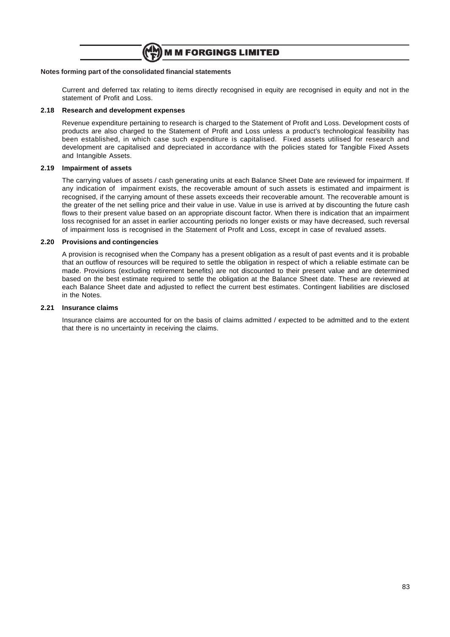

Current and deferred tax relating to items directly recognised in equity are recognised in equity and not in the statement of Profit and Loss.

#### **2.18 Research and development expenses**

Revenue expenditure pertaining to research is charged to the Statement of Profit and Loss. Development costs of products are also charged to the Statement of Profit and Loss unless a product's technological feasibility has been established, in which case such expenditure is capitalised. Fixed assets utilised for research and development are capitalised and depreciated in accordance with the policies stated for Tangible Fixed Assets and Intangible Assets.

#### **2.19 Impairment of assets**

The carrying values of assets / cash generating units at each Balance Sheet Date are reviewed for impairment. If any indication of impairment exists, the recoverable amount of such assets is estimated and impairment is recognised, if the carrying amount of these assets exceeds their recoverable amount. The recoverable amount is the greater of the net selling price and their value in use. Value in use is arrived at by discounting the future cash flows to their present value based on an appropriate discount factor. When there is indication that an impairment loss recognised for an asset in earlier accounting periods no longer exists or may have decreased, such reversal of impairment loss is recognised in the Statement of Profit and Loss, except in case of revalued assets.

#### **2.20 Provisions and contingencies**

A provision is recognised when the Company has a present obligation as a result of past events and it is probable that an outflow of resources will be required to settle the obligation in respect of which a reliable estimate can be made. Provisions (excluding retirement benefits) are not discounted to their present value and are determined based on the best estimate required to settle the obligation at the Balance Sheet date. These are reviewed at each Balance Sheet date and adjusted to reflect the current best estimates. Contingent liabilities are disclosed in the Notes.

#### **2.21 Insurance claims**

Insurance claims are accounted for on the basis of claims admitted / expected to be admitted and to the extent that there is no uncertainty in receiving the claims.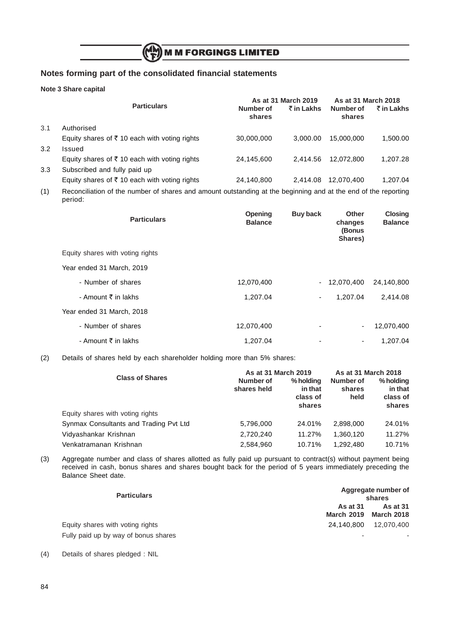#### **Note 3 Share capital**

|     |                                                          |                     | As at 31 March 2019 | As at 31 March 2018 |            |
|-----|----------------------------------------------------------|---------------------|---------------------|---------------------|------------|
|     | <b>Particulars</b>                                       | Number of<br>shares | ₹ in Lakhs          | Number of<br>shares | ₹ in Lakhs |
| 3.1 | Authorised                                               |                     |                     |                     |            |
|     | Equity shares of $\bar{\tau}$ 10 each with voting rights | 30,000,000          | 3.000.00            | 15,000,000          | 1,500.00   |
| 3.2 | Issued                                                   |                     |                     |                     |            |
|     | Equity shares of ₹10 each with voting rights             | 24,145,600          | 2.414.56            | 12.072.800          | 1.207.28   |
| 3.3 | Subscribed and fully paid up                             |                     |                     |                     |            |
|     | Equity shares of ₹10 each with voting rights             | 24,140,800          | 2.414.08            | 12.070.400          | 1,207.04   |
|     |                                                          |                     |                     |                     |            |

(1) Reconciliation of the number of shares and amount outstanding at the beginning and at the end of the reporting period:

| <b>Particulars</b>               | Opening<br><b>Balance</b> | <b>Buy back</b> | Other<br>changes<br>(Bonus<br>Shares) | <b>Closing</b><br><b>Balance</b> |
|----------------------------------|---------------------------|-----------------|---------------------------------------|----------------------------------|
| Equity shares with voting rights |                           |                 |                                       |                                  |
| Year ended 31 March, 2019        |                           |                 |                                       |                                  |
| - Number of shares               | 12,070,400                |                 | $-12,070,400$                         | 24,140,800                       |
| - Amount ₹ in lakhs              | 1,207.04                  | ۰               | 1,207.04                              | 2,414.08                         |
| Year ended 31 March, 2018        |                           |                 |                                       |                                  |
| - Number of shares               | 12,070,400                | ٠               | $\overline{\phantom{0}}$              | 12,070,400                       |
| - Amount ₹ in lakhs              | 1,207.04                  | ٠               | ۰                                     | 1.207.04                         |

(2) Details of shares held by each shareholder holding more than 5% shares:

|                                        | As at 31 March 2019      | As at 31 March 2018                        |                             |                                            |
|----------------------------------------|--------------------------|--------------------------------------------|-----------------------------|--------------------------------------------|
| <b>Class of Shares</b>                 | Number of<br>shares held | % holding<br>in that<br>class of<br>shares | Number of<br>shares<br>held | % holding<br>in that<br>class of<br>shares |
| Equity shares with voting rights       |                          |                                            |                             |                                            |
| Synmax Consultants and Trading Pvt Ltd | 5,796,000                | 24.01%                                     | 2,898,000                   | 24.01%                                     |
| Vidyashankar Krishnan                  | 2,720,240                | 11.27%                                     | 1.360.120                   | 11.27%                                     |
| Venkatramanan Krishnan                 | 2,584,960                | 10.71%                                     | 1.292.480                   | 10.71%                                     |

(3) Aggregate number and class of shares allotted as fully paid up pursuant to contract(s) without payment being received in cash, bonus shares and shares bought back for the period of 5 years immediately preceding the Balance Sheet date.

| <b>Particulars</b>                   | Aggregate number of<br>shares        |                                      |  |  |  |
|--------------------------------------|--------------------------------------|--------------------------------------|--|--|--|
|                                      | <b>As at 31</b><br><b>March 2019</b> | <b>As at 31</b><br><b>March 2018</b> |  |  |  |
| Equity shares with voting rights     | 24.140.800                           | 12,070,400                           |  |  |  |
| Fully paid up by way of bonus shares | ٠                                    |                                      |  |  |  |

(4) Details of shares pledged : NIL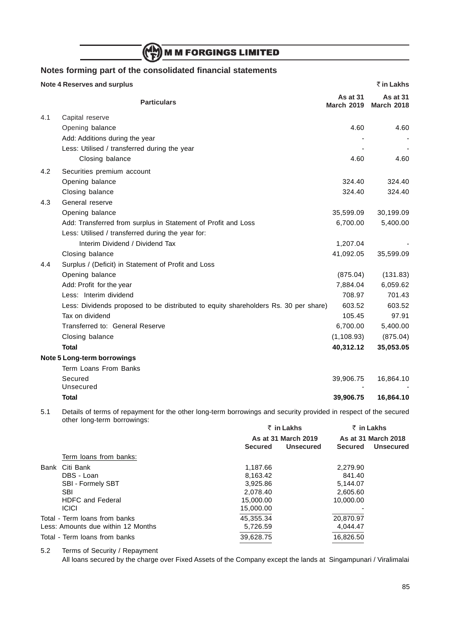## (N) M M FORGINGS LIMITED

## **Notes forming part of the consolidated financial statements**

|     | <b>Note 4 Reserves and surplus</b>                                                  |                               | ₹ in Lakhs                           |
|-----|-------------------------------------------------------------------------------------|-------------------------------|--------------------------------------|
|     | <b>Particulars</b>                                                                  | As at 31<br><b>March 2019</b> | <b>As at 31</b><br><b>March 2018</b> |
| 4.1 | Capital reserve                                                                     |                               |                                      |
|     | Opening balance                                                                     | 4.60                          | 4.60                                 |
|     | Add: Additions during the year                                                      |                               |                                      |
|     | Less: Utilised / transferred during the year                                        |                               |                                      |
|     | Closing balance                                                                     | 4.60                          | 4.60                                 |
| 4.2 | Securities premium account                                                          |                               |                                      |
|     | Opening balance                                                                     | 324.40                        | 324.40                               |
|     | Closing balance                                                                     | 324.40                        | 324.40                               |
| 4.3 | General reserve                                                                     |                               |                                      |
|     | Opening balance                                                                     | 35,599.09                     | 30,199.09                            |
|     | Add: Transferred from surplus in Statement of Profit and Loss                       | 6,700.00                      | 5,400.00                             |
|     | Less: Utilised / transferred during the year for:                                   |                               |                                      |
|     | Interim Dividend / Dividend Tax                                                     | 1,207.04                      |                                      |
|     | Closing balance                                                                     | 41,092.05                     | 35,599.09                            |
| 4.4 | Surplus / (Deficit) in Statement of Profit and Loss                                 |                               |                                      |
|     | Opening balance                                                                     | (875.04)                      | (131.83)                             |
|     | Add: Profit for the year                                                            | 7,884.04                      | 6,059.62                             |
|     | Less: Interim dividend                                                              | 708.97                        | 701.43                               |
|     | Less: Dividends proposed to be distributed to equity shareholders Rs. 30 per share) | 603.52                        | 603.52                               |
|     | Tax on dividend                                                                     | 105.45                        | 97.91                                |
|     | Transferred to: General Reserve                                                     | 6,700.00                      | 5,400.00                             |
|     | Closing balance                                                                     | (1, 108.93)                   | (875.04)                             |
|     | <b>Total</b>                                                                        | 40,312.12                     | 35,053.05                            |
|     | Note 5 Long-term borrowings                                                         |                               |                                      |
|     | Term Loans From Banks                                                               |                               |                                      |
|     | Secured                                                                             | 39,906.75                     | 16,864.10                            |
|     | Unsecured                                                                           |                               |                                      |
|     | Total                                                                               | 39,906.75                     | 16,864.10                            |

5.1 Details of terms of repayment for the other long-term borrowings and security provided in respect of the secured other long-term borrowings:

|                                    | ₹ in Lakhs<br>As at 31 March 2019 |                  | $\bar{z}$ in Lakhs<br>As at 31 March 2018 |                  |
|------------------------------------|-----------------------------------|------------------|-------------------------------------------|------------------|
|                                    |                                   |                  |                                           |                  |
|                                    | <b>Secured</b>                    | <b>Unsecured</b> | <b>Secured</b>                            | <b>Unsecured</b> |
| Term loans from banks:             |                                   |                  |                                           |                  |
| Citi Bank<br>Bank                  | 1.187.66                          |                  | 2.279.90                                  |                  |
| DBS - Loan                         | 8,163.42                          |                  | 841.40                                    |                  |
| <b>SBI - Formely SBT</b>           | 3,925.86                          |                  | 5,144.07                                  |                  |
| <b>SBI</b>                         | 2.078.40                          |                  | 2.605.60                                  |                  |
| <b>HDFC</b> and Federal            | 15,000.00                         |                  | 10,000.00                                 |                  |
| <b>ICICI</b>                       | 15,000.00                         |                  |                                           |                  |
| Total - Term loans from banks      | 45,355.34                         |                  | 20,870.97                                 |                  |
| Less: Amounts due within 12 Months | 5,726.59                          |                  | 4.044.47                                  |                  |
| Total - Term loans from banks      | 39,628.75                         |                  | 16,826.50                                 |                  |
|                                    |                                   |                  |                                           |                  |

5.2 Terms of Security / Repayment

All loans secured by the charge over Fixed Assets of the Company except the lands at Singampunari / Viralimalai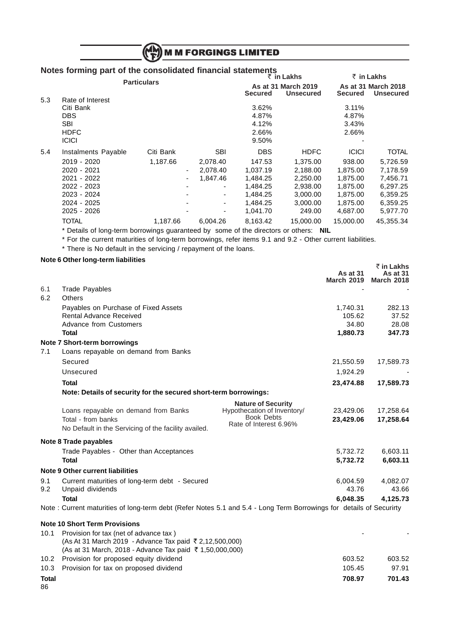|     |                                                                                                                              |                       | <b>M M FORGINGS LIMITED</b>                         |                                                                                              |                                                                                               |                                                                                                |                                                                                                  |  |
|-----|------------------------------------------------------------------------------------------------------------------------------|-----------------------|-----------------------------------------------------|----------------------------------------------------------------------------------------------|-----------------------------------------------------------------------------------------------|------------------------------------------------------------------------------------------------|--------------------------------------------------------------------------------------------------|--|
|     | Notes forming part of the consolidated financial statements<br>₹ in Lakhs<br>₹ in Lakhs<br><b>Particulars</b>                |                       |                                                     |                                                                                              |                                                                                               |                                                                                                |                                                                                                  |  |
|     |                                                                                                                              |                       |                                                     | <b>Secured</b>                                                                               | As at 31 March 2019<br><b>Unsecured</b>                                                       | <b>Secured</b>                                                                                 | As at 31 March 2018<br><b>Unsecured</b>                                                          |  |
| 5.3 | Rate of Interest<br>Citi Bank<br><b>DBS</b><br><b>SBI</b><br><b>HDFC</b><br><b>ICICI</b>                                     |                       |                                                     | 3.62%<br>4.87%<br>4.12%<br>2.66%<br>9.50%                                                    |                                                                                               | 3.11%<br>4.87%<br>3.43%<br>2.66%                                                               |                                                                                                  |  |
| 5.4 | Instalments Payable<br>2019 - 2020<br>2020 - 2021<br>2021 - 2022<br>2022 - 2023<br>2023 - 2024<br>2024 - 2025<br>2025 - 2026 | Citi Bank<br>1,187.66 | <b>SBI</b><br>2,078.40<br>2,078.40<br>1,847.46<br>۰ | <b>DBS</b><br>147.53<br>1,037.19<br>1,484.25<br>1,484.25<br>1,484.25<br>1,484.25<br>1,041.70 | <b>HDFC</b><br>1,375.00<br>2,188.00<br>2,250.00<br>2,938.00<br>3,000.00<br>3,000.00<br>249.00 | <b>ICICI</b><br>938.00<br>1,875.00<br>1,875.00<br>1,875.00<br>1,875.00<br>1,875.00<br>4,687.00 | <b>TOTAL</b><br>5,726.59<br>7,178.59<br>7,456.71<br>6,297.25<br>6,359.25<br>6,359.25<br>5,977.70 |  |
|     | <b>TOTAL</b>                                                                                                                 | 1,187.66              | 6,004.26                                            | 8,163.42                                                                                     | 15,000.00                                                                                     | 15,000.00                                                                                      | 45,355.34                                                                                        |  |

\* Details of long-term borrowings guaranteed by some of the directors or others: **NIL**

\* For the current maturities of long-term borrowings, refer items 9.1 and 9.2 - Other current liabilities.

\* There is No default in the servicing / repayment of the loans.

## **Note 6 Other long-term liabilities**

|      | Note 6 Other long-term habilities                                                                                   |                                             | As at 31          | ₹ in Lakhs<br><b>As at 31</b> |
|------|---------------------------------------------------------------------------------------------------------------------|---------------------------------------------|-------------------|-------------------------------|
|      |                                                                                                                     |                                             | <b>March 2019</b> | <b>March 2018</b>             |
| 6.1  | <b>Trade Payables</b>                                                                                               |                                             |                   |                               |
| 6.2  | <b>Others</b>                                                                                                       |                                             |                   |                               |
|      | Payables on Purchase of Fixed Assets                                                                                |                                             | 1,740.31          | 282.13                        |
|      | <b>Rental Advance Received</b>                                                                                      |                                             | 105.62            | 37.52                         |
|      | <b>Advance from Customers</b>                                                                                       |                                             | 34.80             | 28.08                         |
|      | <b>Total</b>                                                                                                        |                                             | 1,880.73          | 347.73                        |
|      | Note 7 Short-term borrowings                                                                                        |                                             |                   |                               |
| 7.1  | Loans repayable on demand from Banks                                                                                |                                             |                   |                               |
|      | Secured                                                                                                             |                                             | 21,550.59         | 17,589.73                     |
|      | Unsecured                                                                                                           |                                             | 1,924.29          |                               |
|      | <b>Total</b>                                                                                                        |                                             | 23,474.88         | 17,589.73                     |
|      | Note: Details of security for the secured short-term borrowings:                                                    |                                             |                   |                               |
|      |                                                                                                                     | <b>Nature of Security</b>                   |                   |                               |
|      | Loans repayable on demand from Banks                                                                                | Hypothecation of Inventory/                 | 23,429.06         | 17,258.64                     |
|      | Total - from banks                                                                                                  | <b>Book Debts</b><br>Rate of Interest 6.96% | 23,429.06         | 17,258.64                     |
|      | No Default in the Servicing of the facility availed.                                                                |                                             |                   |                               |
|      | Note 8 Trade payables                                                                                               |                                             |                   |                               |
|      | Trade Payables - Other than Acceptances                                                                             |                                             | 5,732.72          | 6,603.11                      |
|      | <b>Total</b>                                                                                                        |                                             | 5,732.72          | 6,603.11                      |
|      | <b>Note 9 Other current liabilities</b>                                                                             |                                             |                   |                               |
| 9.1  | Current maturities of long-term debt - Secured                                                                      |                                             | 6,004.59          | 4,082.07                      |
| 9.2  | Unpaid dividends                                                                                                    |                                             | 43.76             | 43.66                         |
|      | <b>Total</b>                                                                                                        |                                             | 6,048.35          | 4,125.73                      |
|      | Note: Current maturities of long-term debt (Refer Notes 5.1 and 5.4 - Long Term Borrowings for details of Securirty |                                             |                   |                               |
|      | <b>Note 10 Short Term Provisions</b>                                                                                |                                             |                   |                               |
| 10.1 | Provision for tax (net of advance tax)                                                                              |                                             |                   |                               |
|      | (As At 31 March 2019 - Advance Tax paid ₹ 2,12,500,000)                                                             |                                             |                   |                               |
|      | (As at 31 March, 2018 - Advance Tax paid ₹ 1,50,000,000)                                                            |                                             |                   |                               |

| 86           |                                                                             |        |        |
|--------------|-----------------------------------------------------------------------------|--------|--------|
| <b>Total</b> |                                                                             | 708.97 | 701.43 |
|              | 10.3 Provision for tax on proposed dividend                                 | 105.45 | 97.91  |
|              | 10.2 Provision for proposed equity dividend                                 | 603.52 | 603.52 |
|              | $(AB)$ at 3 Fividibit, 2010 - Auvallue Tax paiu $\rightarrow$ 1,30,000,000) |        |        |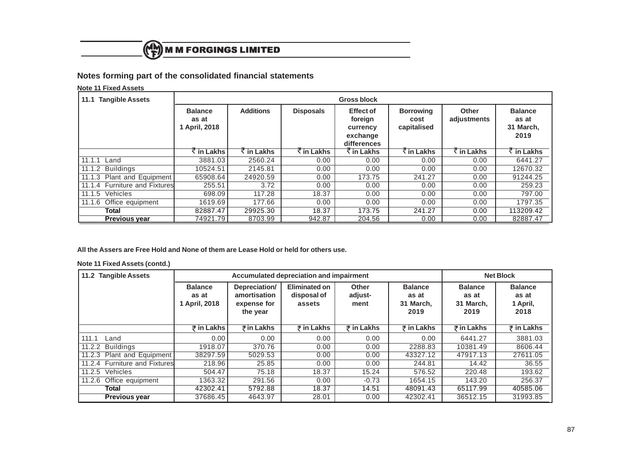

**Note 11 Fixed Assets**

| <b>Tangible Assets</b><br>11.1 |                                          |                                   |                             | <b>Gross block</b>                                                 |                                         |                             |                                              |
|--------------------------------|------------------------------------------|-----------------------------------|-----------------------------|--------------------------------------------------------------------|-----------------------------------------|-----------------------------|----------------------------------------------|
|                                | <b>Balance</b><br>as at<br>1 April, 2018 | <b>Additions</b>                  | <b>Disposals</b>            | <b>Effect of</b><br>foreign<br>currency<br>exchange<br>differences | <b>Borrowing</b><br>cost<br>capitalised | <b>Other</b><br>adjustments | <b>Balance</b><br>as at<br>31 March,<br>2019 |
|                                | $\overline{\xi}$ in Lakhs                | $\overline{\mathcal{K}}$ in Lakhs | $\overline{\zeta}$ in Lakhs | $\overline{\xi}$ in Lakhs                                          | $\overline{\xi}$ in Lakhs               | $\overline{\zeta}$ in Lakhs | $\overline{\mathcal{F}}$ in Lakhs            |
| 11.1.1<br>Land                 | 3881.03                                  | 2560.24                           | 0.00                        | 0.00                                                               | 0.00                                    | 0.00                        | 6441.27                                      |
| <b>Buildings</b><br>11.1.2     | 10524.51                                 | 2145.81                           | 0.00                        | 0.00                                                               | 0.00                                    | 0.00                        | 12670.32                                     |
| 11.1.3 Plant and Equipment     | 65908.64                                 | 24920.59                          | 0.00                        | 173.75                                                             | 241.27                                  | 0.00                        | 91244.25                                     |
| 11.1.4 Furniture and Fixtures  | 255.51                                   | 3.72                              | 0.00                        | 0.00                                                               | 0.00                                    | 0.00                        | 259.23                                       |
| 11.1.5 Vehicles                | 698.09                                   | 117.28                            | 18.37                       | 0.00                                                               | 0.00                                    | 0.00                        | 797.00                                       |
| 11.1.6 Office equipment        | 1619.69                                  | 177.66                            | 0.00                        | 0.00                                                               | 0.00                                    | 0.00                        | 1797.35                                      |
| Total                          | 82887.47                                 | 29925.30                          | 18.37                       | 173.75                                                             | 241.27                                  | 0.00                        | 113209.42                                    |
| <b>Previous year</b>           | 74921.79                                 | 8703.99                           | 942.87                      | 204.56                                                             | 0.00                                    | 0.00                        | 82887.47                                     |

**All the Assers are Free Hold and None of them are Lease Hold or held for others use.**

**Note 11 Fixed Assets (contd.)**

| 11.2 Tangible Assets          |                                          |                                                          | Accumulated depreciation and impairment |                                 |                                              | <b>Net Block</b>                             |                                             |
|-------------------------------|------------------------------------------|----------------------------------------------------------|-----------------------------------------|---------------------------------|----------------------------------------------|----------------------------------------------|---------------------------------------------|
|                               | <b>Balance</b><br>as at<br>1 April, 2018 | Depreciation/<br>amortisation<br>expense for<br>the year | Eliminated on<br>disposal of<br>assets  | <b>Other</b><br>adjust-<br>ment | <b>Balance</b><br>as at<br>31 March,<br>2019 | <b>Balance</b><br>as at<br>31 March,<br>2019 | <b>Balance</b><br>as at<br>1 April,<br>2018 |
|                               | ₹ in Lakhs                               | $\bar{z}$ in Lakhs                                       | ₹ in Lakhs                              | ₹ in Lakhs                      | ₹ in Lakhs                                   | ₹ in Lakhs                                   | $\overline{z}$ in Lakhs                     |
| 111.1<br>Land                 | 0.00                                     | 0.00                                                     | 0.00                                    | 0.00                            | 0.00                                         | 6441.27                                      | 3881.03                                     |
| <b>Buildings</b><br>11.2.2    | 1918.07                                  | 370.76                                                   | 0.00                                    | 0.00                            | 2288.83                                      | 10381.49                                     | 8606.44                                     |
| 11.2.3 Plant and Equipment    | 38297.59                                 | 5029.53                                                  | 0.00                                    | 0.00                            | 43327.12                                     | 47917.13                                     | 27611.05                                    |
| 11.2.4 Furniture and Fixtures | 218.96                                   | 25.85                                                    | 0.00                                    | 0.00                            | 244.81                                       | 14.42                                        | 36.55                                       |
| 11.2.5<br>Vehicles            | 504.47                                   | 75.18                                                    | 18.37                                   | 15.24                           | 576.52                                       | 220.48                                       | 193.62                                      |
| Office equipment<br>11.2.6    | 1363.32                                  | 291.56                                                   | 0.00                                    | $-0.73$                         | 1654.15                                      | 143.20                                       | 256.37                                      |
| Total                         | 42302.41                                 | 5792.88                                                  | 18.37                                   | 14.51                           | 48091.43                                     | 65117.99                                     | 40585.06                                    |
| <b>Previous year</b>          | 37686.45                                 | 4643.97                                                  | 28.01                                   | 0.00                            | 42302.41                                     | 36512.15                                     | 31993.85                                    |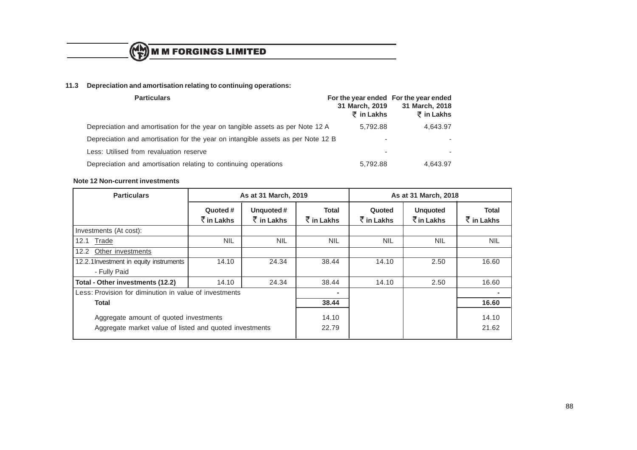

## **11.3 Depreciation and amortisation relating to continuing operations:**

| <b>Particulars</b>                                                               | 31 March, 2019<br>$\bar{z}$ in Lakhs | For the year ended For the year ended<br>31 March, 2018<br>₹ in Lakhs |  |
|----------------------------------------------------------------------------------|--------------------------------------|-----------------------------------------------------------------------|--|
| Depreciation and amortisation for the year on tangible assets as per Note 12 A   | 5.792.88                             | 4,643.97                                                              |  |
| Depreciation and amortisation for the year on intangible assets as per Note 12 B |                                      |                                                                       |  |
| Less: Utilised from revaluation reserve                                          | ۰                                    |                                                                       |  |
| Depreciation and amortisation relating to continuing operations                  | 5.792.88                             | 4,643.97                                                              |  |

#### **Note 12 Non-current investments**

| <b>Particulars</b>                                                                                | As at 31 March, 2019                           |                                           |                                                    |                                              |                                                       | As at 31 March, 2018                         |  |
|---------------------------------------------------------------------------------------------------|------------------------------------------------|-------------------------------------------|----------------------------------------------------|----------------------------------------------|-------------------------------------------------------|----------------------------------------------|--|
|                                                                                                   | Quoted #<br>$\bar{\bar{\mathcal{K}}}$ in Lakhs | Unquoted#<br>$\bar{\bar{\zeta}}$ in Lakhs | <b>Total</b><br>$\bar{\bar{\mathcal{K}}}$ in Lakhs | Quoted<br>$\bar{\bar{\mathcal{K}}}$ in Lakhs | <b>Unquoted</b><br>$\bar{\bar{\mathcal{K}}}$ in Lakhs | <b>Total</b><br>$\bar{\bar{\zeta}}$ in Lakhs |  |
| Investments (At cost):                                                                            |                                                |                                           |                                                    |                                              |                                                       |                                              |  |
| Trade<br>12.1                                                                                     | <b>NIL</b>                                     | <b>NIL</b>                                | <b>NIL</b>                                         | <b>NIL</b>                                   | <b>NIL</b>                                            | <b>NIL</b>                                   |  |
| 12.2<br>Other investments                                                                         |                                                |                                           |                                                    |                                              |                                                       |                                              |  |
| 12.2.1 Investment in equity instruments                                                           | 14.10                                          | 24.34                                     | 38.44                                              | 14.10                                        | 2.50                                                  | 16.60                                        |  |
| - Fully Paid                                                                                      |                                                |                                           |                                                    |                                              |                                                       |                                              |  |
| Total - Other investments (12.2)                                                                  | 14.10                                          | 24.34                                     | 38.44                                              | 14.10                                        | 2.50                                                  | 16.60                                        |  |
| Less: Provision for diminution in value of investments                                            |                                                |                                           |                                                    |                                              |                                                       | ۰                                            |  |
| Total                                                                                             |                                                | 38.44                                     |                                                    |                                              | 16.60                                                 |                                              |  |
| Aggregate amount of quoted investments<br>Aggregate market value of listed and quoted investments |                                                |                                           | 14.10<br>22.79                                     |                                              |                                                       | 14.10<br>21.62                               |  |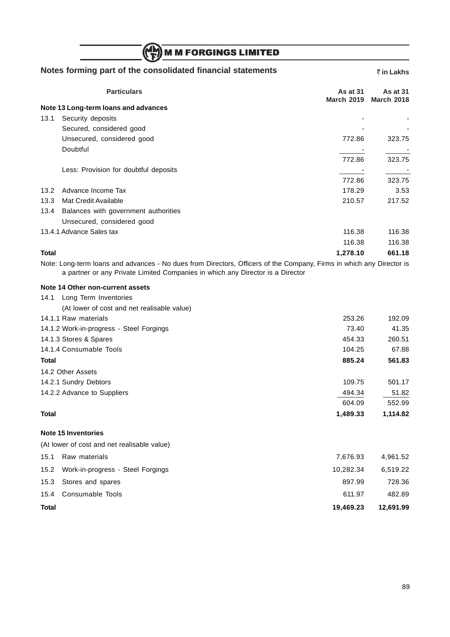|              | ((۳۳)) M M FORGINGS LIMITED                                 |                               |                               |
|--------------|-------------------------------------------------------------|-------------------------------|-------------------------------|
|              | Notes forming part of the consolidated financial statements |                               | ₹ in Lakhs                    |
|              | <b>Particulars</b>                                          | As at 31<br><b>March 2019</b> | As at 31<br><b>March 2018</b> |
|              | Note 13 Long-term loans and advances                        |                               |                               |
| 13.1         | Security deposits                                           |                               |                               |
|              | Secured, considered good                                    |                               |                               |
|              | Unsecured, considered good                                  | 772.86                        | 323.75                        |
|              | Doubtful                                                    |                               |                               |
|              |                                                             | 772.86                        | 323.75                        |
|              | Less: Provision for doubtful deposits                       |                               |                               |
|              |                                                             | 772.86                        | 323.75                        |
| 13.2         | Advance Income Tax                                          | 178.29                        | 3.53                          |
| 13.3         | Mat Credit Available                                        | 210.57                        | 217.52                        |
| 13.4         | Balances with government authorities                        |                               |                               |
|              | Unsecured, considered good                                  |                               |                               |
|              | 13.4.1 Advance Sales tax                                    | 116.38                        | 116.38                        |
|              |                                                             | 116.38                        | 116.38                        |
| <b>Total</b> |                                                             | 1,278.10                      | 661.18                        |

 $\mathbb{Z}$ 

Note: Long-term loans and advances - No dues from Directors, Officers of the Company, Firms in which any Director is a partner or any Private Limited Companies in which any Director is a Director

### **Note 14 Other non-current assets**

| Long Term Inventories<br>14.1               |           |          |
|---------------------------------------------|-----------|----------|
| (At lower of cost and net realisable value) |           |          |
| 14.1.1 Raw materials                        | 253.26    | 192.09   |
| 14.1.2 Work-in-progress - Steel Forgings    | 73.40     | 41.35    |
| 14.1.3 Stores & Spares                      | 454.33    | 260.51   |
| 14.1.4 Consumable Tools                     | 104.25    | 67.88    |
| <b>Total</b>                                | 885.24    | 561.83   |
| 14.2 Other Assets                           |           |          |
| 14.2.1 Sundry Debtors                       | 109.75    | 501.17   |
| 14.2.2 Advance to Suppliers                 | 494.34    | 51.82    |
|                                             | 604.09    | 552.99   |
| <b>Total</b>                                | 1,489.33  | 1,114.82 |
| Note 15 Inventories                         |           |          |
| (At lower of cost and net realisable value) |           |          |
| 15.1<br>Raw materials                       | 7,676.93  | 4,961.52 |
| 15.2 Work-in-progress - Steel Forgings      | 10,282.34 | 6,519.22 |

15.3 Stores and spares 897.99 728.36 15.4 Consumable Tools 611.97 482.89 **Total 19,469.23 12,691.99**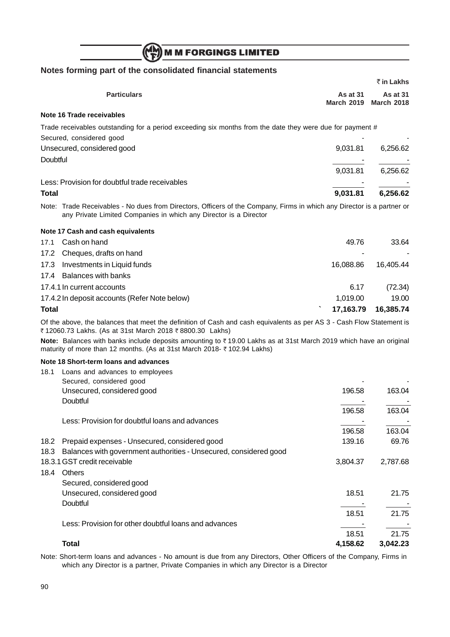## (N) M M FORGINGS LIMITED

## **Notes forming part of the consolidated financial statements**

|              |                                                                                                                                                                                              |                               | ₹ in Lakhs                    |
|--------------|----------------------------------------------------------------------------------------------------------------------------------------------------------------------------------------------|-------------------------------|-------------------------------|
|              | <b>Particulars</b>                                                                                                                                                                           | As at 31<br><b>March 2019</b> | As at 31<br><b>March 2018</b> |
|              | Note 16 Trade receivables                                                                                                                                                                    |                               |                               |
|              | Trade receivables outstanding for a period exceeding six months from the date they were due for payment #<br>Secured, considered good                                                        |                               |                               |
|              | Unsecured, considered good                                                                                                                                                                   | 9,031.81                      | 6,256.62                      |
| Doubtful     |                                                                                                                                                                                              |                               |                               |
|              |                                                                                                                                                                                              | 9,031.81                      | 6,256.62                      |
|              | Less: Provision for doubtful trade receivables                                                                                                                                               |                               |                               |
| <b>Total</b> |                                                                                                                                                                                              | 9,031.81                      | 6,256.62                      |
|              | Note: Trade Receivables - No dues from Directors, Officers of the Company, Firms in which any Director is a partner or<br>any Private Limited Companies in which any Director is a Director  |                               |                               |
|              | Note 17 Cash and cash equivalents                                                                                                                                                            |                               |                               |
| 17.1         | Cash on hand                                                                                                                                                                                 | 49.76                         | 33.64                         |
| 17.2         | Cheques, drafts on hand                                                                                                                                                                      |                               |                               |
| 17.3         | Investments in Liquid funds                                                                                                                                                                  | 16,088.86                     | 16,405.44                     |
| 17.4         | <b>Balances with banks</b>                                                                                                                                                                   |                               |                               |
|              | 17.4.1 In current accounts                                                                                                                                                                   | 6.17                          | (72.34)                       |
|              | 17.4.2 In deposit accounts (Refer Note below)                                                                                                                                                | 1,019.00                      | 19.00                         |
| <b>Total</b> |                                                                                                                                                                                              | 17,163.79                     | 16,385.74                     |
|              | Of the above, the balances that meet the definition of Cash and cash equivalents as per AS 3 - Cash Flow Statement is<br>₹12060.73 Lakhs. (As at 31st March 2018 ₹8800.30 Lakhs)             |                               |                               |
|              | Note: Balances with banks include deposits amounting to ₹19.00 Lakhs as at 31st March 2019 which have an original<br>maturity of more than 12 months. (As at 31st March 2018- ₹102.94 Lakhs) |                               |                               |
|              | Note 18 Short-term loans and advances                                                                                                                                                        |                               |                               |
| 18.1         | Loans and advances to employees                                                                                                                                                              |                               |                               |
|              | Secured, considered good                                                                                                                                                                     |                               |                               |
|              | Unsecured, considered good                                                                                                                                                                   | 196.58                        | 163.04                        |
|              | Doubtful                                                                                                                                                                                     | 196.58                        | 163.04                        |
|              | Less: Provision for doubtful loans and advances                                                                                                                                              |                               |                               |
|              |                                                                                                                                                                                              | 196.58                        | 163.04                        |
| 18.2         | Prepaid expenses - Unsecured, considered good                                                                                                                                                | 139.16                        | 69.76                         |
| 18.3         | Balances with government authorities - Unsecured, considered good                                                                                                                            |                               |                               |
|              | 18.3.1 GST credit receivable                                                                                                                                                                 | 3,804.37                      | 2,787.68                      |
| 18.4         | Others                                                                                                                                                                                       |                               |                               |
|              | Secured, considered good                                                                                                                                                                     |                               |                               |
|              | Unsecured, considered good                                                                                                                                                                   | 18.51                         | 21.75                         |
|              | Doubtful                                                                                                                                                                                     |                               |                               |
|              |                                                                                                                                                                                              | 18.51                         | 21.75                         |
|              | Less: Provision for other doubtful loans and advances                                                                                                                                        | 18.51                         | 21.75                         |
|              | <b>Total</b>                                                                                                                                                                                 | 4,158.62                      | 3,042.23                      |

Note: Short-term loans and advances - No amount is due from any Directors, Other Officers of the Company, Firms in which any Director is a partner, Private Companies in which any Director is a Director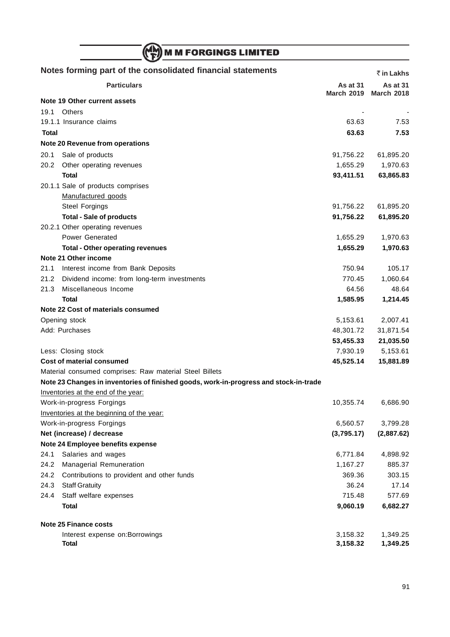|              | <b>M M FORGINGS LIMITED</b>                                                           |                        |                        |
|--------------|---------------------------------------------------------------------------------------|------------------------|------------------------|
|              | Notes forming part of the consolidated financial statements                           |                        | ₹ in Lakhs             |
|              | <b>Particulars</b>                                                                    | <b>As at 31</b>        | <b>As at 31</b>        |
|              | Note 19 Other current assets                                                          | <b>March 2019</b>      | <b>March 2018</b>      |
| 19.1         | <b>Others</b>                                                                         |                        |                        |
|              | 19.1.1 Insurance claims                                                               | 63.63                  | 7.53                   |
| <b>Total</b> |                                                                                       | 63.63                  | 7.53                   |
|              | Note 20 Revenue from operations                                                       |                        |                        |
| 20.1         | Sale of products                                                                      | 91,756.22              | 61,895.20              |
| 20.2         | Other operating revenues                                                              | 1,655.29               | 1,970.63               |
|              | Total                                                                                 | 93,411.51              | 63,865.83              |
|              | 20.1.1 Sale of products comprises                                                     |                        |                        |
|              | Manufactured goods                                                                    |                        |                        |
|              | <b>Steel Forgings</b>                                                                 | 91,756.22              | 61,895.20              |
|              | <b>Total - Sale of products</b>                                                       | 91,756.22              | 61,895.20              |
|              | 20.2.1 Other operating revenues                                                       |                        |                        |
|              | <b>Power Generated</b>                                                                | 1,655.29               | 1,970.63               |
|              | <b>Total - Other operating revenues</b>                                               | 1,655.29               | 1,970.63               |
|              | Note 21 Other income                                                                  |                        |                        |
| 21.1         | Interest income from Bank Deposits                                                    | 750.94                 | 105.17                 |
| 21.2         | Dividend income: from long-term investments                                           | 770.45                 | 1,060.64               |
| 21.3         | Miscellaneous Income                                                                  | 64.56                  | 48.64                  |
|              | <b>Total</b>                                                                          | 1,585.95               | 1,214.45               |
|              | Note 22 Cost of materials consumed                                                    |                        |                        |
|              | Opening stock                                                                         | 5,153.61               | 2,007.41               |
|              | Add: Purchases                                                                        | 48,301.72              | 31,871.54              |
|              |                                                                                       | 53,455.33              | 21,035.50              |
|              | Less: Closing stock                                                                   | 7,930.19               | 5,153.61               |
|              | Cost of material consumed                                                             | 45,525.14              | 15,881.89              |
|              | Material consumed comprises: Raw material Steel Billets                               |                        |                        |
|              | Note 23 Changes in inventories of finished goods, work-in-progress and stock-in-trade |                        |                        |
|              | Inventories at the end of the year:                                                   |                        |                        |
|              | Work-in-progress Forgings                                                             | 10,355.74              | 6,686.90               |
|              | Inventories at the beginning of the year:                                             |                        |                        |
|              | Work-in-progress Forgings<br>Net (increase) / decrease                                | 6,560.57<br>(3,795.17) | 3,799.28<br>(2,887.62) |
|              | Note 24 Employee benefits expense                                                     |                        |                        |
| 24.1         | Salaries and wages                                                                    | 6,771.84               | 4,898.92               |
| 24.2         | Managerial Remuneration                                                               | 1,167.27               | 885.37                 |
| 24.2         | Contributions to provident and other funds                                            | 369.36                 | 303.15                 |
| 24.3         | <b>Staff Gratuity</b>                                                                 | 36.24                  | 17.14                  |
| 24.4         | Staff welfare expenses                                                                | 715.48                 | 577.69                 |
|              | <b>Total</b>                                                                          | 9,060.19               | 6,682.27               |
|              |                                                                                       |                        |                        |
|              | Note 25 Finance costs                                                                 |                        |                        |
|              | Interest expense on: Borrowings                                                       | 3,158.32               | 1,349.25               |
|              | <b>Total</b>                                                                          | 3,158.32               | 1,349.25               |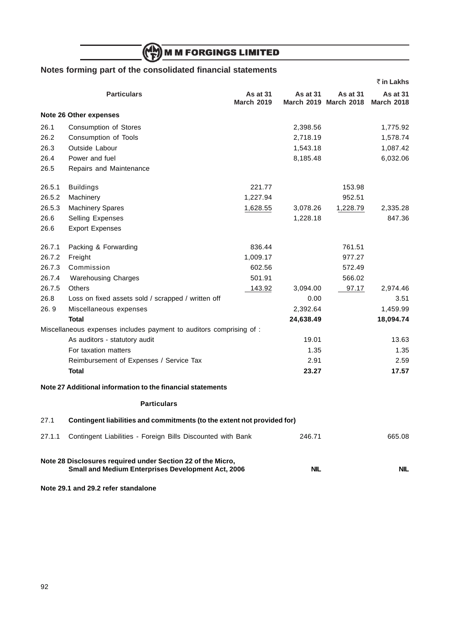# (MM) M M FORGINGS LIMITED

## **Notes forming part of the consolidated financial statements**

|        |                                                                                                                   |                               |                 |                                   | ₹ in Lakhs                    |
|--------|-------------------------------------------------------------------------------------------------------------------|-------------------------------|-----------------|-----------------------------------|-------------------------------|
|        | <b>Particulars</b>                                                                                                | As at 31<br><b>March 2019</b> | <b>As at 31</b> | As at 31<br>March 2019 March 2018 | As at 31<br><b>March 2018</b> |
|        | <b>Note 26 Other expenses</b>                                                                                     |                               |                 |                                   |                               |
| 26.1   | Consumption of Stores                                                                                             |                               | 2,398.56        |                                   | 1,775.92                      |
| 26.2   | Consumption of Tools                                                                                              |                               | 2,718.19        |                                   | 1,578.74                      |
| 26.3   | Outside Labour                                                                                                    |                               | 1,543.18        |                                   | 1,087.42                      |
| 26.4   | Power and fuel                                                                                                    |                               | 8,185.48        |                                   | 6,032.06                      |
| 26.5   | Repairs and Maintenance                                                                                           |                               |                 |                                   |                               |
| 26.5.1 | <b>Buildings</b>                                                                                                  | 221.77                        |                 | 153.98                            |                               |
| 26.5.2 | Machinery                                                                                                         | 1,227.94                      |                 | 952.51                            |                               |
| 26.5.3 | <b>Machinery Spares</b>                                                                                           | 1,628.55                      | 3,078.26        | 1,228.79                          | 2,335.28                      |
| 26.6   | Selling Expenses                                                                                                  |                               | 1,228.18        |                                   | 847.36                        |
| 26.6   | <b>Export Expenses</b>                                                                                            |                               |                 |                                   |                               |
| 26.7.1 | Packing & Forwarding                                                                                              | 836.44                        |                 | 761.51                            |                               |
| 26.7.2 | Freight                                                                                                           | 1,009.17                      |                 | 977.27                            |                               |
| 26.7.3 | Commission                                                                                                        | 602.56                        |                 | 572.49                            |                               |
| 26.7.4 | <b>Warehousing Charges</b>                                                                                        | 501.91                        |                 | 566.02                            |                               |
| 26.7.5 | <b>Others</b>                                                                                                     | 143.92                        | 3,094.00        | 97.17                             | 2,974.46                      |
| 26.8   | Loss on fixed assets sold / scrapped / written off                                                                |                               | 0.00            |                                   | 3.51                          |
| 26.9   | Miscellaneous expenses                                                                                            |                               | 2,392.64        |                                   | 1,459.99                      |
|        | <b>Total</b>                                                                                                      |                               | 24,638.49       |                                   | 18,094.74                     |
|        | Miscellaneous expenses includes payment to auditors comprising of :                                               |                               |                 |                                   |                               |
|        | As auditors - statutory audit                                                                                     |                               | 19.01           |                                   | 13.63                         |
|        | For taxation matters                                                                                              |                               | 1.35            |                                   | 1.35                          |
|        | Reimbursement of Expenses / Service Tax                                                                           |                               | 2.91            |                                   | 2.59                          |
|        | <b>Total</b>                                                                                                      |                               | 23.27           |                                   | 17.57                         |
|        | Note 27 Additional information to the financial statements                                                        |                               |                 |                                   |                               |
|        | <b>Particulars</b>                                                                                                |                               |                 |                                   |                               |
| 27.1   | Contingent liabilities and commitments (to the extent not provided for)                                           |                               |                 |                                   |                               |
| 27.1.1 | Contingent Liabilities - Foreign Bills Discounted with Bank                                                       |                               | 246.71          |                                   | 665.08                        |
|        | Note 28 Disclosures required under Section 22 of the Micro,<br>Small and Medium Enterprises Development Act, 2006 |                               | <b>NIL</b>      |                                   | <b>NIL</b>                    |

**Note 29.1 and 29.2 refer standalone**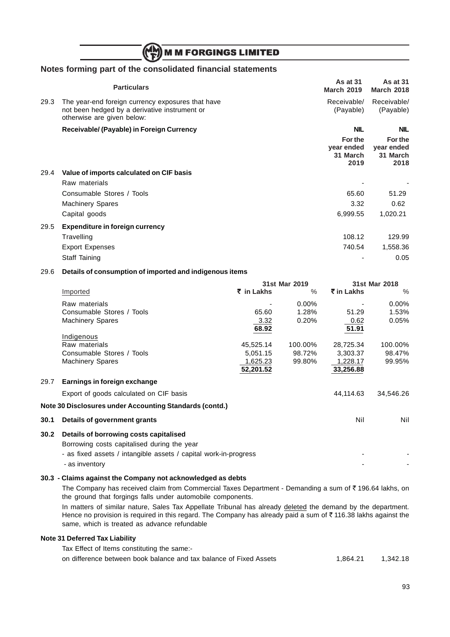## **M M FORGINGS LIMITED**

## **Notes forming part of the consolidated financial statements**

|      | <b>Particulars</b>                                                                                                               | <b>As at 31</b><br><b>March 2019</b>      | <b>As at 31</b><br><b>March 2018</b>      |
|------|----------------------------------------------------------------------------------------------------------------------------------|-------------------------------------------|-------------------------------------------|
| 29.3 | The year-end foreign currency exposures that have<br>not been hedged by a derivative instrument or<br>otherwise are given below: | Receivable/<br>(Payable)                  | Receivable/<br>(Payable)                  |
|      | Receivable/ (Payable) in Foreign Currency                                                                                        | <b>NIL</b>                                | <b>NIL</b>                                |
|      |                                                                                                                                  | For the<br>year ended<br>31 March<br>2019 | For the<br>year ended<br>31 March<br>2018 |
| 29.4 | Value of imports calculated on CIF basis                                                                                         |                                           |                                           |
|      | Raw materials                                                                                                                    |                                           |                                           |
|      | Consumable Stores / Tools                                                                                                        | 65.60                                     | 51.29                                     |
|      | <b>Machinery Spares</b>                                                                                                          | 3.32                                      | 0.62                                      |
|      | Capital goods                                                                                                                    | 6,999.55                                  | 1,020.21                                  |
| 29.5 | <b>Expenditure in foreign currency</b>                                                                                           |                                           |                                           |
|      | Travelling                                                                                                                       | 108.12                                    | 129.99                                    |
|      | <b>Export Expenses</b>                                                                                                           | 740.54                                    | 1,558.36                                  |
|      | Staff Taining                                                                                                                    |                                           | 0.05                                      |
|      |                                                                                                                                  |                                           |                                           |

#### 29.6 **Details of consumption of imported and indigenous items**

|      |                                                                  | 31st Mar 2019 |          | 31st Mar 2018 |           |
|------|------------------------------------------------------------------|---------------|----------|---------------|-----------|
|      | Imported                                                         | ₹ in Lakhs    | $\%$     | ₹ in Lakhs    | $\%$      |
|      | Raw materials                                                    |               | $0.00\%$ |               | $0.00\%$  |
|      | Consumable Stores / Tools                                        | 65.60         | 1.28%    | 51.29         | 1.53%     |
|      | <b>Machinery Spares</b>                                          | 3.32          | 0.20%    | 0.62          | 0.05%     |
|      |                                                                  | 68.92         |          | 51.91         |           |
|      | Indigenous                                                       |               |          |               |           |
|      | Raw materials                                                    | 45,525.14     | 100.00%  | 28,725.34     | 100.00%   |
|      | Consumable Stores / Tools                                        | 5,051.15      | 98.72%   | 3,303.37      | 98.47%    |
|      | <b>Machinery Spares</b>                                          | 1,625.23      | 99.80%   | 1,228.17      | 99.95%    |
|      |                                                                  | 52,201.52     |          | 33,256.88     |           |
| 29.7 | Earnings in foreign exchange                                     |               |          |               |           |
|      | Export of goods calculated on CIF basis                          |               |          | 44,114.63     | 34,546.26 |
|      | Note 30 Disclosures under Accounting Standards (contd.)          |               |          |               |           |
| 30.1 | Details of government grants                                     |               |          | Nil           | Nil       |
| 30.2 | Details of borrowing costs capitalised                           |               |          |               |           |
|      | Borrowing costs capitalised during the year                      |               |          |               |           |
|      | - as fixed assets / intangible assets / capital work-in-progress |               |          |               |           |
|      |                                                                  |               |          |               |           |
|      | - as inventory                                                   |               |          |               |           |

#### **30.3 - Claims against the Company not acknowledged as debts**

The Company has received claim from Commercial Taxes Department - Demanding a sum of  $\bar{\tau}$  196.64 lakhs, on the ground that forgings falls under automobile components.

In matters of similar nature, Sales Tax Appellate Tribunal has already deleted the demand by the department. Hence no provision is required in this regard. The Company has already paid a sum of  $\bar{\tau}$  116.38 lakhs against the same, which is treated as advance refundable

#### **Note 31 Deferred Tax Liability**

Tax Effect of Items constituting the same:-

on difference between book balance and tax balance of Fixed Assets 1,864.21 1,342.18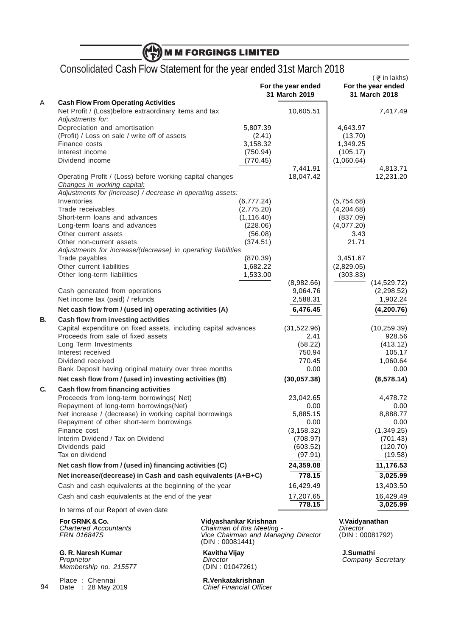| Consolidated Cash Flow Statement for the year ended 31st March 2018                                  |                           |                                     |                        | $($ ₹ in lakhs)                     |
|------------------------------------------------------------------------------------------------------|---------------------------|-------------------------------------|------------------------|-------------------------------------|
|                                                                                                      |                           | For the year ended<br>31 March 2019 |                        | For the year ended<br>31 March 2018 |
| <b>Cash Flow From Operating Activities</b><br>Net Profit / (Loss) before extraordinary items and tax |                           | 10,605.51                           |                        |                                     |
| Adjustments for:                                                                                     |                           |                                     |                        | 7,417.49                            |
| Depreciation and amortisation<br>(Profit) / Loss on sale / write off of assets                       | 5,807.39<br>(2.41)        |                                     | 4,643.97<br>(13.70)    |                                     |
| Finance costs                                                                                        | 3,158.32                  |                                     | 1,349.25               |                                     |
| Interest income                                                                                      | (750.94)                  |                                     | (105.17)               |                                     |
| Dividend income                                                                                      | (770.45)                  |                                     | (1,060.64)             |                                     |
|                                                                                                      |                           | 7,441.91                            |                        | 4,813.71                            |
| Operating Profit / (Loss) before working capital changes<br>Changes in working capital:              |                           | 18,047.42                           |                        | 12,231.20                           |
| Adjustments for (increase) / decrease in operating assets:                                           |                           |                                     |                        |                                     |
| Inventories                                                                                          | (6,777.24)                |                                     | (5,754.68)             |                                     |
| Trade receivables<br>Short-term loans and advances                                                   | (2,775.20)<br>(1, 116.40) |                                     | (4,204.68)<br>(837.09) |                                     |
| Long-term loans and advances                                                                         | (228.06)                  |                                     | (4,077.20)             |                                     |
| Other current assets                                                                                 | (56.08)                   |                                     | 3.43                   |                                     |
| Other non-current assets                                                                             | (374.51)                  |                                     | 21.71                  |                                     |
| Adjustments for increase/(decrease) in operating liabilities                                         |                           |                                     |                        |                                     |
| Trade payables                                                                                       | (870.39)                  |                                     | 3,451.67               |                                     |
| Other current liabilities                                                                            | 1,682.22<br>1,533.00      |                                     | (2,829.05)             |                                     |
| Other long-term liabilities                                                                          |                           | (8,982.66)                          | (303.83)               | (14, 529.72)                        |
| Cash generated from operations                                                                       |                           | 9,064.76                            |                        | (2, 298.52)                         |
| Net income tax (paid) / refunds                                                                      |                           | 2,588.31                            |                        | 1,902.24                            |
| Net cash flow from / (used in) operating activities (A)                                              |                           | 6,476.45                            |                        | (4, 200.76)                         |
| Cash flow from investing activities                                                                  |                           |                                     |                        |                                     |
| Capital expenditure on fixed assets, including capital advances                                      |                           | (31,522.96)                         |                        | (10, 259.39)                        |
| Proceeds from sale of fixed assets<br>Long Term Investments                                          |                           | 2.41                                |                        | 928.56                              |
| Interest received                                                                                    |                           | (58.22)<br>750.94                   |                        | (413.12)<br>105.17                  |
| Dividend received                                                                                    |                           | 770.45                              |                        | 1,060.64                            |
| Bank Deposit having original matuiry over three months                                               |                           | 0.00                                |                        | 0.00                                |
| Net cash flow from / (used in) investing activities (B)                                              |                           | (30, 057.38)                        |                        | (8,578.14)                          |
| Cash flow from financing activities                                                                  |                           |                                     |                        |                                     |
| Proceeds from long-term borrowings( Net)                                                             |                           | 23,042.65                           |                        | 4,478.72                            |
| Repayment of long-term borrowings(Net)                                                               |                           | 0.00                                |                        | 0.00                                |
| Net increase / (decrease) in working capital borrowings                                              |                           | 5,885.15                            |                        | 8,888.77                            |
| Repayment of other short-term borrowings<br>Finance cost                                             |                           | 0.00<br>(3, 158.32)                 |                        | 0.00<br>(1,349.25)                  |
| Interim Dividend / Tax on Dividend                                                                   |                           | (708.97)                            |                        | (701.43)                            |
| Dividends paid                                                                                       |                           | (603.52)                            |                        | (120.70)                            |
| Tax on dividend                                                                                      |                           | (97.91)                             |                        | (19.58)                             |
| Net cash flow from / (used in) financing activities (C)                                              |                           | 24,359.08                           |                        | 11,176.53                           |
| Net increase/(decrease) in Cash and cash equivalents (A+B+C)                                         |                           | 778.15                              |                        | 3,025.99                            |
| Cash and cash equivalents at the beginning of the year                                               |                           | 16,429.49                           |                        | 13,403.50                           |
| Cash and cash equivalents at the end of the year                                                     |                           | 17,207.65                           |                        | 16,429.49                           |
|                                                                                                      |                           | 778.15                              |                        | 3,025.99                            |

**G. R. Naresh Kumar Kavitha Vijay J.Sumathi** Proprietor **Director** Company Secretary Director Company Secretary Membership no. 215577 (DIN : 01047261)

94 Place : Chennai<br>Date : 28 May 2019

**For GRNK & Co. Vidyashankar Krishnan V.Vaidyanathan**

Chartered Accountants **Chairman of this Meeting -** Director FRN 016847S **Vice Chairman and Managing Director** (DIN : 00081792) (DIN : 00081441)

R.Venkatakrishnan<br>Chief Financial Officer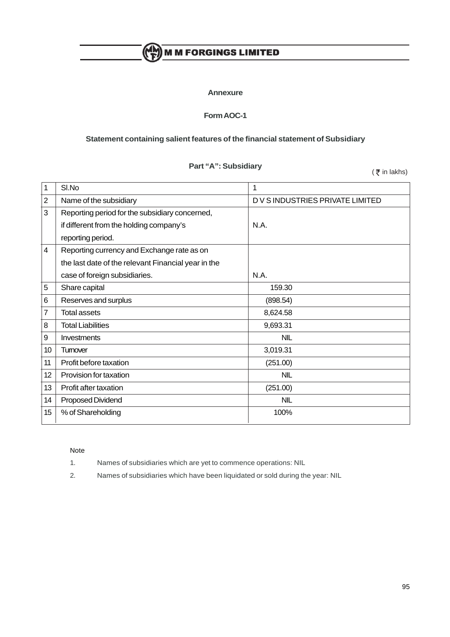## $\binom{M_{\rm M}}{\rm F}$  M M FORGINGS LIMITED

### **Annexure**

## **Form AOC-1**

## **Statement containing salient features of the financial statement of Subsidiary**

## **Part "A": Subsidiary**

 $($   $\overline{\xi}$  in lakhs)

| 1               | SI.No                                               | 1                                |
|-----------------|-----------------------------------------------------|----------------------------------|
| $\overline{2}$  | Name of the subsidiary                              | D V S INDUSTRIES PRIVATE LIMITED |
| 3               | Reporting period for the subsidiary concerned,      |                                  |
|                 | if different from the holding company's             | N.A.                             |
|                 | reporting period.                                   |                                  |
| 4               | Reporting currency and Exchange rate as on          |                                  |
|                 | the last date of the relevant Financial year in the |                                  |
|                 | case of foreign subsidiaries.                       | N.A.                             |
| 5               | Share capital                                       | 159.30                           |
| 6               | Reserves and surplus                                | (898.54)                         |
| 7               | <b>Total assets</b>                                 | 8,624.58                         |
| 8               | <b>Total Liabilities</b>                            | 9,693.31                         |
| 9               | Investments                                         | <b>NIL</b>                       |
| 10              | Tumover                                             | 3,019.31                         |
| 11              | Profit before taxation                              | (251.00)                         |
| 12 <sup>°</sup> | Provision for taxation                              | <b>NIL</b>                       |
| 13              | Profit after taxation                               | (251.00)                         |
| 14              | Proposed Dividend                                   | <b>NIL</b>                       |
| 15              | % of Shareholding                                   | 100%                             |

#### Note

- 1. Names of subsidiaries which are yet to commence operations: NIL
- 2. Names of subsidiaries which have been liquidated or sold during the year: NIL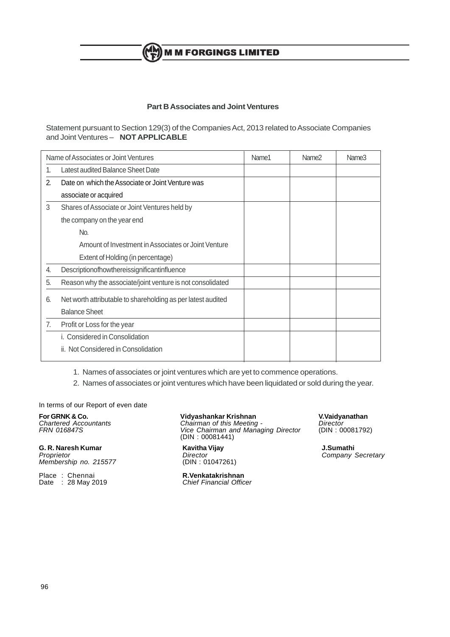**M M FORGINGS LIMITED** 

## **Part B Associates and Joint Ventures**

Statement pursuant to Section 129(3) of the Companies Act, 2013 related to Associate Companies and Joint Ventures – **NOT APPLICABLE**

|    | Name of Associates or Joint Ventures                         | Name1 | Name <sub>2</sub> | Name <sub>3</sub> |
|----|--------------------------------------------------------------|-------|-------------------|-------------------|
| 1. | Latest audited Balance Sheet Date                            |       |                   |                   |
| 2. | Date on which the Associate or Joint Venture was             |       |                   |                   |
|    | associate or acquired                                        |       |                   |                   |
| 3  | Shares of Associate or Joint Ventures held by                |       |                   |                   |
|    | the company on the year end                                  |       |                   |                   |
|    | No.                                                          |       |                   |                   |
|    | Amount of Investment in Associates or Joint Venture          |       |                   |                   |
|    | Extent of Holding (in percentage)                            |       |                   |                   |
| 4. | Descriptionofhowthereissignificantinfluence                  |       |                   |                   |
| 5. | Reason why the associate/joint venture is not consolidated   |       |                   |                   |
| 6. | Net worth attributable to shareholding as per latest audited |       |                   |                   |
|    | <b>Balance Sheet</b>                                         |       |                   |                   |
| 7. | Profit or Loss for the year                                  |       |                   |                   |
|    | i. Considered in Consolidation                               |       |                   |                   |
|    | ii. Not Considered in Consolidation                          |       |                   |                   |
|    |                                                              |       |                   |                   |

1. Names of associates or joint ventures which are yet to commence operations.

2. Names of associates or joint ventures which have been liquidated or sold during the year.

In terms of our Report of even date

**For GRNK & Co. Vidyashankar Krishnan**<br>
Chartered Accountants **Chairman of this Meeting - Director Director**<br>
FRN 016847S **Vice Chairman and Managing Director** (DIN: 00081792 Chartered Accountants **Chairman of this Meeting -** Director

**G. R. Naresh Kumar Kavitha Vijay J.Sumathi** Membership no. 215577

Place : Chennai **R.Venkatakrishnan** Date : 28 May 2019 **Chief Financial Officer** 

FRN 016847S **Vice Chairman and Managing Director** (DIN : 00081792) (DIN : 00081441)

Company Secretary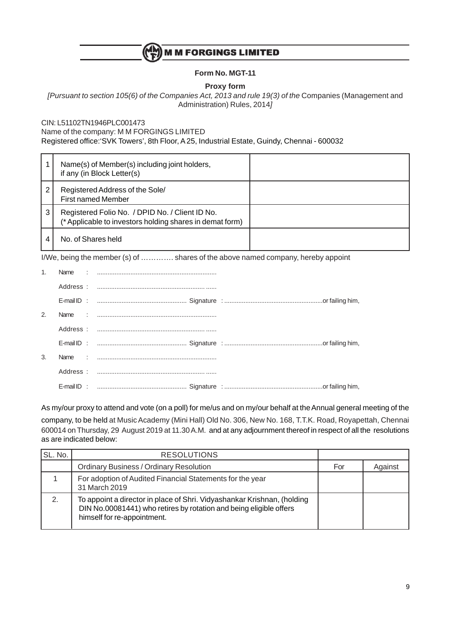

## **Form No. MGT-11**

**Proxy form**

[Pursuant to section 105(6) of the Companies Act, 2013 and rule 19(3) of the Companies (Management and Administration) Rules, 2014]

CIN: L51102TN1946PLC001473

Name of the company: M M FORGINGS LIMITED

Registered office:'SVK Towers', 8th Floor, A 25, Industrial Estate, Guindy, Chennai - 600032

| Name(s) of Member(s) including joint holders,<br>if any (in Block Letter(s)                                      |  |
|------------------------------------------------------------------------------------------------------------------|--|
| Registered Address of the Sole/<br>2<br><b>First named Member</b>                                                |  |
| 3<br>Registered Folio No. / DPID No. / Client ID No.<br>(* Applicable to investors holding shares in demat form) |  |
| No. of Shares held                                                                                               |  |

I/We, being the member (s) of …………. shares of the above named company, hereby appoint

| 2.            |  |  |
|---------------|--|--|
|               |  |  |
|               |  |  |
| $\mathcal{R}$ |  |  |
|               |  |  |
|               |  |  |

As my/our proxy to attend and vote (on a poll) for me/us and on my/our behalf at the Annual general meeting of the company, to be held at Music Academy (Mini Hall) Old No. 306, New No. 168, T.T.K. Road, Royapettah, Chennai 600014 on Thursday, 29 August 2019 at 11.30 A.M. and at any adjournment thereof in respect of all the resolutions as are indicated below:

| SL. No. | <b>RESOLUTIONS</b>                                                                                                                                                           |     |         |
|---------|------------------------------------------------------------------------------------------------------------------------------------------------------------------------------|-----|---------|
|         | <b>Ordinary Business / Ordinary Resolution</b>                                                                                                                               | For | Against |
|         | For adoption of Audited Financial Statements for the year<br>31 March 2019                                                                                                   |     |         |
| 2.      | To appoint a director in place of Shri. Vidyashankar Krishnan, (holding<br>DIN No.00081441) who retires by rotation and being eligible offers<br>himself for re-appointment. |     |         |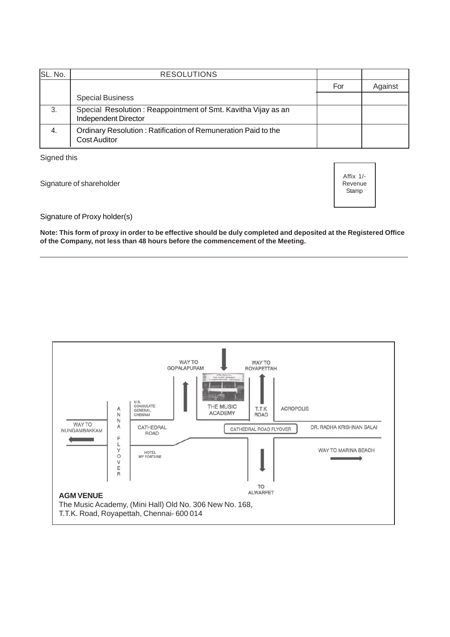| ISL. No. | <b>RESOLUTIONS</b>                                                                    |     |         |
|----------|---------------------------------------------------------------------------------------|-----|---------|
|          |                                                                                       | For | Against |
|          | <b>Special Business</b>                                                               |     |         |
| 3.       | Special Resolution: Reappointment of Smt. Kavitha Vijay as an<br>Independent Director |     |         |
| 4.       | Ordinary Resolution: Ratification of Remuneration Paid to the<br>Cost Auditor         |     |         |

Signed this

Signature of shareholder

Affix 1/- Revenue **Stamp** 

Signature of Proxy holder(s)

**Note: This form of proxy in order to be effective should be duly completed and deposited at the Registered Office of the Company, not less than 48 hours before the commencement of the Meeting.**

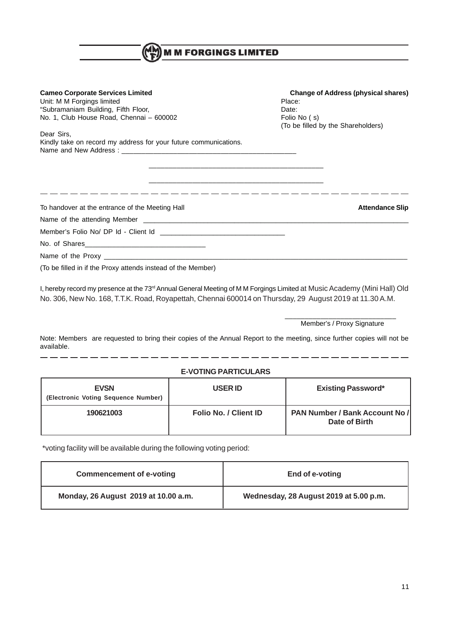| <b>MM FORGINGS LIMITED</b>                                                                                                                                                                                                                                                                                                                                         |                                                                                                                     |  |  |
|--------------------------------------------------------------------------------------------------------------------------------------------------------------------------------------------------------------------------------------------------------------------------------------------------------------------------------------------------------------------|---------------------------------------------------------------------------------------------------------------------|--|--|
| <b>Cameo Corporate Services Limited</b><br>Unit: M M Forgings limited<br>"Subramaniam Building, Fifth Floor,<br>No. 1, Club House Road, Chennai - 600002<br>Dear Sirs,<br>Kindly take on record my address for your future communications.<br><u> 1989 - Jan James James James James James James James James James James James James James James James James J</u> | <b>Change of Address (physical shares)</b><br>Place:<br>Date:<br>Folio No (s)<br>(To be filled by the Shareholders) |  |  |
| To handover at the entrance of the Meeting Hall<br>(To be filled in if the Proxy attends instead of the Member)                                                                                                                                                                                                                                                    | <b>Attendance Slip</b>                                                                                              |  |  |

I, hereby record my presence at the 73<sup>rd</sup> Annual General Meeting of M M Forgings Limited at Music Academy (Mini Hall) Old No. 306, New No. 168, T.T.K. Road, Royapettah, Chennai 600014 on Thursday, 29 August 2019 at 11.30 A.M.

> \_\_\_\_\_\_\_\_\_\_\_\_\_\_\_\_\_\_\_\_\_\_\_\_\_\_\_\_ Member's / Proxy Signature

Note: Members are requested to bring their copies of the Annual Report to the meeting, since further copies will not be available.

## **E-VOTING PARTICULARS**

| <b>EVSN</b><br>(Electronic Voting Sequence Number) | <b>USER ID</b>        | <b>Existing Password*</b>                              |
|----------------------------------------------------|-----------------------|--------------------------------------------------------|
| 190621003                                          | Folio No. / Client ID | <b>PAN Number / Bank Account No /</b><br>Date of Birth |

\*voting facility will be available during the following voting period:

| <b>Commencement of e-voting</b>      | End of e-voting                        |
|--------------------------------------|----------------------------------------|
| Monday, 26 August 2019 at 10.00 a.m. | Wednesday, 28 August 2019 at 5.00 p.m. |